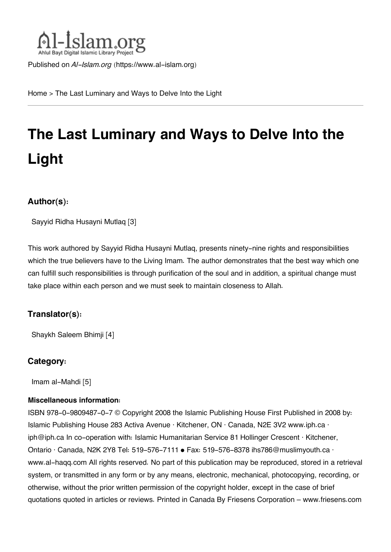

Published on *Al-Islam.org* ([https://www.al-islam.org\)](https://www.al-islam.org)

[Home](https://www.al-islam.org/) > The Last Luminary and Ways to Delve Into the Light

# **The Last Luminary and Ways to Delve Into the Light**

#### **Author(s):**

[Sayyid Ridha Husayni Mutlaq](https://www.al-islam.org/person/sayyid-ridha-husayni-mutlaq) [3]

This work authored by Sayyid Ridha Husayni Mutlaq, presents ninety-nine rights and responsibilities which the true believers have to the Living Imam. The author demonstrates that the best way which one can fulfill such responsibilities is through purification of the soul and in addition, a spiritual change must take place within each person and we must seek to maintain closeness to Allah.

#### **Translator(s):**

[Shaykh Saleem Bhimji](https://www.al-islam.org/person/shaykh-saleem-bhimji) [4]

#### **Category:**

[Imam al-Mahdi](https://www.al-islam.org/library/imam-al-mahdi) [5]

#### **Miscellaneous information:**

ISBN 978-0-9809487-0-7 © Copyright 2008 the Islamic Publishing House First Published in 2008 by: Islamic Publishing House 283 Activa Avenue ∙ Kitchener, ON ∙ Canada, N2E 3V2 www.iph.ca ∙ iph@iph.ca In co-operation with: Islamic Humanitarian Service 81 Hollinger Crescent ∙ Kitchener, Ontario ∙ Canada, N2K 2Y8 Tel: 519-576-7111 • Fax: 519-576-8378 ihs786@muslimyouth.ca ∙ www.al-haqq.com All rights reserved. No part of this publication may be reproduced, stored in a retrieval system, or transmitted in any form or by any means, electronic, mechanical, photocopying, recording, or otherwise, without the prior written permission of the copyright holder, except in the case of brief quotations quoted in articles or reviews. Printed in Canada By Friesens Corporation – www.friesens.com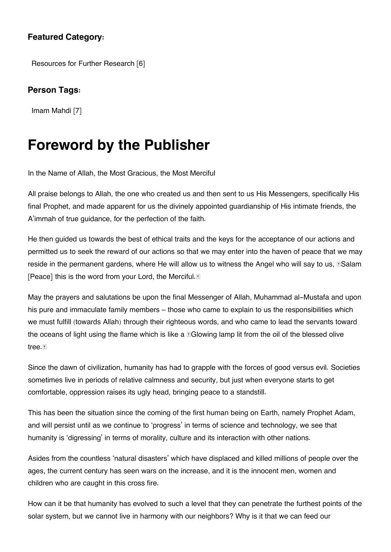#### **Featured Category:**

[Resources for Further Research](https://www.al-islam.org/feature/resources-further-research) [6]

#### **Person Tags:**

[Imam Mahdi](https://www.al-islam.org/person/imam-mahdi) [7]

### **Foreword by the Publisher**

In the Name of Allah, the Most Gracious, the Most Merciful

All praise belongs to Allah, the one who created us and then sent to us His Messengers, specifically His final Prophet, and made apparent for us the divinely appointed guardianship of His intimate friends, the A'immah of true guidance, for the perfection of the faith.

He then guided us towards the best of ethical traits and the keys for the acceptance of our actions and permitted us to seek the reward of our actions so that we may enter into the haven of peace that we may reside in the permanent gardens, where He will allow us to witness the Angel who will say to us,  $\mathbb{S}$ Salam [Peace] this is the word from your Lord, the Merciful. [9]

May the prayers and salutations be upon the final Messenger of Allah, Muhammad al-Mustafa and upon his pure and immaculate family members – those who came to explain to us the responsibilities which we must fulfill (towards Allah) through their righteous words, and who came to lead the servants toward the oceans of light using the flame which is like a  $\mathbb{E}$ Glowing lamp lit from the oil of the blessed olive tree.

Since the dawn of civilization, humanity has had to grapple with the forces of good versus evil. Societies sometimes live in periods of relative calmness and security, but just when everyone starts to get comfortable, oppression raises its ugly head, bringing peace to a standstill.

This has been the situation since the coming of the first human being on Earth, namely Prophet Adam, and will persist until as we continue to 'progress' in terms of science and technology, we see that humanity is 'digressing' in terms of morality, culture and its interaction with other nations.

Asides from the countless 'natural disasters' which have displaced and killed millions of people over the ages, the current century has seen wars on the increase, and it is the innocent men, women and children who are caught in this cross fire.

How can it be that humanity has evolved to such a level that they can penetrate the furthest points of the solar system, but we cannot live in harmony with our neighbors? Why is it that we can feed our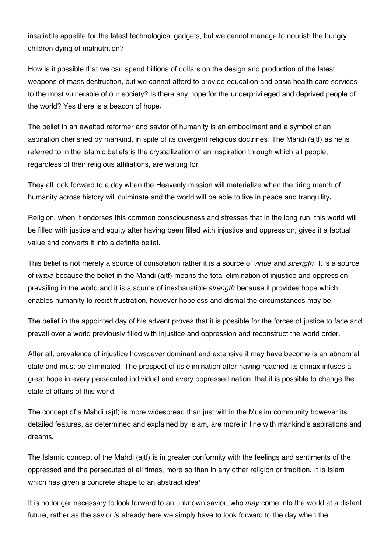insatiable appetite for the latest technological gadgets, but we cannot manage to nourish the hungry children dying of malnutrition?

How is it possible that we can spend billions of dollars on the design and production of the latest weapons of mass destruction, but we cannot afford to provide education and basic health care services to the most vulnerable of our society? Is there any hope for the underprivileged and deprived people of the world? Yes there is a beacon of hope.

The belief in an awaited reformer and savior of humanity is an embodiment and a symbol of an aspiration cherished by mankind, in spite of its divergent religious doctrines. The Mahdi (ajtf) as he is referred to in the Islamic beliefs is the crystallization of an inspiration through which all people, regardless of their religious affiliations, are waiting for.

They all look forward to a day when the Heavenly mission will materialize when the tiring march of humanity across history will culminate and the world will be able to live in peace and tranquility.

Religion, when it endorses this common consciousness and stresses that in the long run, this world will be filled with justice and equity after having been filled with injustice and oppression, gives it a factual value and converts it into a definite belief.

This belief is not merely a source of consolation rather it is a source of *virtue* and *strength*. It is a source of *virtue* because the belief in the Mahdi (ajtf) means the total elimination of injustice and oppression prevailing in the world and it is a source of inexhaustible *strength* because it provides hope which enables humanity to resist frustration, however hopeless and dismal the circumstances may be.

The belief in the appointed day of his advent proves that it is possible for the forces of justice to face and prevail over a world previously filled with injustice and oppression and reconstruct the world order.

After all, prevalence of injustice howsoever dominant and extensive it may have become is an abnormal state and must be eliminated. The prospect of its elimination after having reached its climax infuses a great hope in every persecuted individual and every oppressed nation, that it is possible to change the state of affairs of this world.

The concept of a Mahdi (ajtf) is more widespread than just within the Muslim community however its detailed features, as determined and explained by Islam, are more in line with mankind's aspirations and dreams.

The Islamic concept of the Mahdi (ajtf) is in greater conformity with the feelings and sentiments of the oppressed and the persecuted of all times, more so than in any other religion or tradition. It is Islam which has given a concrete shape to an abstract idea!

It is no longer necessary to look forward to an unknown savior, who *may* come into the world at a distant future, rather as the savior *is* already here we simply have to look forward to the day when the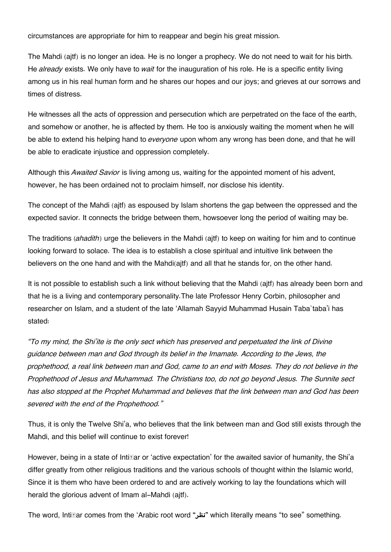circumstances are appropriate for him to reappear and begin his great mission.

The Mahdi (ajtf) is no longer an idea. He is no longer a prophecy. We do not need to wait for his birth. He *already* exists. We only have to *wait* for the inauguration of his role. He is a specific entity living among us in his real human form and he shares our hopes and our joys; and grieves at our sorrows and times of distress.

He witnesses all the acts of oppression and persecution which are perpetrated on the face of the earth, and somehow or another, he is affected by them. He too is anxiously waiting the moment when he will be able to extend his helping hand to *everyone* upon whom any wrong has been done, and that he will be able to eradicate injustice and oppression completely.

Although this *Awaited Savior* is living among us, waiting for the appointed moment of his advent, however, he has been ordained not to proclaim himself, nor disclose his identity.

The concept of the Mahdi (ajtf) as espoused by Islam shortens the gap between the oppressed and the expected savior. It connects the bridge between them, howsoever long the period of waiting may be.

The traditions *(ahadith)* urge the believers in the Mahdi (ajtf) to keep on waiting for him and to continue looking forward to solace. The idea is to establish a close spiritual and intuitive link between the believers on the one hand and with the Mahdi(ajtf) and all that he stands for, on the other hand.

It is not possible to establish such a link without believing that the Mahdi (ajtf) has already been born and that he is a living and contemporary personality.The late Professor Henry Corbin, philosopher and researcher on Islam, and a student of the late 'Allamah Sayyid Muhammad Husain Taba`taba'i has stated:

*"To my mind, the Shi'ite is the only sect which has preserved and perpetuated the link of Divine guidance between man and God through its belief in the Imamate. According to the Jews, the prophethood, a real link between man and God, came to an end with Moses. They do not believe in the Prophethood of Jesus and Muhammad. The Christians too, do not go beyond Jesus. The Sunnite sect has also stopped at the Prophet Muhammad and believes that the link between man and God has been severed with the end of the Prophethood."*

Thus, it is only the Twelve Shi'a, who believes that the link between man and God still exists through the Mahdi, and this belief will continue to exist forever!

However, being in a state of Intitlar or 'active expectation' for the awaited savior of humanity, the Shi'a differ greatly from other religious traditions and the various schools of thought within the Islamic world, Since it is them who have been ordered to and are actively working to lay the foundations which will herald the glorious advent of Imam al-Mahdi (ajtf).

The word, Intiďar comes from the 'Arabic root word **"نظر "**which literally means "to see" something.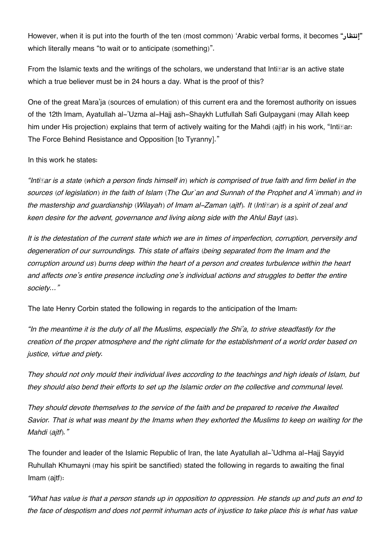However, when it is put into the fourth of the ten (most common) 'Arabic verbal forms, it becomes **"إنتظار"** which literally means "to wait or to anticipate (something)".

From the Islamic texts and the writings of the scholars, we understand that Inti $\mathbb{F}$ ar is an active state which a true believer must be in 24 hours a day. What is the proof of this?

One of the great Mara'ja (sources of emulation) of this current era and the foremost authority on issues of the 12th Imam, Ayatullah al-'Uzma al-Hajj ash-Shaykh Lutfullah Safi Gulpaygani (may Allah keep him under His projection) explains that term of actively waiting for the Mahdi (aitf) in his work, "Intitlers The Force Behind Resistance and Opposition [to Tyranny]."

#### In this work he states:

*"Intiďar is a state (which a person finds himself in) which is comprised of true faith and firm belief in the sources (of legislation) in the faith of Islam (The Qur`an and Sunnah of the Prophet and A`immah) and in the mastership and guardianship (Wilayah) of Imam al-Zaman (ajtf). It (Intiďar) is a spirit of zeal and keen desire for the advent, governance and living along side with the Ahlul Bayt (as).*

*It is the detestation of the current state which we are in times of imperfection, corruption, perversity and degeneration of our surroundings. This state of affairs (being separated from the Imam and the corruption around us) burns deep within the heart of a person and creates turbulence within the heart and affects one's entire presence including one's individual actions and struggles to better the entire society…"*

The late Henry Corbin stated the following in regards to the anticipation of the Imam:

*"In the meantime it is the duty of all the Muslims, especially the Shi'a, to strive steadfastly for the creation of the proper atmosphere and the right climate for the establishment of a world order based on justice, virtue and piety.*

*They should not only mould their individual lives according to the teachings and high ideals of Islam, but they should also bend their efforts to set up the Islamic order on the collective and communal level.*

*They should devote themselves to the service of the faith and be prepared to receive the Awaited Savior. That is what was meant by the Imams when they exhorted the Muslims to keep on waiting for the Mahdi (ajtf)."*

The founder and leader of the Islamic Republic of Iran, the late Ayatullah al-'Udhma al-Hajj Sayyid Ruhullah Khumayni (may his spirit be sanctified) stated the following in regards to awaiting the final Imam (ajtf):

*"What has value is that a person stands up in opposition to oppression. He stands up and puts an end to the face of despotism and does not permit inhuman acts of injustice to take place this is what has value*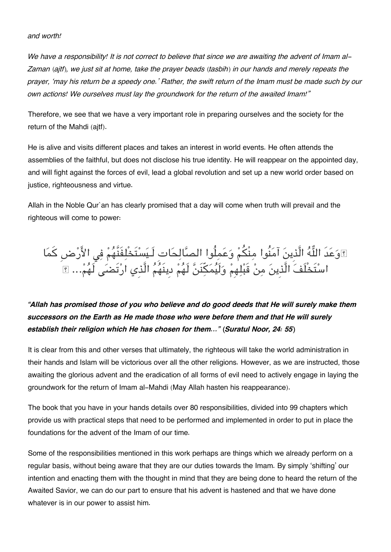#### *and worth!*

*We have a responsibility! It is not correct to believe that since we are awaiting the advent of Imam al-Zaman (ajtf), we just sit at home, take the prayer beads (tasbih) in our hands and merely repeats the prayer, 'may his return be a speedy one.' Rather, the swift return of the Imam must be made such by our own actions! We ourselves must lay the groundwork for the return of the awaited Imam!"*

Therefore, we see that we have a very important role in preparing ourselves and the society for the return of the Mahdi (ajtf).

He is alive and visits different places and takes an interest in world events. He often attends the assemblies of the faithful, but does not disclose his true identity. He will reappear on the appointed day, and will fight against the forces of evil, lead a global revolution and set up a new world order based on justice, righteousness and virtue.

Allah in the Noble Qur`an has clearly promised that a day will come when truth will prevail and the righteous will come to power:

وعدَ اله الَّذِين آمنُوا منْم وعملُوا الصالحاتِ لَـيستَخْلفَنَّهم ف الارضِ كما اسْتَخْلُفَ الَّذِينَ مِنْ قَبْلِهِمْ وَلَيَمَكِنْنَ لَهُمْ دِينَهُمُ الَّذِي ارتَضْنَى لَهُمْ... ۩

### *"Allah has promised those of you who believe and do good deeds that He will surely make them successors on the Earth as He made those who were before them and that He will surely establish their religion which He has chosen for them..." (Suratul Noor, 24: 55)*

It is clear from this and other verses that ultimately, the righteous will take the world administration in their hands and Islam will be victorious over all the other religions. However, as we are instructed, those awaiting the glorious advent and the eradication of all forms of evil need to actively engage in laying the groundwork for the return of Imam al-Mahdi (May Allah hasten his reappearance).

The book that you have in your hands details over 80 responsibilities, divided into 99 chapters which provide us with practical steps that need to be performed and implemented in order to put in place the foundations for the advent of the Imam of our time.

Some of the responsibilities mentioned in this work perhaps are things which we already perform on a regular basis, without being aware that they are our duties towards the Imam. By simply 'shifting' our intention and enacting them with the thought in mind that they are being done to heard the return of the Awaited Savior, we can do our part to ensure that his advent is hastened and that we have done whatever is in our power to assist him.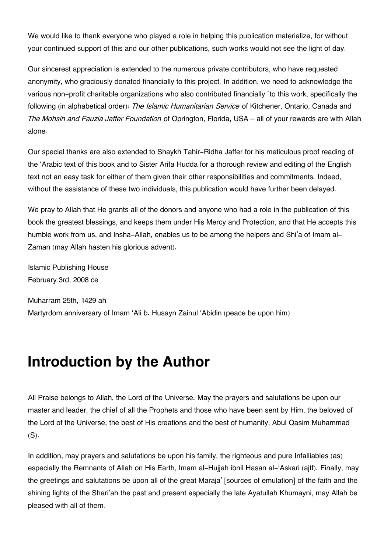We would like to thank everyone who played a role in helping this publication materialize, for without your continued support of this and our other publications, such works would not see the light of day.

Our sincerest appreciation is extended to the numerous private contributors, who have requested anonymity, who graciously donated financially to this project. In addition, we need to acknowledge the various non-profit charitable organizations who also contributed financially `to this work, specifically the following (in alphabetical order): *The Islamic Humanitarian Service* of Kitchener, Ontario, Canada and *The Mohsin and Fauzia Jaffer Foundation* of Oprington, Florida, USA – all of your rewards are with Allah alone.

Our special thanks are also extended to Shaykh Tahir-Ridha Jaffer for his meticulous proof reading of the 'Arabic text of this book and to Sister Arifa Hudda for a thorough review and editing of the English text not an easy task for either of them given their other responsibilities and commitments. Indeed, without the assistance of these two individuals, this publication would have further been delayed.

We pray to Allah that He grants all of the donors and anyone who had a role in the publication of this book the greatest blessings, and keeps them under His Mercy and Protection, and that He accepts this humble work from us, and Insha-Allah, enables us to be among the helpers and Shi'a of Imam al-Zaman (may Allah hasten his glorious advent).

Islamic Publishing House February 3rd, 2008 ce

Muharram 25th, 1429 ah Martyrdom anniversary of Imam 'Ali b. Husayn Zainul 'Abidin (peace be upon him)

### **Introduction by the Author**

All Praise belongs to Allah, the Lord of the Universe. May the prayers and salutations be upon our master and leader, the chief of all the Prophets and those who have been sent by Him, the beloved of the Lord of the Universe, the best of His creations and the best of humanity, Abul Qasim Muhammad  $(S)$ .

In addition, may prayers and salutations be upon his family, the righteous and pure Infalliables (as) especially the Remnants of Allah on His Earth, Imam al-Hujjah ibnil Hasan al-'Askari (ajtf). Finally, may the greetings and salutations be upon all of the great Maraja' [sources of emulation] of the faith and the shining lights of the Shari'ah the past and present especially the late Ayatullah Khumayni, may Allah be pleased with all of them.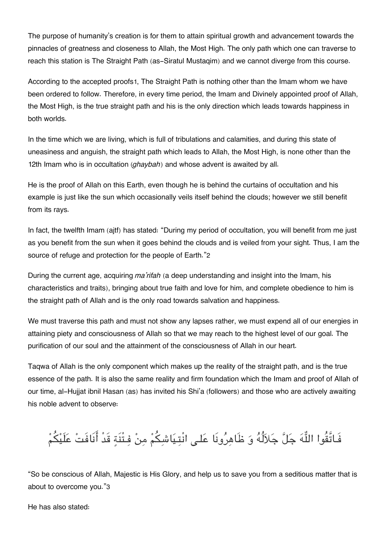The purpose of humanity's creation is for them to attain spiritual growth and advancement towards the pinnacles of greatness and closeness to Allah, the Most High. The only path which one can traverse to reach this station is The Straight Path (as-Siratul Mustaqim) and we cannot diverge from this course.

According to the accepted proofs[1](#page--1-0), The Straight Path is nothing other than the Imam whom we have been ordered to follow. Therefore, in every time period, the Imam and Divinely appointed proof of Allah, the Most High, is the true straight path and his is the only direction which leads towards happiness in both worlds.

In the time which we are living, which is full of tribulations and calamities, and during this state of uneasiness and anguish, the straight path which leads to Allah, the Most High, is none other than the 12th Imam who is in occultation *(ghaybah)* and whose advent is awaited by all.

He is the proof of Allah on this Earth, even though he is behind the curtains of occultation and his example is just like the sun which occasionally veils itself behind the clouds; however we still benefit from its rays.

In fact, the twelfth Imam (ajtf) has stated: "During my period of occultation, you will benefit from me just as you benefit from the sun when it goes behind the clouds and is veiled from your sight. Thus, I am the source of refuge and protection for the people of Earth."[2](#page--1-0)

During the current age, acquiring *ma'rifah* (a deep understanding and insight into the Imam, his characteristics and traits), bringing about true faith and love for him, and complete obedience to him is the straight path of Allah and is the only road towards salvation and happiness.

We must traverse this path and must not show any lapses rather, we must expend all of our energies in attaining piety and consciousness of Allah so that we may reach to the highest level of our goal. The purification of our soul and the attainment of the consciousness of Allah in our heart.

Taqwa of Allah is the only component which makes up the reality of the straight path, and is the true essence of the path. It is also the same reality and firm foundation which the Imam and proof of Allah of our time, al-Hujjat ibnil Hasan (as) has invited his Shi'a (followers) and those who are actively awaiting his noble advent to observe:

## فَـاتَّقُوا اللَّهَ جَلَّ جَلاَلُهُ وَ ظَاهِرُونَا عَلـى انْتِيَاشِكُمْ مِنْ فِـتْنَةِ قَدْ أَنَافَتْ عَلَيْكُمْ

"So be conscious of Allah, Majestic is His Glory, and help us to save you from a seditious matter that is about to overcome you."[3](#page--1-0)

He has also stated: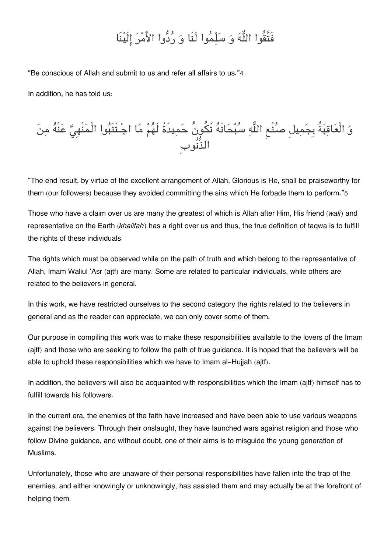## فَتَّقُوا اللَّهَ وَ سَلِّمُوا لَنَا وَ رُدُّوا الأَمْرَ إِلَيْنَا

"Be conscious of Allah and submit to us and refer all affairs to us."[4](#page--1-0)

In addition, he has told us:



"The end result, by virtue of the excellent arrangement of Allah, Glorious is He, shall be praiseworthy for them (our followers) because they avoided committing the sins which He forbade them to perform."[5](#page--1-0)

Those who have a claim over us are many the greatest of which is Allah after Him, His friend *(wali)* and representative on the Earth *(khalifah)* has a right over us and thus, the true definition of taqwa is to fulfill the rights of these individuals.

The rights which must be observed while on the path of truth and which belong to the representative of Allah, Imam Waliul 'Asr (ajtf) are many. Some are related to particular individuals, while others are related to the believers in general.

In this work, we have restricted ourselves to the second category the rights related to the believers in general and as the reader can appreciate, we can only cover some of them.

Our purpose in compiling this work was to make these responsibilities available to the lovers of the Imam (ajtf) and those who are seeking to follow the path of true guidance. It is hoped that the believers will be able to uphold these responsibilities which we have to Imam al-Hujjah (ajtf).

In addition, the believers will also be acquainted with responsibilities which the Imam (ajtf) himself has to fulfill towards his followers.

In the current era, the enemies of the faith have increased and have been able to use various weapons against the believers. Through their onslaught, they have launched wars against religion and those who follow Divine guidance, and without doubt, one of their aims is to misguide the young generation of Muslims.

Unfortunately, those who are unaware of their personal responsibilities have fallen into the trap of the enemies, and either knowingly or unknowingly, has assisted them and may actually be at the forefront of helping them.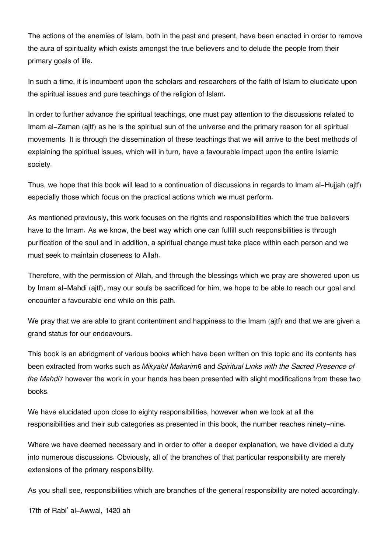The actions of the enemies of Islam, both in the past and present, have been enacted in order to remove the aura of spirituality which exists amongst the true believers and to delude the people from their primary goals of life.

In such a time, it is incumbent upon the scholars and researchers of the faith of Islam to elucidate upon the spiritual issues and pure teachings of the religion of Islam.

In order to further advance the spiritual teachings, one must pay attention to the discussions related to Imam al-Zaman (ajtf) as he is the spiritual sun of the universe and the primary reason for all spiritual movements. It is through the dissemination of these teachings that we will arrive to the best methods of explaining the spiritual issues, which will in turn, have a favourable impact upon the entire Islamic society.

Thus, we hope that this book will lead to a continuation of discussions in regards to Imam al-Hujjah (ajtf) especially those which focus on the practical actions which we must perform.

As mentioned previously, this work focuses on the rights and responsibilities which the true believers have to the Imam. As we know, the best way which one can fulfill such responsibilities is through purification of the soul and in addition, a spiritual change must take place within each person and we must seek to maintain closeness to Allah.

Therefore, with the permission of Allah, and through the blessings which we pray are showered upon us by Imam al-Mahdi (ajtf), may our souls be sacrificed for him, we hope to be able to reach our goal and encounter a favourable end while on this path.

We pray that we are able to grant contentment and happiness to the Imam (ajtf) and that we are given a grand status for our endeavours.

This book is an abridgment of various books which have been written on this topic and its contents has been extracted from works such as *Mikyalul Makarim*[6](#page--1-0) and *Spiritual Links with the Sacred Presence of the Mahdi*[7](#page--1-0) however the work in your hands has been presented with slight modifications from these two books.

We have elucidated upon close to eighty responsibilities, however when we look at all the responsibilities and their sub categories as presented in this book, the number reaches ninety-nine.

Where we have deemed necessary and in order to offer a deeper explanation, we have divided a duty into numerous discussions. Obviously, all of the branches of that particular responsibility are merely extensions of the primary responsibility.

As you shall see, responsibilities which are branches of the general responsibility are noted accordingly.

17th of Rabi' al-Awwal, 1420 ah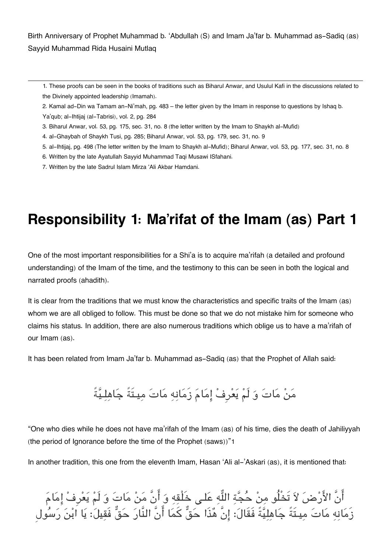Birth Anniversary of Prophet Muhammad b. 'Abdullah (S) and Imam Ja'far b. Muhammad as-Sadiq (as) Sayyid Muhammad Rida Husaini Mutlaq

[1.](#page--1-0) These proofs can be seen in the books of traditions such as Biharul Anwar, and Usulul Kafi in the discussions related to the Divinely appointed leadership (Imamah).

- [2.](#page--1-0) Kamal ad-Din wa Tamam an-Ni'mah, pg. 483 the letter given by the Imam in response to questions by Ishaq b. Ya'qub; al-Ihtijaj (al-Tabrisi), vol. 2, pg. 284
- [3.](#page--1-0) Biharul Anwar, vol. 53, pg. 175, sec. 31, no. 8 (the letter written by the Imam to Shaykh al-Mufid)
- [4.](#page--1-0) al-Ghaybah of Shaykh Tusi, pg. 285; Biharul Anwar, vol. 53, pg. 179, sec. 31, no. 9
- [5.](#page--1-0) al-Ihtijaj, pg. 498 (The letter written by the Imam to Shaykh al-Mufid); Biharul Anwar, vol. 53, pg. 177, sec. 31, no. 8
- [6.](#page--1-0) Written by the late Ayatullah Sayyid Muhammad Taqi Musawi ISfahani.
- [7.](#page--1-0) Written by the late Sadrul Islam Mirza 'Ali Akbar Hamdani.

## **Responsibility 1: Ma'rifat of the Imam (as) Part 1**

One of the most important responsibilities for a Shi'a is to acquire ma'rifah (a detailed and profound understanding) of the Imam of the time, and the testimony to this can be seen in both the logical and narrated proofs (ahadith).

It is clear from the traditions that we must know the characteristics and specific traits of the Imam (as) whom we are all obliged to follow. This must be done so that we do not mistake him for someone who claims his status. In addition, there are also numerous traditions which oblige us to have a ma'rifah of our Imam (as).

It has been related from Imam Ja'far b. Muhammad as-Sadiq (as) that the Prophet of Allah said:

### من مات و لَم يعرِف امام زَمانه مات ميـتَةً جاهلـيةً

"One who dies while he does not have ma'rifah of the Imam (as) of his time, dies the death of Jahiliyyah (the period of Ignorance before the time of the Prophet (saws))"[1](#page--1-0)

In another tradition, this one from the eleventh Imam, Hasan 'Ali al-'Askari (as), it is mentioned that:

انَ الأَرْضَ لاَ تَخْلُو مِنْ حَجَّةِ اللَّهِ عَلَى خَلْقِهِ وَ انْ مَنْ مَاتَ وَ لَمْ يَعْرِفْ إِمَامَ زَمانه مات ميـتَةً جاهليةً فَقَال: انَّ هذَا حق كما انَّ النَّار حق فَقيل: يا ابن رسولِ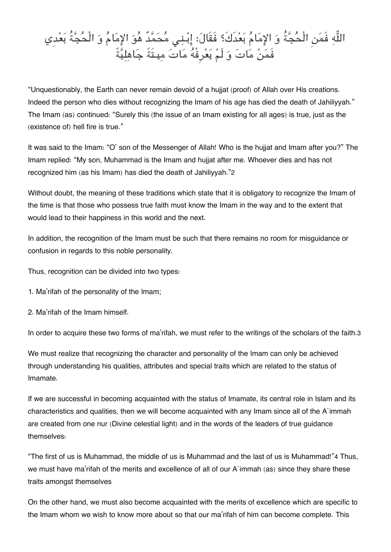## اله فَمن الْحجةُ و الامام بعدَكَ؟ فَقَال: ابـنـ محمدٌ هو الامام و الْحجةُ بعدِي فَمَنْ مَاتَ وَ لَمْ يَعْرِفْهُ مَاتَ مِيـتَةً جَاهِلِيَّةً

"Unquestionably, the Earth can never remain devoid of a hujjat (proof) of Allah over His creations. Indeed the person who dies without recognizing the Imam of his age has died the death of Jahiliyyah." The Imam (as) continued: "Surely this (the issue of an Imam existing for all ages) is true, just as the (existence of) hell fire is true."

It was said to the Imam: "O' son of the Messenger of Allah! Who is the hujjat and Imam after you?" The Imam replied: "My son, Muhammad is the Imam and hujjat after me. Whoever dies and has not recognized him (as his Imam) has died the death of Jahiliyyah."[2](#page--1-0)

Without doubt, the meaning of these traditions which state that it is obligatory to recognize the Imam of the time is that those who possess true faith must know the Imam in the way and to the extent that would lead to their happiness in this world and the next.

In addition, the recognition of the Imam must be such that there remains no room for misguidance or confusion in regards to this noble personality.

Thus, recognition can be divided into two types:

- 1. Ma'rifah of the personality of the Imam;
- 2. Ma'rifah of the Imam himself.

In order to acquire these two forms of ma'rifah, we must refer to the writings of the scholars of the faith.[3](#page--1-0)

We must realize that recognizing the character and personality of the Imam can only be achieved through understanding his qualities, attributes and special traits which are related to the status of Imamate.

If we are successful in becoming acquainted with the status of Imamate, its central role in Islam and its characteristics and qualities, then we will become acquainted with any Imam since all of the A`immah are created from one nur (Divine celestial light) and in the words of the leaders of true guidance themselves:

"The first of us is Muhammad, the middle of us is Muhammad and the last of us is Muhammad!"[4](#page--1-0) Thus, we must have ma'rifah of the merits and excellence of all of our A`immah (as) since they share these traits amongst themselves

On the other hand, we must also become acquainted with the merits of excellence which are specific to the Imam whom we wish to know more about so that our ma'rifah of him can become complete. This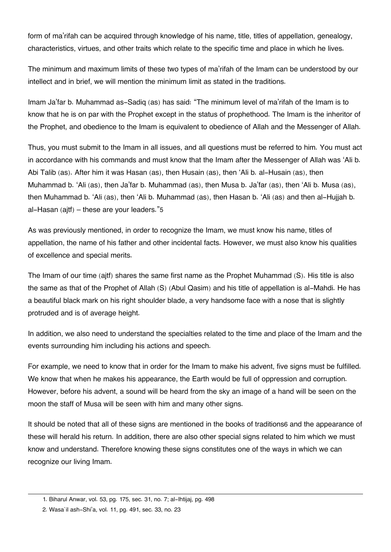form of ma'rifah can be acquired through knowledge of his name, title, titles of appellation, genealogy, characteristics, virtues, and other traits which relate to the specific time and place in which he lives.

The minimum and maximum limits of these two types of ma'rifah of the Imam can be understood by our intellect and in brief, we will mention the minimum limit as stated in the traditions.

Imam Ja'far b. Muhammad as-Sadiq (as) has said: "The minimum level of ma'rifah of the Imam is to know that he is on par with the Prophet except in the status of prophethood. The Imam is the inheritor of the Prophet, and obedience to the Imam is equivalent to obedience of Allah and the Messenger of Allah.

Thus, you must submit to the Imam in all issues, and all questions must be referred to him. You must act in accordance with his commands and must know that the Imam after the Messenger of Allah was 'Ali b. Abi Talib (as). After him it was Hasan (as), then Husain (as), then 'Ali b. al-Husain (as), then Muhammad b. 'Ali (as), then Ja'far b. Muhammad (as), then Musa b. Ja'far (as), then 'Ali b. Musa (as), then Muhammad b. 'Ali (as), then 'Ali b. Muhammad (as), then Hasan b. 'Ali (as) and then al-Hujjah b. al-Hasan (ajtf) – these are your leaders."[5](#page--1-0)

As was previously mentioned, in order to recognize the Imam, we must know his name, titles of appellation, the name of his father and other incidental facts. However, we must also know his qualities of excellence and special merits.

The Imam of our time (ajtf) shares the same first name as the Prophet Muhammad (S). His title is also the same as that of the Prophet of Allah (S) (Abul Qasim) and his title of appellation is al-Mahdi. He has a beautiful black mark on his right shoulder blade, a very handsome face with a nose that is slightly protruded and is of average height.

In addition, we also need to understand the specialties related to the time and place of the Imam and the events surrounding him including his actions and speech.

For example, we need to know that in order for the Imam to make his advent, five signs must be fulfilled. We know that when he makes his appearance, the Earth would be full of oppression and corruption. However, before his advent, a sound will be heard from the sky an image of a hand will be seen on the moon the staff of Musa will be seen with him and many other signs.

It should be noted that all of these signs are mentioned in the books of traditions[6](#page--1-0) and the appearance of these will herald his return. In addition, there are also other special signs related to him which we must know and understand. Therefore knowing these signs constitutes one of the ways in which we can recognize our living Imam.

[<sup>1.</sup>](#page--1-0) Biharul Anwar, vol. 53, pg. 175, sec. 31, no. 7; al-Ihtijaj, pg. 498

[<sup>2.</sup>](#page--1-0) Wasa`il ash-Shi'a, vol. 11, pg. 491, sec. 33, no. 23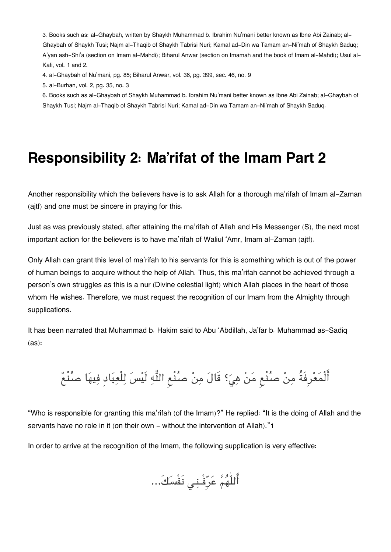[3.](#page--1-0) Books such as: al-Ghaybah, written by Shaykh Muhammad b. Ibrahim Nu'mani better known as Ibne Abi Zainab; al-Ghaybah of Shaykh Tusi; Najm al-Thaqib of Shaykh Tabrisi Nuri; Kamal ad-Din wa Tamam an-Ni'mah of Shaykh Saduq; A'yan ash-Shi'a (section on Imam al-Mahdi); Biharul Anwar (section on Imamah and the book of Imam al-Mahdi); Usul al-Kafi, vol. 1 and 2.

[4.](#page--1-0) al-Ghaybah of Nu'mani, pg. 85; Biharul Anwar, vol. 36, pg. 399, sec. 46, no. 9

[5.](#page--1-0) al-Burhan, vol. 2, pg. 35, no. 3

[6.](#page--1-0) Books such as al-Ghaybah of Shaykh Muhammad b. Ibrahim Nu'mani better known as Ibne Abi Zainab; al-Ghaybah of Shaykh Tusi; Najm al-Thaqib of Shaykh Tabrisi Nuri; Kamal ad-Din wa Tamam an-Ni'mah of Shaykh Saduq.

### **Responsibility 2: Ma'rifat of the Imam Part 2**

Another responsibility which the believers have is to ask Allah for a thorough ma'rifah of Imam al-Zaman (ajtf) and one must be sincere in praying for this.

Just as was previously stated, after attaining the ma'rifah of Allah and His Messenger (S), the next most important action for the believers is to have ma'rifah of Waliul 'Amr, Imam al-Zaman (ajtf).

Only Allah can grant this level of ma'rifah to his servants for this is something which is out of the power of human beings to acquire without the help of Allah. Thus, this ma'rifah cannot be achieved through a person's own struggles as this is a nur (Divine celestial light) which Allah places in the heart of those whom He wishes. Therefore, we must request the recognition of our Imam from the Almighty through supplications.

It has been narrated that Muhammad b. Hakim said to Abu 'Abdillah, Ja'far b. Muhammad as-Sadiq (as):

أَلْمَعْرِفَةُ مِنْ صُنْع مَنْ هِيَ؟ قَالَ مِنْ صُنْعِ اللَّهِ لَيْسَ لِلْعِبَادِ فِيهَا صُنْعٌ

"Who is responsible for granting this ma'rifah (of the Imam)?" He replied: "It is the doing of Allah and the servants have no role in it (on their own - without the intervention of Allah)."[1](#page--1-0)

In order to arrive at the recognition of the Imam, the following supplication is very effective:

اللّٰهم عرِفْـنـ نَفْسك...َ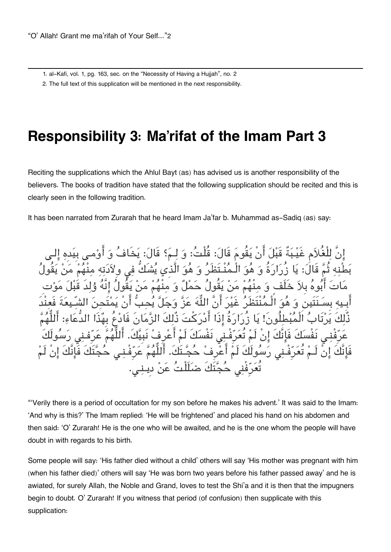[1.](#page--1-0) al-Kafi, vol. 1, pg. 163, sec. on the "Necessity of Having a Hujjah", no. 2

[2.](#page--1-0) The full text of this supplication will be mentioned in the next responsibility.

### **Responsibility 3: Ma'rifat of the Imam Part 3**

Reciting the supplications which the Ahlul Bayt (as) has advised us is another responsibility of the believers. The books of tradition have stated that the following supplication should be recited and this is clearly seen in the following tradition.

It has been narrated from Zurarah that he heard Imam Ja'far b. Muhammad as-Sadiq (as) say:

للْغُلاَم غَيْـبَةٌ قَبْلَ أَنْ يَقُومَ قَالَ: قُلْتُ: وَ لِـمَ؟ قَالَ: يَخَا قَالُ: يَا زُرَارَةُ وَ هُوَ الْـمُنْـتَظَرُ وَ هُوَ الَّذِي يُشَكُّ فِي وِلاَ مَنْ يَقُولُ حَمْلٌ وَ مِنْهُمْ مَنْ يَقُو يَّة أَنَّ اللَّهَ عَزَّ وَجَلَّ يُحب دُّ رَارَةُ إِذَا أَدْرَكْتَ ذُلِكَ الزَّمَانَ مْ تَعَرَّفْـنِي نَفْسَكَ لَمْ أَعْرِفْ نَبِيَّكَ. فَإِنَّكَ إِنْ لَـمْ تُعَرِّفْـنِي رَسُولَكَ لَمْ أَعْرِفْ حُجَّـتَكَ. أَلَلُّهُمَّ عَرِّفْـنـى حُجَّتَكَ فَا تُعَرِّفْني حُجَّتَكَ ضلَلْتُ عَنْ دِينِي.

"'Verily there is a period of occultation for my son before he makes his advent.' It was said to the Imam: 'And why is this?' The Imam replied: 'He will be frightened' and placed his hand on his abdomen and then said: 'O' Zurarah! He is the one who will be awaited, and he is the one whom the people will have doubt in with regards to his birth.

Some people will say: 'His father died without a child' others will say 'His mother was pregnant with him (when his father died)' others will say 'He was born two years before his father passed away' and he is awiated, for surely Allah, the Noble and Grand, loves to test the Shi'a and it is then that the impugners begin to doubt. O' Zurarah! If you witness that period (of confusion) then supplicate with this supplication: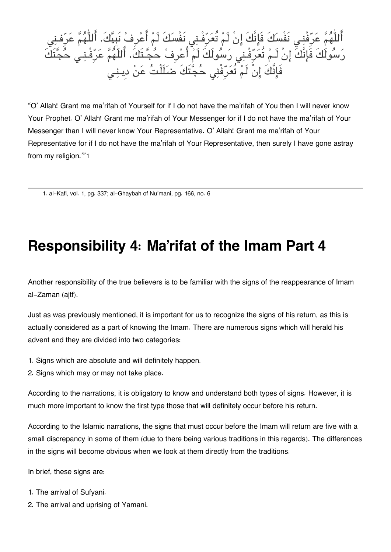اللّٰهُمَّ عَرَّفْنِـي نَفْسَكَ فَإِنَّكَ إِنْ لَمْ تَعَرَّفْـنِي نَفْسَكَ لَمْ اعْرِفْ نِبِيَكَ. اللّٰهُمَّ عَرَفْـنِي رَسُولَكَ فَإِنَّكَ إِنْ لَـمْ تَعَرَّفْـنِى رَسُولَكَ لَـمْ اعْرِفْ حَجَّـتَكَ. اللّٰهُمَّ عَرَّفْـنِي حَجَّتَك فَإِنَّكَ إِنْ لَمْ تَعَرِّفْنِي حَجَّتَكَ ضَلَلْتَ عَنْ دِينِي

"O' Allah! Grant me ma'rifah of Yourself for if I do not have the ma'rifah of You then I will never know Your Prophet. O' Allah! Grant me ma'rifah of Your Messenger for if I do not have the ma'rifah of Your Messenger than I will never know Your Representative. O' Allah! Grant me ma'rifah of Your Representative for if I do not have the ma'rifah of Your Representative, then surely I have gone astray from my religion.'"[1](#page--1-0)

[1.](#page--1-0) al-Kafi, vol. 1, pg. 337; al-Ghaybah of Nu'mani, pg. 166, no. 6

### **Responsibility 4: Ma'rifat of the Imam Part 4**

Another responsibility of the true believers is to be familiar with the signs of the reappearance of Imam al-Zaman (ajtf).

Just as was previously mentioned, it is important for us to recognize the signs of his return, as this is actually considered as a part of knowing the Imam. There are numerous signs which will herald his advent and they are divided into two categories:

- 1. Signs which are absolute and will definitely happen.
- 2. Signs which may or may not take place.

According to the narrations, it is obligatory to know and understand both types of signs. However, it is much more important to know the first type those that will definitely occur before his return.

According to the Islamic narrations, the signs that must occur before the Imam will return are five with a small discrepancy in some of them (due to there being various traditions in this regards). The differences in the signs will become obvious when we look at them directly from the traditions.

In brief, these signs are:

- 1. The arrival of Sufyani.
- 2. The arrival and uprising of Yamani.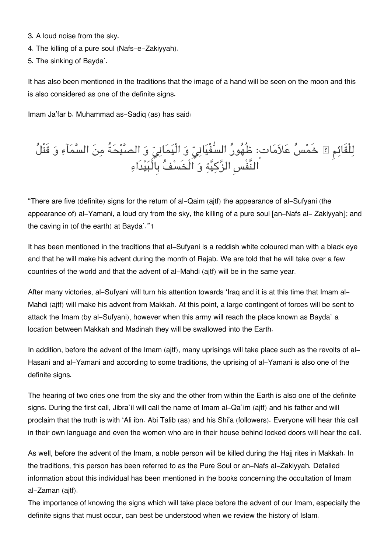- 3. A loud noise from the sky.
- 4. The killing of a pure soul (Nafs-e-Zakiyyah).
- 5. The sinking of Bayda`.

It has also been mentioned in the traditions that the image of a hand will be seen on the moon and this is also considered as one of the definite signs.

Imam Ja'far b. Muhammad as-Sadiq (as) has said:

## لِلْقَائِمِ ؟ خَمْسُ عَلاَمَات: ظُهُورُ السَّفْيَانِيِّ وَ الْيَمَانِيِّ وَ الصَّيْحَةُ مِنَ السَّمَاءِ وَ قَتْل النَّفْسِ الزكية و الْخَسف بِالْبيدَاء

"There are five (definite) signs for the return of al-Qaim (ajtf) the appearance of al-Sufyani (the appearance of) al-Yamani, a loud cry from the sky, the killing of a pure soul [an-Nafs al- Zakiyyah]; and the caving in (of the earth) at Bayda`."[1](#page--1-0)

It has been mentioned in the traditions that al-Sufyani is a reddish white coloured man with a black eye and that he will make his advent during the month of Rajab. We are told that he will take over a few countries of the world and that the advent of al-Mahdi (ajtf) will be in the same year.

After many victories, al-Sufyani will turn his attention towards 'Iraq and it is at this time that Imam al-Mahdi (ajtf) will make his advent from Makkah. At this point, a large contingent of forces will be sent to attack the Imam (by al-Sufyani), however when this army will reach the place known as Bayda` a location between Makkah and Madinah they will be swallowed into the Earth.

In addition, before the advent of the Imam (ajtf), many uprisings will take place such as the revolts of al-Hasani and al-Yamani and according to some traditions, the uprising of al-Yamani is also one of the definite signs.

The hearing of two cries one from the sky and the other from within the Earth is also one of the definite signs. During the first call, Jibra`il will call the name of Imam al-Qa`im (ajtf) and his father and will proclaim that the truth is with 'Ali ibn. Abi Talib (as) and his Shi'a (followers). Everyone will hear this call in their own language and even the women who are in their house behind locked doors will hear the call.

As well, before the advent of the Imam, a noble person will be killed during the Hajj rites in Makkah. In the traditions, this person has been referred to as the Pure Soul or an-Nafs al-Zakiyyah. Detailed information about this individual has been mentioned in the books concerning the occultation of Imam al-Zaman (ajtf).

The importance of knowing the signs which will take place before the advent of our Imam, especially the definite signs that must occur, can best be understood when we review the history of Islam.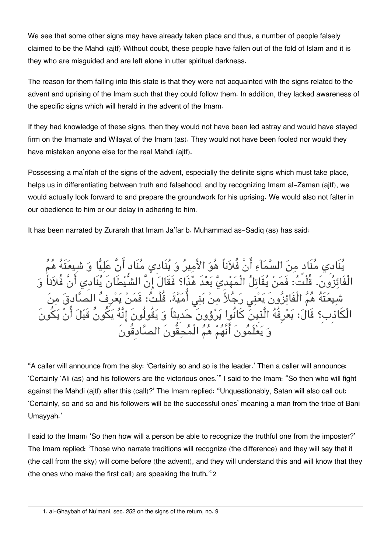We see that some other signs may have already taken place and thus, a number of people falsely claimed to be the Mahdi (ajtf) Without doubt, these people have fallen out of the fold of Islam and it is they who are misguided and are left alone in utter spiritual darkness.

The reason for them falling into this state is that they were not acquainted with the signs related to the advent and uprising of the Imam such that they could follow them. In addition, they lacked awareness of the specific signs which will herald in the advent of the Imam.

If they had knowledge of these signs, then they would not have been led astray and would have stayed firm on the Imamate and Wilayat of the Imam (as). They would not have been fooled nor would they have mistaken anyone else for the real Mahdi (ajtf).

Possessing a ma'rifah of the signs of the advent, especially the definite signs which must take place, helps us in differentiating between truth and falsehood, and by recognizing Imam al-Zaman (ajtf), we would actually look forward to and prepare the groundwork for his uprising. We would also not falter in our obedience to him or our delay in adhering to him.

It has been narrated by Zurarah that Imam Ja'far b. Muhammad as-Sadiq (as) has said:

يُنَادِي مُنَادٍ منَ السَّمَآءِ أَنَّ فُلاَناً هُوَ الأَميرُ وَ يُنَادِي مُنَادٍ أَنَّ عَليًّا وَ شيعَتَهُ الْفَائِزُونَ. قُلْتُ: فَمَنْ يُقَاتِلُ الْمَهْدِيَّ بَعْدَ هُذَا؟ فَقَالَ إِنَّ الشَّيْطَانَ يُنَادِي أَنَّ فُلاَناً وَ شِيعَتَهُ هُمُ الْفَائِزُونَ يَعْنِي رَجُلاً مِنْ بَنِي أُمَيَّةَ. قُلْتُ: فَمَنْ يَعْرِفُ الصَّا الْكَاذِبِ؟ قَالَ: يَعْرِفُهُ الَّذِينَ كَانُوا يَرْوُونَ حَدِيثاً وَ يَقُولُونَ إِنَّهُ يَكُونُ قَبْلَ و يعلَمونَ انَّهم هم الْمحقُّونَ الصادِقُونَ

"A caller will announce from the sky: 'Certainly so and so is the leader.' Then a caller will announce: 'Certainly 'Ali (as) and his followers are the victorious ones.'" I said to the Imam: "So then who will fight against the Mahdi (ajtf) after this (call)?' The Imam replied: "Unquestionably, Satan will also call out: 'Certainly, so and so and his followers will be the successful ones' meaning a man from the tribe of Bani Umayyah.'

I said to the Imam: 'So then how will a person be able to recognize the truthful one from the imposter?' The Imam replied: 'Those who narrate traditions will recognize (the difference) and they will say that it (the call from the sky) will come before (the advent), and they will understand this and will know that they (the ones who make the first call) are speaking the truth.'"[2](#page--1-0)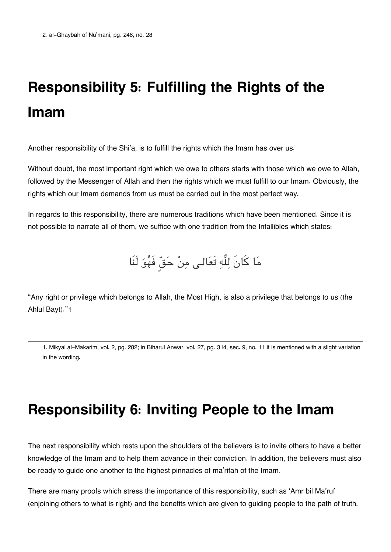# **Responsibility 5: Fulfilling the Rights of the Imam**

Another responsibility of the Shi'a, is to fulfill the rights which the Imam has over us.

Without doubt, the most important right which we owe to others starts with those which we owe to Allah, followed by the Messenger of Allah and then the rights which we must fulfill to our Imam. Obviously, the rights which our Imam demands from us must be carried out in the most perfect way.

In regards to this responsibility, there are numerous traditions which have been mentioned. Since it is not possible to narrate all of them, we suffice with one tradition from the Infallibles which states:

مَا كَانَ لِلَّهِ تَعَالـى مِنْ حَقٍّ فَهُوَ لَنَا

"Any right or privilege which belongs to Allah, the Most High, is also a privilege that belongs to us (the Ahlul Bayt)."[1](#page--1-0)

[1.](#page--1-0) Mikyal al-Makarim, vol. 2, pg. 282; in Biharul Anwar, vol. 27, pg. 314, sec. 9, no. 11 it is mentioned with a slight variation in the wording.

### **Responsibility 6: Inviting People to the Imam**

The next responsibility which rests upon the shoulders of the believers is to invite others to have a better knowledge of the Imam and to help them advance in their conviction. In addition, the believers must also be ready to guide one another to the highest pinnacles of ma'rifah of the Imam.

There are many proofs which stress the importance of this responsibility, such as 'Amr bil Ma'ruf (enjoining others to what is right) and the benefits which are given to guiding people to the path of truth.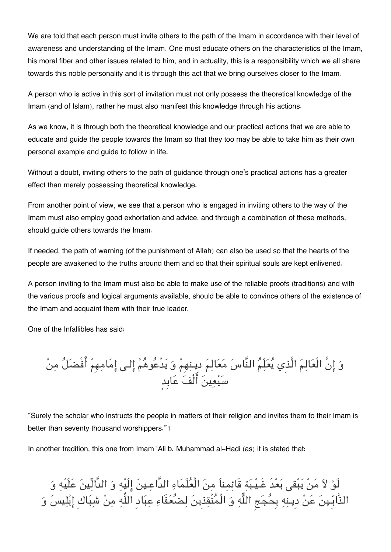We are told that each person must invite others to the path of the Imam in accordance with their level of awareness and understanding of the Imam. One must educate others on the characteristics of the Imam, his moral fiber and other issues related to him, and in actuality, this is a responsibility which we all share towards this noble personality and it is through this act that we bring ourselves closer to the Imam.

A person who is active in this sort of invitation must not only possess the theoretical knowledge of the Imam (and of Islam), rather he must also manifest this knowledge through his actions.

As we know, it is through both the theoretical knowledge and our practical actions that we are able to educate and guide the people towards the Imam so that they too may be able to take him as their own personal example and guide to follow in life.

Without a doubt, inviting others to the path of guidance through one's practical actions has a greater effect than merely possessing theoretical knowledge.

From another point of view, we see that a person who is engaged in inviting others to the way of the Imam must also employ good exhortation and advice, and through a combination of these methods, should guide others towards the Imam.

If needed, the path of warning (of the punishment of Allah) can also be used so that the hearts of the people are awakened to the truths around them and so that their spiritual souls are kept enlivened.

A person inviting to the Imam must also be able to make use of the reliable proofs (traditions) and with the various proofs and logical arguments available, should be able to convince others of the existence of the Imam and acquaint them with their true leader.

One of the Infallibles has said:

و انَّ الْعالم الَّذِي يعلّم النَّاس معالم دِيـنهِم و يدْعوهم الـ امامهِم افْضل من سبعين الْف عابِدٍ

"Surely the scholar who instructs the people in matters of their religion and invites them to their Imam is better than seventy thousand worshippers."[1](#page--1-0)

In another tradition, this one from Imam 'Ali b. Muhammad al-Hadi (as) it is stated that:

لَوْ لاَ مَنْ يَبْقى بَعْدَ غَيْبَةِ قَائِمِناَ مِنَ الْعُلَمَاءِ الدَّاعِينَ إِلَيْهِ وَ الدَّالِّينَ عَلَيْهِ وَ الذَّابِّـينَ عَنْ دِينِهِ بِحُجَجِ اللَّهِ وَ الْمُنْقِذِينَ لِصْعُفَاءِ عِبَادِ اللَّهِ مِنْ شِبَاكِ إِبْلِيسَ وَ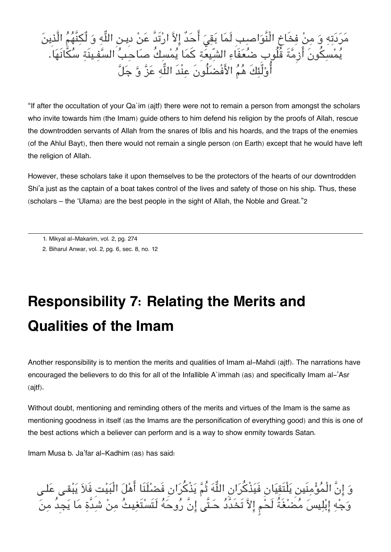مَرَدَتِهِ وَ مِنْ فِخَاخ النَّوَاصِبِ لَمَا بَقِيَ احَد إِلاَّ ارْتَدَّ عَنْ دِيـنِ اللَّهِ وَ لَكِنْهُمُ الَّذِينَ يَمْسِكُونَ ازِمَّةَ قُلُوبِ ضَعَفَاءِ الشّيعَةِ كمَا يَمْسِكُ صَاحِبَ السَّفِينَةِ سَكَانَهَا. اوْلَئِكَ هُمَ الأَفْضَلُونَ عِنْدَ اللَّهِ عَنَّ وَّ جَلَّ

"If after the occultation of your Qa`im (ajtf) there were not to remain a person from amongst the scholars who invite towards him (the Imam) guide others to him defend his religion by the proofs of Allah, rescue the downtrodden servants of Allah from the snares of Iblis and his hoards, and the traps of the enemies (of the Ahlul Bayt), then there would not remain a single person (on Earth) except that he would have left the religion of Allah.

However, these scholars take it upon themselves to be the protectors of the hearts of our downtrodden Shi'a just as the captain of a boat takes control of the lives and safety of those on his ship. Thus, these (scholars – the 'Ulama) are the best people in the sight of Allah, the Noble and Great."[2](#page--1-0)

## **Responsibility 7: Relating the Merits and Qualities of the Imam**

Another responsibility is to mention the merits and qualities of Imam al-Mahdi (ajtf). The narrations have encouraged the believers to do this for all of the Infallible A`immah (as) and specifically Imam al-'Asr (ajtf).

Without doubt, mentioning and reminding others of the merits and virtues of the Imam is the same as mentioning goodness in itself (as the Imams are the personification of everything good) and this is one of the best actions which a believer can perform and is a way to show enmity towards Satan.

Imam Musa b. Ja'far al-Kadhim (as) has said:

وَ إِنَّ الْمَوْمِنِينِ يَلْتَقِيَانِ فَيَذْكَرَانِ اللَّهَ ثُمَّ يَذْكَرَانِ فَضَلْنَا أَهْلَ الْبَيْتِ فَلاَ يَبْقـى عَلـّي وَجِّهِ إِبْلِيسَ مَضْغَةً لَحْمٍ إِلاَّ تَخَدَّدَ حَـتَّى إِنْ رُوحَهُ لَتَسْتَغِيثُ مِنْ شَدَّةٍ مَا يَجِدُ مِنَ

[<sup>1.</sup>](#page--1-0) Mikyal al-Makarim, vol. 2, pg. 274

[<sup>2.</sup>](#page--1-0) Biharul Anwar, vol. 2, pg. 6, sec. 8, no. 12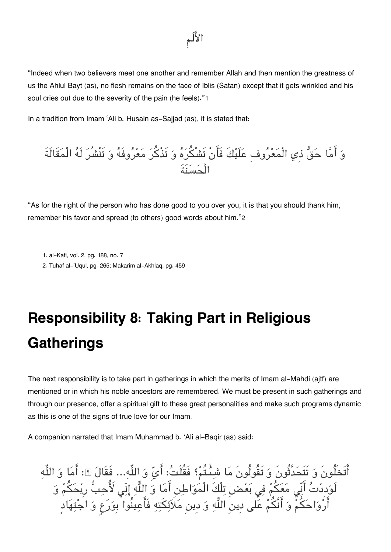"Indeed when two believers meet one another and remember Allah and then mention the greatness of us the Ahlul Bayt (as), no flesh remains on the face of Iblis (Satan) except that it gets wrinkled and his soul cries out due to the severity of the pain (he feels)."[1](#page--1-0)

In a tradition from Imam 'Ali b. Husain as-Sajjad (as), it is stated that:

و اما حق ذِي الْمعروفِ علَيكَ فَانْ تَشْره و تَذْكر معروفَه و تَنْشُر لَه الْمقَالَةَ الْحسنَةَ

"As for the right of the person who has done good to you over you, it is that you should thank him, remember his favor and spread (to others) good words about him."[2](#page--1-0)

# **Responsibility 8: Taking Part in Religious Gatherings**

The next responsibility is to take part in gatherings in which the merits of Imam al-Mahdi (ajtf) are mentioned or in which his noble ancestors are remembered. We must be present in such gatherings and through our presence, offer a spiritual gift to these great personalities and make such programs dynamic as this is one of the signs of true love for our Imam.

A companion narrated that Imam Muhammad b. 'Ali al-Baqir (as) said:

اتَخْلُونَ وَ تَتَحَدَّثُونَ وَ تَقُولُونَ مَا شَبِئَـتُمْ؟ فَقُلْتُ: ايِّ وَ اللَّهِ... فَقَالَ ؟: امَا وَ اللَّهِ لَوَدِدْتَ أَنِّي مَعَكُمْ فِي بَعْضِ تِلْكَ الْمَوَاطِنِ أَمَا وَ اللَّهِ إِنِّي لأَحِبَّ رِيْحَكُمْ وَ ارْوَاحَكُمْ وَ اَنْكُمْ عَلَى دِين اللَّهِ وَ دِين مَلاَئِكتِهِ فَاعِينُوا بِوَرَعٍ وَ اجْتِهَاد

[<sup>1.</sup>](#page--1-0) al-Kafi, vol. 2, pg. 188, no. 7

[<sup>2.</sup>](#page--1-0) Tuhaf al-'Uqul, pg. 265; Makarim al-Akhlaq, pg. 459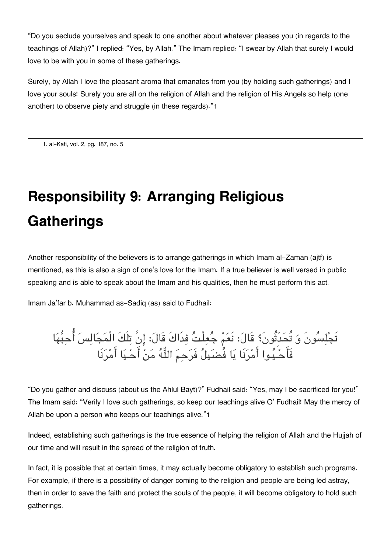"Do you seclude yourselves and speak to one another about whatever pleases you (in regards to the teachings of Allah)?" I replied: "Yes, by Allah." The Imam replied: "I swear by Allah that surely I would love to be with you in some of these gatherings.

Surely, by Allah I love the pleasant aroma that emanates from you (by holding such gatherings) and I love your souls! Surely you are all on the religion of Allah and the religion of His Angels so help (one another) to observe piety and struggle (in these regards)."[1](#page--1-0)

[1.](#page--1-0) al-Kafi, vol. 2, pg. 187, no. 5

# **Responsibility 9: Arranging Religious Gatherings**

Another responsibility of the believers is to arrange gatherings in which Imam al-Zaman (ajtf) is mentioned, as this is also a sign of one's love for the Imam. If a true believer is well versed in public speaking and is able to speak about the Imam and his qualities, then he must perform this act.

Imam Ja'far b. Muhammad as-Sadiq (as) said to Fudhail:

## تَجْلِسُونَ وَ تَحَدَّثُونَ؟ قَالَ: نَعَمْ جَعِلْتَ فِدَاكَ قَالَ: إِنْ تِلْكَ الْمَجَالِسَ احبِّهَا فَاحـيـوا امرنَا يا فُضيل فَرحم اله من احـيا امرنَا

"Do you gather and discuss (about us the Ahlul Bayt)?" Fudhail said: "Yes, may I be sacrificed for you!" The Imam said: "Verily I love such gatherings, so keep our teachings alive O' Fudhail! May the mercy of Allah be upon a person who keeps our teachings alive."[1](#page--1-0)

Indeed, establishing such gatherings is the true essence of helping the religion of Allah and the Hujjah of our time and will result in the spread of the religion of truth.

In fact, it is possible that at certain times, it may actually become obligatory to establish such programs. For example, if there is a possibility of danger coming to the religion and people are being led astray, then in order to save the faith and protect the souls of the people, it will become obligatory to hold such gatherings.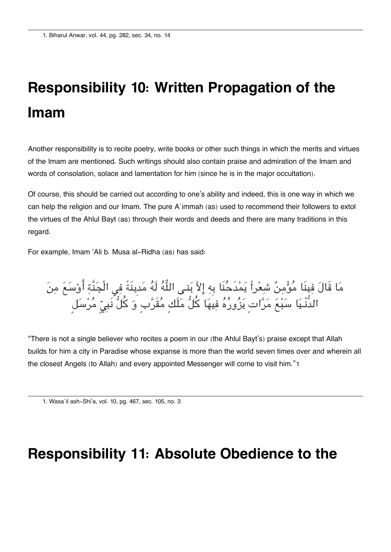# **Responsibility 10: Written Propagation of the Imam**

Another responsibility is to recite poetry, write books or other such things in which the merits and virtues of the Imam are mentioned. Such writings should also contain praise and admiration of the Imam and words of consolation, solace and lamentation for him (since he is in the major occultation).

Of course, this should be carried out according to one's ability and indeed, this is one way in which we can help the religion and our Imam. The pure A`immah (as) used to recommend their followers to extol the virtues of the Ahlul Bayt (as) through their words and deeds and there are many traditions in this regard.

For example, Imam 'Ali b. Musa al-Ridha (as) has said:

مَا قَالَ فِينَا مَوْمِنٌ شَعْراً يَمْدَحَنَا بِهِ إِلاَّ بَنِي اللَّهَ لَهَ مَدِينَةٍ فِي الْجَنَّةِ اوْسَعَ مِنَ الدُّنْـيَا سَبْعَ مَرَّاتٍ يَزُورُهُ فِيهَا كلَّ مَلَكٍ مَقَرَّبٍ وَ كلَّ نَبِيِّ مَرْسَلٍ

"There is not a single believer who recites a poem in our (the Ahlul Bayt's) praise except that Allah builds for him a city in Paradise whose expanse is more than the world seven times over and wherein all the closest Angels (to Allah) and every appointed Messenger will come to visit him."[1](#page--1-0)

[1.](#page--1-0) Wasa`il ash-Shi'a, vol. 10, pg. 467, sec. 105, no. 3

### **Responsibility 11: Absolute Obedience to the**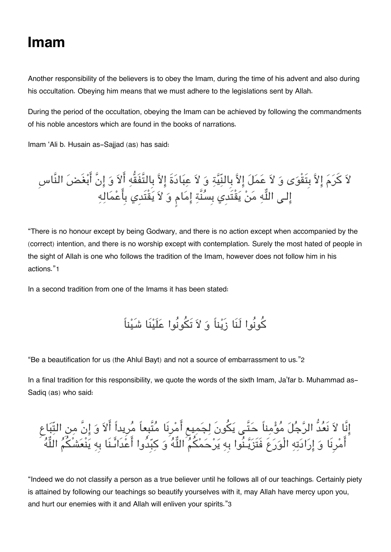### **Imam**

Another responsibility of the believers is to obey the Imam, during the time of his advent and also during his occultation. Obeying him means that we must adhere to the legislations sent by Allah.

During the period of the occultation, obeying the Imam can be achieved by following the commandments of his noble ancestors which are found in the books of narrations.

Imam 'Ali b. Husain as-Saijad (as) has said:

لاً كَرِمَ إِلاّ بِتَقْوَى وَ لاَ عَمَلَ إِلاّ بِالنِّيّةِ وَ لاَ عِبَادَةَ إِلاّ بِالتَّفْقُهِ الاَ وَ إِنْ ابْغَضَ النّاس إلـى اللَّهِ مَنْ يَقْتَدِي بِسَنَّةٍ إِمَامٍ وَ لاَ يَقْتَدِي بِاعْمَالِهِ

"There is no honour except by being Godwary, and there is no action except when accompanied by the (correct) intention, and there is no worship except with contemplation. Surely the most hated of people in the sight of Allah is one who follows the tradition of the Imam, however does not follow him in his actions."[1](#page--1-0)

In a second tradition from one of the Imams it has been stated:

كونُوا لَنَا زَيناً و لا تَونُوا علَينَا شَيناً

"Be a beautification for us (the Ahlul Bayt) and not a source of embarrassment to us."[2](#page--1-0)

In a final tradition for this responsibility, we quote the words of the sixth Imam, Ja'far b. Muhammad as-Sadiq (as) who said:

انَّا لا نَعدُّ الرجل مومناً حتَّـ يونَ لجميع امرِنَا متَّبِعاً مرِيداً الا و انَّ من التّباع امرِنَا و ارادته الْورعَ فَتَزيـنُوا بِه يرحمم اله و كبِدُوا اعدَاىـنَا بِه ينْعشْم اله

"Indeed we do not classify a person as a true believer until he follows all of our teachings. Certainly piety is attained by following our teachings so beautify yourselves with it, may Allah have mercy upon you, and hurt our enemies with it and Allah will enliven your spirits."[3](#page--1-0)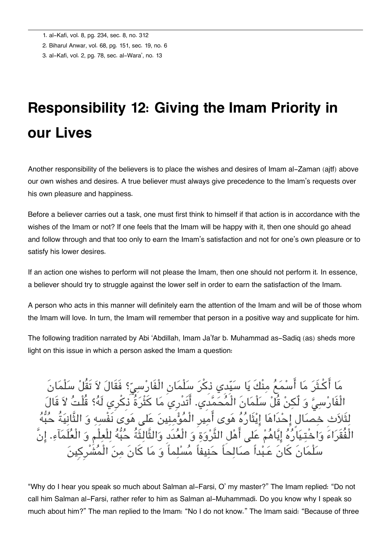[2.](#page--1-0) Biharul Anwar, vol. 68, pg. 151, sec. 19, no. 6

[3.](#page--1-0) al-Kafi, vol. 2, pg. 78, sec. al-Wara', no. 13

## **Responsibility 12: Giving the Imam Priority in our Lives**

Another responsibility of the believers is to place the wishes and desires of Imam al-Zaman (ajtf) above our own wishes and desires. A true believer must always give precedence to the Imam's requests over his own pleasure and happiness.

Before a believer carries out a task, one must first think to himself if that action is in accordance with the wishes of the Imam or not? If one feels that the Imam will be happy with it, then one should go ahead and follow through and that too only to earn the Imam's satisfaction and not for one's own pleasure or to satisfy his lower desires.

If an action one wishes to perform will not please the Imam, then one should not perform it. In essence, a believer should try to struggle against the lower self in order to earn the satisfaction of the Imam.

A person who acts in this manner will definitely earn the attention of the Imam and will be of those whom the Imam will love. In turn, the Imam will remember that person in a positive way and supplicate for him.

The following tradition narrated by Abi 'Abdillah, Imam Ja'far b. Muhammad as-Sadiq (as) sheds more light on this issue in which a person asked the Imam a question:

مَا اكـثَرَ مَا اسْمَعَ مِنْكَ يَا سَيّدي ذِكرَ سَلْمَانِ الْفَارْسِيِّ؟ فَقَالَ لاَ تَقَلْ سَلْمَان الْفَارْسِيُّ وَ لَكِنْ قُلْ سَلْمَانَ الْمَحَمَّدِي. أَتَدْرِي مَا كَثْرَةُ ذِكرِي لَهُ؟ قُلْتُ لاَ قَالَ لِتَلاَثِ خصَالٍ إِحْدَاهَا إِيْتَارُهُ هَوى أَمِيرِ الْمُؤْمِنِينَ عَلى هَوَى نَفْسِهِ وَ التَّانِيَةُ حُبُّهُ الْفُقَرَاءَ وَاخْتـيَارُهُ إِيَّاهُمْ عَلى أَهْل الثَّرْوَةِ وَ الْعُدَدِ وَالثَّالِثَةُ حُبُّهُ لِلْعِلْمِ وَ الْعُلَمَآءِ. إِنَّ سلْمانَ كانَ عـبداً صالحاً حنيفاً مسلماً و ما كانَ من الْمشْرِكِين

"Why do I hear you speak so much about Salman al-Farsi, O' my master?" The Imam replied: "Do not call him Salman al-Farsi, rather refer to him as Salman al-Muhammadi. Do you know why I speak so much about him?" The man replied to the Imam: "No I do not know." The Imam said: "Because of three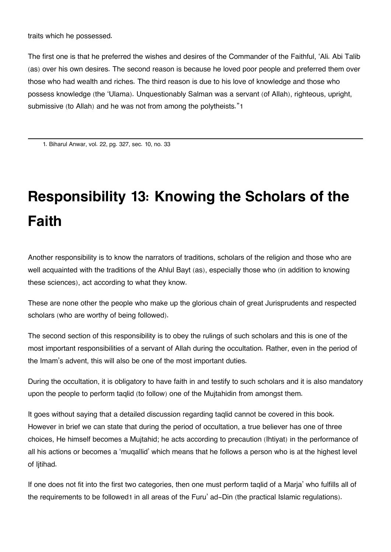traits which he possessed.

The first one is that he preferred the wishes and desires of the Commander of the Faithful, 'Ali. Abi Talib (as) over his own desires. The second reason is because he loved poor people and preferred them over those who had wealth and riches. The third reason is due to his love of knowledge and those who possess knowledge (the 'Ulama). Unquestionably Salman was a servant (of Allah), righteous, upright, submissive (to Allah) and he was not from among the polytheists."[1](#page--1-0)

[1.](#page--1-0) Biharul Anwar, vol. 22, pg. 327, sec. 10, no. 33

# **Responsibility 13: Knowing the Scholars of the Faith**

Another responsibility is to know the narrators of traditions, scholars of the religion and those who are well acquainted with the traditions of the Ahlul Bayt (as), especially those who (in addition to knowing these sciences), act according to what they know.

These are none other the people who make up the glorious chain of great Jurisprudents and respected scholars (who are worthy of being followed).

The second section of this responsibility is to obey the rulings of such scholars and this is one of the most important responsibilities of a servant of Allah during the occultation. Rather, even in the period of the Imam's advent, this will also be one of the most important duties.

During the occultation, it is obligatory to have faith in and testify to such scholars and it is also mandatory upon the people to perform taqlid (to follow) one of the Mujtahidin from amongst them.

It goes without saying that a detailed discussion regarding taqlid cannot be covered in this book. However in brief we can state that during the period of occultation, a true believer has one of three choices, He himself becomes a Mujtahid; he acts according to precaution (Ihtiyat) in the performance of all his actions or becomes a 'muqallid' which means that he follows a person who is at the highest level of litihad.

If one does not fit into the first two categories, then one must perform taqlid of a Marja' who fulfills all of the requirements to be followed[1](#page--1-0) in all areas of the Furu' ad-Din (the practical Islamic regulations).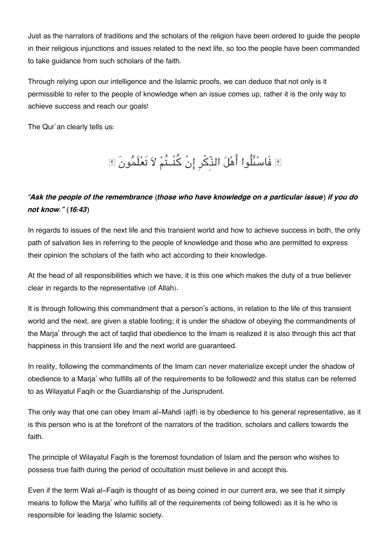Just as the narrators of traditions and the scholars of the religion have been ordered to guide the people in their religious injunctions and issues related to the next life, so too the people have been commanded to take guidance from such scholars of the faith.

Through relying upon our intelligence and the Islamic proofs, we can deduce that not only is it permissible to refer to the people of knowledge when an issue comes up, rather it is the only way to achieve success and reach our goals!

The Qur`an clearly tells us:

## فَاسىلُوا اهل الذِّكرِ انْ كنْــتُم لا تَعلَمونَ

### *"Ask the people of the remembrance (those who have knowledge on a particular issue) if you do not know." (16:43)*

In regards to issues of the next life and this transient world and how to achieve success in both, the only path of salvation lies in referring to the people of knowledge and those who are permitted to express their opinion the scholars of the faith who act according to their knowledge.

At the head of all responsibilities which we have, it is this one which makes the duty of a true believer clear in regards to the representative (of Allah).

It is through following this commandment that a person's actions, in relation to the life of this transient world and the next, are given a stable footing; it is under the shadow of obeying the commandments of the Marja' through the act of taqlid that obedience to the Imam is realized it is also through this act that happiness in this transient life and the next world are guaranteed.

In reality, following the commandments of the Imam can never materialize except under the shadow of obedience to a Marja' who fulfills all of the requirements to be followed[2](#page--1-0) and this status can be referred to as Wilayatul Faqih or the Guardianship of the Jurisprudent.

The only way that one can obey Imam al-Mahdi (ajtf) is by obedience to his general representative, as it is this person who is at the forefront of the narrators of the tradition, scholars and callers towards the faith.

The principle of Wilayatul Faqih is the foremost foundation of Islam and the person who wishes to possess true faith during the period of occultation must believe in and accept this.

Even if the term Wali al-Faqih is thought of as being coined in our current era, we see that it simply means to follow the Marja' who fulfills all of the requirements (of being followed) as it is he who is responsible for leading the Islamic society.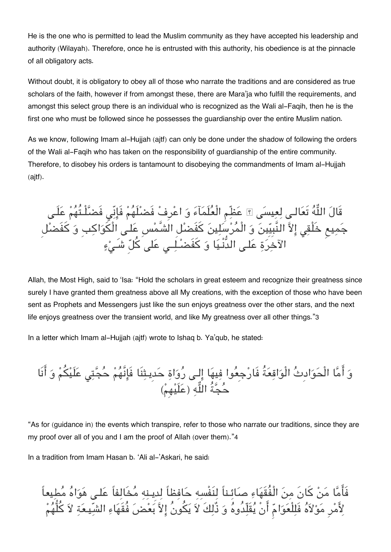He is the one who is permitted to lead the Muslim community as they have accepted his leadership and authority (Wilayah). Therefore, once he is entrusted with this authority, his obedience is at the pinnacle of all obligatory acts.

Without doubt, it is obligatory to obey all of those who narrate the traditions and are considered as true scholars of the faith, however if from amongst these, there are Mara'ja who fulfill the requirements, and amongst this select group there is an individual who is recognized as the Wali al-Faqih, then he is the first one who must be followed since he possesses the guardianship over the entire Muslim nation.

As we know, following Imam al-Hujjah (ajtf) can only be done under the shadow of following the orders of the Wali al-Faqih who has taken on the responsibility of guardianship of the entire community. Therefore, to disobey his orders is tantamount to disobeying the commandments of Imam al-Hujjah (ajtf).

قَالَ اللَّهَ تَعَالَـى لِعِيسَى ۩ عَظِمِ الْعَلَمَاءَ وَ اعْرِفْ فَضَلْـهُمْ فَإِنِّي فَضَّلْـتَهُمْ عَلَـى جَمِيعِ خَلْقِي إِلاّ النَّبِيِّينَ وَ الْمَرْسَلِينَ كَفَضْلُ الشَّمْسِ عَلَى الْكَوَاكِبِ وَ كَفَضْلُ الآخرَةِ عَلَـى الدُّنْـيَا وَ كَفَضَـْلِــى عَلَى كَلَّ شَـىْءٍ

Allah, the Most High, said to 'Isa: "Hold the scholars in great esteem and recognize their greatness since surely I have granted them greatness above all My creations, with the exception of those who have been sent as Prophets and Messengers just like the sun enjoys greatness over the other stars, and the next life enjoys greatness over the transient world, and like My greatness over all other things."[3](#page--1-0)

In a letter which Imam al-Hujjah (ajtf) wrote to Ishaq b. Ya'qub, he stated:

وَ أَمَّا الْحَوَادِثَ الْوَاقِعَةُ فَارْجِعُوا فِيهَا إِلَى رَوَاةِ حَدِيتِنَا فَإِنَّهُمْ حَجَّتِي عَلَيْكُمْ وَ انَا حَجّةُ اللّهِ (عَلَيْهِمْ)

"As for (guidance in) the events which transpire, refer to those who narrate our traditions, since they are my proof over all of you and I am the proof of Allah (over them)."[4](#page--1-0)

In a tradition from Imam Hasan b. 'Ali al-'Askari, he said:

فَاما من كانَ من الْفُقَهاء صائـناً لنَفْسه حافظاً لدِيـنه مخَالفاً علـ هواه مطيعاً لِأَمْرِ مَوْلاَهُ فَلِلْعَوَامِّ أَنْ يُقَلِّدُوهُ وَ ذُّلِكَ لاَ يَكُونُ إِلاَّ بَعْضَ فُقَهَاءِ الشّيطعَةِ لاَ كُلُّهُمْ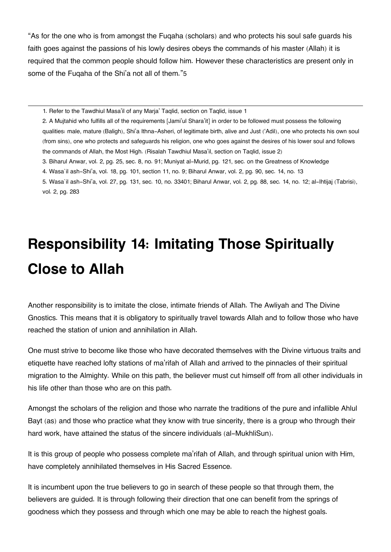"As for the one who is from amongst the Fuqaha (scholars) and who protects his soul safe guards his faith goes against the passions of his lowly desires obeys the commands of his master (Allah) it is required that the common people should follow him. However these characteristics are present only in some of the Fuqaha of the Shi'a not all of them."[5](#page--1-0)

[1.](#page--1-0) Refer to the Tawdhiul Masa'il of any Marja' Taqlid, section on Taqlid, issue 1

[2.](#page--1-0) A Mujtahid who fulfills all of the requirements [Jami'ul Shara'it] in order to be followed must possess the following qualities: male, mature (Baligh), Shi'a Ithna-Asheri, of legitimate birth, alive and Just ('Adil), one who protects his own soul (from sins), one who protects and safeguards his religion, one who goes against the desires of his lower soul and follows the commands of Allah, the Most High. (Risalah Tawdhiul Masa'il, section on Taqlid, issue 2)

- [3.](#page--1-0) Biharul Anwar, vol. 2, pg. 25, sec. 8, no. 91; Muniyat al-Murid, pg. 121, sec. on the Greatness of Knowledge
- [4.](#page--1-0) Wasa`il ash-Shi'a, vol. 18, pg. 101, section 11, no. 9; Biharul Anwar, vol. 2, pg. 90, sec. 14, no. 13

[5.](#page--1-0) Wasa`il ash-Shi'a, vol. 27, pg. 131, sec. 10, no. 33401; Biharul Anwar, vol. 2, pg. 88, sec. 14, no. 12; al-Ihtijaj (Tabrisi), vol. 2, pg. 283

## **Responsibility 14: Imitating Those Spiritually Close to Allah**

Another responsibility is to imitate the close, intimate friends of Allah. The Awliyah and The Divine Gnostics. This means that it is obligatory to spiritually travel towards Allah and to follow those who have reached the station of union and annihilation in Allah.

One must strive to become like those who have decorated themselves with the Divine virtuous traits and etiquette have reached lofty stations of ma'rifah of Allah and arrived to the pinnacles of their spiritual migration to the Almighty. While on this path, the believer must cut himself off from all other individuals in his life other than those who are on this path.

Amongst the scholars of the religion and those who narrate the traditions of the pure and infallible Ahlul Bayt (as) and those who practice what they know with true sincerity, there is a group who through their hard work, have attained the status of the sincere individuals (al-MukhliSun).

It is this group of people who possess complete ma'rifah of Allah, and through spiritual union with Him, have completely annihilated themselves in His Sacred Essence.

It is incumbent upon the true believers to go in search of these people so that through them, the believers are guided. It is through following their direction that one can benefit from the springs of goodness which they possess and through which one may be able to reach the highest goals.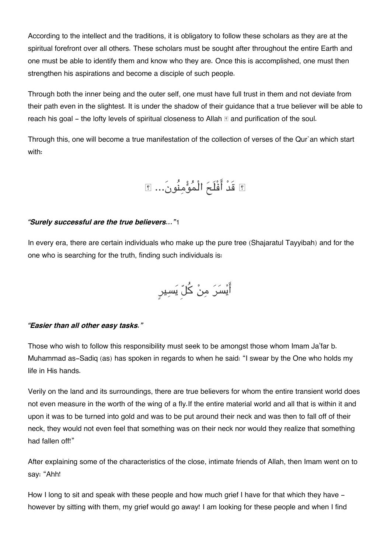According to the intellect and the traditions, it is obligatory to follow these scholars as they are at the spiritual forefront over all others. These scholars must be sought after throughout the entire Earth and one must be able to identify them and know who they are. Once this is accomplished, one must then strengthen his aspirations and become a disciple of such people.

Through both the inner being and the outer self, one must have full trust in them and not deviate from their path even in the slightest. It is under the shadow of their guidance that a true believer will be able to reach his goal – the lofty levels of spiritual closeness to Allah  $\mathbb E$  and purification of the soul.

Through this, one will become a true manifestation of the collection of verses of the Qur`an which start with:

## قَدْ افْلَح الْمومنُون...َ

#### *"Surely successful are the true believers..."*[1](#page--1-0)

In every era, there are certain individuals who make up the pure tree (Shajaratul Tayyibah) and for the one who is searching for the truth, finding such individuals is:

ايسر من كل يسيرٍ

#### *"Easier than all other easy tasks."*

Those who wish to follow this responsibility must seek to be amongst those whom Imam Ja'far b. Muhammad as-Sadiq (as) has spoken in regards to when he said: "I swear by the One who holds my life in His hands.

Verily on the land and its surroundings, there are true believers for whom the entire transient world does not even measure in the worth of the wing of a fly.If the entire material world and all that is within it and upon it was to be turned into gold and was to be put around their neck and was then to fall off of their neck, they would not even feel that something was on their neck nor would they realize that something had fallen off!"

After explaining some of the characteristics of the close, intimate friends of Allah, then Imam went on to say: "Ahh!

How I long to sit and speak with these people and how much grief I have for that which they have however by sitting with them, my grief would go away! I am looking for these people and when I find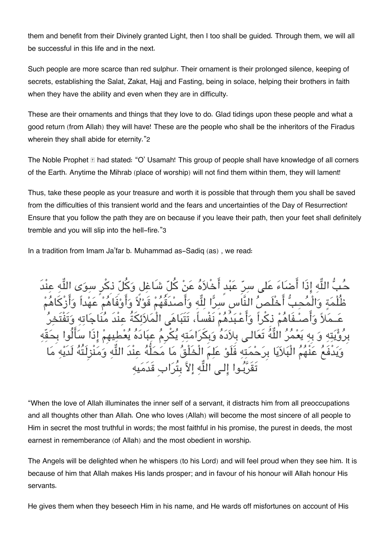them and benefit from their Divinely granted Light, then I too shall be guided. Through them, we will all be successful in this life and in the next.

Such people are more scarce than red sulphur. Their ornament is their prolonged silence, keeping of secrets, establishing the Salat, Zakat, Hajj and Fasting, being in solace, helping their brothers in faith when they have the ability and even when they are in difficulty.

These are their ornaments and things that they love to do. Glad tidings upon these people and what a good return (from Allah) they will have! These are the people who shall be the inheritors of the Firadus wherein they shall abide for eternity."[2](#page--1-0)

The Noble Prophet  $\mathbb E$  had stated: "O' Usamah! This group of people shall have knowledge of all corners of the Earth. Anytime the Mihrab (place of worship) will not find them within them, they will lament!

Thus, take these people as your treasure and worth it is possible that through them you shall be saved from the difficulties of this transient world and the fears and uncertainties of the Day of Resurrection! Ensure that you follow the path they are on because if you leave their path, then your feet shall definitely tremble and you will slip into the hell-fire."[3](#page--1-0)

In a tradition from Imam Ja'far b. Muhammad as-Sadiq (as) , we read:

حُبُّ اللّهِ إِذَا أَضَاءَ عَلى سرّ عَبْد أَخْلاَهُ عَنْ كُلّ شَاغِل وَكُلّ ذكْرٍ سوَى اللّهِ عِنْدَ ظُلْمَةٍ وَالْمُحِبُّ أَخْلَصُ النَّاس سَرًّا لِلَّهِ وَأَصْدَقَهُمْ قَوْلاً وَأَوْفَاهُمْ عَهْداً وَأَزْكَاهُمْ عَــمَلاً وَأَصـُفَاهُمْ ذكْراً وَأَعْـبَدُهُمْ نَفْساً، تَتَبَاهَى الْمَلاَئِكَةُ عِنْدَ مُنَاجَاتِهِ وَتَفْتَخِرُ بِرُؤْيَتِهِ وَ بِهِ يَعْمُرُ اللَّهُ تَعَالـى بِلاَدَهُ وَبِكَرَامَتِهِ يُكْرِمُ عِبَادَهُ يُعْطِيهِمْ إِذَا سَأَلُوا بِحَقّهِ ويدْفَع عنْهم الْبلايا بِرحمته فَلَو علم الْخَلْق ما محلُّه عنْدَ اله ومنْزِلَتُه لَدَيه ما تَقَرَّبُوا إلى اللَّهِ إلاَّ بِتُرَابِ قَدَمَيهِ

"When the love of Allah illuminates the inner self of a servant, it distracts him from all preoccupations and all thoughts other than Allah. One who loves (Allah) will become the most sincere of all people to Him in secret the most truthful in words; the most faithful in his promise, the purest in deeds, the most earnest in rememberance (of Allah) and the most obedient in worship.

The Angels will be delighted when he whispers (to his Lord) and will feel proud when they see him. It is because of him that Allah makes His lands prosper; and in favour of his honour will Allah honour His servants.

He gives them when they beseech Him in his name, and He wards off misfortunes on account of His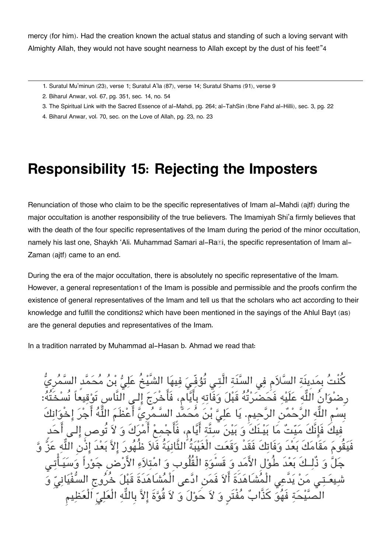mercy (for him). Had the creation known the actual status and standing of such a loving servant with Almighty Allah, they would not have sought nearness to Allah except by the dust of his feet!"[4](#page--1-0)

- [1.](#page--1-0) Suratul Mu'minun (23), verse 1; Suratul A'la (87), verse 14; Suratul Shams (91), verse 9
- [2.](#page--1-0) Biharul Anwar, vol. 67, pg. 351, sec. 14, no. 54
- [3.](#page--1-0) The Spiritual Link with the Sacred Essence of al-Mahdi, pg. 264; al-TahSin (Ibne Fahd al-Hilli), sec. 3, pg. 22
- [4.](#page--1-0) Biharul Anwar, vol. 70, sec. on the Love of Allah, pg. 23, no. 23

### **Responsibility 15: Rejecting the Imposters**

Renunciation of those who claim to be the specific representatives of Imam al-Mahdi (ajtf) during the major occultation is another responsibility of the true believers. The Imamiyah Shi'a firmly believes that with the death of the four specific representatives of the Imam during the period of the minor occultation, namely his last one, Shaykh 'Ali. Muhammad Samari al-Ra*II*, the specific representation of Imam al-Zaman (ajtf) came to an end.

During the era of the major occultation, there is absolutely no specific representative of the Imam. However, a general representation[1](#page--1-0) of the Imam is possible and permissible and the proofs confirm the existence of general representatives of the Imam and tell us that the scholars who act according to their knowledge and fulfill the conditions[2](#page--1-0) which have been mentioned in the sayings of the Ahlul Bayt (as) are the general deputies and representatives of the Imam.

In a tradition narrated by Muhammad al-Hasan b. Ahmad we read that:

كَم في السنَّنَة الَّتـي تَوُفِّـيَ فيهَا الل فحضرته قِبل وَفَاته بِايَام، فَاخِرَجَ الـ النَّاس بِسْمِ اللَّهِ الرَّحْمَٰنِ الرَّحِيمِ. يَا عَلِيَّ بْنَ مَحَمَّدِ السّـمَرِيّ اعْظَمَ اللَّهُ اجْرَ إِخْوَانِك فِيكَ فَإِنَّكَ مَيِّتٌ مَا بَيْـنَكَ وَ بَيْنَ سِتَّةٍ أَيَّام، فَاجْمِعْ أَمْرَكَ وَ لاَ تُوصِ إِلَـى أَحَد فَيقُوم مقَامكَ بعدَ وفَاتكَ فَقَدْ وقَعتِ الْغَيبةُ الثَّانيةُ فَلا ظُهور الا بعدَ اذْنِ اله عز و حَدُ طُولِ الأُمَدِ وَ قَسْوَةِ الْقُلُوبِ وَ امْتلاَ مَنْ يَدَّعى الْمُشَاهَدَةَ أَلاَ فَمَنِ ادَّعى الْمُشَاهَدَةَ قَبْلَ خَرَوج يَّيْحَة فَهُوَ كَذَّابٌ مُفْتَرٍ وَ لاَ حَوْلَ وَ لاَ قُوَّةَ إلاَّ بِاللَّهِ الْعَلِيِّ الْعَظِيمِ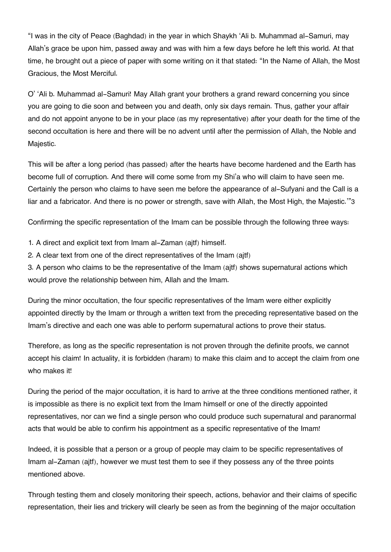"I was in the city of Peace (Baghdad) in the year in which Shaykh 'Ali b. Muhammad al-Samuri, may Allah's grace be upon him, passed away and was with him a few days before he left this world. At that time, he brought out a piece of paper with some writing on it that stated: "In the Name of Allah, the Most Gracious, the Most Merciful.

O' 'Ali b. Muhammad al-Samuri! May Allah grant your brothers a grand reward concerning you since you are going to die soon and between you and death, only six days remain. Thus, gather your affair and do not appoint anyone to be in your place (as my representative) after your death for the time of the second occultation is here and there will be no advent until after the permission of Allah, the Noble and Majestic.

This will be after a long period (has passed) after the hearts have become hardened and the Earth has become full of corruption. And there will come some from my Shi'a who will claim to have seen me. Certainly the person who claims to have seen me before the appearance of al-Sufyani and the Call is a liar and a fabricator. And there is no power or strength, save with Allah, the Most High, the Majestic.'"[3](#page--1-0)

Confirming the specific representation of the Imam can be possible through the following three ways:

- 1. A direct and explicit text from Imam al-Zaman (ajtf) himself.
- 2. A clear text from one of the direct representatives of the Imam (ajtf)

3. A person who claims to be the representative of the Imam (ajtf) shows supernatural actions which would prove the relationship between him, Allah and the Imam.

During the minor occultation, the four specific representatives of the Imam were either explicitly appointed directly by the Imam or through a written text from the preceding representative based on the Imam's directive and each one was able to perform supernatural actions to prove their status.

Therefore, as long as the specific representation is not proven through the definite proofs, we cannot accept his claim! In actuality, it is forbidden (haram) to make this claim and to accept the claim from one who makes it!

During the period of the major occultation, it is hard to arrive at the three conditions mentioned rather, it is impossible as there is no explicit text from the Imam himself or one of the directly appointed representatives, nor can we find a single person who could produce such supernatural and paranormal acts that would be able to confirm his appointment as a specific representative of the Imam!

Indeed, it is possible that a person or a group of people may claim to be specific representatives of Imam al-Zaman (ajtf), however we must test them to see if they possess any of the three points mentioned above.

Through testing them and closely monitoring their speech, actions, behavior and their claims of specific representation, their lies and trickery will clearly be seen as from the beginning of the major occultation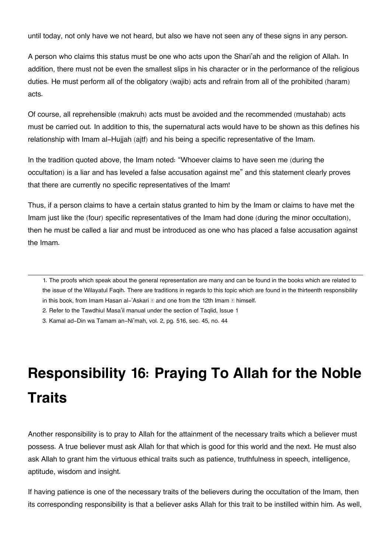until today, not only have we not heard, but also we have not seen any of these signs in any person.

A person who claims this status must be one who acts upon the Shari'ah and the religion of Allah. In addition, there must not be even the smallest slips in his character or in the performance of the religious duties. He must perform all of the obligatory (wajib) acts and refrain from all of the prohibited (haram) acts.

Of course, all reprehensible (makruh) acts must be avoided and the recommended (mustahab) acts must be carried out. In addition to this, the supernatural acts would have to be shown as this defines his relationship with Imam al-Hujjah (ajtf) and his being a specific representative of the Imam.

In the tradition quoted above, the Imam noted: "Whoever claims to have seen me (during the occultation) is a liar and has leveled a false accusation against me" and this statement clearly proves that there are currently no specific representatives of the Imam!

Thus, if a person claims to have a certain status granted to him by the Imam or claims to have met the Imam just like the (four) specific representatives of the Imam had done (during the minor occultation), then he must be called a liar and must be introduced as one who has placed a false accusation against the Imam.

[1.](#page--1-0) The proofs which speak about the general representation are many and can be found in the books which are related to the issue of the Wilayatul Faqih. There are traditions in regards to this topic which are found in the thirteenth responsibility in this book, from Imam Hasan al-'Askari  $\mathbb E$  and one from the 12th Imam  $\mathbb E$  himself.

[2.](#page--1-0) Refer to the Tawdhiul Masa'il manual under the section of Taqlid, Issue 1

[3.](#page--1-0) Kamal ad-Din wa Tamam an-Ni'mah, vol. 2, pg. 516, sec. 45, no. 44

# **Responsibility 16: Praying To Allah for the Noble Traits**

Another responsibility is to pray to Allah for the attainment of the necessary traits which a believer must possess. A true believer must ask Allah for that which is good for this world and the next. He must also ask Allah to grant him the virtuous ethical traits such as patience, truthfulness in speech, intelligence, aptitude, wisdom and insight.

If having patience is one of the necessary traits of the believers during the occultation of the Imam, then its corresponding responsibility is that a believer asks Allah for this trait to be instilled within him. As well,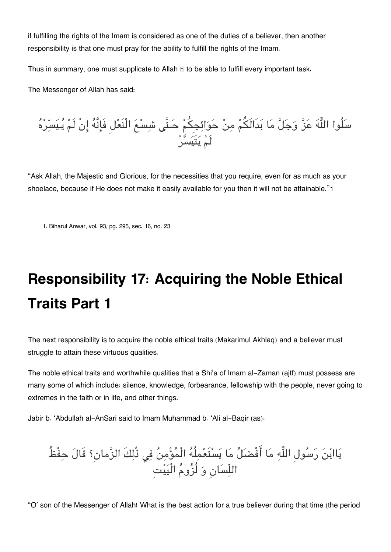if fulfilling the rights of the Imam is considered as one of the duties of a believer, then another responsibility is that one must pray for the ability to fulfill the rights of the Imam.

Thus in summary, one must supplicate to Allah  $\mathbb E$  to be able to fulfill every important task.

The Messenger of Allah has said:

سَلُوا اللَّهَ عَنَّ وَجَلَّ مَا بَدالَكُمْ مِنْ حَوَائِجِكُمْ حَـتَّى شَسْعَ الْنَعْلُ فَإِنَّهَ إِنْ لَمْ يَـيَسِّرْهَ لَم يتَيسر

"Ask Allah, the Majestic and Glorious, for the necessities that you require, even for as much as your shoelace, because if He does not make it easily available for you then it will not be attainable."[1](#page--1-0)

[1.](#page--1-0) Biharul Anwar, vol. 93, pg. 295, sec. 16, no. 23

# **Responsibility 17: Acquiring the Noble Ethical Traits Part 1**

The next responsibility is to acquire the noble ethical traits (Makarimul Akhlaq) and a believer must struggle to attain these virtuous qualities.

The noble ethical traits and worthwhile qualities that a Shi'a of Imam al-Zaman (ajtf) must possess are many some of which include: silence, knowledge, forbearance, fellowship with the people, never going to extremes in the faith or in life, and other things.

Jabir b. 'Abdullah al-AnSari said to Imam Muhammad b. 'Ali al-Baqir (as):

يَاابْنَ رَسُولِ اللَّهِ مَا أَفْضَلُ مَا يَسْتَعْمِلُهُ الْمُؤْمِنُ فِي ذُلِكَ الزَّمانِ؟ قَالَ حِفْظُ اللّسانِ و لُزوم الْبيتِ

"O' son of the Messenger of Allah! What is the best action for a true believer during that time (the period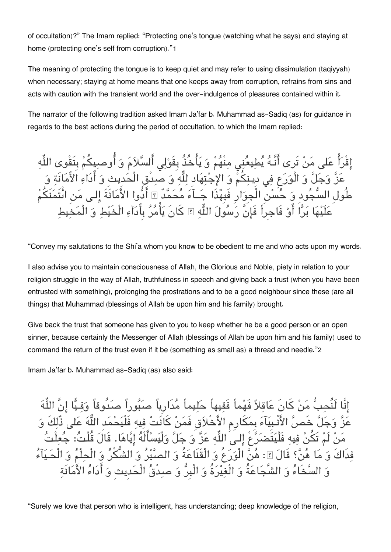of occultation)?" The Imam replied: "Protecting one's tongue (watching what he says) and staying at home (protecting one's self from corruption)."[1](#page--1-0)

The meaning of protecting the tongue is to keep quiet and may refer to using dissimulation (taqiyyah) when necessary; staying at home means that one keeps away from corruption, refrains from sins and acts with caution with the transient world and the over-indulgence of pleasures contained within it.

The narrator of the following tradition asked Imam Ja'far b. Muhammad as-Sadiq (as) for guidance in regards to the best actions during the period of occultation, to which the Imam replied:

إِقْرَأْ عَلى مَنْ تَرى أَنَّـهُ يُطِيعُنِي مِنْهُمْ وَ يَأْخُذُ بِقَوْلِي أَلسَّلاَمَ وَ أُوصبِيكُمْ بِتَقْوى اللُّهِ عَزَّ وَجَلَّ وَ الْوَرَعِ فِي دِينِكُمْ وَ الإِجْتِهَادِ لِلَّهِ وَ صبِدقِ الْحَدِيثِ وَ أَدَاءِ الأَمَانَةِ وَ طُولِ السجودِ و حسن الْجِوارِ فَبِهذَا جــآء محمدٌ ادوا الامانَةَ الـ من اىتَمنَم علَيها برا او فَاجِراً فَانَّ رسول اله كانَ يامر بِادآء الْخَيط و الْمخيط

"Convey my salutations to the Shi'a whom you know to be obedient to me and who acts upon my words.

I also advise you to maintain consciousness of Allah, the Glorious and Noble, piety in relation to your religion struggle in the way of Allah, truthfulness in speech and giving back a trust (when you have been entrusted with something), prolonging the prostrations and to be a good neighbour since these (are all things) that Muhammad (blessings of Allah be upon him and his family) brought.

Give back the trust that someone has given to you to keep whether he be a good person or an open sinner, because certainly the Messenger of Allah (blessings of Allah be upon him and his family) used to command the return of the trust even if it be (something as small as) a thread and needle."[2](#page--1-0)

Imam Ja'far b. Muhammad as-Sadiq (as) also said:

إنَّا لَنُحبُّ مَنْ كَانَ عَاقلاً فَهْماً فَقيهاً حَليماً مُدَارِياً صبُوراً صدُوقاً وَفيَّا إنَّ اللُّهَ عَزّ وَجَلّ خَصّ الأنبِيَاءَ بِمَكارِمِ الأَخْلاَقِ فَمَنْ كانَتْ فِيهِ فَلْيَحْمَدِ اللّهَ عَلَى ذَلِكَ وَ مَنْ لَمْ تَكُنْ فِيهِ فَلْيَتَضَرَّعِ إِلَـى اللَّهِ عَزَّ وَ جَلَّ وَلْيَسْأَلَهُ إِيَّاهَا. قَالَ قُلْتُ: جَعِلْتُ فِدَاكَ وَ مَا هُنَّ؟ قَالَ ؟ِ: هُنَّ الْوَرَعُ وَ الْقَنَاعَةُ وَ الصَّبْرُ وَ الشُّكْرُ وَ الْحِلْمُ وَ الْحَيَآءُ و السخَاء و الشَّجاعةُ و الْغيرةُ و الْبِر و صدْق الْحدِيثِ و اداء الامانَة

"Surely we love that person who is intelligent, has understanding; deep knowledge of the religion,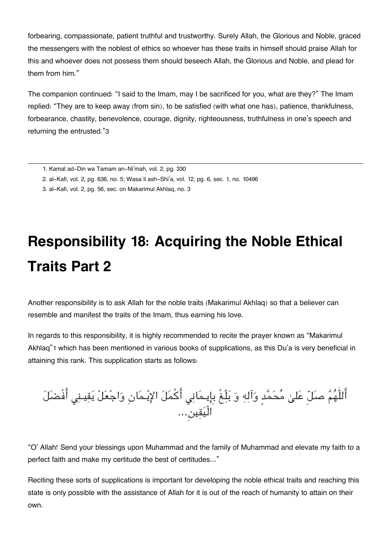forbearing, compassionate, patient truthful and trustworthy. Surely Allah, the Glorious and Noble, graced the messengers with the noblest of ethics so whoever has these traits in himself should praise Allah for this and whoever does not possess them should beseech Allah, the Glorious and Noble, and plead for them from him."

The companion continued: "I said to the Imam, may I be sacrificed for you, what are they?" The Imam replied: "They are to keep away (from sin), to be satisfied (with what one has), patience, thankfulness, forbearance, chastity, benevolence, courage, dignity, righteousness, truthfulness in one's speech and returning the entrusted."[3](#page--1-0)

# **Responsibility 18: Acquiring the Noble Ethical Traits Part 2**

Another responsibility is to ask Allah for the noble traits (Makarimul Akhlaq) so that a believer can resemble and manifest the traits of the Imam, thus earning his love.

In regards to this responsibility, it is highly recommended to recite the prayer known as "Makarimul Akhlaq"[1](#page--1-0) which has been mentioned in various books of supplications, as this Du'a is very beneficial in attaining this rank. This supplication starts as follows:

اللّٰهُمّْ صَلِّ عَلَىٰ مَحَمَّد وَالِهِ وَ بَلِّغْ بِإِيـمَانِي اكمَلَ الإِيـْمَانِ وَاجْعَلْ يَقِيـنِي افْضَلَ الْيقين...

"O' Allah! Send your blessings upon Muhammad and the family of Muhammad and elevate my faith to a perfect faith and make my certitude the best of certitudes..."

Reciting these sorts of supplications is important for developing the noble ethical traits and reaching this state is only possible with the assistance of Allah for it is out of the reach of humanity to attain on their own.

[<sup>1.</sup>](#page--1-0) Kamal ad-Din wa Tamam an-Ni'mah, vol. 2, pg. 330

[<sup>2.</sup>](#page--1-0) al-Kafi, vol. 2, pg. 636, no. 5; Wasa`il ash-Shi'a, vol. 12, pg. 6, sec. 1, no. 10496

[<sup>3.</sup>](#page--1-0) al-Kafi, vol. 2, pg. 56, sec. on Makarimul Akhlaq, no. 3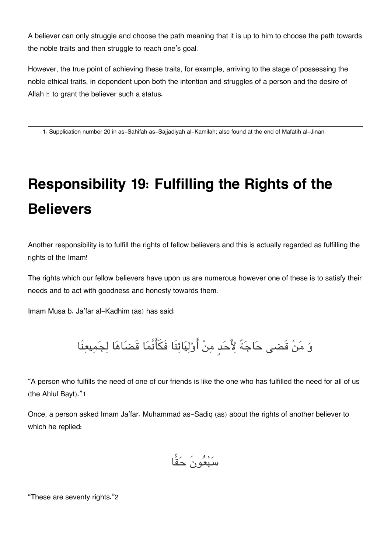A believer can only struggle and choose the path meaning that it is up to him to choose the path towards the noble traits and then struggle to reach one's goal.

However, the true point of achieving these traits, for example, arriving to the stage of possessing the noble ethical traits, in dependent upon both the intention and struggles of a person and the desire of Allah  $\mathbb E$  to grant the believer such a status.

[1.](#page--1-0) Supplication number 20 in as-Sahifah as-Sajjadiyah al-Kamilah; also found at the end of Mafatih al-Jinan.

# **Responsibility 19: Fulfilling the Rights of the Believers**

Another responsibility is to fulfill the rights of fellow believers and this is actually regarded as fulfilling the rights of the Imam!

The rights which our fellow believers have upon us are numerous however one of these is to satisfy their needs and to act with goodness and honesty towards them.

Imam Musa b. Ja'far al-Kadhim (as) has said:

وَ مَنْ قَضى حَاجَةً لِأَحَدِ مِنْ أَوْلِيَائِنَا فَكَأَنَّمَا قَضَاهَا لِجَمِيعِنَا

"A person who fulfills the need of one of our friends is like the one who has fulfilled the need for all of us (the Ahlul Bayt)."[1](#page--1-0)

Once, a person asked Imam Ja'far. Muhammad as-Sadiq (as) about the rights of another believer to which he replied:

$$
\overset{\circ}{\mathrm{min}}\ \overset{\circ}{\mathrm{min}}
$$

"These are seventy rights."[2](#page--1-0)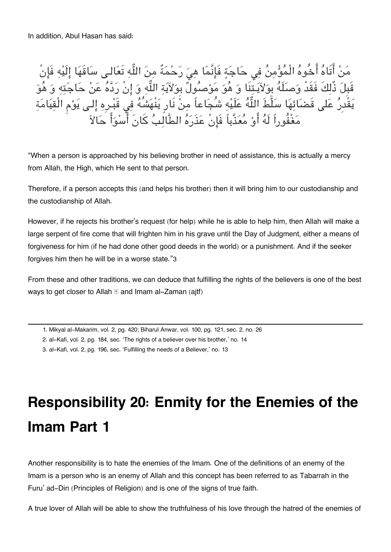In addition, Abul Hasan has said:

مَنْ أَتَاهُ أَخُوهُ الْمُؤْمِنُ فِي حَاجَةٍ فَإِنَّمَا هِيَ رَحْمَةٌ مِنَ اللَّهِ تَعَالـى سَاقَهَا إِلَيْهِ فَإِنْ قَبِلَ ذَلِكَ فَقَدْ وَصَلَّهَ بِوَلاَيَـتِنَا وَ هُوَ مَوْصَولَ بِوَلاَيَةِ اللَّهِ وَ إِن رَدّهَ عَنْ حَاجَتِهِ وَ هُوَ يَقْدِرُ عَلَى قَضَائِهَا سَلَّطَ اللَّهُ عَلَيْهِ شُجَاعاً مِنْ نَارٍ يَنْهَشُهُ فِي قَبْـرِهِ إِلَـي يَوْمِ الْقِيَامَةِ مغْفُوراً لَه او معذَّباً فَانْ عذَره الطَّالب كانَ اسوا حالا

"When a person is approached by his believing brother in need of assistance, this is actually a mercy from Allah, the High, which He sent to that person.

Therefore, if a person accepts this (and helps his brother) then it will bring him to our custodianship and the custodianship of Allah.

However, if he rejects his brother's request (for help) while he is able to help him, then Allah will make a large serpent of fire come that will frighten him in his grave until the Day of Judgment, either a means of forgiveness for him (if he had done other good deeds in the world) or a punishment. And if the seeker forgives him then he will be in a worse state."[3](#page--1-0)

From these and other traditions, we can deduce that fulfilling the rights of the believers is one of the best ways to get closer to Allah  $\mathbb E$  and Imam al-Zaman (aitf)

[1.](#page--1-0) Mikyal al-Makarim, vol. 2, pg. 420; Biharul Anwar, vol. 100, pg. 121, sec. 2, no. 26

[2.](#page--1-0) al-Kafi, vol. 2, pg. 184, sec. 'The rights of a believer over his brother,' no. 14

[3.](#page--1-0) al-Kafi, vol. 2, pg. 196, sec. 'Fulfilling the needs of a Believer,' no. 13

## **Responsibility 20: Enmity for the Enemies of the Imam Part 1**

Another responsibility is to hate the enemies of the Imam. One of the definitions of an enemy of the Imam is a person who is an enemy of Allah and this concept has been referred to as Tabarrah in the Furu' ad-Din (Principles of Religion) and is one of the signs of true faith.

A true lover of Allah will be able to show the truthfulness of his love through the hatred of the enemies of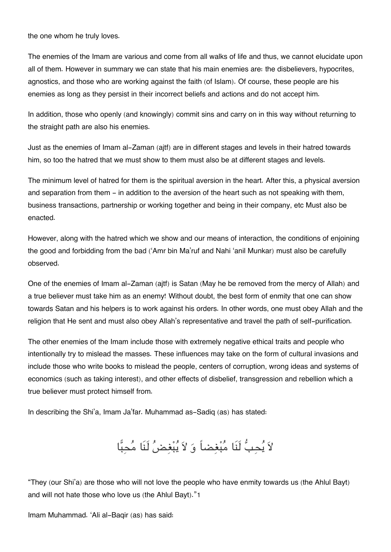the one whom he truly loves.

The enemies of the Imam are various and come from all walks of life and thus, we cannot elucidate upon all of them. However in summary we can state that his main enemies are: the disbelievers, hypocrites, agnostics, and those who are working against the faith (of Islam). Of course, these people are his enemies as long as they persist in their incorrect beliefs and actions and do not accept him.

In addition, those who openly (and knowingly) commit sins and carry on in this way without returning to the straight path are also his enemies.

Just as the enemies of Imam al-Zaman (ajtf) are in different stages and levels in their hatred towards him, so too the hatred that we must show to them must also be at different stages and levels.

The minimum level of hatred for them is the spiritual aversion in the heart. After this, a physical aversion and separation from them - in addition to the aversion of the heart such as not speaking with them, business transactions, partnership or working together and being in their company, etc Must also be enacted.

However, along with the hatred which we show and our means of interaction, the conditions of enjoining the good and forbidding from the bad ('Amr bin Ma'ruf and Nahi 'anil Munkar) must also be carefully observed.

One of the enemies of Imam al-Zaman (ajtf) is Satan (May he be removed from the mercy of Allah) and a true believer must take him as an enemy! Without doubt, the best form of enmity that one can show towards Satan and his helpers is to work against his orders. In other words, one must obey Allah and the religion that He sent and must also obey Allah's representative and travel the path of self-purification.

The other enemies of the Imam include those with extremely negative ethical traits and people who intentionally try to mislead the masses. These influences may take on the form of cultural invasions and include those who write books to mislead the people, centers of corruption, wrong ideas and systems of economics (such as taking interest), and other effects of disbelief, transgression and rebellion which a true believer must protect himself from.

In describing the Shi'a, Imam Ja'far. Muhammad as-Sadiq (as) has stated:

لاَ يُحِبُّ لَنَا مُبْغِضاً وَ لاَ يُبْغِضُ لَنَا مُحِبًّا

"They (our Shi'a) are those who will not love the people who have enmity towards us (the Ahlul Bayt) and will not hate those who love us (the Ahlul Bayt)."[1](#page--1-0)

Imam Muhammad. 'Ali al-Baqir (as) has said: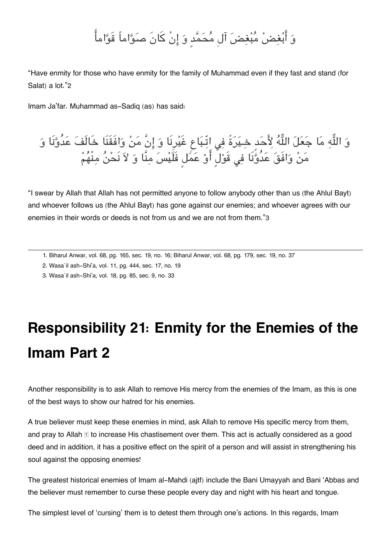#### و ابغض مبغض آلِ محمدٍ و انْ كانَ صواماً قَواما

"Have enmity for those who have enmity for the family of Muhammad even if they fast and stand (for Salat) a lot."[2](#page--1-0)

Imam Ja'far. Muhammad as-Sadiq (as) has said:

و اله ما جعل اله حدٍ خـيرةً ف اتّـباع غَيرِنَا و انَّ من وافَقَنَا خَالَف عدُونَا و من وافَق عدُونَا ف قَولٍ او عمل فَلَيس منَّا و لا نَحن منْهم

"I swear by Allah that Allah has not permitted anyone to follow anybody other than us (the Ahlul Bayt) and whoever follows us (the Ahlul Bayt) has gone against our enemies; and whoever agrees with our enemies in their words or deeds is not from us and we are not from them."[3](#page--1-0)

- [1.](#page--1-0) Biharul Anwar, vol. 68, pg. 165, sec. 19, no. 16; Biharul Anwar, vol. 68, pg. 179, sec. 19, no. 37
- [2.](#page--1-0) Wasa`il ash-Shi'a, vol. 11, pg. 444, sec. 17, no. 19
- [3.](#page--1-0) Wasa`il ash-Shi'a, vol. 18, pg. 85, sec. 9, no. 33

# **Responsibility 21: Enmity for the Enemies of the Imam Part 2**

Another responsibility is to ask Allah to remove His mercy from the enemies of the Imam, as this is one of the best ways to show our hatred for his enemies.

A true believer must keep these enemies in mind, ask Allah to remove His specific mercy from them, and pray to Allah  $\mathbb E$  to increase His chastisement over them. This act is actually considered as a good deed and in addition, it has a positive effect on the spirit of a person and will assist in strengthening his soul against the opposing enemies!

The greatest historical enemies of Imam al-Mahdi (ajtf) include the Bani Umayyah and Bani 'Abbas and the believer must remember to curse these people every day and night with his heart and tongue.

The simplest level of 'cursing' them is to detest them through one's actions. In this regards, Imam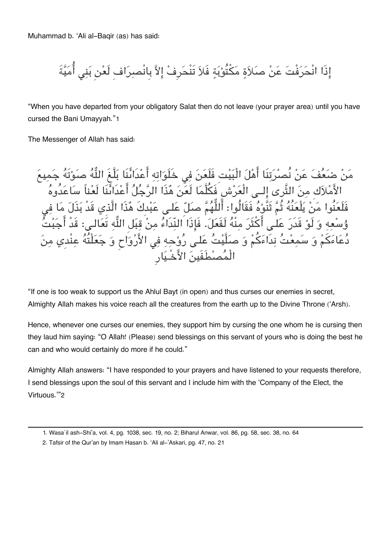Muhammad b. 'Ali al-Baqir (as) has said:

إِذَا انْحَرَفْتَ عَنْ صَلاَةٍ مَكْتُوْبَةٍ فَلاَ تَنْحَرِفْ إِلاَّ بِانْصِرَاف لَعْنِ بَنِي أُمَيَّةَ

"When you have departed from your obligatory Salat then do not leave (your prayer area) until you have cursed the Bani Umayyah."[1](#page--1-0)

The Messenger of Allah has said:

مَنْ ضَعَفَ عَنْ نُصرَتِنَا أَهْلَ الْبَيْتِ فَلَعَنَ فِي خَلَوَاتِهِ أَعْدَائُنَا بَلَّغَ اللَّهَ صَوْتَهُ جَمِيعَ الأَمْلاَكِ مِنَ الْثَرى إِلَــى الْعَرْشِ فَكَلَّمَا لَعَنَ هَذَا الرَّجَلَ اعْدَانَنَا لَعْنَا سَاعَدُوهَ فَلْعَنُوا مَنْ يَلْعَنَهُ ثُمَّ ثَنَوْهُ فَقَالُوا: اللّهُمَّ صَلِّ عَلَى عَبْدِكَ هَذَا الَّذِي قَدْ بَذَلَ مَا فِي وُسْعِهِ وَ لَوْ قَدَرَ عَلَى أَكْثَرَ مِنْهُ لَفَعَلَ. فَإِذَا النِّدَاءَ مِنْ قِبَلِ اللَّهِ تَعَالَـى: قَدْ أَجَبْتُ دُعَاءَكُمْ وَ سَمِعْتُ نِدَاءَكُمْ وَ صَلَّيْتُ عَلـى رُوْحِهِ فِي الأَرْوَاحِ وَ جَعَلْتُهُ عِنْدِي مِنَ الْمصطَفَين الاخْـيارِ

"If one is too weak to support us the Ahlul Bayt (in open) and thus curses our enemies in secret, Almighty Allah makes his voice reach all the creatures from the earth up to the Divine Throne ('Arsh).

Hence, whenever one curses our enemies, they support him by cursing the one whom he is cursing then they laud him saying: "O Allah! (Please) send blessings on this servant of yours who is doing the best he can and who would certainly do more if he could."

Almighty Allah answers: "I have responded to your prayers and have listened to your requests therefore, I send blessings upon the soul of this servant and I include him with the 'Company of the Elect, the Virtuous.'"[2](#page--1-0)

[<sup>1.</sup>](#page--1-0) Wasa`il ash-Shi'a, vol. 4, pg. 1038, sec. 19, no. 2; Biharul Anwar, vol. 86, pg. 58, sec. 38, no. 64

[<sup>2.</sup>](#page--1-0) Tafsir of the Qur'an by Imam Hasan b. 'Ali al-'Askari, pg. 47, no. 21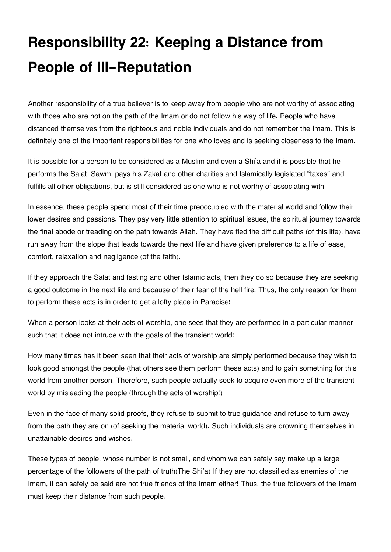# **Responsibility 22: Keeping a Distance from People of Ill-Reputation**

Another responsibility of a true believer is to keep away from people who are not worthy of associating with those who are not on the path of the Imam or do not follow his way of life. People who have distanced themselves from the righteous and noble individuals and do not remember the Imam. This is definitely one of the important responsibilities for one who loves and is seeking closeness to the Imam.

It is possible for a person to be considered as a Muslim and even a Shi'a and it is possible that he performs the Salat, Sawm, pays his Zakat and other charities and Islamically legislated "taxes" and fulfills all other obligations, but is still considered as one who is not worthy of associating with.

In essence, these people spend most of their time preoccupied with the material world and follow their lower desires and passions. They pay very little attention to spiritual issues, the spiritual journey towards the final abode or treading on the path towards Allah. They have fled the difficult paths (of this life), have run away from the slope that leads towards the next life and have given preference to a life of ease, comfort, relaxation and negligence (of the faith).

If they approach the Salat and fasting and other Islamic acts, then they do so because they are seeking a good outcome in the next life and because of their fear of the hell fire. Thus, the only reason for them to perform these acts is in order to get a lofty place in Paradise!

When a person looks at their acts of worship, one sees that they are performed in a particular manner such that it does not intrude with the goals of the transient world!

How many times has it been seen that their acts of worship are simply performed because they wish to look good amongst the people (that others see them perform these acts) and to gain something for this world from another person. Therefore, such people actually seek to acquire even more of the transient world by misleading the people (through the acts of worship!)

Even in the face of many solid proofs, they refuse to submit to true guidance and refuse to turn away from the path they are on (of seeking the material world). Such individuals are drowning themselves in unattainable desires and wishes.

These types of people, whose number is not small, and whom we can safely say make up a large percentage of the followers of the path of truth(The Shi'a) If they are not classified as enemies of the Imam, it can safely be said are not true friends of the Imam either! Thus, the true followers of the Imam must keep their distance from such people.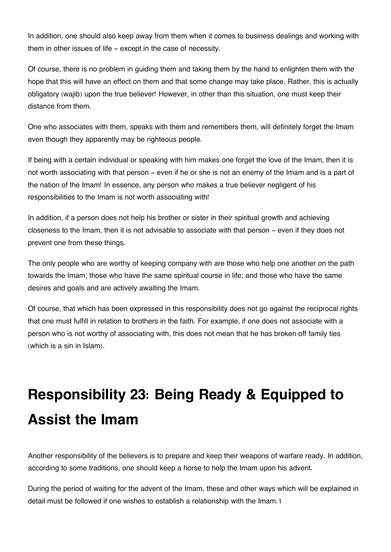In addition, one should also keep away from them when it comes to business dealings and working with them in other issues of life - except in the case of necessity.

Of course, there is no problem in guiding them and taking them by the hand to enlighten them with the hope that this will have an effect on them and that some change may take place. Rather, this is actually obligatory (wajib) upon the true believer! However, in other than this situation, one must keep their distance from them.

One who associates with them, speaks with them and remembers them, will definitely forget the Imam even though they apparently may be righteous people.

If being with a certain individual or speaking with him makes one forget the love of the Imam, then it is not worth associating with that person - even if he or she is not an enemy of the Imam and is a part of the nation of the Imam! In essence, any person who makes a true believer negligent of his responsibilities to the Imam is not worth associating with!

In addition, if a person does not help his brother or sister in their spiritual growth and achieving closeness to the Imam, then it is not advisable to associate with that person - even if they does not prevent one from these things.

The only people who are worthy of keeping company with are those who help one another on the path towards the Imam; those who have the same spiritual course in life; and those who have the same desires and goals and are actively awaiting the Imam.

Of course, that which has been expressed in this responsibility does not go against the reciprocal rights that one must fulfill in relation to brothers in the faith. For example, if one does not associate with a person who is not worthy of associating with, this does not mean that he has broken off family ties (which is a sin in Islam).

# **Responsibility 23: Being Ready & Equipped to Assist the Imam**

Another responsibility of the believers is to prepare and keep their weapons of warfare ready. In addition, according to some traditions, one should keep a horse to help the Imam upon his advent.

During the period of waiting for the advent of the Imam, these and other ways which will be explained in detail must be followed if one wishes to establish a relationship with the Imam.[1](#page--1-0)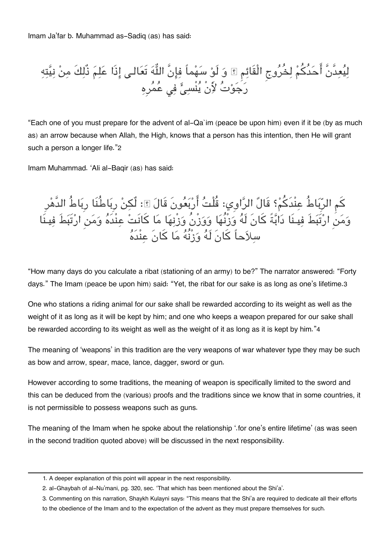Imam Ja'far b. Muhammad as-Sadiq (as) has said:

ليعدَّنَّ احدُكم لخُروج الْقَائم و لَو سهماً فانَّ اله تَعالـ اذَا علم ذٌلكَ من نيته رجوت لأَنْ ينْس ف عمرِه

"Each one of you must prepare for the advent of al-Qa`im (peace be upon him) even if it be (by as much as) an arrow because when Allah, the High, knows that a person has this intention, then He will grant such a person a longer life."[2](#page--1-0)

Imam Muhammad. 'Ali al-Baqir (as) has said:

كم الرِباطُ عنْدَكم؟ قَالَ الراوِي: قُلْت اربعونَ قَال : لٌن رِباطُنَا رِباطُ الدَّهرِ ومن ارتَبطَ فيـنَا دابةً كانَ لَه وزْنُها ووزْنُ وزْنها ما كانَت عنْدَه ومن ارتَبطَ فيـنَا سلاحاً كانَ لَه وزْنُه ما كانَ عنْدَه

"How many days do you calculate a ribat (stationing of an army) to be?" The narrator answered: "Forty days." The Imam (peace be upon him) said: "Yet, the ribat for our sake is as long as one's lifetime.[3](#page--1-0)

One who stations a riding animal for our sake shall be rewarded according to its weight as well as the weight of it as long as it will be kept by him; and one who keeps a weapon prepared for our sake shall be rewarded according to its weight as well as the weight of it as long as it is kept by him."[4](#page--1-0)

The meaning of 'weapons' in this tradition are the very weapons of war whatever type they may be such as bow and arrow, spear, mace, lance, dagger, sword or gun.

However according to some traditions, the meaning of weapon is specifically limited to the sword and this can be deduced from the (various) proofs and the traditions since we know that in some countries, it is not permissible to possess weapons such as guns.

The meaning of the Imam when he spoke about the relationship '.for one's entire lifetime' (as was seen in the second tradition quoted above) will be discussed in the next responsibility.

[<sup>1.</sup>](#page--1-0) A deeper explanation of this point will appear in the next responsibility.

[<sup>2.</sup>](#page--1-0) al-Ghaybah of al-Nu'mani, pg. 320, sec. 'That which has been mentioned about the Shi'a'.

[<sup>3.</sup>](#page--1-0) Commenting on this narration, Shaykh Kulayni says: "This means that the Shi'a are required to dedicate all their efforts to the obedience of the Imam and to the expectation of the advent as they must prepare themselves for such.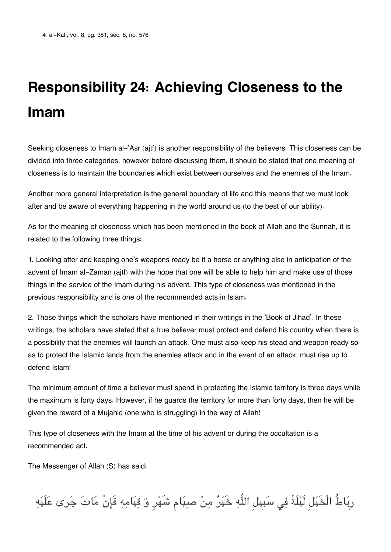# **Responsibility 24: Achieving Closeness to the Imam**

Seeking closeness to Imam al-'Asr (aitf) is another responsibility of the believers. This closeness can be divided into three categories, however before discussing them, it should be stated that one meaning of closeness is to maintain the boundaries which exist between ourselves and the enemies of the Imam.

Another more general interpretation is the general boundary of life and this means that we must look after and be aware of everything happening in the world around us (to the best of our ability).

As for the meaning of closeness which has been mentioned in the book of Allah and the Sunnah, it is related to the following three things:

1. Looking after and keeping one's weapons ready be it a horse or anything else in anticipation of the advent of Imam al-Zaman (ajtf) with the hope that one will be able to help him and make use of those things in the service of the Imam during his advent. This type of closeness was mentioned in the previous responsibility and is one of the recommended acts in Islam.

2. Those things which the scholars have mentioned in their writings in the 'Book of Jihad'. In these writings, the scholars have stated that a true believer must protect and defend his country when there is a possibility that the enemies will launch an attack. One must also keep his stead and weapon ready so as to protect the Islamic lands from the enemies attack and in the event of an attack, must rise up to defend Islam!

The minimum amount of time a believer must spend in protecting the Islamic territory is three days while the maximum is forty days. However, if he guards the territory for more than forty days, then he will be given the reward of a Mujahid (one who is struggling) in the way of Allah!

This type of closeness with the Imam at the time of his advent or during the occultation is a recommended act.

The Messenger of Allah (S) has said:

رِبَاطُ الْخَيْل لَيْلَةً فِي سَبِيل اللَّهِ خَيْرٌ مِنْ صبِيَام شَهْرٍ وَ قِيَامِهِ فَإِنْ مَاتَ جَرى عَلَيْهِ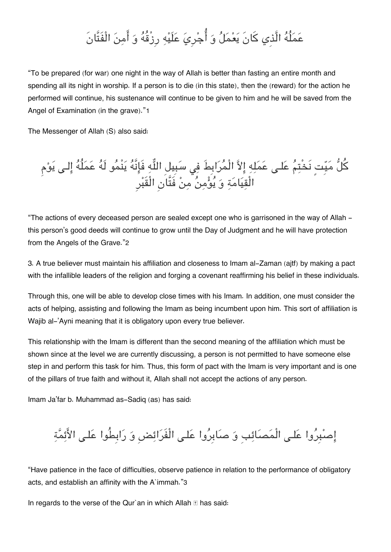### عملُه الَّذِي كانَ يعمل و اجرِي علَيه رِزْقُه و امن الْفَتَّانَ

"To be prepared (for war) one night in the way of Allah is better than fasting an entire month and spending all its night in worship. If a person is to die (in this state), then the (reward) for the action he performed will continue, his sustenance will continue to be given to him and he will be saved from the Angel of Examination (in the grave)."[1](#page--1-0)

The Messenger of Allah (S) also said:

كُلُّ مَيِّتٍ نَخْتِمُ عَلـى عَمَلِهِ إِلاَّ الْمُرَابِطَ فِي سَبِيلِ اللَّهِ فَإِنَّهُ يَنْمُو لَهُ عَمَلُهُ إِلـى يَوْم الْقِيَامَةِ وَ يُؤْمِنُ مِنْ فَتَّانِ الْقَبْرِ

"The actions of every deceased person are sealed except one who is garrisoned in the way of Allah this person's good deeds will continue to grow until the Day of Judgment and he will have protection from the Angels of the Grave."[2](#page--1-0)

3. A true believer must maintain his affiliation and closeness to Imam al-Zaman (ajtf) by making a pact with the infallible leaders of the religion and forging a covenant reaffirming his belief in these individuals.

Through this, one will be able to develop close times with his Imam. In addition, one must consider the acts of helping, assisting and following the Imam as being incumbent upon him. This sort of affiliation is Waiib al-'Ayni meaning that it is obligatory upon every true believer.

This relationship with the Imam is different than the second meaning of the affiliation which must be shown since at the level we are currently discussing, a person is not permitted to have someone else step in and perform this task for him. Thus, this form of pact with the Imam is very important and is one of the pillars of true faith and without it, Allah shall not accept the actions of any person.

Imam Ja'far b. Muhammad as-Sadiq (as) has said:

إصْبِرُوا عَلـى الْمَصَائِبِ وَ صَابِرُوا عَلـى الْفَرَائِضِ وَ رَابِطُوا عَلـى الأَئِمَّةِ

"Have patience in the face of difficulties, observe patience in relation to the performance of obligatory acts, and establish an affinity with the A`immah."[3](#page--1-0)

In regards to the verse of the Qur`an in which Allah  $\mathbb E$  has said: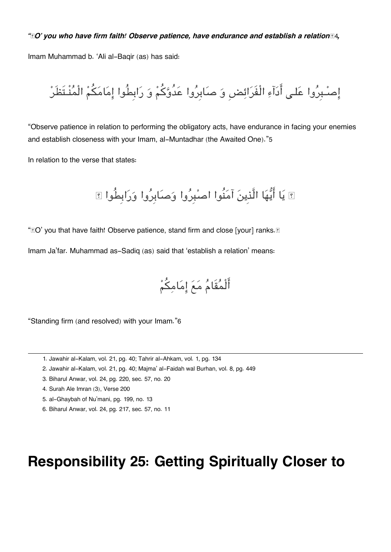#### " $\mathbb{I}O'$  you who have firm faith! Observe patience, have endurance and establish a relation $\mathbb{I}4$  $\mathbb{I}4$ ,

Imam Muhammad b. 'Ali al-Baqir (as) has said:

اصـبِروا علـ ادآء الْفَرائضِ و صابِروا عدُوكم و رابِطُوا امامم الْمنْـتَظَر

"Observe patience in relation to performing the obligatory acts, have endurance in facing your enemies and establish closeness with your Imam, al-Muntadhar (the Awaited One)."[5](#page--1-0)

In relation to the verse that states:

يا ايها الَّذِين آمنُوا اصبِروا وصابِروا ورابِطُوا

"IO' you that have faith! Observe patience, stand firm and close [your] ranks. II

Imam Ja'far. Muhammad as-Sadiq (as) said that 'establish a relation' means:

الْمقَام مع امامم

"Standing firm (and resolved) with your Imam."[6](#page--1-0)

- [1.](#page--1-0) Jawahir al-Kalam, vol. 21, pg. 40; Tahrir al-Ahkam, vol. 1, pg. 134
- [2.](#page--1-0) Jawahir al-Kalam, vol. 21, pg. 40; Majma' al-Faidah wal Burhan, vol. 8, pg. 449
- [3.](#page--1-0) Biharul Anwar, vol. 24, pg. 220, sec. 57, no. 20
- [4.](#page--1-0) Surah Ale Imran (3), Verse 200
- [5.](#page--1-0) al-Ghaybah of Nu'mani, pg. 199, no. 13
- [6.](#page--1-0) Biharul Anwar, vol. 24, pg. 217, sec. 57, no. 11

#### **Responsibility 25: Getting Spiritually Closer to**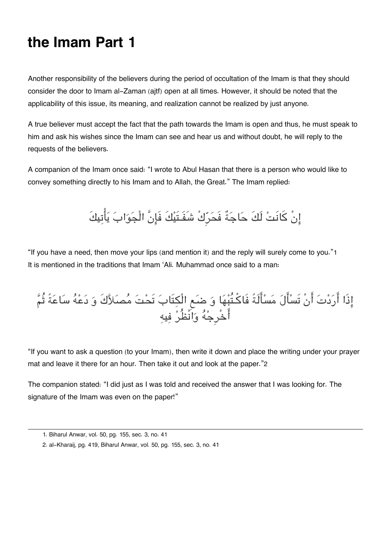#### **the Imam Part 1**

Another responsibility of the believers during the period of occultation of the Imam is that they should consider the door to Imam al-Zaman (ajtf) open at all times. However, it should be noted that the applicability of this issue, its meaning, and realization cannot be realized by just anyone.

A true believer must accept the fact that the path towards the Imam is open and thus, he must speak to him and ask his wishes since the Imam can see and hear us and without doubt, he will reply to the requests of the believers.

A companion of the Imam once said: "I wrote to Abul Hasan that there is a person who would like to convey something directly to his Imam and to Allah, the Great." The Imam replied:

انْ كانَت لَكَ حاجةٌ فَحرِكْ شَفَـتَيكَ فَانَّ الْجواب ياتيكَ

"If you have a need, then move your lips (and mention it) and the reply will surely come to you."[1](#page--1-0) It is mentioned in the traditions that Imam 'Ali. Muhammad once said to a man:

#### اذَا اردت انْ تَسال مسالَةً فَاكـتُبها و ضع الْتَاب تَحت مصلاكَ و دعه ساعةً ثُم اخْرِجه وانْظُر فيه

"If you want to ask a question (to your Imam), then write it down and place the writing under your prayer mat and leave it there for an hour. Then take it out and look at the paper."[2](#page--1-0)

The companion stated: "I did just as I was told and received the answer that I was looking for. The signature of the Imam was even on the paper!"

[<sup>1.</sup>](#page--1-0) Biharul Anwar, vol. 50, pg. 155, sec. 3, no. 41

[<sup>2.</sup>](#page--1-0) al-Kharaij, pg. 419, Biharul Anwar, vol. 50, pg. 155, sec. 3, no. 41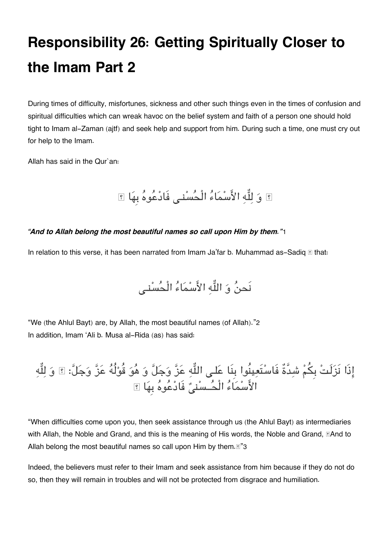# **Responsibility 26: Getting Spiritually Closer to the Imam Part 2**

During times of difficulty, misfortunes, sickness and other such things even in the times of confusion and spiritual difficulties which can wreak havoc on the belief system and faith of a person one should hold tight to Imam al-Zaman (ajtf) and seek help and support from him. During such a time, one must cry out for help to the Imam.

Allah has said in the Qur`an:

اً وَ لِلَّهِ الأَسْمَاءُ الْحُسْنِي فَادْعُوهُ بِهَا اِ

#### *"And to Allah belong the most beautiful names so call upon Him by them."*[1](#page--1-0)

In relation to this verse, it has been narrated from Imam Ja'far b. Muhammad as-Sadiq  $\mathbb B$  that:

نَحنُ وَ اللَّه الأَسْمَاءُ الْحُسْني

"We (the Ahlul Bayt) are, by Allah, the most beautiful names (of Allah)."[2](#page--1-0) In addition, Imam 'Ali b. Musa al-Rida (as) has said:

إِذَا نَزَلَتْ بِكُمْ شِدَّةٌ فَاسْتَعِينُوا بِنَا عَلـى اللَّهِ عَزَّ وَجَلَّ وَ هُوَ قُوْلُهُ عَزَّ وَجَلَّ:  $\boxed{\hspace{0.5cm}$  وَ لِلَّهِ الأَسْمَاءُ الْحُـسْنِيِّ فَادْعُوهُ بِهَا ؟

"When difficulties come upon you, then seek assistance through us (the Ahlul Bayt) as intermediaries with Allah, the Noble and Grand, and this is the meaning of His words, the Noble and Grand,  $\mathbb{E}$ And to Allah belong the most beautiful names so call upon Him by them. $\mathbb{S}^3$  $\mathbb{S}^3$ 3

Indeed, the believers must refer to their Imam and seek assistance from him because if they do not do so, then they will remain in troubles and will not be protected from disgrace and humiliation.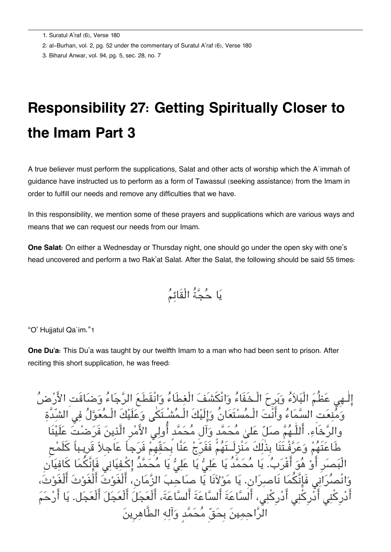[2.](#page--1-0) al-Burhan, vol. 2, pg. 52 under the commentary of Suratul A'raf (6), Verse 180

[3.](#page--1-0) Biharul Anwar, vol. 94, pg. 5, sec. 28, no. 7

## **Responsibility 27: Getting Spiritually Closer to the Imam Part 3**

A true believer must perform the supplications, Salat and other acts of worship which the A`immah of guidance have instructed us to perform as a form of Tawassul (seeking assistance) from the Imam in order to fulfill our needs and remove any difficulties that we have.

In this responsibility, we mention some of these prayers and supplications which are various ways and means that we can request our needs from our Imam.

**One Salat:** On either a Wednesday or Thursday night, one should go under the open sky with one's head uncovered and perform a two Rak'at Salat. After the Salat, the following should be said 55 times:

$$
\stackrel{a}{\longrightarrow} \stackrel{a}{\longrightarrow}
$$

"O' Hujjatul Qa`im."[1](#page--1-0)

**One Du'a:** This Du'a was taught by our twelfth Imam to a man who had been sent to prison. After reciting this short supplication, he was freed:

وَيَدِحَ الْـخَفَاءُ وَانْكَشَفَ الْغطَاءُ وَانْقَطَعَ الرَّجَاءُ وَضِبَاقَتِ الأَر مُسْتَعَانُ وَالَيْكَ الْـمُشْـتَكْي وَعَلَيْكَ الْـ عَلَىٰ مُحَمَّدٍ وَأَل مُحَمَّدٍ أَو طَاعتَهم وعرفْـتَنَا بِذٰلكَ منْزِلَــتَهم فَفَرِج عنَّا بِحقّهِم فَرجاً عاجِلا قَرِيـباً كلَمح الْبَصَرِ أَوْ هُوَ أَقْرَبَ. يَا مَحَمَّدُ يَا عَلِيُّ يَا عَلِيُّ يَا مَحَمَّدٌ إِكْفِيَانِي فَإِنَّكَمَا كَافِيَانِ وانْصران فَانَّما نَاصران.ِ يا مولانَا يا صاحب الزمان،ِ الْغَوث الْغَوث الْغَوث، أَدْرِكْنِي أَدْرِكْنِي، أَلسَّاعَةَ أَلسَّاعَةَ أَلسَّاعَةَ، أَلْعَجَلَ أَلْعَجَلَ أَلْعَجَل. يَا حمِينَ بِحَقّ مُحَمَّد وَآلِهِ الطَّاهِرِينَ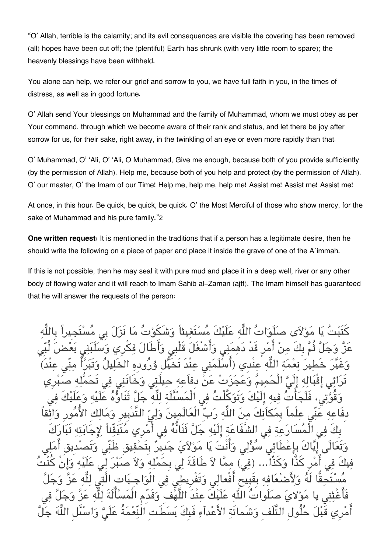"O' Allah, terrible is the calamity; and its evil consequences are visible the covering has been removed (all) hopes have been cut off; the (plentiful) Earth has shrunk (with very little room to spare); the heavenly blessings have been withheld.

You alone can help, we refer our grief and sorrow to you, we have full faith in you, in the times of distress, as well as in good fortune.

O' Allah send Your blessings on Muhammad and the family of Muhammad, whom we must obey as per Your command, through which we become aware of their rank and status, and let there be joy after sorrow for us, for their sake, right away, in the twinkling of an eye or even more rapidly than that.

O' Muhammad, O' 'Ali, O' 'Ali, O Muhammad, Give me enough, because both of you provide sufficiently (by the permission of Allah). Help me, because both of you help and protect (by the permission of Allah). O' our master, O' the Imam of our Time! Help me, help me, help me! Assist me! Assist me! Assist me!

At once, in this hour. Be quick, be quick, be quick. O' the Most Merciful of those who show mercy, for the sake of Muhammad and his pure family."[2](#page--1-0)

**One written request:** It is mentioned in the traditions that if a person has a legitimate desire, then he should write the following on a piece of paper and place it inside the grave of one of the A`immah.

If this is not possible, then he may seal it with pure mud and place it in a deep well, river or any other body of flowing water and it will reach to Imam Sahib al-Zaman (ajtf). The Imam himself has guaranteed that he will answer the requests of the person:

مَوْلاَي صلَوَاتُ اللَّه عَلَيْكَ مُسْتَغِيثاً وَشَكَوْتُ مَا نَزَلَ بِكَ مِنْ أَمْرٍ قَدْ دَهِمَنِي وَأَشْغَلَ قَلْبِي وَأَطَالَ فكْرِي للَّه عنْدى (اسْلَمَنى عند تَخَيل وُرَودِه تَرَائِي إِقْبَالِهِ إِلَيَّ الْحَمِيمَ وَعَجَزَتْ عَنْ دِفَاعِهِ حِيلَتِي وَخَانَنِي فِي تَحَمّلِهِ صَبْرِي وَقَوَّتِي، فَلَجَاتَ فِيهِ إِلَيْكَ وَتَوَكَلْتَ فِي الْمُسْئَلَةِ لِلَّهِ جَلَّ ثَنَاوَهُ عَلَيْهِ وَعَلَيْكَ فِي دِفَاعِهِ عَنِي عِلْماً بِمَكَانِكَ مِنَ اللّهِ رَبّ الْعَالَمِينَ وَلِيّ التَّدْبِيرِ وَمَالِكِ الأَمُورِ وَاثِقاً بِكَ فِي الْمَسَارَعِةِ فِي الشَّفَاعَةِ إِلَيْهِ جَلَّ ثَنَائَهُ فِي أَمْرِي مَتَيَقِّناً لِإِجَابَتِهِ تَبَارَكَ وَتَعَالَى إِيَّاكَ بِإِعْطَائِي سَوَلِي وَانْتَ يَا مَوْلاَيَ جَدِيرٌ بِتَحْقِيق ظَنِّي وَتَصدُدِيق امَلِي فِيكَ فِي أَمْرِ كَذَا وَكذَا... (فِي) مِمَّا لاَ طَاقَةَ لِي بِحَمْلِهِ وَلاَ صَبْرَ لِي عَلَيْهِ وَإِنْ كنتَ فه بقبيح افعالى وَتفريطي فِي الْوَ مَوْلايَ صلَواتَ اللَّه عَلَيكَ عند اللَّهفِ وَقِدِمِ الْمَسَالَةَ لِلَّهِ ع ولِ التَّلَفِ وَشَماتَة الأعداء فَبِكَ بِسطِ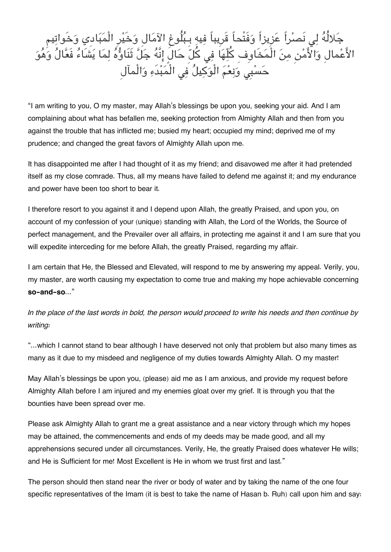

"I am writing to you, O my master, may Allah's blessings be upon you, seeking your aid. And I am complaining about what has befallen me, seeking protection from Almighty Allah and then from you against the trouble that has inflicted me; busied my heart; occupied my mind; deprived me of my prudence; and changed the great favors of Almighty Allah upon me.

It has disappointed me after I had thought of it as my friend; and disavowed me after it had pretended itself as my close comrade. Thus, all my means have failed to defend me against it; and my endurance and power have been too short to bear it.

I therefore resort to you against it and I depend upon Allah, the greatly Praised, and upon you, on account of my confession of your (unique) standing with Allah, the Lord of the Worlds, the Source of perfect management, and the Prevailer over all affairs, in protecting me against it and I am sure that you will expedite interceding for me before Allah, the greatly Praised, regarding my affair.

I am certain that He, the Blessed and Elevated, will respond to me by answering my appeal. Verily, you, my master, are worth causing my expectation to come true and making my hope achievable concerning **so-and-so**..."

*In the place of the last words in bold, the person would proceed to write his needs and then continue by writing:*

"...which I cannot stand to bear although I have deserved not only that problem but also many times as many as it due to my misdeed and negligence of my duties towards Almighty Allah. O my master!

May Allah's blessings be upon you, (please) aid me as I am anxious, and provide my request before Almighty Allah before I am injured and my enemies gloat over my grief. It is through you that the bounties have been spread over me.

Please ask Almighty Allah to grant me a great assistance and a near victory through which my hopes may be attained, the commencements and ends of my deeds may be made good, and all my apprehensions secured under all circumstances. Verily, He, the greatly Praised does whatever He wills; and He is Sufficient for me! Most Excellent is He in whom we trust first and last."

The person should then stand near the river or body of water and by taking the name of the one four specific representatives of the Imam (it is best to take the name of Hasan b. Ruh) call upon him and say: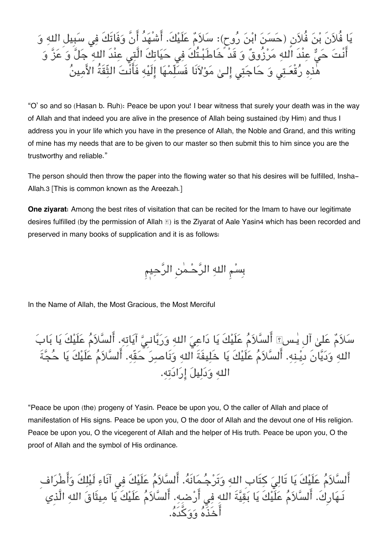يَا فُلاَنَ بْنَ فُلاَنٍ (حَسَنَ ابْنَ رُوح): سَلاَمٌ عَلَيْكَ. أَشْهَدُ أَنَّ وَفَاتَكَ فِي سَبِيل اللهِ وَ أَنْتَ حَيٌّ عِنْدَ اللهِ مَرْزُوقٌ وَ قَدْ خَاطَبْـتُكَ فِي حَيَاتِكَ الَّتِي عِنْدَ اللهِ ۚ جَلَّ وَ عَزَّ وَ هٰذهِ رُقْعَـتِی وَ حَاجَتِی إِلـیٰ مَوْلاَنَا فَسَلّمْهَا إِلَيْهِ فَأَنَّتَ الثّقَةُ الأَمينُ

"O' so and so (Hasan b. Ruh): Peace be upon you! I bear witness that surely your death was in the way of Allah and that indeed you are alive in the presence of Allah being sustained (by Him) and thus I address you in your life which you have in the presence of Allah, the Noble and Grand, and this writing of mine has my needs that are to be given to our master so then submit this to him since you are the trustworthy and reliable."

The person should then throw the paper into the flowing water so that his desires will be fulfilled, Insha-Allah.[3](#page--1-0) [This is common known as the Areezah.]

**One ziyarat:** Among the best rites of visitation that can be recited for the Imam to have our legitimate desires fulfilled (by the permission of Allah  $\mathbb E$ ) is the Ziyarat of Aale Yasin[4](#page--1-0) which has been recorded and preserved in many books of supplication and it is as follows:

بِسْمِ اللهِ الرَّحْمٰنِ الرَّحِيمِ

In the Name of Allah, the Most Gracious, the Most Merciful

سلام عل آلِ يـسۤ السلام علَيكَ يا داع اله وربانـِ آياته. السلام علَيكَ يا باب اله وديانَ دِيـنه. السلام علَيكَ يا خَليفَةَ اله ونَاصر حقّه. السلام علَيكَ يا حجةَ اله ودليل ارادته.

"Peace be upon (the) progeny of Yasin. Peace be upon you, O the caller of Allah and place of manifestation of His signs. Peace be upon you, O the door of Allah and the devout one of His religion. Peace be upon you, O the vicegerent of Allah and the helper of His truth. Peace be upon you, O the proof of Allah and the symbol of His ordinance.

أَلسَّلاَمُ عَلَيْكَ يَا تَالِيَ كِتَابِ اللهِ وَتَرْجُـمَانَهُ. أَلسَّلاَمُ عَلَيْكَ فِي آنَاءِ لَيْلِكَ وَأَطْرَافِ نَـهَارِكَ. السّلاَمَ عَلَيْكَ يَا بَقِيّةَ اللهِ فِي أَرْضِهِ. السّلاَمَ عَلَيْكَ يَا مِيثَاقَ اللهِ الَّذِي اخَذَه ووكدَه.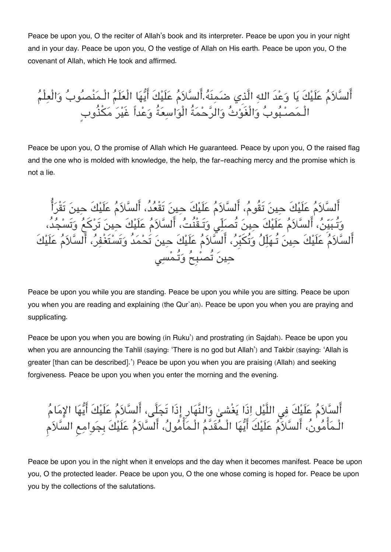Peace be upon you, O the reciter of Allah's book and its interpreter. Peace be upon you in your night and in your day. Peace be upon you, O the vestige of Allah on His earth. Peace be upon you, O the covenant of Allah, which He took and affirmed.

أَلسَّلاَمُ عَلَيْكَ يَا وَعْدَ اللهِ الَّذِي ضَمِنَهُ.أَلسَّلاَمُ عَلَيْكَ أَيُّهَا الْعَلَمُ الْـمَنْصُوبُ وَالْعِلْمُ الْـمَصـْـبُوبُ وَالْغَوْتُ وَالرَّحْمَةُ الْوَاسِعَةُ وَعْداً غَيْرَ مَكْذُوبٍ

Peace be upon you, O the promise of Allah which He guaranteed. Peace by upon you, O the raised flag and the one who is molded with knowledge, the help, the far-reaching mercy and the promise which is not a lie.

السلام علَيكَ حين تَقُوم، السلام علَيكَ حين تَقْعد،ُ السلام علَيكَ حين تَقْرا وَتَـبَيّنَ، السّلاَمَ عَلَيْكَ حِينَ تَصلِّي وَتَـقَنّتَ، السّلاَمَ عَلَيْكَ حِينَ تَركَعَ وَتَسْجَدَ، السلام علَيكَ حين تُـهلّل وتُبِر، السلام علَيكَ حين تَحمدُ وتَستَغْفر، السلام علَيكَ حينَ تُصبُحُ وَتُـمْسِي

Peace be upon you while you are standing. Peace be upon you while you are sitting. Peace be upon you when you are reading and explaining (the Qur'an). Peace be upon you when you are praying and supplicating.

Peace be upon you when you are bowing (in Ruku') and prostrating (in Sajdah). Peace be upon you when you are announcing the Tahlil (saying: 'There is no god but Allah') and Takbir (saying: 'Allah is greater [than can be described].') Peace be upon you when you are praising (Allah) and seeking forgiveness. Peace be upon you when you enter the morning and the evening.

أَلسَّلاَمُ عَلَيْكَ فِي اللَّيْل اِذَا يَغْشىٰ وَالنَّهَارِ إِذَا تَجَلَّى، أَلسَّلاَمُ عَلَيْكَ أَيُّهَا الإمَامُ الْـمَأْمُونُ، أَلسَّلاَمُ عَلَيْكَ أَيُّهَا الْـمُقَدَّمُ الْـمَأْمُولُ، أَلسَّلاَمُ عَلَيْكَ بِجَوامِع السَّلاَم

Peace be upon you in the night when it envelops and the day when it becomes manifest. Peace be upon you, O the protected leader. Peace be upon you, O the one whose coming is hoped for. Peace be upon you by the collections of the salutations.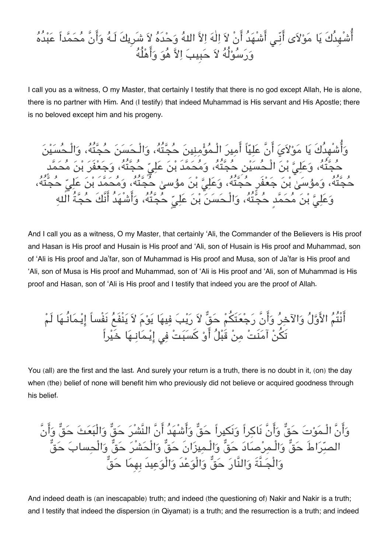#### أَشْهِدُكَ يَا مَوْلاَى أَنِّـي أَشْهَدُ أَنْ لاَ اِلٰهَ اِلاَّ اللهُ وَحْدَهُ لاَ شَرِيكَ لَـهُ وَأَنَّ مُحَمَّداً عَبْدُهُ وَرَسُوْلُهُ لاَ حَبِيبَ اِلاَّ هُوَ وَأَهْلُهُ

I call you as a witness, O my Master, that certainly I testify that there is no god except Allah, He is alone, there is no partner with Him. And (I testify) that indeed Muhammad is His servant and His Apostle; there is no beloved except him and his progeny.

وَأَشْهِدُكَ يَا مَوْلاَيَ أَنَّ عَلِيّاً أَمِيرَ الْـمُؤْمِنِينَ حُجَّتُهُ، وَالْـحَسَنَ حُجَّتُهُ، وَالْ حَجَّتَهُ، وَعَلِيُّ بنِ الْـحَسَيْنِ حَجَّتَهُ، وَمَحَمَّد بْنَ عَلِيِّ حَجَّتَهُ، وَجَعْفَرَ بْنَ مَحَمَّد حَجَّتَهُ، وَمؤسَىٰ بْنَ جَعْفَرٍ حَجَّتَهُ، وَعَلِيٌّ بْنَ مؤسىٰ حَجَّتَهُ، وَمَحَمَّدُ بْنَ عَلِيِّ حَجَّتَهُ، وَعَلِيُّ بْنَ مَحَمَّد حَجَّتَهُ، وَالْـحَسَنَ بْنَ عَلِيِّ حَجَّتَهُ، وَاشْهَدُ انَّكَ حَجَّةَ اللهِ

And I call you as a witness, O my Master, that certainly 'Ali, the Commander of the Believers is His proof and Hasan is His proof and Husain is His proof and 'Ali, son of Husain is His proof and Muhammad, son of 'Ali is His proof and Ja'far, son of Muhammad is His proof and Musa, son of Ja'far is His proof and 'Ali, son of Musa is His proof and Muhammad, son of 'Ali is His proof and 'Ali, son of Muhammad is His proof and Hasan, son of 'Ali is His proof and I testify that indeed you are the proof of Allah.

انْتُم الاول والآخر وانَّ رجعتَم حق لا ريب فيها يوم لا ينْفَع نَفْساً ايـمانُـها لَم تَن آمنَت من قَبل او كسبت ف ايـمانـها خَيراً

You (all) are the first and the last. And surely your return is a truth, there is no doubt in it, (on) the day when (the) belief of none will benefit him who previously did not believe or acquired goodness through his belief.

وانَّ الْـموت حق وانَّ نَاكراً ونَيراً حق واشْهدُ انَّ النَّشْر حق والْبعث حق وانَّ الصراطَ حق والْـمرصاد حق والْـميزانَ حق والْحشْر حق والْحساب حق والْجـنَّةَ والنَّار حق والْوعدَ والْوعيدَ بِهِما حق

And indeed death is (an inescapable) truth; and indeed (the questioning of) Nakir and Nakir is a truth; and I testify that indeed the dispersion (in Qiyamat) is a truth; and the resurrection is a truth; and indeed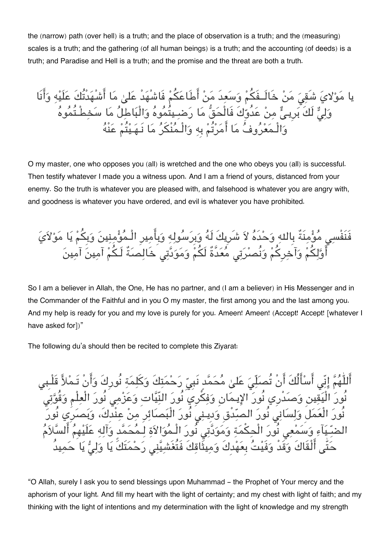the (narrow) path (over hell) is a truth; and the place of observation is a truth; and the (measuring) scales is a truth; and the gathering (of all human beings) is a truth; and the accounting (of deeds) is a truth; and Paradise and Hell is a truth; and the promise and the threat are both a truth.

يا مَوْلايَ شَقِيَ مَنْ خَالَــفَكُمْ وَسَعِدَ مَنْ أَطَاعَكُمْ فَاشْهَدْ عَلىٰ مَا أَشْهَدْتُكَ عَلَيْهِ وَأَنَا وَلِيٌّ لَكَ بَرِيـيٍّ مِنْ عَدَوَكَ فَالْحَقّ مَا رَضـِـيتُمُوهُ وَالْبَاطِلَ مَا سَخِطْـتُمُوهُ وَالْـمَعْرُوفَ مَا امَرْتُمْ بِهِ وَالْـمَنْكَرُ مَا نَـهَـيْتُمْ عَنْهُ

O my master, one who opposes you (all) is wretched and the one who obeys you (all) is successful. Then testify whatever I made you a witness upon. And I am a friend of yours, distanced from your enemy. So the truth is whatever you are pleased with, and falsehood is whatever you are angry with, and goodness is whatever you have ordered, and evil is whatever you have prohibited.

فَنَفْسِي مُؤْمِنَةٌ بِاللهِ وَحْدَهُ لاَ شَرِيكَ لَهُ وَبِرَسُولِهِ وَبِأَمِيرِ الْـمُؤْمِنِينَ وَبِكُمْ يَا مَوْلاَيَ أَوَّلكُمْ وَآخرِكُمْ وَنُصرْتِي مُعَدَّةٌ لَكُمْ وَمَوَدَّتِي خَالِصَةٌ لَـكُمْ آمِينَ آمِينَ

So I am a believer in Allah, the One, He has no partner, and (I am a believer) in His Messenger and in the Commander of the Faithful and in you O my master, the first among you and the last among you. And my help is ready for you and my love is purely for you. Ameen! Ameen! (Accept! Accept! [whatever I have asked for])"

The following du'a should then be recited to complete this Ziyarat:

اْللّٰهُمَّ إِنّى أَسْأَلُكَ أَنْ تُصلِّيَ عَلىٰ مُحَمَّد نَبِيّ رَحْمَتِكَ وَكَلِمَةٍ نُورِكَ وَأَنْ تَـمْلاً قَلْـبِي نُورَ الْيَقِينِ وَصَدْرِي نُورَ الإِيمَانِ وَفِكَّرِيٍّ نُورَ النِّيَّاتِ وَعَزْمِيَ نُورَ الْعِلْمِ وَقُوَّتِي نُورَ الْعَمَلِ وَلِسَانِي نُورَ الصِّدْقِ وَدِينِي نُورَ الْبَصَائِرِ مِنْ عِنْدِكَ، وَبَصَرِي نُورَ الضِّـيَآءِ وَسَمْعِي نُورَ الْحِكْمَةِ وَمَوَدَّتِي نُورَ الْـمُوَالاَةِ لِـمُحَمَّد وَآلِهِ عَلَيْهِمُ أَلْسَّلاَمُ حَتّٰى أَلْقَاكَ وَقَدْ وَفَيْتُ بِعَهْدِكَ وَمِيثَاقِكَ فَتُغَشِيَّنِي رَحْمَتَكَ يَا وَلِيُّ يَا حَمِيدُ

"O Allah, surely I ask you to send blessings upon Muhammad - the Prophet of Your mercy and the aphorism of your light. And fill my heart with the light of certainty; and my chest with light of faith; and my thinking with the light of intentions and my determination with the light of knowledge and my strength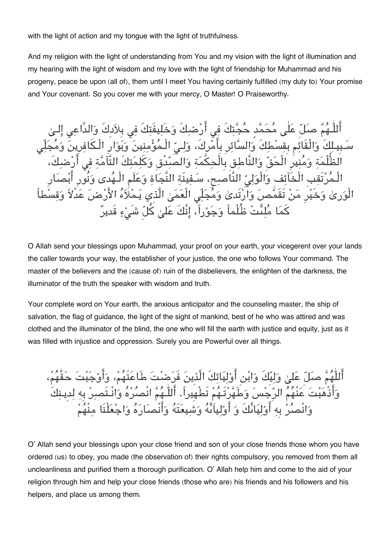with the light of action and my tongue with the light of truthfulness.

And my religion with the light of understanding from You and my vision with the light of illumination and my hearing with the light of wisdom and my love with the light of friendship for Muhammad and his progeny, peace be upon (all of), them until I meet You having certainly fulfilled (my duty to) Your promise and Your covenant. So you cover me with your mercy, O Master! O Praiseworthy.

هُمَّ صلّٰ عَلٰى مُحَمَّد حُجَّتِكَ فِي أَرْضِكَ وَخَلِيفَتِكَ فِي بِلاَدِكَ وَالدَّاعِي كَ وَالْقَائِم بِقِسْطِكَ وَالسَّائِرِ بِأَمْرِكَ، وَلِـيِّ الْـمُؤْمِنِينَ وَبَوَارِ الْـكَافِرِينَ وَ مَةِ وَمُنِيرِ الْحَقِّ وَالنَّاطِقِ بِالْحِكْمَةِ وَالصَّدِّقِ وَكَلِمَتِكَ التَّآمَّةِ فِي الْخَآئِفِ وَالْوَلِيِّ النَّاصِحِ، سَـفِينَةِ النَّجَاةِ وَعَلَمِ الْـ تَقَمَّصَ وَارْتَدىٰ وَمُجَلِّى الْعَمَىٰ الَّذِي يَـمْلَاءُ الأَرْضَ عَدْلاً كَمَا مُلِئَتْ ظُلْماً وَجَوْراً، إِنَّكَ عَلىٰ كُلّ شَيْءٍ قَديرٌ

O Allah send your blessings upon Muhammad, your proof on your earth, your vicegerent over your lands the caller towards your way, the establisher of your justice, the one who follows Your command. The master of the believers and the (cause of) ruin of the disbelievers, the enlighten of the darkness, the illuminator of the truth the speaker with wisdom and truth.

Your complete word on Your earth, the anxious anticipator and the counseling master, the ship of salvation, the flag of guidance, the light of the sight of mankind, best of he who was attired and was clothed and the illuminator of the blind, the one who will fill the earth with justice and equity, just as it was filled with injustice and oppression. Surely you are Powerful over all things.

أَللّٰهُمَّ صلّٰ عَلىٰ وَليِّكَ وَابْنِ أَوْلِيَائِكَ الَّذِينَ فَرَضِتَ طَاعَتَهُمْ، وَ وَأَذْهَبْتَ عَنْهُمُ الرّجْسَ وَطَهَّرْتَـهُمْ تَطْهِيراً. أَللَّـهُمَّ انْصُرْهُ وَانْـتَصبِرْ بِهِ لِدِ وَانْصِرْ بِه أَوْلِيَائِكَ وَ أَوْلِياَنَّهُ وَشِيعَتَهُ وَأَنْصِارَهُ وَاجْعَلْنَا مِنْهُمْ

O' Allah send your blessings upon your close friend and son of your close friends those whom you have ordered (us) to obey, you made (the observation of) their rights compulsory, you removed from them all uncleanliness and purified them a thorough purification. O' Allah help him and come to the aid of your religion through him and help your close friends (those who are) his friends and his followers and his helpers, and place us among them.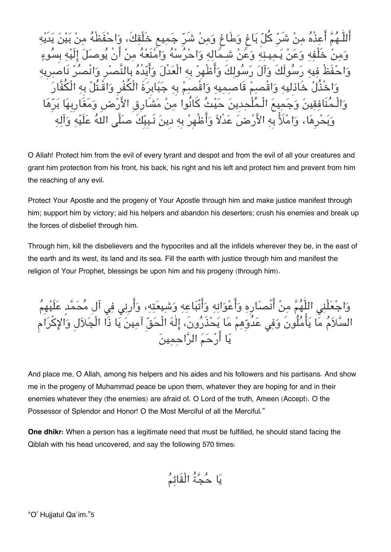أَللَّـهُمَّ أَعِذْهُ مِنْ شَرّ كُلّ بَاغٍ وَطَاغٍ وَمِنْ شَرّ جَمِيعٍ خَلْقِكَ، وَاحْفَظْهُ وَمنْ خَلْفه وَعَنْ يَـميـنه وَعَنْ شـمَاله وَاحْرُسْهُ وَامْنَعْهُ منْ أَنْ يُوصلَ إِلَيْه بِسُو حْفَظْ فيه رَسُولَكَ وَآلَ رَسُولكَ وَأَظْهِرْ بِه الْعَدْلَ وَأَيّدْهُ بِالنَّصرِ وَانْصُرْ نَا وَاخْذُلْ خَاذِليهِ وَاقْصِمْ قَاصمِيهِ وَاقْصَمْ بِهِ جَبَابِرَةَ الْكُفْرِ وَاقْـتُلْ والْـمنَافقين وجميع الْـملْحدِين حيث كانُوا من مشَارِقِ الارضِ ومغَارِبِها برِها وَبَحْرِهَا، وَامْلَأْ بِهِ الأَرْضِ عَدْلاً وَأَطْهِرْ بِهِ دِينَ نَـبِيِّكَ صلَّى اللهُ عَلَيْهِ وَآله

O Allah! Protect him from the evil of every tyrant and despot and from the evil of all your creatures and grant him protection from his front, his back, his right and his left and protect him and prevent from him the reaching of any evil.

Protect Your Apostle and the progeny of Your Apostle through him and make justice manifest through him; support him by victory; aid his helpers and abandon his deserters; crush his enemies and break up the forces of disbelief through him.

Through him, kill the disbelievers and the hypocrites and all the infidels wherever they be, in the east of the earth and its west, its land and its sea. Fill the earth with justice through him and manifest the religion of Your Prophet, blessings be upon him and his progeny (through him).

وَاجْعَلْنِي اللَّهُمَّ مِنْ أَنْصَارِهِ وَأَعْوَانِهِ وَأَتْبَاعِهِ وَشِيعَتِهِ، وَأَرِنِي فِي آلِ مُحَمَّدٍ عَلَيْهِ السَّلاَمُ مَّا يَأْمُلُونَ وَفِى عَدُوِّهِمْ مَا يَحْذَرُونَ، إِلٰهَ الْحَقّ آمِينَ يَا ذَا الْجَلاَلِ وَالإِكْرَام يا ارحم الراحمين

And place me, O Allah, among his helpers and his aides and his followers and his partisans. And show me in the progeny of Muhammad peace be upon them, whatever they are hoping for and in their enemies whatever they (the enemies) are afraid of. O Lord of the truth, Ameen (Accept). O the Possessor of Splendor and Honor! O the Most Merciful of all the Merciful."

**One dhikr:** When a person has a legitimate need that must be fulfilled, he should stand facing the Qiblah with his head uncovered, and say the following 570 times:

$$
\stackrel{1}{\longrightarrow} \stackrel{1}{\longrightarrow}
$$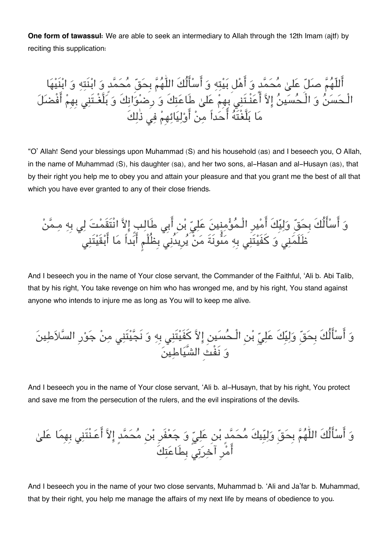**One form of tawassul:** We are able to seek an intermediary to Allah through the 12th Imam (ajtf) by reciting this supplication:

اللّهم صل عل محمدٍ و اهل بيته و اسالُكَ اللّٰهم بِحق محمدٍ و ابنَته و ابنَيها الْـحسن و الْـحسين الا اعنْـتَن بِهِم عل طَاعتكَ و رِضوانكَ و بلَّغْـتَن بِهِم افْضل ما بلَّغْتَه احداً من اوليائهِم ف ذٰلكَ

"O' Allah! Send your blessings upon Muhammad (S) and his household (as) and I beseech you, O Allah, in the name of Muhammad (S), his daughter (sa), and her two sons, al-Hasan and al-Husayn (as), that by their right you help me to obey you and attain your pleasure and that you grant me the best of all that which you have ever granted to any of their close friends.

وَ أَسٰأَلُكَ بِحَقّ وَلِيّكَ أَمْيِرِ الُمُوُّمِنيَنَ عَلِيّ بُن أَبِي طَالِبِ إِلَاّ اَنْتَقَمْتَ لِي بِهِ مِمَّنُ
$$
\frac{1}{2} \int_{-\infty}^{\infty} \frac{1}{2} \left| \frac{\hat{u}^2}{2} \right|
$$

And I beseech you in the name of Your close servant, the Commander of the Faithful, 'Ali b. Abi Talib, that by his right, You take revenge on him who has wronged me, and by his right, You stand against anyone who intends to injure me as long as You will to keep me alive.

و اسالُكَ بِحق وليِكَ عل بن الْـحسين الا كفَيتَن بِه و نَجيتَن من جورِ السلاطين و نَفْثِ الشَّياطين

And I beseech you in the name of Your close servant, 'Ali b. al-Husayn, that by his right, You protect and save me from the persecution of the rulers, and the evil inspirations of the devils.

و اسالُكَ اللّٰهم بِحق وليِيكَ محمدٍ بن عل و جعفَرِ بن محمدٍ الا اعـنْتَن بِهِما عل امرِ آخرت بِطَاعتكَ

And I beseech you in the name of your two close servants, Muhammad b. 'Ali and Ja'far b. Muhammad, that by their right, you help me manage the affairs of my next life by means of obedience to you.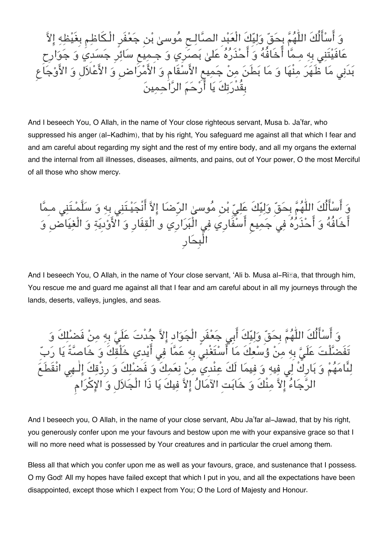وَ اسْأَلَكَ اللَّهُمُّ بِحَقٍّ وَلِيِّكَ الْعَبْدِ الْصَّالِـحِ مَوسىٰ بْنِ جَعْفَرِ الْـكَاظِمِ بِغَيْظِهِ إِلاّ عَافَيْتَنِي بِهِ مِـمَّا اخَافُهُ وَ احْذَرُهُ عَلَىٰ بَصَرِي وَ جِـمِيعِ سَائِرِ جَسَدِي وَ جَوَارِحِ بَدَنِى مَا ظَّهَرَ مِنْهَا وَ مَا بَطَنَ مِنْ جَمِيعِ الأَسْقَامِ وَ الأَمْرَاضِ وَ الأَعْلَالِ وَ الأَوْجَاع بِقُدْرَتِكَ يَا أَرْحَمَ الرَّاحِمِينَ

And I beseech You, O Allah, in the name of Your close righteous servant, Musa b. Ja'far, who suppressed his anger (al-Kadhim), that by his right, You safeguard me against all that which I fear and and am careful about regarding my sight and the rest of my entire body, and all my organs the external and the internal from all illnesses, diseases, ailments, and pains, out of Your power, O the most Merciful of all those who show mercy.

وَ أَسْأَلُكَ اللّٰهُمَّ بِحَقِّ وَلِيِّكَ عَلِيِّ بْنِ مُوسىٰ الرِّضَا إِلاَّ أَنْجَيْـتَنِي بِهِ وَ سَلَّمْـتَنِي مـِمَّا أَخَافُهُ وَ أَحْذَرُهُ فِي جَمِيع أَسْفَارِي فِي الْبَرَارِي و الْقِفَارِ وَ الأَوْدِيَةِ وَ الْغِيَاضِ وَ الْبِحارِ

And I beseech You, O Allah, in the name of Your close servant, 'Ali b. Musa al-RiIa, that through him, You rescue me and guard me against all that I fear and am careful about in all my journeys through the lands, deserts, valleys, jungles, and seas.

وَ أَسْأَلُكَ اللّٰهُمَّ بِحَقّ وَلِيِّكَ أَبِي جَعْفَرِ الْجَوَادِ إِلاَّ جُدْتَ عَلَيَّ بِهِ مِنْ فَضْلِكَ وَ تَفَضَّلْتَ عَلَىَّ بِهِ مِنْ وُسْعِكَ مَا آَسْتَغْنِيَ بِهِ عَمَّا فِي أَيْدِي خَلْقِكَ وَ خَاصَّةً يَا رَبِّ لِئًامَهُمْ وَ بَارِكْ لِي فِيهِ وَ فِيمَا لَكَ عِنْدِيَ مِنْ نِعَمِكَ وَ فَضَلِكَ وَ رِزْقِكَ إِلٰـهِى انْقَطَعَ الرَّجَاءُ إِلاَّ مِنْكَ وَ خَابَتِ الآمَالُ إِلاَّ فِيكَ يَا ذَا الْجَلاَلِ وَ الإِكْرَامِ

And I beseech you, O Allah, in the name of your close servant, Abu Ja'far al-Jawad, that by his right, you generously confer upon me your favours and bestow upon me with your expansive grace so that I will no more need what is possessed by Your creatures and in particular the cruel among them.

Bless all that which you confer upon me as well as your favours, grace, and sustenance that I possess. O my God! All my hopes have failed except that which I put in you, and all the expectations have been disappointed, except those which I expect from You; O the Lord of Majesty and Honour.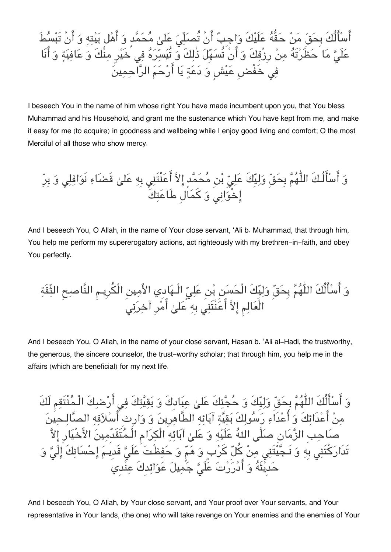اسالُكَ بِحق من حقُّه علَيكَ واجِب انْ تُصلّ عل محمدٍ و اهل بيته و انْ تَبسطَ علَ ما حظَرتَه من رِزْقكَ و انْ تُسهِل ذٰلكَ و تُيسره ف خَيرٍ منْكَ و عافية و انَا ف خَفْضِ عيشٍ و دعة يا ارحم الراحمين

I beseech You in the name of him whose right You have made incumbent upon you, that You bless Muhammad and his Household, and grant me the sustenance which You have kept from me, and make it easy for me (to acquire) in goodness and wellbeing while I enjoy good living and comfort; O the most Merciful of all those who show mercy.

و اسالُـكَ اللّٰهم بِحق وليِكَ عل بن محمدٍ الا اعنْتَن بِه عل قَضاء نَوافل و بِرِ اخْوان و كمالِ طَاعتكَ

And I beseech You, O Allah, in the name of Your close servant, 'Ali b. Muhammad, that through him, You help me perform my supererogatory actions, act righteously with my brethren-in-faith, and obey You perfectly.

و اسالُكَ اللّٰهم بِحق وليِكَ الْحسن بن عل الْـهادِي الامين الْرِيـم النَّاصح الثّقَة الْعالم الا اعنْتَن بِه عل امرِ آخرت

And I beseech You, O Allah, in the name of your close servant, Hasan b. 'Ali al-Hadi, the trustworthy, the generous, the sincere counselor, the trust-worthy scholar; that through him, you help me in the affairs (which are beneficial) for my next life.

و اسالُكَ اللّٰهم بِحق وليِكَ و حجتكَ عل عبادِكَ و بقيتكَ ف ارضكَ الْـمنْتَقم لَكَ من اعدَائكَ و اعدَاء رسولكَ بقية آبائه الطَّاهرِين و وارِثِ اسلافه الصالـحين صاحبِ الزمانِ صلَّ اله علَيه و عل آبائه الْرام الْـمتَقَدِّمين الاخْيارِ الا تَدَاركتَن بِه و نَـجيتَن من كل كربٍ و هم و حفظْت علَ قَدِيـم احسانكَ الَ و حدِيثَه و ادررت علَ جميل عوائدِكَ عنْدِي

And I beseech You, O Allah, by Your close servant, and Your proof over Your servants, and Your representative in Your lands, (the one) who will take revenge on Your enemies and the enemies of Your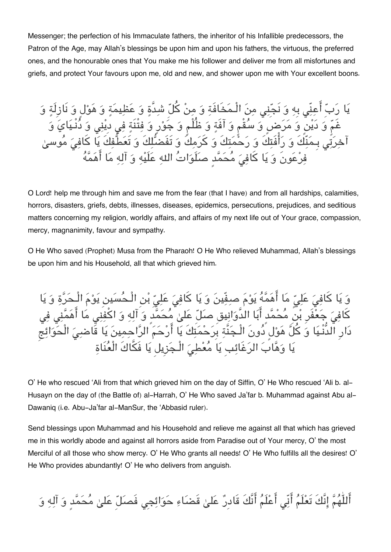Messenger; the perfection of his Immaculate fathers, the inheritor of his Infallible predecessors, the Patron of the Age, may Allah's blessings be upon him and upon his fathers, the virtuous, the preferred ones, and the honourable ones that You make me his follower and deliver me from all misfortunes and griefs, and protect Your favours upon me, old and new, and shower upon me with Your excellent boons.

يَا رَبّ أَعِنِّى بِهِ وَ نَجّنِى مِنَ الْـمَخَافَةِ وَ مِنْ كُلّ شَدَّةٍ وَ عَظِيمَةٍ وَ هَوْل وَ نَازِلَةٍ وَ غُمٌ وَ دَيْنٍ وَ مَرَضٍ وَ سَقَمٍ وَ آفَةٍ وَ ظُلْمٍ وَ جَوْرٍ وَ فِتَنَةٍ فِي دَيْنِي وَ دَنَـيَايَ وَ اخرَتِي بِـمَنَكَ وَ رَافَتِكَ وَ رَحْمَتِكَ وَ كرَمِكَ وَ تَفَضّلُكَ وَ تَعَطَّفِكَ يَا كَافِيَ مَوسىٰ فِرْعَونَ وَ يَا كَافِيَ مَحَمَّدٍ صلَوَاتَ اللهِ عَلَيْهِ وَ آلِهِ مَا اهْمَهُ

O Lord! help me through him and save me from the fear (that I have) and from all hardships, calamities, horrors, disasters, griefs, debts, illnesses, diseases, epidemics, persecutions, prejudices, and seditious matters concerning my religion, worldly affairs, and affairs of my next life out of Your grace, compassion, mercy, magnanimity, favour and sympathy.

O He Who saved (Prophet) Musa from the Pharaoh! O He Who relieved Muhammad, Allah's blessings be upon him and his Household, all that which grieved him.

وَ يَا كَافِيَ عَلِيٍّ مَا أَهَمَّهُ يَوْمَ صِفِّينَ وَ يَا كَافِيَ عَلِيّ بْنِ الْـحُسَينِ يَوْمَ الْـحَرَّةِ وَ يَا كافِيَ جَعَفَرِ بْنِ مَحْمَّدٍ ابَا الدَّوَانِيق صَلِّ عَلَىٰ مَحَمَّدٍ وَ آلِهِ وَ اكفِنِي مَا اهْمَنِي فِي دارِ الدُّنْـيا و كل هولٍ دونَ الْـجنَّة بِرحمتكَ يا ارحم الراحمين يا قَاض الْحوائج يَا وَهَّابَ الرَغَائِبِ يَا مُعْطِيَ الْـجَزِيلِ يَا فَكَّاكَ الْعُنَاةِ

O' He who rescued 'Ali from that which grieved him on the day of Siffin, O' He Who rescued 'Ali b. al-Husayn on the day of (the Battle of) al-Harrah, O' He Who saved Ja'far b. Muhammad against Abu al-Dawaniq (i.e. Abu-Ja'far al-ManSur, the 'Abbasid ruler).

Send blessings upon Muhammad and his Household and relieve me against all that which has grieved me in this worldly abode and against all horrors aside from Paradise out of Your mercy, O' the most Merciful of all those who show mercy. O' He Who grants all needs! O' He Who fulfills all the desires! O' He Who provides abundantly! O' He who delivers from anguish.

أَللّٰهُمَّ إِنَّكَ تَعْلَمُ أَنِّى أَعْلَمُ أَنَّكَ قَادِرٌ عَلىٰ قَضَاءِ حَوَائِجِي فَصلّ عَلىٰ مُحَمَّدٍ وَ آلِهِ وَ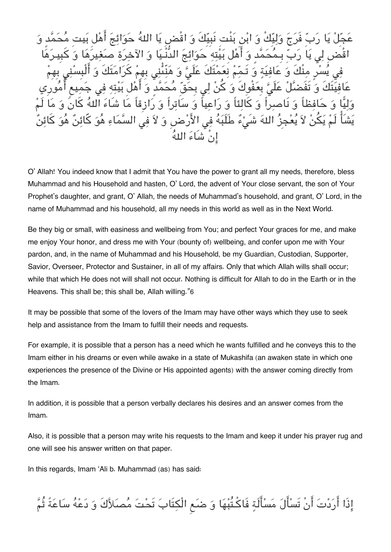بِّ فَرَجَ وَلِيِّكْ وَ ابْنِ بَنْتِ نَبِيِّكَ وَ اقْضِ يَا اللهُ حَوَائِجَ ّ، بـمُحَمَّد وَ أَهْل بَيْتِهِ حَوَائِجَ الدَّنْـيَا وَ الآخِرَةِ صَغِيرَهَا مِنْكَ وَ عَافِيَةٍ وَ تَـمِّمْ نِعَمْتَكَ عَلَىؓ وَ هَنِّئْنِى بِهِمْ كَرَامَتَا عَلَىَّ بِعَفْوكَ وَ كُنْ لِي بِحَقِّ مُحَمَّد<sup>ٍ</sup> وَ أَهْل بَيْ كَالئاً وَ رَاعياً وَ سَاتراً وَ رَازِقاً مَا شَاءَ اللهُ كَانَ يْءٌ طَلَبَهُ فِي الأَرْضِ وَ لاَ في السَّمَاءِ هُوَ كَا انْ شَاء اله

O' Allah! You indeed know that I admit that You have the power to grant all my needs, therefore, bless Muhammad and his Household and hasten, O' Lord, the advent of Your close servant, the son of Your Prophet's daughter, and grant, O' Allah, the needs of Muhammad's household, and grant, O' Lord, in the name of Muhammad and his household, all my needs in this world as well as in the Next World.

Be they big or small, with easiness and wellbeing from You; and perfect Your graces for me, and make me enjoy Your honor, and dress me with Your (bounty of) wellbeing, and confer upon me with Your pardon, and, in the name of Muhammad and his Household, be my Guardian, Custodian, Supporter, Savior, Overseer, Protector and Sustainer, in all of my affairs. Only that which Allah wills shall occur; while that which He does not will shall not occur. Nothing is difficult for Allah to do in the Earth or in the Heavens. This shall be; this shall be, Allah willing."[6](#page--1-0)

It may be possible that some of the lovers of the Imam may have other ways which they use to seek help and assistance from the Imam to fulfill their needs and requests.

For example, it is possible that a person has a need which he wants fulfilled and he conveys this to the Imam either in his dreams or even while awake in a state of Mukashifa (an awaken state in which one experiences the presence of the Divine or His appointed agents) with the answer coming directly from the Imam.

In addition, it is possible that a person verbally declares his desires and an answer comes from the Imam.

Also, it is possible that a person may write his requests to the Imam and keep it under his prayer rug and one will see his answer written on that paper.

In this regards, Imam 'Ali b. Muhammad (as) has said:

إِذَا أَرَدْتَ أَنْ تَسْأَلَ مَسْأَلَةٍ فَاكْتُبْهَا وَ ضَعِ الْكِتَابَ تَحْتَ مُصَلاَّكَ وَ دَعْهُ سَاعَةً ثُمَّ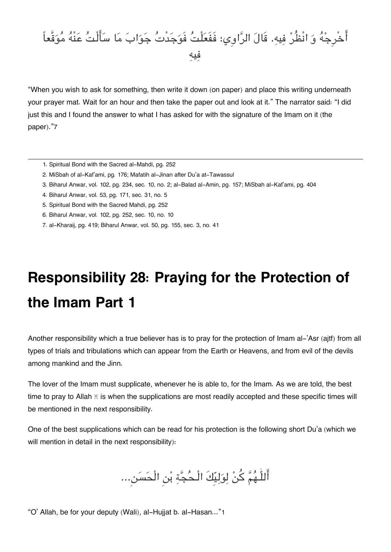#### أَخْرِجْهُ وَ انْظُرْ فِيهِ. قَالَ الرَّاوِي: فَفَعَلْتُ فَوَجَدْتُ جَوَابَ مَا سَأَلْتُ عَنْهُ مُوَقَّعاً فيه

"When you wish to ask for something, then write it down (on paper) and place this writing underneath your prayer mat. Wait for an hour and then take the paper out and look at it." The narrator said: "I did just this and I found the answer to what I has asked for with the signature of the Imam on it (the paper)."[7](#page--1-0)

- [1.](#page--1-0) Spiritual Bond with the Sacred al-Mahdi, pg. 252
- [2.](#page--1-0) MiSbah of al-Kaf'ami, pg. 176; Mafatih al-Jinan after Du'a at-Tawassul
- [3.](#page--1-0) Biharul Anwar, vol. 102, pg. 234, sec. 10, no. 2; al-Balad al-Amin, pg. 157; MiSbah al-Kaf'ami, pg. 404
- [4.](#page--1-0) Biharul Anwar, vol. 53, pg. 171, sec. 31, no. 5
- [5.](#page--1-0) Spiritual Bond with the Sacred Mahdi, pg. 252
- [6.](#page--1-0) Biharul Anwar, vol. 102, pg. 252, sec. 10, no. 10
- [7.](#page--1-0) al-Kharaij, pg. 419; Biharul Anwar, vol. 50, pg. 155, sec. 3, no. 41

## **Responsibility 28: Praying for the Protection of the Imam Part 1**

Another responsibility which a true believer has is to pray for the protection of Imam al-'Asr (ajtf) from all types of trials and tribulations which can appear from the Earth or Heavens, and from evil of the devils among mankind and the Jinn.

The lover of the Imam must supplicate, whenever he is able to, for the Imam. As we are told, the best time to pray to Allah  $\mathbb S$  is when the supplications are most readily accepted and these specific times will be mentioned in the next responsibility.

One of the best supplications which can be read for his protection is the following short Du'a (which we will mention in detail in the next responsibility):

اللّٰـهم كن لوليِكَ الْـحجة بن الْحسن...

"O' Allah, be for your deputy (Wali), al-Hujjat b. al-Hasan..."[1](#page--1-0)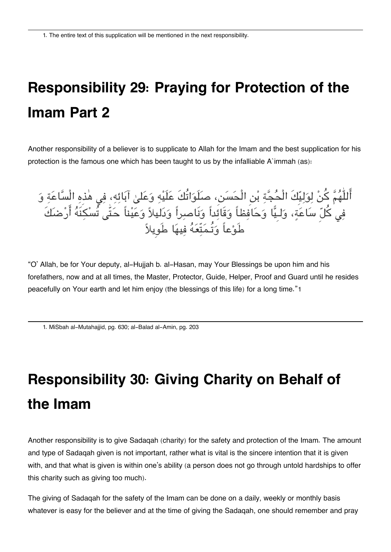## **Responsibility 29: Praying for Protection of the Imam Part 2**

Another responsibility of a believer is to supplicate to Allah for the Imam and the best supplication for his protection is the famous one which has been taught to us by the infalliable A`immah (as):

اللّٰهُمّ كنْ لِوَلِيِّكَ الْحَجّةِ بْنِ الْحَسَنِ، صلَوَاتُكَ عَلَيْهِ وَعَلَىٰ آبَائِهِ، فِي هٰذِهِ السّاعَةِ وَ فِي كلِّ سَاعَةٍ، وَلـيَّا وَحَافِظاً وَقَائِداً وَنَاصِرِاً وَدَليلاً وَعَيْناً حَتّٰى تَسْكِنَهُ ارْضَكَ طَوعاً وتُـمتّعه فيها طَوِيلا

"O' Allah, be for Your deputy, al-Hujjah b. al-Hasan, may Your Blessings be upon him and his forefathers, now and at all times, the Master, Protector, Guide, Helper, Proof and Guard until he resides peacefully on Your earth and let him enjoy (the blessings of this life) for a long time."[1](#page--1-0)

[1.](#page--1-0) MiSbah al-Mutahajjid, pg. 630; al-Balad al-Amin, pg. 203

# **Responsibility 30: Giving Charity on Behalf of the Imam**

Another responsibility is to give Sadaqah (charity) for the safety and protection of the Imam. The amount and type of Sadaqah given is not important, rather what is vital is the sincere intention that it is given with, and that what is given is within one's ability (a person does not go through untold hardships to offer this charity such as giving too much).

The giving of Sadaqah for the safety of the Imam can be done on a daily, weekly or monthly basis whatever is easy for the believer and at the time of giving the Sadaqah, one should remember and pray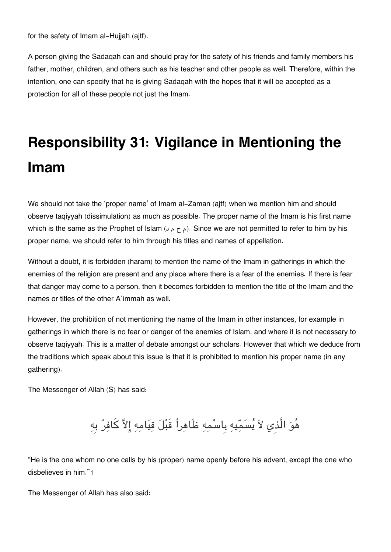for the safety of Imam al-Hujjah (ajtf).

A person giving the Sadaqah can and should pray for the safety of his friends and family members his father, mother, children, and others such as his teacher and other people as well. Therefore, within the intention, one can specify that he is giving Sadaqah with the hopes that it will be accepted as a protection for all of these people not just the Imam.

## **Responsibility 31: Vigilance in Mentioning the Imam**

We should not take the 'proper name' of Imam al-Zaman (ajtf) when we mention him and should observe taqiyyah (dissimulation) as much as possible. The proper name of the Imam is his first name which is the same as the Prophet of Islam (د م ح م). Since we are not permitted to refer to him by his proper name, we should refer to him through his titles and names of appellation.

Without a doubt, it is forbidden (haram) to mention the name of the Imam in gatherings in which the enemies of the religion are present and any place where there is a fear of the enemies. If there is fear that danger may come to a person, then it becomes forbidden to mention the title of the Imam and the names or titles of the other A`immah as well.

However, the prohibition of not mentioning the name of the Imam in other instances, for example in gatherings in which there is no fear or danger of the enemies of Islam, and where it is not necessary to observe taqiyyah. This is a matter of debate amongst our scholars. However that which we deduce from the traditions which speak about this issue is that it is prohibited to mention his proper name (in any gathering).

The Messenger of Allah (S) has said:

هُوَ الَّذِي لاَ يُسَمِّيهِ بِاسْمِهِ ظَاهِراً قَبْلَ قِيَامِهِ إِلاَّ كَافِرٌ بِهِ

"He is the one whom no one calls by his (proper) name openly before his advent, except the one who disbelieves in him."[1](#page--1-0)

The Messenger of Allah has also said: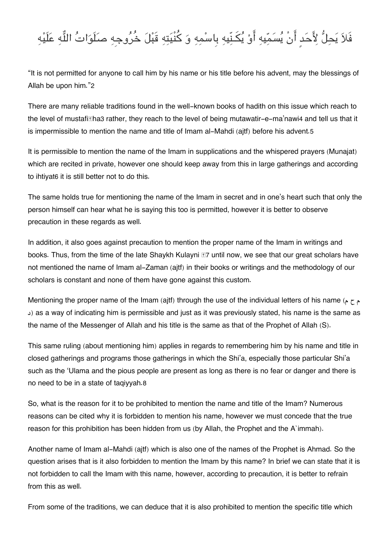### فَلاَ يَحِلُّ لِأَحَد أَنْ يُسَمِّيهِ أَوْ يُكَنِّيهِ بِاسْمِهِ وَ كُنْيَتِهِ قَبْلَ خُرُوجِهِ صلَوَاتُ اللَّهِ عَلَيْهِ

"It is not permitted for anyone to call him by his name or his title before his advent, may the blessings of Allah be upon him."[2](#page--1-0)

There are many reliable traditions found in the well-known books of hadith on this issue which reach to the level of mustafi has rather, they reach to the level of being mutawatir-e-ma'nawi[4](#page--1-0) and tell us that it is impermissible to mention the name and title of Imam al-Mahdi (ajtf) before his advent.[5](#page--1-0)

It is permissible to mention the name of the Imam in supplications and the whispered prayers (Munajat) which are recited in private, however one should keep away from this in large gatherings and according to ihtiyat[6](#page--1-0) it is still better not to do this.

The same holds true for mentioning the name of the Imam in secret and in one's heart such that only the person himself can hear what he is saying this too is permitted, however it is better to observe precaution in these regards as well.

In addition, it also goes against precaution to mention the proper name of the Imam in writings and books. Thus, from the time of the late Shaykh Kulayni **II** until now, we see that our great scholars have not mentioned the name of Imam al-Zaman (ajtf) in their books or writings and the methodology of our scholars is constant and none of them have gone against this custom.

Mentioning the proper name of the Imam (ajtf) through the use of the individual letters of his name (م ح م د) as a way of indicating him is permissible and just as it was previously stated, his name is the same as the name of the Messenger of Allah and his title is the same as that of the Prophet of Allah (S).

This same ruling (about mentioning him) applies in regards to remembering him by his name and title in closed gatherings and programs those gatherings in which the Shi'a, especially those particular Shi'a such as the 'Ulama and the pious people are present as long as there is no fear or danger and there is no need to be in a state of taqiyyah.[8](#page--1-0)

So, what is the reason for it to be prohibited to mention the name and title of the Imam? Numerous reasons can be cited why it is forbidden to mention his name, however we must concede that the true reason for this prohibition has been hidden from us (by Allah, the Prophet and the A`immah).

Another name of Imam al-Mahdi (ajtf) which is also one of the names of the Prophet is Ahmad. So the question arises that is it also forbidden to mention the Imam by this name? In brief we can state that it is not forbidden to call the Imam with this name, however, according to precaution, it is better to refrain from this as well.

From some of the traditions, we can deduce that it is also prohibited to mention the specific title which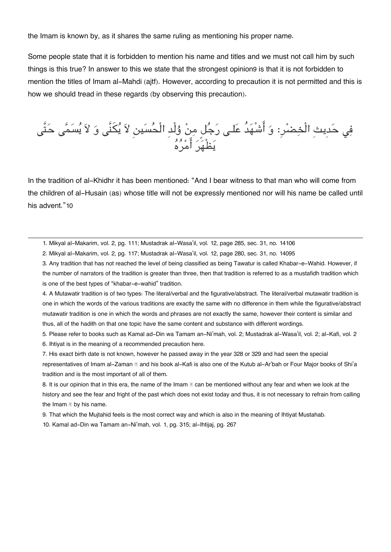the Imam is known by, as it shares the same ruling as mentioning his proper name.

Some people state that it is forbidden to mention his name and titles and we must not call him by such things is this true? In answer to this we state that the strongest opinion[9](#page--1-0) is that it is not forbidden to mention the titles of Imam al-Mahdi (ajtf). However, according to precaution it is not permitted and this is how we should tread in these regards (by observing this precaution).

فِي حَدِيثِ الْخِضْرِ: وَ أَشْهَدُ عَلَى رَجُلٌ مِنْ وُلْدِ الْحَسَيْنِ لاَ يَكْنَى وَ لاَ يَسَمَّى حَتَّى يظْهر امره

In the tradition of al-Khidhr it has been mentioned: "And I bear witness to that man who will come from the children of al-Husain (as) whose title will not be expressly mentioned nor will his name be called until his advent."[10](#page--1-0)

[1.](#page--1-0) Mikyal al-Makarim, vol. 2, pg. 111; Mustadrak al-Wasa'il, vol. 12, page 285, sec. 31, no. 14106

[2.](#page--1-0) Mikyal al-Makarim, vol. 2, pg. 117; Mustadrak al-Wasa'il, vol. 12, page 280, sec. 31, no. 14095

[3.](#page--1-0) Any tradition that has not reached the level of being classified as being Tawatur is called Khabar-e-Wahid. However, if the number of narrators of the tradition is greater than three, then that tradition is referred to as a mustafidh tradition which is one of the best types of "khabar-e-wahid" tradition.

[4.](#page--1-0) A Mutawatir tradition is of two types: The literal/verbal and the figurative/abstract. The literal/verbal mutawatir tradition is one in which the words of the various traditions are exactly the same with no difference in them while the figurative/abstract mutawatir tradition is one in which the words and phrases are not exactly the same, however their content is similar and thus, all of the hadith on that one topic have the same content and substance with different wordings.

[5.](#page--1-0) Please refer to books such as Kamal ad-Din wa Tamam an-Ni'mah, vol. 2; Mustadrak al-Wasa'il, vol. 2; al-Kafi, vol. 2 [6.](#page--1-0) Ihtiyat is in the meaning of a recommended precaution here.

[7.](#page--1-0) His exact birth date is not known, however he passed away in the year 328 or 329 and had seen the special representatives of Imam al-Zaman **II** and his book al-Kafi is also one of the Kutub al-Ar'bah or Four Major books of Shi'a tradition and is the most important of all of them.

[8.](#page--1-0) It is our opinion that in this era, the name of the Imam  $\Box$  can be mentioned without any fear and when we look at the history and see the fear and fright of the past which does not exist today and thus, it is not necessary to refrain from calling the Imam  $\mathbb E$  by his name.

[9.](#page--1-0) That which the Mujtahid feels is the most correct way and which is also in the meaning of Ihtiyat Mustahab.

[10.](#page--1-0) Kamal ad-Din wa Tamam an-Ni'mah, vol. 1, pg. 315; al-Ihtijaj, pg. 267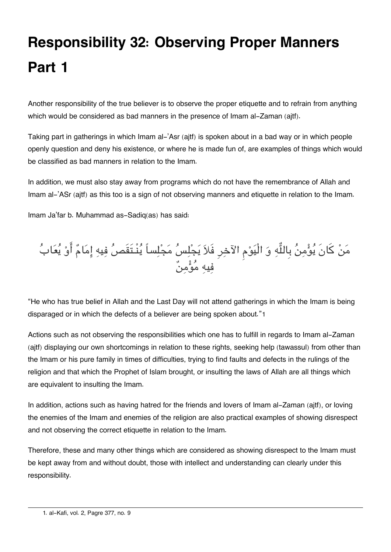# **Responsibility 32: Observing Proper Manners Part 1**

Another responsibility of the true believer is to observe the proper etiquette and to refrain from anything which would be considered as bad manners in the presence of Imam al-Zaman (aitf).

Taking part in gatherings in which Imam al-'Asr (ajtf) is spoken about in a bad way or in which people openly question and deny his existence, or where he is made fun of, are examples of things which would be classified as bad manners in relation to the Imam.

In addition, we must also stay away from programs which do not have the remembrance of Allah and Imam al-'ASr (ajtf) as this too is a sign of not observing manners and etiquette in relation to the Imam.

Imam Ja'far b. Muhammad as-Sadiq(as) has said:



"He who has true belief in Allah and the Last Day will not attend gatherings in which the Imam is being disparaged or in which the defects of a believer are being spoken about."[1](#page--1-0)

Actions such as not observing the responsibilities which one has to fulfill in regards to Imam al-Zaman (ajtf) displaying our own shortcomings in relation to these rights, seeking help (tawassul) from other than the Imam or his pure family in times of difficulties, trying to find faults and defects in the rulings of the religion and that which the Prophet of Islam brought, or insulting the laws of Allah are all things which are equivalent to insulting the Imam.

In addition, actions such as having hatred for the friends and lovers of Imam al-Zaman (ajtf), or loving the enemies of the Imam and enemies of the religion are also practical examples of showing disrespect and not observing the correct etiquette in relation to the Imam.

Therefore, these and many other things which are considered as showing disrespect to the Imam must be kept away from and without doubt, those with intellect and understanding can clearly under this responsibility.

[<sup>1.</sup>](#page--1-0) al-Kafi, vol. 2, Pagre 377, no. 9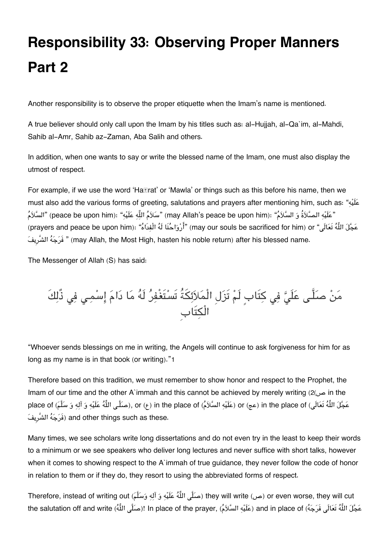# **Responsibility 33: Observing Proper Manners Part 2**

Another responsibility is to observe the proper etiquette when the Imam's name is mentioned.

A true believer should only call upon the Imam by his titles such as: al-Hujjah, al-Qa`im, al-Mahdi, Sahib al-Amr, Sahib az-Zaman, Aba Salih and others.

In addition, when one wants to say or write the blessed name of the Imam, one must also display the utmost of respect.

For example, if we use the word 'Ha $\mathbb{F}$ rat' or 'Mawla' or things such as this before his name, then we must also add the various forms of greeting, salutations and prayers after mentioning him, such as: "هيَلع "عَلَيْه الصَّلاَةُ وَ السَّلاَمُ" (peace be upon him): "سَلاَمُ اللّه عَلَيْه" (may Allah's peace be upon him)" السَّلاَمُ (prayers and peace be upon him): "أَرْوَاحُنَا لَهُ الْفِدَاهُ") (may our souls be sacrificed for him) or "أَ فَرَجَهُ الشَّرِيفَ) " (may Allah, the Most High, hasten his noble return) after his blessed name.

The Messenger of Allah (S) has said:

من صلَّـ علَ ف كتَابٍ لَم تَزلِ الْملائةُ تَستَغْفر لَه ما دام اسمـ ف ذٌلكَ الْتَابِ

"Whoever sends blessings on me in writing, the Angels will continue to ask forgiveness for him for as long as my name is in that book (or writing)."[1](#page--1-0)

Therefore based on this tradition, we must remember to show honor and respect to the Prophet, the Imam of our time and the other A`immah and this cannot be achieved by merely writing ([2](#page--1-0)(ص in the place of ((صَلَّـى اللَّهُ عَلَيْهِ وَ آلِهِ وَ سَلَّـمَ) in the place of (مَلَيْه السَّلاَمُ) or (ع) in the place of ((عَلَيْه السَّلاَمُ) or (عَلَيْه وَ آلِهِ وَ سَلَّمَ) in the place of ( يفِالشَّر هجرَف (and other things such as these.

Many times, we see scholars write long dissertations and do not even try in the least to keep their words to a minimum or we see speakers who deliver long lectures and never suffice with short talks, however when it comes to showing respect to the A`immah of true guidance, they never follow the code of honor in relation to them or if they do, they resort to using the abbreviated forms of respect.

Therefore, instead of writing out (صَلَّى اللَّهُ عَلَيْهِ وَ آلِهِ وَسَلَّمَ) they will write (ص (or even worse, they will cut the salutation off and write (عَلَيْهِ السَّلاَمُ !In place of the prayer, (مَلَلَي اللَّهُ السَّلاَمُ and in place of (عَلَيْهِ السَّلاَمُ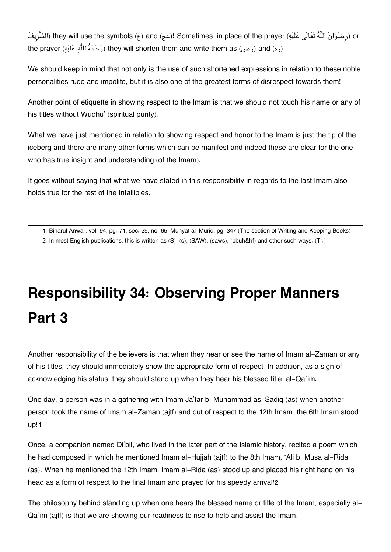الشَّريفَ) they will use the symbols (عج) and (عج)! Sometimes, in place of the prayer (الشَّريف (or the prayer (رَحْمَةُ اللَّه عَلَيْه) they will shorten them and write them as (رض) and (ر).

We should keep in mind that not only is the use of such shortened expressions in relation to these noble personalities rude and impolite, but it is also one of the greatest forms of disrespect towards them!

Another point of etiquette in showing respect to the Imam is that we should not touch his name or any of his titles without Wudhu' (spiritual purity).

What we have just mentioned in relation to showing respect and honor to the Imam is just the tip of the iceberg and there are many other forms which can be manifest and indeed these are clear for the one who has true insight and understanding (of the Imam).

It goes without saying that what we have stated in this responsibility in regards to the last Imam also holds true for the rest of the Infallibles.

[1.](#page--1-0) Biharul Anwar, vol. 94, pg. 71, sec. 29, no. 65; Munyat al-Murid, pg. 347 (The section of Writing and Keeping Books) [2.](#page--1-0) In most English publications, this is written as (S), (s), (SAW), (saws), (pbuh&hf) and other such ways. (Tr.)

# **Responsibility 34: Observing Proper Manners Part 3**

Another responsibility of the believers is that when they hear or see the name of Imam al-Zaman or any of his titles, they should immediately show the appropriate form of respect. In addition, as a sign of acknowledging his status, they should stand up when they hear his blessed title, al-Qa`im.

One day, a person was in a gathering with Imam Ja'far b. Muhammad as-Sadiq (as) when another person took the name of Imam al-Zaman (ajtf) and out of respect to the 12th Imam, the 6th Imam stood up![1](#page--1-0)

Once, a companion named Di'bil, who lived in the later part of the Islamic history, recited a poem which he had composed in which he mentioned Imam al-Hujjah (ajtf) to the 8th Imam, 'Ali b. Musa al-Rida (as). When he mentioned the 12th Imam, Imam al-Rida (as) stood up and placed his right hand on his head as a form of respect to the final Imam and prayed for his speedy arrival![2](#page--1-0)

The philosophy behind standing up when one hears the blessed name or title of the Imam, especially al-Qa`im (ajtf) is that we are showing our readiness to rise to help and assist the Imam.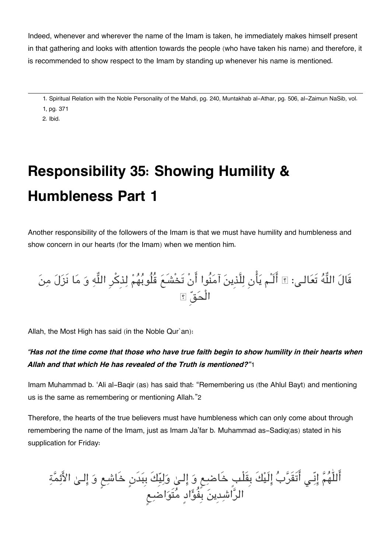Indeed, whenever and wherever the name of the Imam is taken, he immediately makes himself present in that gathering and looks with attention towards the people (who have taken his name) and therefore, it is recommended to show respect to the Imam by standing up whenever his name is mentioned.

[1.](#page--1-0) Spiritual Relation with the Noble Personality of the Mahdi, pg. 240, Muntakhab al-Athar, pg. 506, al-Zaimun NaSib, vol. 1, pg. 371

[2.](#page--1-0) Ibid.

# **Responsibility 35: Showing Humility & Humbleness Part 1**

Another responsibility of the followers of the Imam is that we must have humility and humbleness and show concern in our hearts (for the Imam) when we mention him.

قَالَ اللَّهَ تَعَالَـى: ۩ الـُم يَأْنِ لِلَّذِينَ آمَنُوا انْ تَحْشَـعُ قُلُوبُهُمْ لِذِكرِ اللَّهِ وَ مَا نَزَلَ مِنَ الْحق

Allah, the Most High has said (in the Noble Qur`an):

#### *"Has not the time come that those who have true faith begin to show humility in their hearts when Allah and that which He has revealed of the Truth is mentioned?"*[1](#page--1-0)

Imam Muhammad b. 'Ali al-Baqir (as) has said that: "Remembering us (the Ahlul Bayt) and mentioning us is the same as remembering or mentioning Allah."[2](#page--1-0)

Therefore, the hearts of the true believers must have humbleness which can only come about through remembering the name of the Imam, just as Imam Ja'far b. Muhammad as-Sadiq(as) stated in his supplication for Friday:

اللّٰهم انّـ اتَقَرب الَيكَ بِقَلْبٍ خَاضع و الـ وليِكَ بِبدَنٍ خَاشع و الـ الائمة الراشدِين بِفُوادٍ متَواضع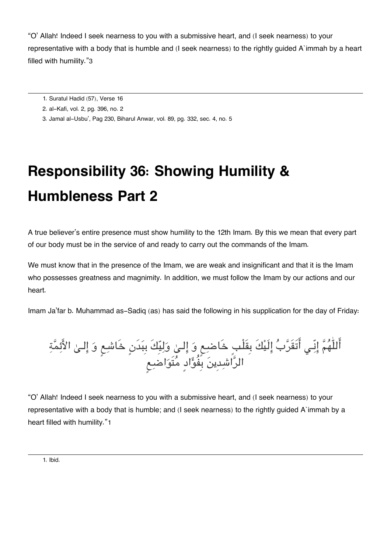"O' Allah! Indeed I seek nearness to you with a submissive heart, and (I seek nearness) to your representative with a body that is humble and (I seek nearness) to the rightly guided A`immah by a heart filled with humility."[3](#page--1-0)

- [1.](#page--1-0) Suratul Hadid (57), Verse 16
- [2.](#page--1-0) al-Kafi, vol. 2, pg. 396, no. 2
- [3.](#page--1-0) Jamal al-Usbu', Pag 230, Biharul Anwar, vol. 89, pg. 332, sec. 4, no. 5

# **Responsibility 36: Showing Humility & Humbleness Part 2**

A true believer's entire presence must show humility to the 12th Imam. By this we mean that every part of our body must be in the service of and ready to carry out the commands of the Imam.

We must know that in the presence of the Imam, we are weak and insignificant and that it is the Imam who possesses greatness and magnimity. In addition, we must follow the Imam by our actions and our heart.

Imam Ja'far b. Muhammad as-Sadiq (as) has said the following in his supplication for the day of Friday:

اللّٰهم انّـ اتَقَرب الَيكَ بِقَلْبٍ خَاضع و الـ وليِكَ بِبدَنٍ خَاشع و الـ الائمة الراشدِين بِفُوادٍ متَواضع

"O' Allah! Indeed I seek nearness to you with a submissive heart, and (I seek nearness) to your representative with a body that is humble; and (I seek nearness) to the rightly guided A`immah by a heart filled with humility."[1](#page--1-0)

[1.](#page--1-0) Ibid.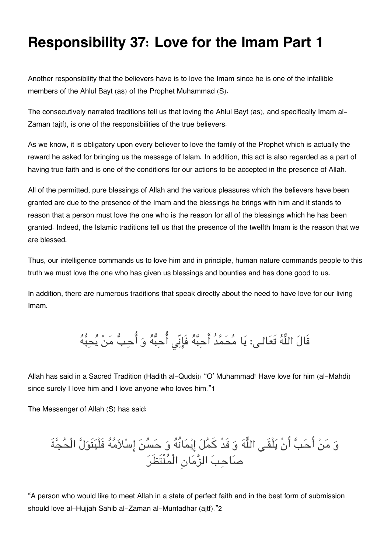### **Responsibility 37: Love for the Imam Part 1**

Another responsibility that the believers have is to love the Imam since he is one of the infallible members of the Ahlul Bayt (as) of the Prophet Muhammad (S).

The consecutively narrated traditions tell us that loving the Ahlul Bayt (as), and specifically Imam al-Zaman (ajtf), is one of the responsibilities of the true believers.

As we know, it is obligatory upon every believer to love the family of the Prophet which is actually the reward he asked for bringing us the message of Islam. In addition, this act is also regarded as a part of having true faith and is one of the conditions for our actions to be accepted in the presence of Allah.

All of the permitted, pure blessings of Allah and the various pleasures which the believers have been granted are due to the presence of the Imam and the blessings he brings with him and it stands to reason that a person must love the one who is the reason for all of the blessings which he has been granted. Indeed, the Islamic traditions tell us that the presence of the twelfth Imam is the reason that we are blessed.

Thus, our intelligence commands us to love him and in principle, human nature commands people to this truth we must love the one who has given us blessings and bounties and has done good to us.

In addition, there are numerous traditions that speak directly about the need to have love for our living Imam.

قَالَ اللَّهُ تَعَالـى: يَا مُحَمَّدُ أَحِبَّهُ فَإِنّى أُحِبُّه وَ أُحِبُّ مَنْ يُحِبُّهُ

Allah has said in a Sacred Tradition (Hadith al-Qudsi): "O' Muhammad! Have love for him (al-Mahdi) since surely I love him and I love anyone who loves him."[1](#page--1-0)

The Messenger of Allah (S) has said:

و من احب انْ يلْقَـ اله و قَدْ كمل ايمانُه و حسن اسلامه فَلْيتَول الْحجةَ صاحب الزمانِ الْمنْتَظَر

"A person who would like to meet Allah in a state of perfect faith and in the best form of submission should love al-Hujjah Sahib al-Zaman al-Muntadhar (ajtf)."[2](#page--1-0)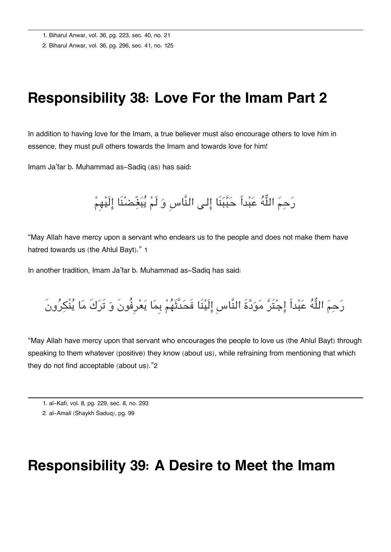[1.](#page--1-0) Biharul Anwar, vol. 36, pg. 223, sec. 40, no. 21

[2.](#page--1-0) Biharul Anwar, vol. 36, pg. 296, sec. 41, no. 125

#### **Responsibility 38: Love For the Imam Part 2**

In addition to having love for the Imam, a true believer must also encourage others to love him in essence, they must pull others towards the Imam and towards love for him!

Imam Ja'far b. Muhammad as-Sadiq (as) has said:

رَحِمَ اللَّهُ عَبْداً حَبَّبَنَا إِلى النَّاسِ وَ لَمْ يُبَغِّضنْنَا إِلَيْهِمْ

"May Allah have mercy upon a servant who endears us to the people and does not make them have hatred towards us (the Ahlul Bayt)." [1](#page--1-0)

In another tradition, Imam Ja'far b. Muhammad as-Sadiq has said:

رَحِمَ اللَّهُ عَبْداً إِجْتَرَّ مَوَدَّةَ النَّاسِ إِلَيْنَا فَحَدَّثَهُمْ بِمَا يَعْرِفُونَ وَ تَرَكَ مَا يُنْكِرُونَ

"May Allah have mercy upon that servant who encourages the people to love us (the Ahlul Bayt) through speaking to them whatever (positive) they know (about us), while refraining from mentioning that which they do not find acceptable (about us)."[2](#page--1-0)

#### **Responsibility 39: A Desire to Meet the Imam**

[<sup>1.</sup>](#page--1-0) al-Kafi, vol. 8, pg. 229, sec. 8, no. 293

[<sup>2.</sup>](#page--1-0) al-Amali (Shaykh Saduq), pg. 99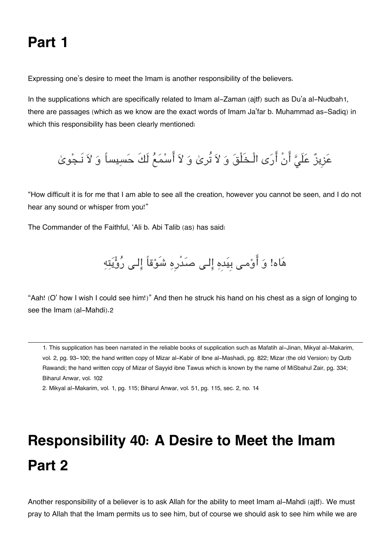### **Part 1**

Expressing one's desire to meet the Imam is another responsibility of the believers.

In the supplications which are specifically related to Imam al-Zaman (ajtf) such as Du'a al-Nudbah[1](#page--1-0), there are passages (which as we know are the exact words of Imam Ja'far b. Muhammad as-Sadiq) in which this responsibility has been clearly mentioned:

عَزِيزٌ عَلَىَّ أَنْ أَرَى الْـخَلْقَ وَ لاَ تُرىٰ وَ لاَ أَسْمَعُ لَكَ حَسِيساً وَ لاَ نَـجْوىٰ

"How difficult it is for me that I am able to see all the creation, however you cannot be seen, and I do not hear any sound or whisper from you!"

The Commander of the Faithful, 'Ali b. Abi Talib (as) has said:

هَاه! وَ أَوْمـى بِيَدِهِ إِلـى صَدْرِهِ شَوْقاً إِلـى رُؤْيَتِهِ

"Aah! (O' how I wish I could see him!)" And then he struck his hand on his chest as a sign of longing to see the Imam (al-Mahdi).[2](#page--1-0)

[1.](#page--1-0) This supplication has been narrated in the reliable books of supplication such as Mafatih al-Jinan, Mikyal al-Makarim, vol. 2, pg. 93-100; the hand written copy of Mizar al-Kabir of Ibne al-Mashadi, pg. 822; Mizar (the old Version) by Qutb Rawandi; the hand written copy of Mizar of Sayyid ibne Tawus which is known by the name of MiSbahul Zair, pg. 334; Biharul Anwar, vol. 102

[2.](#page--1-0) Mikyal al-Makarim, vol. 1, pg. 115; Biharul Anwar, vol. 51, pg. 115, sec. 2, no. 14

## **Responsibility 40: A Desire to Meet the Imam Part 2**

Another responsibility of a believer is to ask Allah for the ability to meet Imam al-Mahdi (ajtf). We must pray to Allah that the Imam permits us to see him, but of course we should ask to see him while we are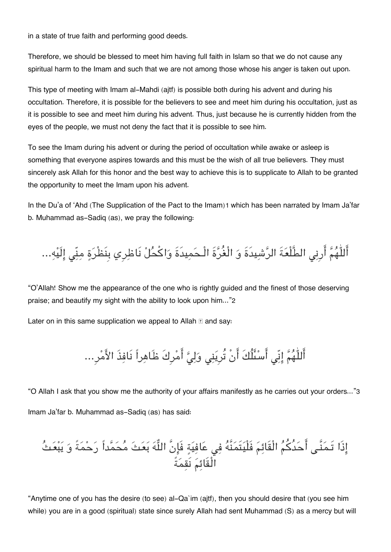in a state of true faith and performing good deeds.

Therefore, we should be blessed to meet him having full faith in Islam so that we do not cause any spiritual harm to the Imam and such that we are not among those whose his anger is taken out upon.

This type of meeting with Imam al-Mahdi (ajtf) is possible both during his advent and during his occultation. Therefore, it is possible for the believers to see and meet him during his occultation, just as it is possible to see and meet him during his advent. Thus, just because he is currently hidden from the eyes of the people, we must not deny the fact that it is possible to see him.

To see the Imam during his advent or during the period of occultation while awake or asleep is something that everyone aspires towards and this must be the wish of all true believers. They must sincerely ask Allah for this honor and the best way to achieve this is to supplicate to Allah to be granted the opportunity to meet the Imam upon his advent.

In the Du'a of 'Ahd (The Supplication of the Pact to the Imam)[1](#page--1-0) which has been narrated by Imam Ja'far b. Muhammad as-Sadiq (as), we pray the following:

اللّٰهم ارِن الطَّلْعةَ الرشيدَةَ و الْغُرةَ الْـحميدَةَ واكحل نَاظرِي بِنَظْرة منّ الَيه...

"O'Allah! Show me the appearance of the one who is rightly guided and the finest of those deserving praise; and beautify my sight with the ability to look upon him..."[2](#page--1-0)

Later on in this same supplication we appeal to Allah  $\mathbb E$  and say:

أَللّٰهُمَّ إِنِّي أَسْئَلُكَ أَنْ تُرِيَنِي وَلِيَّ أَمْرِكَ ظَاهِراً نَافِذَ الأَمْرِ...

"O Allah I ask that you show me the authority of your affairs manifestly as he carries out your orders..."[3](#page--1-0) Imam Ja'far b. Muhammad as-Sadiq (as) has said:

اذَا تَـمنَّـ احدُكم الْقَائم فَلْيتَمنَّه ف عافية فَانَّ اله بعث محمداً رحمةً و يبعث الْقَائم نَقمةً

"Anytime one of you has the desire (to see) al-Qa`im (ajtf), then you should desire that (you see him while) you are in a good (spiritual) state since surely Allah had sent Muhammad (S) as a mercy but will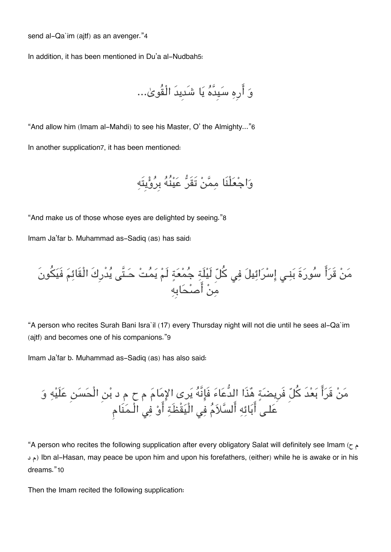send al-Qa`im (ajtf) as an avenger."[4](#page--1-0)

In addition, it has been mentioned in Du'a al-Nudbah[5](#page--1-0):

```
و ارِه سيِدَّه يا شَدِيدَ الْقُوىٰ...
```
"And allow him (Imam al-Mahdi) to see his Master, O' the Almighty..."[6](#page--1-0) In another supplication[7](#page--1-0), it has been mentioned:

```
واجعلْنَا ممن تَقَر عينُه بِرويِتَه
```
"And make us of those whose eyes are delighted by seeing."[8](#page--1-0)

Imam Ja'far b. Muhammad as-Sadiq (as) has said:

من قَرا سورةَ بنـ اسرائيل ف كل لَيلَة جمعة لَم يمت حـتَّ يدْرِكَ الْقَائم فَيونَ من اصحابِه

"A person who recites Surah Bani Isra`il (17) every Thursday night will not die until he sees al-Qa`im (ajtf) and becomes one of his companions."[9](#page--1-0)

Imam Ja'far b. Muhammad as-Sadiq (as) has also said:

مَنٌ قَرَأً بَعْدَ كُُلِّ فَرِيضَةَ هُذَا اللُّعَاءَ فَاٍِنَّهُ يَرى الإِمَاءَ مِ ح م د بُنِ الُحَسَنِ عَلَيْهِ وَ
$$
i = \frac{1}{2} \left( \frac{3}{2} + \frac{3}{2} \right)
$$

"A person who recites the following supplication after every obligatory Salat will definitely see Imam (ح م دم د) Ibn al-Hasan, may peace be upon him and upon his forefathers, (either) while he is awake or in his dreams."[10](#page--1-0)

Then the Imam recited the following supplication: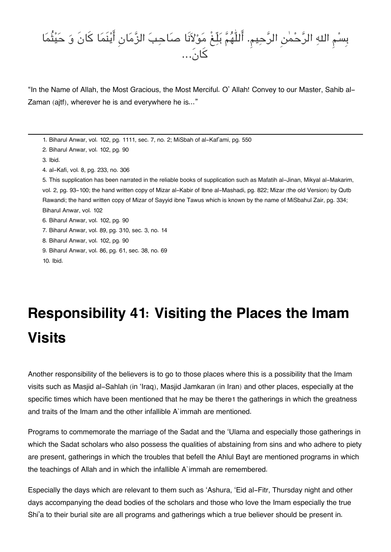### بِسم اله الرحمن الرحيم. اللّٰهم بلّغْ مولانَا صاحب الزمانِ اينَما كانَ و حيثُما كان...

"In the Name of Allah, the Most Gracious, the Most Merciful. O' Allah! Convey to our Master, Sahib al-Zaman (ajtf), wherever he is and everywhere he is..."

```
1. Biharul Anwar, vol. 102, pg. 1111, sec. 7, no. 2; MiSbah of al-Kaf'ami, pg. 550
```

```
2. Biharul Anwar, vol. 102, pg. 90
```
[3.](#page--1-0) Ibid.

[4.](#page--1-0) al-Kafi, vol. 8, pg. 233, no. 306

[5.](#page--1-0) This supplication has been narrated in the reliable books of supplication such as Mafatih al-Jinan, Mikyal al-Makarim, vol. 2, pg. 93-100; the hand written copy of Mizar al-Kabir of Ibne al-Mashadi, pg. 822; Mizar (the old Version) by Qutb Rawandi; the hand written copy of Mizar of Sayyid ibne Tawus which is known by the name of MiSbahul Zair, pg. 334; Biharul Anwar, vol. 102

[6.](#page--1-0) Biharul Anwar, vol. 102, pg. 90

[7.](#page--1-0) Biharul Anwar, vol. 89, pg. 310, sec. 3, no. 14

[8.](#page--1-0) Biharul Anwar, vol. 102, pg. 90

[9.](#page--1-0) Biharul Anwar, vol. 86, pg. 61, sec. 38, no. 69

[10.](#page--1-0) Ibid.

# **Responsibility 41: Visiting the Places the Imam Visits**

Another responsibility of the believers is to go to those places where this is a possibility that the Imam visits such as Masjid al-Sahlah (in 'Iraq), Masjid Jamkaran (in Iran) and other places, especially at the specific times which have been mentioned that he may be there[1](#page--1-0) the gatherings in which the greatness and traits of the Imam and the other infallible A`immah are mentioned.

Programs to commemorate the marriage of the Sadat and the 'Ulama and especially those gatherings in which the Sadat scholars who also possess the qualities of abstaining from sins and who adhere to piety are present, gatherings in which the troubles that befell the Ahlul Bayt are mentioned programs in which the teachings of Allah and in which the infallible A`immah are remembered.

Especially the days which are relevant to them such as 'Ashura, 'Eid al-Fitr, Thursday night and other days accompanying the dead bodies of the scholars and those who love the Imam especially the true Shi'a to their burial site are all programs and gatherings which a true believer should be present in.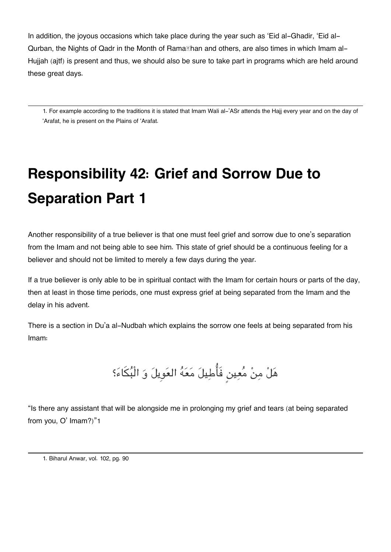In addition, the joyous occasions which take place during the year such as 'Eid al-Ghadir, 'Eid al-Qurban, the Nights of Qadr in the Month of Rama**Ihan and others, are also times in which Imam al-**Hujjah (ajtf) is present and thus, we should also be sure to take part in programs which are held around these great days.

[1.](#page--1-0) For example according to the traditions it is stated that Imam Wali al-'ASr attends the Hajj every year and on the day of 'Arafat, he is present on the Plains of 'Arafat.

# **Responsibility 42: Grief and Sorrow Due to Separation Part 1**

Another responsibility of a true believer is that one must feel grief and sorrow due to one's separation from the Imam and not being able to see him. This state of grief should be a continuous feeling for a believer and should not be limited to merely a few days during the year.

If a true believer is only able to be in spiritual contact with the Imam for certain hours or parts of the day, then at least in those time periods, one must express grief at being separated from the Imam and the delay in his advent.

There is a section in Du'a al-Nudbah which explains the sorrow one feels at being separated from his Imam:

هَلْ مِنْ مُعِين فَأُطِيلَ مَعَهُ العَوِيلَ وَ الْبُكَاءَ؟

"Is there any assistant that will be alongside me in prolonging my grief and tears (at being separated from you, O' Imam?)"[1](#page--1-0)

[<sup>1.</sup>](#page--1-0) Biharul Anwar, vol. 102, pg. 90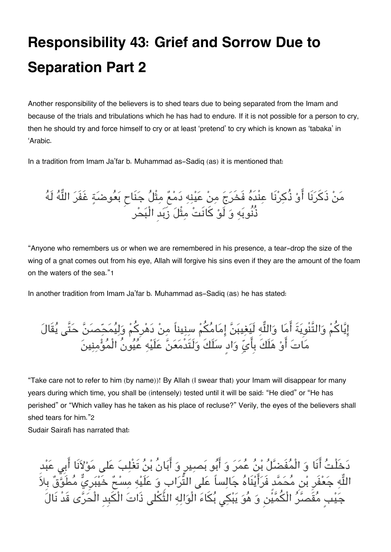## **Responsibility 43: Grief and Sorrow Due to Separation Part 2**

Another responsibility of the believers is to shed tears due to being separated from the Imam and because of the trials and tribulations which he has had to endure. If it is not possible for a person to cry, then he should try and force himself to cry or at least 'pretend' to cry which is known as 'tabaka' in 'Arabic.

In a tradition from Imam Ja'far b. Muhammad as-Sadiq (as) it is mentioned that:

مَنْ ذَكَرَنَا أَوْ ذُكِرْنَا عِنْدَهُ فَخَرَجَ مِنْ عَيْنِهِ دَمْعٌ مِتْلُ جَنَاحٍ بَعُوضَةٍ غَفَرَ اللَّهُ لَهُ ذُنُوبه و لَو كانَت مثْل زَبدِ الْبحر

"Anyone who remembers us or when we are remembered in his presence, a tear-drop the size of the wing of a gnat comes out from his eye, Allah will forgive his sins even if they are the amount of the foam on the waters of the sea."[1](#page--1-0)

In another tradition from Imam Ja'far b. Muhammad as-Sadiq (as) he has stated:

إِيَّاكُمْ وَالتَّنْوِيَةَ أَمَا وَاللَّهِ لَيَغِيبَنَّ إِمَامُكُمْ سِنِيناً مِنْ دَهْرِكُمْ وَلِيُمَحِّصَنَّ حَتَّى يُقَالَ مَاتَ أَوْ هَلَكَ بِأَيِّ وَادٍ سَلَكَ وَلَتَدْمَعَنَّ عَلَيْهِ عَيُونُ الْمُؤْمِنِينَ

"Take care not to refer to him (by name))! By Allah (I swear that) your Imam will disappear for many years during which time, you shall be (intensely) tested until it will be said: "He died" or "He has perished" or "Which valley has he taken as his place of recluse?" Verily, the eyes of the believers shall shed tears for him."[2](#page--1-0)

Sudair Sairafi has narrated that:

دخَلْت انَا و الْمفَضل بن عمر و ابو بصيرٍ و ابانُ بن تَغْلب عل مولانَا ابِ عبدِ اللَّهِ جَعَّفَرِ بْنِ مَحَمَّد فَرَايْنَاهُ جَالِساً عَلَى التَّرَابِ وَ عَلَيْهِ مِسْحٌ خَيْبَرِيّ مَطَوَّقٌ بِلاَ جَيْبٍ مُقَصَّرُ الْكُمَّيُّن وَ هُوَ يَبْكِي بُكَاءَ الْوَالِهِ الثَّكْلى ذَاتَ الْكَبِدِ الْحَرَّى قَدْ نَالَ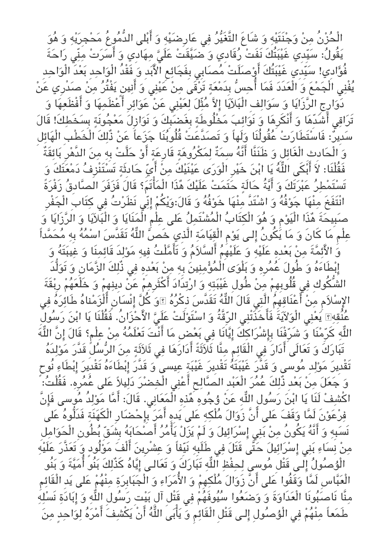الْحُزْنُ مِنْ وَجْنَتَيْهِ وَ شَاعَ التَّغَيُّرُ فِي عَارِضيَّهِ وَ أَبْلى الدُّمُوعُ مَحْجِرَيْهِ وَ هُوَ يَقُولُ: سَيّدِي غَيْبَتُكَ نَفَتْ رُقَادِي وَ ضَيَّقَتْ عَلَىَّ مِهَادِي وَ أَسَرَتْ مِنِّي رَاحَةَ فُوَّادِي! سَيِّدِي غَيْبَتُكَ أَوْصلَلتْ مُصابى بِفَجَائِعِ الْأَبَدِ وَ فَقْدُ الْوَاحِدِ بَعْدَ الْوَاحِدِ يُفْنِي الْجَمْعَ وَ الْعَدَدَ فَمَا أُحِسُّ بِدَمْعَةٍ تَرْقَىَ مِنْ عَيْنِي وَ أَنِينِ يَفْتُرُ مِنْ صَدْرِي عَنْ رِ<br>دَوَارِجِ الرَّزَايَا وَ سَوَالِفَ الْبَلَايَا إِلاَّ مُثِّلَ لِعَيْنِي عَنْ عَوَائِرِ أَعْظَمِهَا وَ أَفْظَعِهَا وَ تَرَاقِى أَشَدِّهَا وَ أَنْكَرِهَا وَ نَوَائِبَ مَخْلُوطَةٍ بِغَضَبِكَ وَ نَوَازِلَ مَعْجُونَةٍ بِسَخَطِكَ! قَالَ سدِير: فَاستَطَارت عقُولُنَا ولَهاً و تَصدَّعت قُلُوبنَا جزعاً عن ذٌلكَ الْخَطْبِ الْهائل و الْحادِثِ الْغَائل و ظَنَنَّا انَّه سمةٌ لمروهة قَارِعة او حلَّت بِه من الدَّهرِ بائقَةٌ فَقُلْنَا: لاَ أَبْكَى اللَّهُ يَا ابْنَ خَيْرِ الْوَرَى عَيْنَيْكَ مِنْ أَيِّ حَادِثَةٍ تَسْتَنْزِفُ دَمْعَتَكَ وَ تَستَمطر عبرتَكَ و ايةُ حالَة حتَمت علَيكَ هذَا الْماتَم؟ قَال فَزفَر الصادِق زَفْرةً انْتَفَخَ مِنْهَا جَوْفُهُ وَ اشْتَدَّ مِنْهَا خَوْفُهُ وَ قَالَ:وَيْكُمْ إِنِّي نَظَرْتُ فِي كِتَابِ الْجَفْرِ صَبِيحَةَ هُذَا الْيَوْم وَ هُوَ الْكِتَابُ الْمُشْتَمِلُ عَلى عِلْمِ الْمَنَايَا وَ الْبَلَايَا وَ الَرَّزَايَا وَ عِلْم مَا كَانَ وَ مَا يَكُونُ إِلَى يَوْمِ الْقِيَامَةِ الَّذِي خَصِّ اللَّهُ تَقَدَّسَ اسْمَهُ بِهِ مَحَمَّداً وَ الأَئِمَّةَ مِنْ بَعْدِهِ عَلَيْهِ وَ عَلَيْهِمُ السَّلاَمَ وَ تَامَلْتَ فِيهِ مَوْلِدِ قَائِمِنَا وَ غِيبَتَهُ وَ إِبْطَاءَهُ وَ طُولَ عُمُرهِ وَ بَلْوَى الْمُؤْمِنِينَ بِهِ مِنْ بَعْدِهِ فِي ذُلِكَ الزَّمَانِ وَ تَوَلُّدَ الشُّكُوكِ فِي قُلُوبِهِمْ مِنْ طُولِ غَيْبَتِهِ وَ ارْتِدَادَ أَكْثَرِهِمْ عَنْ دِينِهِمْ وَ خَلْعَهُمْ رِبْقَةَ الإِسْلاَم مِنْ أَعْنَاقِهِمُ الَّتِى قَالَ اللَّهُ تَقَدَّسَ ذِكْرُهُ ۩وَ كُلَّ إِنْسَانٍ أَلْزَمْناهُ طَائِرَهُ فِى عُنُقهِ؟ يَعْنِي الْوَلاَيَةَ فَأَخَذَتْنِي الرِّقَّةُ وَ اسْتَوْلَتْ عَلَيَّ الأَحْزَانُ. فَقُلْنَا يَا ابْنَ رَسُولِ اللَّهِ كَرِّمْنَا وَ شَرِّفْنَا بِإِشْرَاكِكَ إِيَّانَا فِي بَعْضِ مَا أَنْتَ تَعْلَمُهُ مِنْ عِلْم؟ قَالَ إِنَّ اللَّهَ تَبَارَكَ وَ تَعَالَى أَدَارَ فِى الْقَائِمُ مِنَّا ثَلَاثَةً أَدَارَهَا فِى ثَلاَثَةٍ مِنَ الرُّسُلُّ قَدَّرَ مَوْلِدَهُ تَقْدِيرَ مَوْلِدِ مُوسى وَ قَدَّرَ غَيْبَتَهُ تَقْدِيرَ غَيْبَةِ عِيسى ۚ وَ قَدَّرَ إِبْطَاءَهُ تَقْدِيرَ إِبْطَاءِ نُوح وَ جَعَلَ مِنْ بَعْدِ ذَٰلِكَ عُمْرَ الْعَبْدِ الصَّالِحِ أَعْنِي الْخِضْرَ دَلِيلاً عَلى عُمْرِهِ. فَقُلْتُ: ۚ اكْشِفْ لَنَا يَا ابْنَ رَسُولِ اللَّهِ عَنْ وُجُوهِ ۖ هُّذِهِ الْمَعَانِي. قَالَ: أَمَّا مَوْلِدُ مُوسى فَإِنَّ فِرْعَوْنَ لَمَّا وَقَفَ عَلى أَنَّ زَوَالَ مُلْكِهِ عَلى يَدِهِ أَمَرَ بِإِحْضَارِ الْكَهَنَةِ فَدَلُّوهُ عَلى نَسَبِهِ وَ أَنَّهُ يَكُونُ مِنْ بَنِي إِسْرَائِيلَ وَ لَمْ يَزَلْ يَأْمُرُ أَصَـٰحَابَهُ بِشَقّ بُطُونِ الْحَوَامِل مِنْ نِسَاءِ بَنِي إِسْرَائِيلَ حَتَّى قَتَلَ فِي طَلَبِهِ نَيِّفاً وَ عِشْرِينَ أَلْفَ مَوْلُودٍ وَ تَعَذَّرَ عَلَيْهِ الْوُصِنُولَ إِلَـى قَتْل مُوسى لِحِفْظِ اللَّهِ تَبَارَكَ وَ تَعَالـَى إِيَّاهُ كَذَلِكَ بَنُو امَيَّةً وَ بَنُو الْعَبَّاسِ لَمَّا وَقَفُوا عَلَى أَنْ زَوَالَ مَلْكِهِمْ وَ الْأَمَرَاءِ وَ الْجَبَابِرَةِ مِنْهُمْ عَلَى يَدِ الْقَائِم مِنَّا نَاصَبُونَا الْعَدَاوَةَ وَ وَضَعُوا سُيُوفَهُُمْ فِي قَتْلِ آلِ بَيْتِ رَسُولِ اللَّهِ وَ إِبَادَةِ نَسْلِهِ طَمَعاً مِنْهُمْ فِي الْوُصِلُولِ إِلـى قَتْلِ الْقَائِمِ وَ يَأْبَىَ اللَّهُ أَنْ يَكْشِفَ أَمْرَهُ لِوَاحِدٍ مِنَ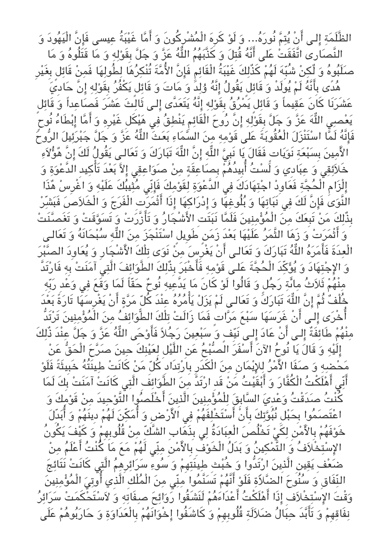الظَّلَمَةِ إِلـى أَنْ يُتِمَّ نُورَهُ... وَ لَوْ كَرِهَ الْمُشْرِكُونَ وَ أَمَّا غَيْبَةُ عِيسى فَإِنَّ الْيَهُودَ وَ النَّصَارى اتَّفَقَتُٰ عَلى أَنَّهُ قُتِلَ وَ كَذَّبَهُمُ اللَّهُ عَزَّ وَ جَلَّ بِقَوْلِهِ وَ مَا قَتَلُوهُ وَ مَا صَلَبُوهُ وَ لِّكِنْ شُبِّهَ لَهُمْ كَذَّلِكَ غَيْبَةُ الْقَائِمِ فَإِنَّ الأُمَّةَ تُنْكِرُهَا لِطُولِهَا فَمِنْ قَائِلِ بِغَيْرِ هُدًى بِأَنَّهُ لَمْ يُولَدْ وَ قَائِلَ يَقُولُ إِنَّهُ وُلِدَّٰ وَ مَاتَ وَ قَائِل يَكْفُرُ بِقَوْلِهِ إِنَّ حَادِيَ عشَرنَا كانَ عقيماً و قَائل يمرق بِقَوله انَّه يتَعدَّى الـ ثَالث عشَر فَصاعداً و قَائل يَعْصِي اللَّهَ عَزَّ وَ جَلَّ بِقَوْلِهِ إِنَّ رُوحَ الْقَائِمِ يَنْطِقُ فِي هَيْكَلِ غَيْرِهِ وَ أَمَّا إِبْطَاءُ نُوحٍ فَإِنَّهُ لَمَّا اسْتَنْزَلَ الْعُقُوبَةَ عَلى قَوْمِهِ مِنَ السَّمَاءِ بَعَتْ اللَّهُ عَزَّ وَ جَلَّ جَبْرَئِيلَ الرُّوحَ الأَمِينَ بِسَبْعَةِ نَوَيَاتٍ فَقَالَ يَا نَبِيَّ اللُّهِ إِنَّ اللُّهَ تَبَارَكَ وَ تَعَالـى يَقُولُ لَكَ إِنَّ هُؤُلاَءِ خَلاَئِقِي َ عِبَادِي وَ لَّسْتُ أُبِيدُهُمْ بِصَاعِقَةٍ مِنْ صَوَاعِقِي إِلاَّ بَعْدَ تَأْكِيدِ الدَّعْوَةِ وَ إِلْزَامِ الْحُجَّةِ فَعَاوِدْ اجْتِهَادَكَ فِي الْدَّعْوَةِ لِقَوْمِكَ فَإِنِّي مُتِّيبُكَ عَلَيْهِ وَ اغْرِسْ هُذَا النَّوَىَ فَإِنَّ لَكَ فِي نَبَاتِهَا وَ بُلُوغِهَا وَ إِدْرَاكِهَا إِذَا أَثْمَرَت الْفَرَجَ وَ الْخَلاَصَ فَبَشّرْ بِذُّلِكَ مَنْ تَبِعَكَ مِنَ الْمُؤْمِنِينَ فَلَمَّا نَبَتَت الأَشْجَارُ وَ تَأَزَّرَتْ وَ تَسَوَّقَتْ وَ تَغَصنَّنَتْ وَ أَثْمَرَتْ وَ زَهَا الثَّمَرُ عَلَيْهَا بَعْدَ زَمَن طَوِيل اسْتَنْجَزَ مِنَ اللَّهِ سُبْحَانَهُ وَ تَعَالـى الْعِدَةَ فَأَمَرَهُ اللَّهُ تَبَارَكَ وَ تَعَالـى أَنْ يَغْرِّسَ مِنْ نَوَى تِلْكَ الأَشْجَارِ وَ يُعَاوِدَ الصَّبْرَ وَ الإِجْتِهَادَ وَ يُؤَكِّدَ الْحُجَّةَ عَلـى قَوْمِهِ فَأَحْبَرَ بِذُّلِكَ الطَّوَائِفَ الَّتِىَ آمَنَتْ بِهِ فَارْتَدَّ مِنْهُُمْ ثَلَاثُ مِائَةِ رَجُل وَ قَالُوا لَوْ كَانَ مَا يَدَّعِيهِ نُوحٌ حَقّاً لَمَا وَقَعَ فِي وَعْدِ رَبِّهِ جُلْفُ ثُمَّ إِنَّ اللَّهَ تَبَارَكً وَ تَعَالـى لَمْ يَزَلْ يَأْمُرُهُ عِنْدَ كُلّ مَرَّةٍ أَنْ يَغْرِسَهَا تَارَةً بَعْدَ أُخْرَى إِلَى أَنْ غَرَسَهَا سَبْعَ مَرَّاتٍ فَمَا زَالَتْ تِلْكَ الطَّوَائِفُ مِنَ الْمُؤْمِنِينَ تَرْتَدُّ مِنْهُمْ طَائِفَةٌ إِلـى أَنْ عَادَ إِلـى نَيِّفٍ وَ سَبْعِينَ رَجُلاً فَأَوْحَى اللَّهُ عَزَّ وَ جَلَّ عِنْدَ ذُّلِكَ إِلَيْهِ وَ قَالَ يَا نُوحُ الآنَ أَسْفَرَ الْصُبُّجُ عَنِ اللَّيْلِ لِعَيْنِكَ حِينَ صَرَّحَ الْحَقُّ عَنْ محضه و صفَا الاَمر للايمانِ من الْدَرِ بِارتدَادِ كل من كانَت طينَتُه خَبِيثَةً فَلَو أَنِّى أَهْلَكْتُ الْكُفَّارَ وَ أَبْقَيْتُ مَنْ قَدِ ارْتَدَّ مِنَ الطَّوَائِفَ الَّتِي كَانَتْ آمَنَتْ بِكَ لَمَا .<br>كُنْتُ صدَقْتُ وَعْدِيَ السَّابِقَ لِلْمُؤْمِنِينَ الَّذِينَ أَخْلَصُوا التَّوْحِيدَ مِنْ قَوْمِكَ وَ اعْتَصَمُوا بِحَبْل نُبُوَّتِكَ بِأَنْ أَسْتَخْلِفَهُمْ فِي الْأَرْضِ وَ أُمَكِّنَ لَهُمْ دِينَهُمْ وَ أُبَدِّلَ خَوْفَهُمْ بِالأَمْنَ لِكََىْ تَخْلُصَ الْعِبَادَةُ لِي بِذَهَابِ الشَّكِّ مِنْ قُلُوبِهِمْ وَ كَيْفَ يَكُونُ الإِسْتِخْلَافُ وَ التَّمْكِينُ وَ بَدَلُ الْخَوْفِ بِالأَمْنِ مِنِّي لَهُمْ مَعَ مَا كُنْتُ أَعْلَمُ مِنْ ضَعُفَ يَقِينِ الَّذِينَ اَرْتَدُّوا وَ خُبُّتِ طِينَتَهِمْ وَ سُوءٍ سَرَائِرِهِمُ الَّتِي كَانَتْ نَتَائِجَ النِّفَاقِ وَ سُنُوحَ الضَّلَاةِ فَلَوْ أَنَّهُمْ تَسَنَّمُوا مِنِّي مِنَ الْمُلْكِ اَلَّذِي أَوتِيَ الْمُؤْمِنِينَ وَقْتُ الإِسْتِخْلاَفِ إِذَا أَهْلَكْتُ أَعْدَاءَهُمْ لَنَشَقُوا رَوَائِحَ صبِفَاتِهِ وَ لاَسْتَحْكَمَتْ سَرَائِرُ نِفَاقِهِمْ وَ تَأَبَّدَ حِبَالُ ضَلاَلَةِ قُلُوبِهِمْ وَ كَاشَفُوا إِخْوَانَهُمْ بِالْعَدَاوَةِ وَ حَارَبُوهُمْ عَلَى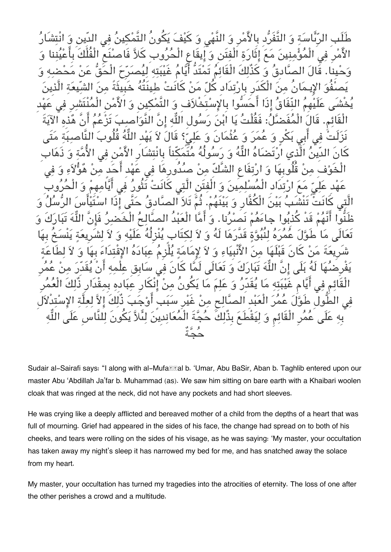سَة وَ التَّفَرَّدِ بِالأَمْرِ وَ النَّهْى وَ كَيْفَ يَكُونُ التَّمْكينُ الْأَمْرِ فِي الْمُوَْمِنِينَ مَعَ إِثَارَةِ الْفِتنِ وَ إِيقَاعِ الْحَرُوبِ كَلاًّ فَاصنَعِ الْفُلْكَ بِاعْيَنِنا وَ وحيِنا. قَال الصادِق و كذٌلكَ الْقَائم تَمتَدُّ ايام غَيبته ليصرِح الْحق عن محضه و يصفُو الاِيـمانُ من الْدَرِ بِارتدَادِ كل من كانَت طينَتُه خَبِيثَةً من الشّيعة الَّذِين يَخْشَى عَلَيْهِمَ النِّفَاقَ إِذَا احَسُّوا بِالإِسْتِخْلاَفِ وَ التّمَكِينِ وَ الأَمْنِ الْمَنْتَشْرِ فِي عَهْد الْقَائِمِ. قَالَ الْمَفَضّلُ: فَقُلْتُ يَا ابْنَ رَسُولِ اللَّهِ إِنَّ النَّوَاصِبُ تَزْعُمُ أَنْ هُذِهِ الآيَة نَزَلَتْ فِي ابِي بَكَرٍ وَ عَمَرَ وَ عَتْمَانٍ وَ عَلِيٌّ؟ قَالَ لاَ يَهْدِ اللَّهَ قُلُوبَ النَّاصبِبَةِ مَتي كانِ الدِّينُ الَّذِي ارتَضَاهُ اللَّهَ وَ رَسُولُهُ مَتَمَكِناً بِانْتِشَارِ الأَمْنِ فِي الأَمَّةِ وَ ذَهَاب الْخَوْفِ مِنْ قُلُوبِهَا وَ ارْتِفَاعِ الشَّكِّ مِنْ صُدُورِهَا فِي عَهْدِ أَحَدٍ مِنْ هُوَّلاَءِ وَ فِي عَهْدِ عَلِيِّ مَعَ ارْتِدَادِ الْمَسْلِمِينَ وَ الْفِتنِ الَّتِي كَانَتْ تَثُورُ فِي ايَّامِهِمْ وَ الْحَرُوب الَّتِي كانتْ تنشَبُ بَيْنَ الْكَفَّارِ وَ بَيْنَهُمْ. ثُمَّ تَلاَ الصَّادِقَ حَتَّى إِذَا اسْتَيَاسَ الرِّسَلَ وَ ظَنُّوا انَّهم قَدْ كذِبوا جاءهم نَصرنا. و اما الْعبدُ الصالح الْخَضر فَانَّ اله تَباركَ و تَعَالَى مَا طَوَّلَ عَمَرَهُ لِنَبُوَّةٍ قَدَّرَهَا لَهُ وَ لاَ لِكِتَابٍ يَنْزِلُهُ عَلَيْهِ وَ لاَ لِشَرِيعَةٍ يَنْسَخُ بِهَا شَرِيعَةَ مَنْ كَانٍ قَبْلُهَا مِنَ الأَنبِيَاءِ وَ لاَ لِإِمَامَةٍ يَلْزِمَ عِبَادَهَ الإِقْتِدَاءَ بِهَا وَ لاَ لِطَاعَةٍ يَفْرِضُهَا لَهَ بَلَى إِنْ اللَّهَ تَبَارَكَ وَ تَعَالَى لَمَّا كَانَ فِي سَابِقِ عِلْمِهِ أَنْ يَقَدِّرَ مِنْ عَمَر الْقَائِمِ فِي أَيَّامِ غَيْبَتِهِ مَا يَقَدِّرُ وَ عَلِّمَ مَا يَكُونُ مِنْ إِنكارِ عِبَادِهِ بِمِقْدَارِ ذَلِكَ الْعَمَرِ فِي الطُّولِ طَوَّلَ عَمَرَ الْعَبْدِ الصّالِحِ مِنْ غَيْرِ سُبَبِ اوْجَبَ ذَلِكَ إِلاَّ لِعِلَّةِ الإِسْتِدْلاَل بِهِ عَلَى عَمَرِ الْقَائِمِ وَ لِيَقْطَعَ بِذَلِكَ حَجَّةَ الْمَعَانِدِينَ لِنَلاّ يَكُونَ لِلنَّاسِ عَلَى اللّهِ حجةٌ

Sudair al-Sairafi says: "I along with al-Mufa**rral b. 'Umar, Abu BaSir, Aban b. Taghlib** entered upon our master Abu 'Abdillah Ja'far b. Muhammad (as). We saw him sitting on bare earth with a Khaibari woolen cloak that was ringed at the neck, did not have any pockets and had short sleeves.

He was crying like a deeply afflicted and bereaved mother of a child from the depths of a heart that was full of mourning. Grief had appeared in the sides of his face, the change had spread on to both of his cheeks, and tears were rolling on the sides of his visage, as he was saying: 'My master, your occultation has taken away my night's sleep it has narrowed my bed for me, and has snatched away the solace from my heart.

My master, your occultation has turned my tragedies into the atrocities of eternity. The loss of one after the other perishes a crowd and a multitude.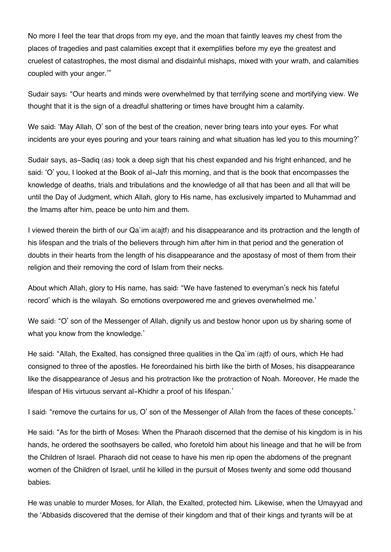No more I feel the tear that drops from my eye, and the moan that faintly leaves my chest from the places of tragedies and past calamities except that it exemplifies before my eye the greatest and cruelest of catastrophes, the most dismal and disdainful mishaps, mixed with your wrath, and calamities coupled with your anger.'"

Sudair says: "Our hearts and minds were overwhelmed by that terrifying scene and mortifying view. We thought that it is the sign of a dreadful shattering or times have brought him a calamity.

We said: 'May Allah, O' son of the best of the creation, never bring tears into your eyes. For what incidents are your eyes pouring and your tears raining and what situation has led you to this mourning?'

Sudair says, as-Sadiq (as) took a deep sigh that his chest expanded and his fright enhanced, and he said: 'O' you, I looked at the Book of al-Jafr this morning, and that is the book that encompasses the knowledge of deaths, trials and tribulations and the knowledge of all that has been and all that will be until the Day of Judgment, which Allah, glory to His name, has exclusively imparted to Muhammad and the Imams after him, peace be unto him and them.

I viewed therein the birth of our Qa`im a(ajtf) and his disappearance and its protraction and the length of his lifespan and the trials of the believers through him after him in that period and the generation of doubts in their hearts from the length of his disappearance and the apostasy of most of them from their religion and their removing the cord of Islam from their necks.

About which Allah, glory to His name, has said: "We have fastened to everyman's neck his fateful record' which is the wilayah. So emotions overpowered me and grieves overwhelmed me.'

We said: "O' son of the Messenger of Allah, dignify us and bestow honor upon us by sharing some of what you know from the knowledge.'

He said: "Allah, the Exalted, has consigned three qualities in the Qa`im (ajtf) of ours, which He had consigned to three of the apostles. He foreordained his birth like the birth of Moses, his disappearance like the disappearance of Jesus and his protraction like the protraction of Noah. Moreover, He made the lifespan of His virtuous servant al-Khidhr a proof of his lifespan.'

I said: "remove the curtains for us, O' son of the Messenger of Allah from the faces of these concepts.'

He said: "As for the birth of Moses: When the Pharaoh discerned that the demise of his kingdom is in his hands, he ordered the soothsayers be called, who foretold him about his lineage and that he will be from the Children of Israel. Pharaoh did not cease to have his men rip open the abdomens of the pregnant women of the Children of Israel, until he killed in the pursuit of Moses twenty and some odd thousand babies.

He was unable to murder Moses, for Allah, the Exalted, protected him. Likewise, when the Umayyad and the 'Abbasids discovered that the demise of their kingdom and that of their kings and tyrants will be at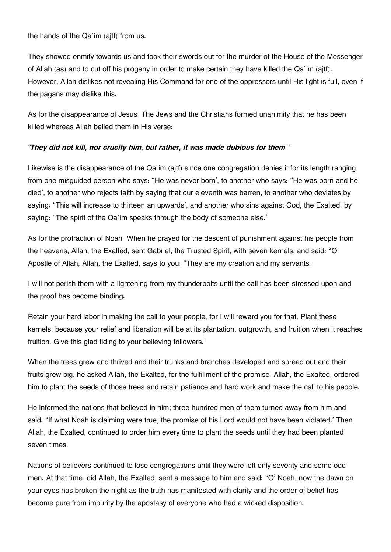the hands of the Qa`im (ajtf) from us.

They showed enmity towards us and took their swords out for the murder of the House of the Messenger of Allah (as) and to cut off his progeny in order to make certain they have killed the Qa`im (ajtf). However, Allah dislikes not revealing His Command for one of the oppressors until His light is full, even if the pagans may dislike this.

As for the disappearance of Jesus: The Jews and the Christians formed unanimity that he has been killed whereas Allah belied them in His verse:

#### *"They did not kill, nor crucify him, but rather, it was made dubious for them.'*

Likewise is the disappearance of the Qa`im (ajtf) since one congregation denies it for its length ranging from one misguided person who says: "He was never born', to another who says: "He was born and he died', to another who rejects faith by saying that our eleventh was barren, to another who deviates by saying: "This will increase to thirteen an upwards', and another who sins against God, the Exalted, by saying: "The spirit of the Qa`im speaks through the body of someone else.'

As for the protraction of Noah: When he prayed for the descent of punishment against his people from the heavens, Allah, the Exalted, sent Gabriel, the Trusted Spirit, with seven kernels, and said: "O' Apostle of Allah, Allah, the Exalted, says to you: "They are my creation and my servants.

I will not perish them with a lightening from my thunderbolts until the call has been stressed upon and the proof has become binding.

Retain your hard labor in making the call to your people, for I will reward you for that. Plant these kernels, because your relief and liberation will be at its plantation, outgrowth, and fruition when it reaches fruition. Give this glad tiding to your believing followers.'

When the trees grew and thrived and their trunks and branches developed and spread out and their fruits grew big, he asked Allah, the Exalted, for the fulfillment of the promise. Allah, the Exalted, ordered him to plant the seeds of those trees and retain patience and hard work and make the call to his people.

He informed the nations that believed in him; three hundred men of them turned away from him and said: "If what Noah is claiming were true, the promise of his Lord would not have been violated.' Then Allah, the Exalted, continued to order him every time to plant the seeds until they had been planted seven times.

Nations of believers continued to lose congregations until they were left only seventy and some odd men. At that time, did Allah, the Exalted, sent a message to him and said: "O' Noah, now the dawn on your eyes has broken the night as the truth has manifested with clarity and the order of belief has become pure from impurity by the apostasy of everyone who had a wicked disposition.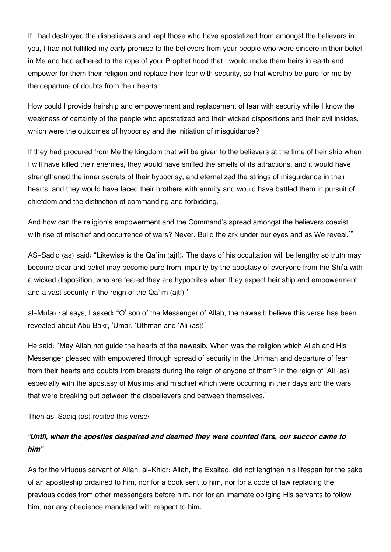If I had destroyed the disbelievers and kept those who have apostatized from amongst the believers in you, I had not fulfilled my early promise to the believers from your people who were sincere in their belief in Me and had adhered to the rope of your Prophet hood that I would make them heirs in earth and empower for them their religion and replace their fear with security, so that worship be pure for me by the departure of doubts from their hearts.

How could I provide heirship and empowerment and replacement of fear with security while I know the weakness of certainty of the people who apostatized and their wicked dispositions and their evil insides, which were the outcomes of hypocrisy and the initiation of misguidance?

If they had procured from Me the kingdom that will be given to the believers at the time of heir ship when I will have killed their enemies, they would have sniffed the smells of its attractions, and it would have strengthened the inner secrets of their hypocrisy, and eternalized the strings of misguidance in their hearts, and they would have faced their brothers with enmity and would have battled them in pursuit of chiefdom and the distinction of commanding and forbidding.

And how can the religion's empowerment and the Command's spread amongst the believers coexist with rise of mischief and occurrence of wars? Never. Build the ark under our eves and as We reveal."

AS-Sadiq (as) said: "Likewise is the Qa`im (ajtf). The days of his occultation will be lengthy so truth may become clear and belief may become pure from impurity by the apostasy of everyone from the Shi'a with a wicked disposition, who are feared they are hypocrites when they expect heir ship and empowerment and a vast security in the reign of the Qa`im (ajtf).'

al-Mufa**T** al says, I asked: "O' son of the Messenger of Allah, the nawasib believe this verse has been revealed about Abu Bakr, 'Umar, 'Uthman and 'Ali (as)!'

He said: "May Allah not guide the hearts of the nawasib. When was the religion which Allah and His Messenger pleased with empowered through spread of security in the Ummah and departure of fear from their hearts and doubts from breasts during the reign of anyone of them? In the reign of 'Ali (as) especially with the apostasy of Muslims and mischief which were occurring in their days and the wars that were breaking out between the disbelievers and between themselves.'

Then as-Sadiq (as) recited this verse:

#### *"Until, when the apostles despaired and deemed they were counted liars, our succor came to him"*

As for the virtuous servant of Allah, al-Khidr: Allah, the Exalted, did not lengthen his lifespan for the sake of an apostleship ordained to him, nor for a book sent to him, nor for a code of law replacing the previous codes from other messengers before him, nor for an Imamate obliging His servants to follow him, nor any obedience mandated with respect to him.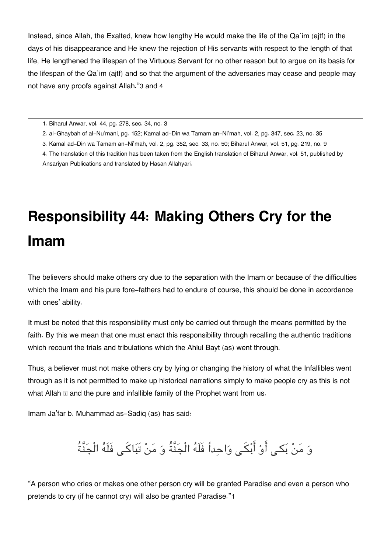Instead, since Allah, the Exalted, knew how lengthy He would make the life of the Qa`im (ajtf) in the days of his disappearance and He knew the rejection of His servants with respect to the length of that life, He lengthened the lifespan of the Virtuous Servant for no other reason but to argue on its basis for the lifespan of the Qa`im (ajtf) and so that the argument of the adversaries may cease and people may not have any proofs against Allah."[3](#page--1-0) and [4](#page--1-0)

[1.](#page--1-0) Biharul Anwar, vol. 44, pg. 278, sec. 34, no. 3

[2.](#page--1-0) al-Ghaybah of al-Nu'mani, pg. 152; Kamal ad-Din wa Tamam an-Ni'mah, vol. 2, pg. 347, sec. 23, no. 35

[3.](#page--1-0) Kamal ad-Din wa Tamam an-Ni'mah, vol. 2, pg. 352, sec. 33, no. 50; Biharul Anwar, vol. 51, pg. 219, no. 9

[4.](#page--1-0) The translation of this tradition has been taken from the English translation of Biharul Anwar, vol. 51, published by Ansariyan Publications and translated by Hasan Allahyari.

# **Responsibility 44: Making Others Cry for the Imam**

The believers should make others cry due to the separation with the Imam or because of the difficulties which the Imam and his pure fore-fathers had to endure of course, this should be done in accordance with ones' ability.

It must be noted that this responsibility must only be carried out through the means permitted by the faith. By this we mean that one must enact this responsibility through recalling the authentic traditions which recount the trials and tribulations which the Ahlul Bayt (as) went through.

Thus, a believer must not make others cry by lying or changing the history of what the Infallibles went through as it is not permitted to make up historical narrations simply to make people cry as this is not what Allah  $\mathbb E$  and the pure and infallible family of the Prophet want from us.

Imam Ja'far b. Muhammad as-Sadiq (as) has said:

## وَ مَنْ بَكـِي أَوْ أَبْكَـى وَاحداً فَلَهُ الْجَنَّةُ وَ مَنْ تَبَاكَـى فَلَهُ الْجَنَّةُ

"A person who cries or makes one other person cry will be granted Paradise and even a person who pretends to cry (if he cannot cry) will also be granted Paradise."[1](#page--1-0)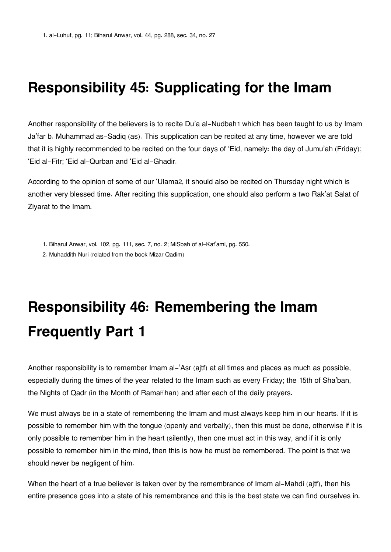### **Responsibility 45: Supplicating for the Imam**

Another responsibility of the believers is to recite Du'a al-Nudbah[1](#page--1-0) which has been taught to us by Imam Ja'far b. Muhammad as-Sadiq (as). This supplication can be recited at any time, however we are told that it is highly recommended to be recited on the four days of 'Eid, namely: the day of Jumu'ah (Friday); 'Eid al-Fitr; 'Eid al-Qurban and 'Eid al-Ghadir.

According to the opinion of some of our 'Ulama[2](#page--1-0), it should also be recited on Thursday night which is another very blessed time. After reciting this supplication, one should also perform a two Rak'at Salat of Ziyarat to the Imam.

[2.](#page--1-0) Muhaddith Nuri (related from the book Mizar Qadim)

## **Responsibility 46: Remembering the Imam Frequently Part 1**

Another responsibility is to remember Imam al-'Asr (ajtf) at all times and places as much as possible, especially during the times of the year related to the Imam such as every Friday; the 15th of Sha'ban, the Nights of Qadr (in the Month of Rama*Inan)* and after each of the daily prayers.

We must always be in a state of remembering the Imam and must always keep him in our hearts. If it is possible to remember him with the tongue (openly and verbally), then this must be done, otherwise if it is only possible to remember him in the heart (silently), then one must act in this way, and if it is only possible to remember him in the mind, then this is how he must be remembered. The point is that we should never be negligent of him.

When the heart of a true believer is taken over by the remembrance of Imam al-Mahdi (ajtf), then his entire presence goes into a state of his remembrance and this is the best state we can find ourselves in.

[<sup>1.</sup>](#page--1-0) Biharul Anwar, vol. 102, pg. 111, sec. 7, no. 2; MiSbah of al-Kaf'ami, pg. 550.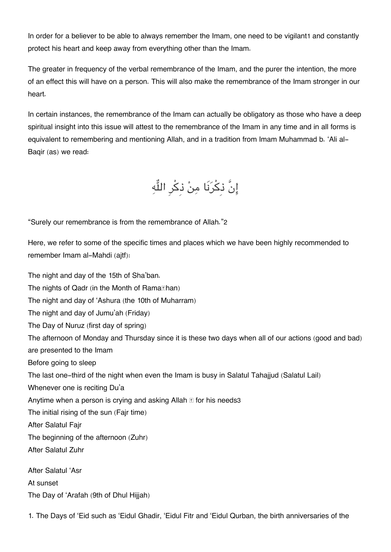In order for a believer to be able to always remember the Imam, one need to be vigilant[1](#page--1-0) and constantly protect his heart and keep away from everything other than the Imam.

The greater in frequency of the verbal remembrance of the Imam, and the purer the intention, the more of an effect this will have on a person. This will also make the remembrance of the Imam stronger in our heart.

In certain instances, the remembrance of the Imam can actually be obligatory as those who have a deep spiritual insight into this issue will attest to the remembrance of the Imam in any time and in all forms is equivalent to remembering and mentioning Allah, and in a tradition from Imam Muhammad b. 'Ali al-Baqir (as) we read:

إِنَّ ذِكْرَنَا مِنْ ذِكْرِ اللُّهِ

"Surely our remembrance is from the remembrance of Allah."[2](#page--1-0)

Here, we refer to some of the specific times and places which we have been highly recommended to remember Imam al-Mahdi (ajtf):

The night and day of the 15th of Sha'ban. The nights of Qadr (in the Month of Rama**Than)** The night and day of 'Ashura (the 10th of Muharram) The night and day of Jumu'ah (Friday) The Day of Nuruz (first day of spring) The afternoon of Monday and Thursday since it is these two days when all of our actions (good and bad) are presented to the Imam Before going to sleep The last one-third of the night when even the Imam is busy in Salatul Tahajjud (Salatul Lail) Whenever one is reciting Du'a Anytime when a person is crying and asking Allah  $\mathbb E$  for his needs [3](#page--1-0) The initial rising of the sun (Fajr time) After Salatul Fajr The beginning of the afternoon (Zuhr) After Salatul Zuhr After Salatul 'Asr At sunset The Day of 'Arafah (9th of Dhul Hijjah)

1. The Days of 'Eid such as 'Eidul Ghadir, 'Eidul Fitr and 'Eidul Qurban, the birth anniversaries of the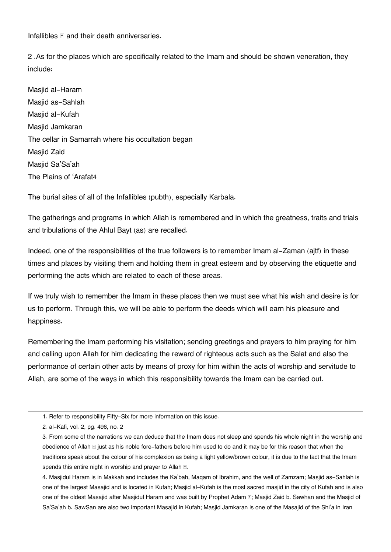Infallibles  $\mathbb E$  and their death anniversaries.

2 .As for the places which are specifically related to the Imam and should be shown veneration, they include:

Masjid al-Haram Masjid as-Sahlah Masjid al-Kufah Masjid Jamkaran The cellar in Samarrah where his occultation began Masjid Zaid Masiid Sa'Sa'ah The Plains of 'Arafat[4](#page--1-0)

The burial sites of all of the Infallibles (pubth), especially Karbala.

The gatherings and programs in which Allah is remembered and in which the greatness, traits and trials and tribulations of the Ahlul Bayt (as) are recalled.

Indeed, one of the responsibilities of the true followers is to remember Imam al-Zaman (ajtf) in these times and places by visiting them and holding them in great esteem and by observing the etiquette and performing the acts which are related to each of these areas.

If we truly wish to remember the Imam in these places then we must see what his wish and desire is for us to perform. Through this, we will be able to perform the deeds which will earn his pleasure and happiness.

Remembering the Imam performing his visitation; sending greetings and prayers to him praying for him and calling upon Allah for him dedicating the reward of righteous acts such as the Salat and also the performance of certain other acts by means of proxy for him within the acts of worship and servitude to Allah, are some of the ways in which this responsibility towards the Imam can be carried out.

[4.](#page--1-0) Masjidul Haram is in Makkah and includes the Ka'bah, Maqam of Ibrahim, and the well of Zamzam; Masjid as-Sahlah is one of the largest Masajid and is located in Kufah; Masjid al-Kufah is the most sacred masjid in the city of Kufah and is also one of the oldest Masajid after Masjidul Haram and was built by Prophet Adam E; Masjid Zaid b. Sawhan and the Masjid of Sa'Sa'ah b. SawSan are also two important Masajid in Kufah; Masjid Jamkaran is one of the Masajid of the Shi'a in Iran

[<sup>1.</sup>](#page--1-0) Refer to responsibility Fifty-Six for more information on this issue.

[<sup>2.</sup>](#page--1-0) al-Kafi, vol. 2, pg. 496, no. 2

[<sup>3.</sup>](#page--1-0) From some of the narrations we can deduce that the Imam does not sleep and spends his whole night in the worship and obedience of Allah  $\mathbb E$  just as his noble fore-fathers before him used to do and it may be for this reason that when the traditions speak about the colour of his complexion as being a light yellow/brown colour, it is due to the fact that the Imam spends this entire night in worship and prayer to Allah ...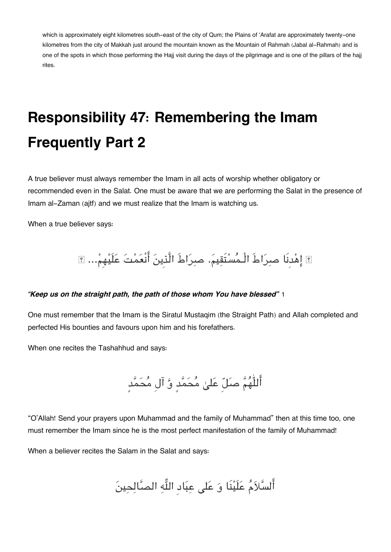which is approximately eight kilometres south-east of the city of Qum; the Plains of 'Arafat are approximately twenty-one kilometres from the city of Makkah just around the mountain known as the Mountain of Rahmah (Jabal al-Rahmah) and is one of the spots in which those performing the Hajj visit during the days of the pilgrimage and is one of the pillars of the hajj rites.

## **Responsibility 47: Remembering the Imam Frequently Part 2**

A true believer must always remember the Imam in all acts of worship whether obligatory or recommended even in the Salat. One must be aware that we are performing the Salat in the presence of Imam al-Zaman (ajtf) and we must realize that the Imam is watching us.

When a true believer says:

اهدِنَا صراطَ الْـمستَقيم. صراطَ الَّذِين انْعمت علَيهِم...

#### *"Keep us on the straight path, the path of those whom You have blessed"* [1](#page--1-0)

One must remember that the Imam is the Siratul Mustaqim (the Straight Path) and Allah completed and perfected His bounties and favours upon him and his forefathers.

When one recites the Tashahhud and says:

أَللّٰهُمَّ صلّلّ عَلىٰ مُحَمَّدٍ وَّ آلِ مُحَمَّدٍ

"O'Allah! Send your prayers upon Muhammad and the family of Muhammad" then at this time too, one must remember the Imam since he is the most perfect manifestation of the family of Muhammad!

When a believer recites the Salam in the Salat and says:

أَلسَّلاَمُ عَلَيْنَا وَ عَلى عِبَادِ اللَّهِ الصَّالِحِينَ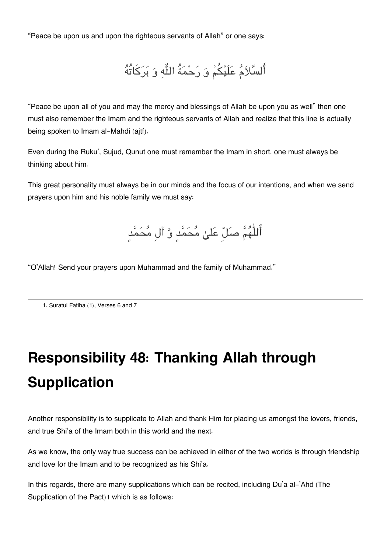"Peace be upon us and upon the righteous servants of Allah" or one says:

السلام علَيم و رحمةُ اله و بركاتُه

"Peace be upon all of you and may the mercy and blessings of Allah be upon you as well" then one must also remember the Imam and the righteous servants of Allah and realize that this line is actually being spoken to Imam al-Mahdi (ajtf).

Even during the Ruku', Sujud, Qunut one must remember the Imam in short, one must always be thinking about him.

This great personality must always be in our minds and the focus of our intentions, and when we send prayers upon him and his noble family we must say:

أَللّٰهُمَّ صَلّٰ عَلىٰ مُحَمَّدٍ وَّ آلِ مُحَمَّدٍ

"O'Allah! Send your prayers upon Muhammad and the family of Muhammad."

[1.](#page--1-0) Suratul Fatiha (1), Verses 6 and 7

## **Responsibility 48: Thanking Allah through Supplication**

Another responsibility is to supplicate to Allah and thank Him for placing us amongst the lovers, friends, and true Shi'a of the Imam both in this world and the next.

As we know, the only way true success can be achieved in either of the two worlds is through friendship and love for the Imam and to be recognized as his Shi'a.

In this regards, there are many supplications which can be recited, including Du'a al-'Ahd (The Supplication of the Pact)[1](#page--1-0) which is as follows: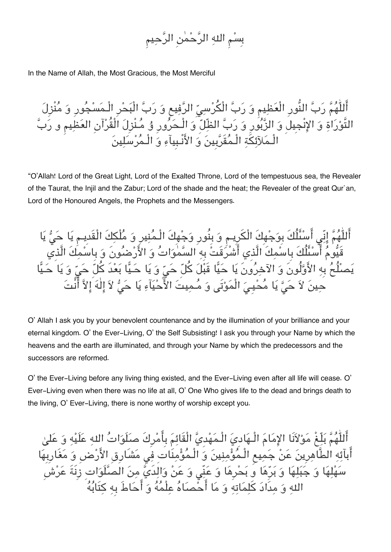بِسم اله الرحمن الرحيم

In the Name of Allah, the Most Gracious, the Most Merciful

اللّٰهُمّ رَبِّ النُّورِ الْعَظِيمِ وَ رَبِّ الْكَرْسِيِّ الرِّفِيعِ وَ رَبِّ الْبَحْرِ الْـمَسْجَوِرِ وَ مَنْزِلَ التَّوراة و الانْجِيل و الزبورِ و رب الظّل و الْـحرورِ ۇ مـنْزِل الْقُرآنِ العظيم و رب الْـملآئة الْـمقَربِين و الانْـبِيآء و الْـمرسلين

"O'Allah! Lord of the Great Light, Lord of the Exalted Throne, Lord of the tempestuous sea, the Revealer of the Taurat, the Injil and the Zabur; Lord of the shade and the heat; the Revealer of the great Qur`an, Lord of the Honoured Angels, the Prophets and the Messengers.

أَللّٰهُمَّ إِنِّي أَسْئَلُكَ بِوَجْهِكَ الْكَرِيـم وَ بِنُورِ وَجْهِكَ الْـمُنِيرِ وَ مُلْكِكَ الْقَدِيـمِ يَا حَيُّ يَا قَيُّومُ أَسْئَلُكَ بِاسْمِكَ الَّذِي أَشْرُقَتْ بِهِ السَّمْوَاتُ وَ الأَرْضُونَ وَ بِاسْمِكَ الَّذِي يَصلُحُ بِهِ الأَوَّلُونَ وَ الآخِرُونَ يَا حَيًّا قَبْلَ كُلّ حَيّ وَ يَا حَـيًّا بَعْدَ كُلَّ حَيّ وَ يَا حَـيًّا حينَ لاَ حَيَّ يَا مُحْيِيَ الْمَوْتَى وَ مُـمِيتَ الأَّحْيَآءِ يَا حَيُّ لاَ إِلٰهَ إِلاَّ أَنْتَ

O' Allah I ask you by your benevolent countenance and by the illumination of your brilliance and your eternal kingdom. O' the Ever-Living, O' the Self Subsisting! I ask you through your Name by which the heavens and the earth are illuminated, and through your Name by which the predecessors and the successors are reformed.

O' the Ever-Living before any living thing existed, and the Ever-Living even after all life will cease. O' Ever-Living even when there was no life at all, O' One Who gives life to the dead and brings death to the living, O' Ever-Living, there is none worthy of worship except you.

أَللّٰهُمَّ بَلِّغْ مَوْلاَنَا الإمَامَ الْـهَاديَ الْـمَهْديَّ الْقَائِمَ بِأَمْرِكَ صلَلَوَاتُ اللهِ عَلَيْهِ وَ عَلَيْ أَبآئِهِ الطَّاهِرِينَ عَنْ جَمِيعِ الْـمُؤْمِنِينَ وَ الْـمُؤْمِنَاتِ فِي مَشَارِقِ الأَرْضِ وَ مَغَارِبِهَا سَهْلِهَا وَ جَبَلِهَا وَ بَرِّهَا وَ بَحْرِهَا وَ عَنِّي وَ عَنْ وَالِدَيَّ مِنَ الْصَلَّوَاتِ زِنَةَ عَرْشَ اله و مدَاد كلماته و ما احصاه علْمه و احاطَ بِه كتَابه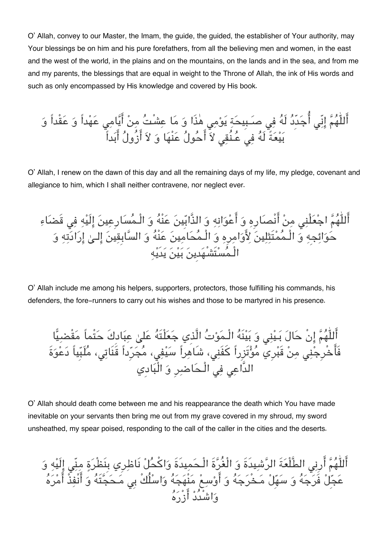O' Allah, convey to our Master, the Imam, the guide, the guided, the establisher of Your authority, may Your blessings be on him and his pure forefathers, from all the believing men and women, in the east and the west of the world, in the plains and on the mountains, on the lands and in the sea, and from me and my parents, the blessings that are equal in weight to the Throne of Allah, the ink of His words and such as only encompassed by His knowledge and covered by His book.

اللّٰهم انّ اجدِّد لَه ف صـبِيحة يوم هذَا و ما عشْت من ايام عهداً و عقْداً و بيعةً لَه ف عـنُق لا احول عنْها و لا ازُول ابداً

O' Allah, I renew on the dawn of this day and all the remaining days of my life, my pledge, covenant and allegiance to him, which I shall neither contravene, nor neglect ever.

أَللّٰهُمَّ اجْعَلْنِي مِنْ أَنْصَارِهِ وَ أَعْوَانِهِ وَ الذَّابِّينَ عَنْهُ وَ الْـمُسَارِعِينَ إِلَيْهِ فِي قَضَاءِ حَوَائِجِهِ وَ الْـمَمْتِثِلِينَ لِأَوَامِرِهِ وَ الْـمَحَامِينَ عَنْهَ وَ السَّابِقِينَ إِلَـىٰ إِرَادَتِهِ وَ الْـمستَشْهدِين بين يدَيه

O' Allah include me among his helpers, supporters, protectors, those fulfilling his commands, his defenders, the fore-runners to carry out his wishes and those to be martyred in his presence.

اللّٰهم انْ حال بـين و بينَه الْـموت الَّذِي جعلْتَه عل عبادِكَ حتْماً مقْضيا فَاخْرِجن من قَبرِي موتَزِراً كفَن، شَاهراً سيف، مجرِداً قَنَات، ملَبِياً دعوةَ الدَّاع ف الْـحاضرِ و الْبادِي

O' Allah should death come between me and his reappearance the death which You have made inevitable on your servants then bring me out from my grave covered in my shroud, my sword unsheathed, my spear poised, responding to the call of the caller in the cities and the deserts.

اللّٰهُمّ اربِي الطَّلْعَةَ الرّشيدةِ وَ الْغُرَّةِ الْـحَمِيدَةِ وَاكْحَلْ نَاظِرِي بِنَظْرَةٍ مِنِّي إِلَيْهِ وَ عَجِلْ فَرَجَهَ وَ سَهَلْ مَخْرَجَهُ وَ اوْسِعْ مَنْهَجَهَ وَاسْلُكْ بِي مَحَجَّتَهُ وَ انْفِذْ امْرَهَ واشْدُد ازْره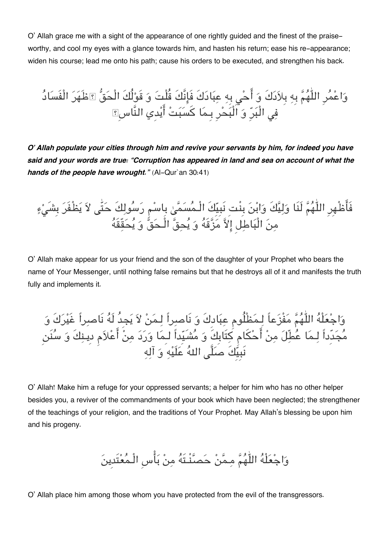O' Allah grace me with a sight of the appearance of one rightly guided and the finest of the praiseworthy, and cool my eyes with a glance towards him, and hasten his return; ease his re-appearance; widen his course; lead me onto his path; cause his orders to be executed, and strengthen his back.

وَاعْمُرِ اللّٰهُمَّ بِهِ بِلاَدَكَ وَ أَحْيِ بِهِ عِبَادَكَ فَإِنَّكَ قُلْتَ وَ قَوْلُكَ الْحَقُّ ۩ظَهَرَ الْفَسَادُ ف الْبرِ و الْبحرِ بِـما كسبت ايدِي النَّاسِ

*O' Allah populate your cities through him and revive your servants by him, for indeed you have said and your words are true: "Corruption has appeared in land and sea on account of what the hands of the people have wrought."* (Al-Qur`an 30:41)

فَاظْهِرِ اللّٰهَمَّ لَنَا وَلِيِّكَ وَابْنَ بِنْتِ نَبِيِّكَ الْـمَسَمَىٰ بِاسْمِ رَسُولِكَ حَتّٰى لاَ يَظْفَرَ بِشَىْءٍ مِنَ الْبَاطِلِ إِلاَّ مَزَّقَهُ وَ يَحِقُّ الْـحَقّ وَ يَحَقِّقَهُ

O' Allah make appear for us your friend and the son of the daughter of your Prophet who bears the name of Your Messenger, until nothing false remains but that he destroys all of it and manifests the truth fully and implements it.

واجعلْه اللّٰهم مفْزعاً لـمظْلُوم عبادِكَ و نَاصراً لـمن لا يجِدُ لَه نَاصراً غَيركَ و مجدِّداً لـما عطّل من احام كتَابِكَ و مشَيِداً لـِما ورد من اعلام دِيـنكَ و سنَن نبيِّكَ صلَّى اللهَ عَلَيْهِ وَ آلِهِ

O' Allah! Make him a refuge for your oppressed servants; a helper for him who has no other helper besides you, a reviver of the commandments of your book which have been neglected; the strengthener of the teachings of your religion, and the traditions of Your Prophet. May Allah's blessing be upon him and his progeny.

واجعلْه اللّٰهم مـمن حصنْـتَه من باسِ الْـمعتَدِين

O' Allah place him among those whom you have protected from the evil of the transgressors.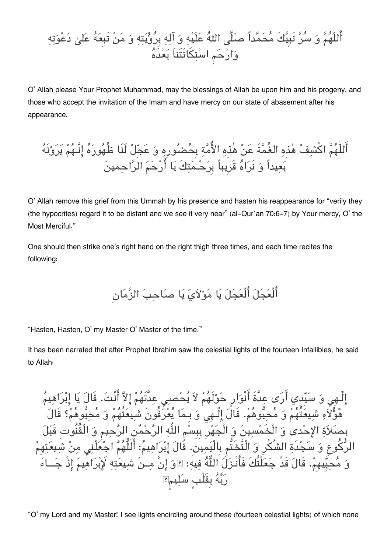أَللّٰهُمَّ وَ سُرَّ نَبِيَّكَ مُحَمَّداً صلَّى اللهُ عَلَيْهِ وَ آلِهِ بِرُؤْيَتِهِ وَ مَنْ تَبِعَهُ عَلىٰ دَعْوَتِهِ وَارْحَم اسْتِكَانَتَناَ بَعْدَهُ

O' Allah please Your Prophet Muhammad, may the blessings of Allah be upon him and his progeny, and those who accept the invitation of the Imam and have mercy on our state of abasement after his appearance.

أَللّٰهُمَّ اكْشِفْ هٰذِهِ الغُمَّةَ عَنْ هٰذِهِ الأُمَّةِ بِحُضْلُورِهِ وَ عَجِّلْ لَنَا ظُهُورَهُ إِنَّـهُمْ يَرَوْنَهُ بَعِيداً وَ نَرَاهُ قَرِيباً بِرَحْمَتِكَ يَا أَرْحَمَ الرَّاحمينَ

O' Allah remove this grief from this Ummah by his presence and hasten his reappearance for "verily they (the hypocrites) regard it to be distant and we see it very near" (al-Qur`an 70:6-7) by Your mercy, O' the Most Merciful."

One should then strike one's right hand on the right thigh three times, and each time recites the following:

أَلْعَجَلَ أَلْعَجَلَ يَا مَوْلاَيَ يَا صَاحِبَ الزَّمَانِ

"Hasten, Hasten, O' my Master O' Master of the time."

It has been narrated that after Prophet Ibrahim saw the celestial lights of the fourteen Infallibles, he said to Allah:

الٌـهِ و سيِدِي ارى عدَّةَ انْوارٍ حولَهم لا يحص عدَّتَهم الا انْت. قَال يا ابراهيم هُوَّلاَءِ شيعَتُهُمْ وَ مَحبَّوهُمْ. قَالَ إِلَـهِي وَ بِـمَا يَعْرَفُونَ شيعَتُهُمْ وَ مَحبَّوهُمْ؟ قَالَ بِصلاة الاحدى و الْخَمسين و الْجهرِ بِبِسم اله الرحمن الرحيم و الْقُنُوتِ قَبل الرُّكُوع وَ سَجْدَةِ الشُّكْرِ وَ الْتَّخَتُّم بِالْيَمِينَ. قُالَ إِبْرَاهِيمُ: أَلَلُّهُمَّ اجْعُلْنِي مِنْ شَيعَتِهِمْ وَ مُحبَّيهِمْ. قَالَ قَدْ جَعَلْتُكَ فَأَنْـزَلَ اللَّهُ فِيهِ: ؟وَ إِنَّ مِــنْ شِيعَتِهِ لَإِبْرَاهِيمَ إِذْ جَــاءَ رَبَّهُ بِقَلْبٍ سَلِيمٍ؟

"O' my Lord and my Master! I see lights encircling around these (fourteen celestial lights) of which none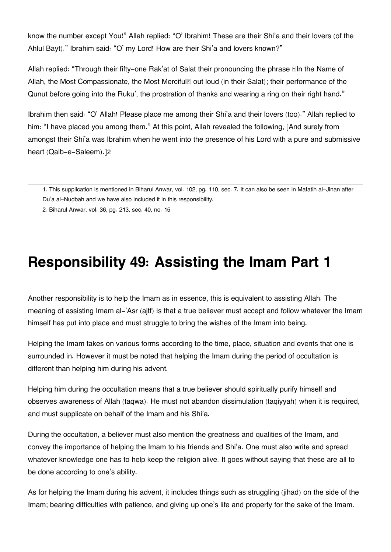know the number except You!" Allah replied: "O' Ibrahim! These are their Shi'a and their lovers (of the Ahlul Bayt)." Ibrahim said: "O' my Lord! How are their Shi'a and lovers known?"

Allah replied: "Through their fifty-one Rak'at of Salat their pronouncing the phrase In the Name of Allah, the Most Compassionate, the Most Merciful<sup>®</sup> out loud (in their Salat); their performance of the Qunut before going into the Ruku', the prostration of thanks and wearing a ring on their right hand."

Ibrahim then said: "O' Allah! Please place me among their Shi'a and their lovers (too)." Allah replied to him: "I have placed you among them." At this point, Allah revealed the following, [And surely from amongst their Shi'a was Ibrahim when he went into the presence of his Lord with a pure and submissive heart (Qalb-e-Saleem).][2](#page--1-0)

[2.](#page--1-0) Biharul Anwar, vol. 36, pg. 213, sec. 40, no. 15

### **Responsibility 49: Assisting the Imam Part 1**

Another responsibility is to help the Imam as in essence, this is equivalent to assisting Allah. The meaning of assisting Imam al-'Asr (ajtf) is that a true believer must accept and follow whatever the Imam himself has put into place and must struggle to bring the wishes of the Imam into being.

Helping the Imam takes on various forms according to the time, place, situation and events that one is surrounded in. However it must be noted that helping the Imam during the period of occultation is different than helping him during his advent.

Helping him during the occultation means that a true believer should spiritually purify himself and observes awareness of Allah (taqwa). He must not abandon dissimulation (taqiyyah) when it is required, and must supplicate on behalf of the Imam and his Shi'a.

During the occultation, a believer must also mention the greatness and qualities of the Imam, and convey the importance of helping the Imam to his friends and Shi'a. One must also write and spread whatever knowledge one has to help keep the religion alive. It goes without saying that these are all to be done according to one's ability.

As for helping the Imam during his advent, it includes things such as struggling (jihad) on the side of the Imam; bearing difficulties with patience, and giving up one's life and property for the sake of the Imam.

[<sup>1.</sup>](#page--1-0) This supplication is mentioned in Biharul Anwar, vol. 102, pg. 110, sec. 7. It can also be seen in Mafatih al-Jinan after Du'a al-Nudbah and we have also included it in this responsibility.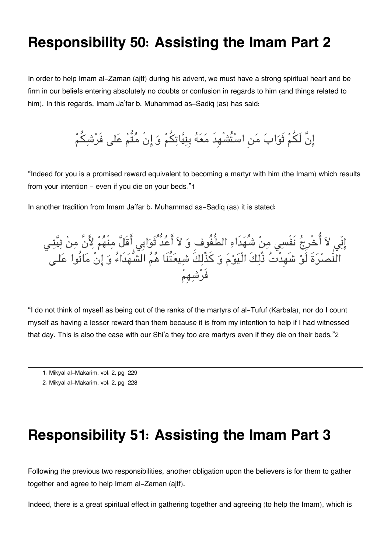#### **Responsibility 50: Assisting the Imam Part 2**

In order to help Imam al-Zaman (ajtf) during his advent, we must have a strong spiritual heart and be firm in our beliefs entering absolutely no doubts or confusion in regards to him (and things related to him). In this regards, Imam Ja'far b. Muhammad as-Sadiq (as) has said:

إِنَّ لَكُمْ ثَوَابَ مَنِ اسْتُشْهِدَ مَعَهُ بِنِيَّاتِكُمْ وَ إِنْ مُتُّمْ عَلى فَرْشِكُمْ

"Indeed for you is a promised reward equivalent to becoming a martyr with him (the Imam) which results from your intention - even if you die on your beds."[1](#page--1-0)

In another tradition from Imam Ja'far b. Muhammad as-Sadiq (as) it is stated:



"I do not think of myself as being out of the ranks of the martyrs of al-Tufuf (Karbala), nor do I count myself as having a lesser reward than them because it is from my intention to help if I had witnessed that day. This is also the case with our Shi'a they too are martyrs even if they die on their beds."[2](#page--1-0)

- [1.](#page--1-0) Mikyal al-Makarim, vol. 2, pg. 229
- [2.](#page--1-0) Mikyal al-Makarim, vol. 2, pg. 228

#### **Responsibility 51: Assisting the Imam Part 3**

Following the previous two responsibilities, another obligation upon the believers is for them to gather together and agree to help Imam al-Zaman (ajtf).

Indeed, there is a great spiritual effect in gathering together and agreeing (to help the Imam), which is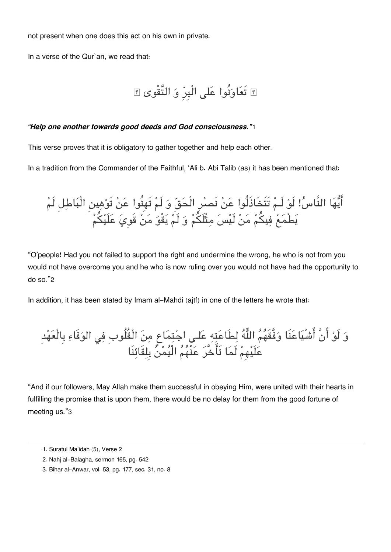not present when one does this act on his own in private.

In a verse of the Qur`an, we read that:

```
 تَعاونُوا عل الْبِرِ و التَّقْوى
```
#### *"Help one another towards good deeds and God consciousness."*[1](#page--1-0)

This verse proves that it is obligatory to gather together and help each other.

In a tradition from the Commander of the Faithful, 'Ali b. Abi Talib (as) it has been mentioned that:

ايها النَّاس !لَو لَـم تَتَخَاذَلُوا عن نَصرِ الْحق و لَم تَهِنُوا عن تَوهين الْباطل لَم يطْمع فيم من لَيس مثْلَم و لَم يقْو من قَوِي علَيم

"O'people! Had you not failed to support the right and undermine the wrong, he who is not from you would not have overcome you and he who is now ruling over you would not have had the opportunity to do so."[2](#page--1-0)

In addition, it has been stated by Imam al-Mahdi (ajtf) in one of the letters he wrote that:

و لَو انَّ اشْياعنَا وفَّقَهم اله لطَاعته علـ اجتماع من الْقُلُوبِ ف الوفَاء بِالْعهدِ علَيهِم لَما تَاخَّر عنْهم الْيمن بِلقَائنَا

"And if our followers, May Allah make them successful in obeying Him, were united with their hearts in fulfilling the promise that is upon them, there would be no delay for them from the good fortune of meeting us."[3](#page--1-0)

[<sup>1.</sup>](#page--1-0) Suratul Ma'idah (5), Verse 2

[<sup>2.</sup>](#page--1-0) Nahj al-Balagha, sermon 165, pg. 542

[<sup>3.</sup>](#page--1-0) Bihar al-Anwar, vol. 53, pg. 177, sec. 31, no. 8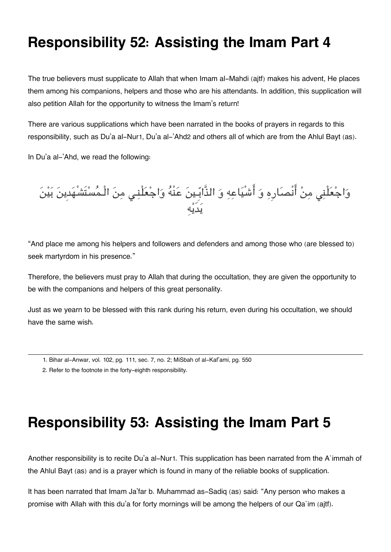### **Responsibility 52: Assisting the Imam Part 4**

The true believers must supplicate to Allah that when Imam al-Mahdi (ajtf) makes his advent, He places them among his companions, helpers and those who are his attendants. In addition, this supplication will also petition Allah for the opportunity to witness the Imam's return!

There are various supplications which have been narrated in the books of prayers in regards to this responsibility, such as Du'a al-Nur[1](#page--1-0), Du'a al-'Ahd[2](#page--1-0) and others all of which are from the Ahlul Bayt (as).

In Du'a al-'Ahd, we read the following:

وَاجْعَلْنِي مِنْ انْصَارِهِ وَ اَشْيَاعِهِ وَ الذَّابِّـينَ عَنْهُ وَاجْعَلْنِـي مِنَ الْـمَسْتَشْهَدِينَ بَيْنَ يدَيه

"And place me among his helpers and followers and defenders and among those who (are blessed to) seek martyrdom in his presence."

Therefore, the believers must pray to Allah that during the occultation, they are given the opportunity to be with the companions and helpers of this great personality.

Just as we yearn to be blessed with this rank during his return, even during his occultation, we should have the same wish.

### **Responsibility 53: Assisting the Imam Part 5**

Another responsibility is to recite Du'a al-Nur[1](#page--1-0). This supplication has been narrated from the A`immah of the Ahlul Bayt (as) and is a prayer which is found in many of the reliable books of supplication.

It has been narrated that Imam Ja'far b. Muhammad as-Sadiq (as) said: "Any person who makes a promise with Allah with this du'a for forty mornings will be among the helpers of our Qa`im (ajtf).

[<sup>1.</sup>](#page--1-0) Bihar al-Anwar, vol. 102, pg. 111, sec. 7, no. 2; MiSbah of al-Kaf'ami, pg. 550

[<sup>2.</sup>](#page--1-0) Refer to the footnote in the forty-eighth responsibility.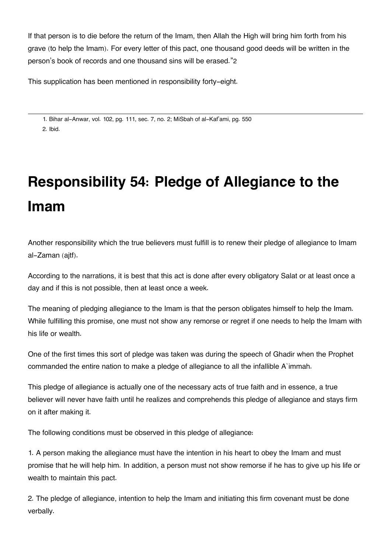If that person is to die before the return of the Imam, then Allah the High will bring him forth from his grave (to help the Imam). For every letter of this pact, one thousand good deeds will be written in the person's book of records and one thousand sins will be erased."[2](#page--1-0)

This supplication has been mentioned in responsibility forty-eight.

[1.](#page--1-0) Bihar al-Anwar, vol. 102, pg. 111, sec. 7, no. 2; MiSbah of al-Kaf'ami, pg. 550 [2.](#page--1-0) Ibid.

## **Responsibility 54: Pledge of Allegiance to the Imam**

Another responsibility which the true believers must fulfill is to renew their pledge of allegiance to Imam al-Zaman (ajtf).

According to the narrations, it is best that this act is done after every obligatory Salat or at least once a day and if this is not possible, then at least once a week.

The meaning of pledging allegiance to the Imam is that the person obligates himself to help the Imam. While fulfilling this promise, one must not show any remorse or regret if one needs to help the Imam with his life or wealth.

One of the first times this sort of pledge was taken was during the speech of Ghadir when the Prophet commanded the entire nation to make a pledge of allegiance to all the infallible A`immah.

This pledge of allegiance is actually one of the necessary acts of true faith and in essence, a true believer will never have faith until he realizes and comprehends this pledge of allegiance and stays firm on it after making it.

The following conditions must be observed in this pledge of allegiance:

1. A person making the allegiance must have the intention in his heart to obey the Imam and must promise that he will help him. In addition, a person must not show remorse if he has to give up his life or wealth to maintain this pact.

2. The pledge of allegiance, intention to help the Imam and initiating this firm covenant must be done verbally.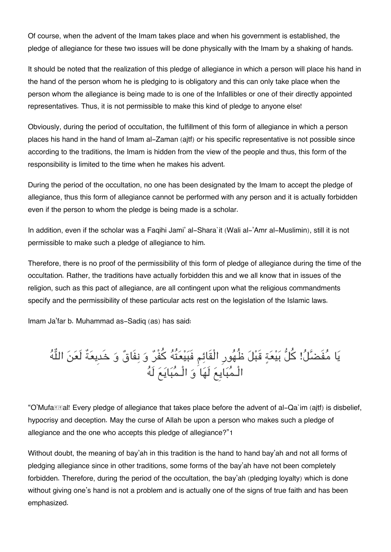Of course, when the advent of the Imam takes place and when his government is established, the pledge of allegiance for these two issues will be done physically with the Imam by a shaking of hands.

It should be noted that the realization of this pledge of allegiance in which a person will place his hand in the hand of the person whom he is pledging to is obligatory and this can only take place when the person whom the allegiance is being made to is one of the Infallibles or one of their directly appointed representatives. Thus, it is not permissible to make this kind of pledge to anyone else!

Obviously, during the period of occultation, the fulfillment of this form of allegiance in which a person places his hand in the hand of Imam al-Zaman (ajtf) or his specific representative is not possible since according to the traditions, the Imam is hidden from the view of the people and thus, this form of the responsibility is limited to the time when he makes his advent.

During the period of the occultation, no one has been designated by the Imam to accept the pledge of allegiance, thus this form of allegiance cannot be performed with any person and it is actually forbidden even if the person to whom the pledge is being made is a scholar.

In addition, even if the scholar was a Faqihi Jami' al-Shara`it (Wali al-'Amr al-Muslimin), still it is not permissible to make such a pledge of allegiance to him.

Therefore, there is no proof of the permissibility of this form of pledge of allegiance during the time of the occultation. Rather, the traditions have actually forbidden this and we all know that in issues of the religion, such as this pact of allegiance, are all contingent upon what the religious commandments specify and the permissibility of these particular acts rest on the legislation of the Islamic laws.

Imam Ja'far b. Muhammad as-Sadiq (as) has said:

يَا مَفَضَّلُ! كلَّ بَيْعَةٍ قَبْلَ ظُهُورِ الْقَائِمِ فَبَيْعَتُهُ كَفَرٌ وَ نِفَاقٌ وَ خَدِيعَةٌ لَعَنَ اللّه الْـمبايِع لَها و الْـمبايع لَه

"O'Mufa **Tal!** Every pledge of allegiance that takes place before the advent of al-Qa`im (ajtf) is disbelief, hypocrisy and deception. May the curse of Allah be upon a person who makes such a pledge of allegiance and the one who accepts this pledge of allegiance?"[1](#page--1-0)

Without doubt, the meaning of bay'ah in this tradition is the hand to hand bay'ah and not all forms of pledging allegiance since in other traditions, some forms of the bay'ah have not been completely forbidden. Therefore, during the period of the occultation, the bay'ah (pledging loyalty) which is done without giving one's hand is not a problem and is actually one of the signs of true faith and has been emphasized.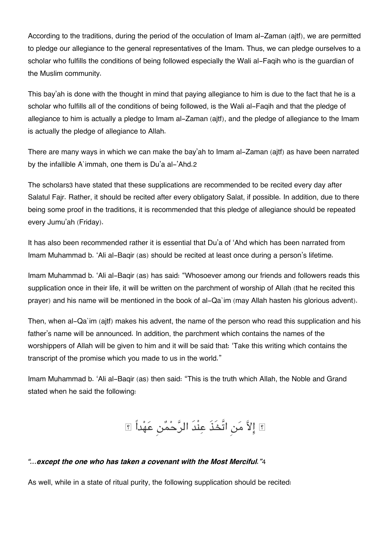According to the traditions, during the period of the occulation of Imam al-Zaman (ajtf), we are permitted to pledge our allegiance to the general representatives of the Imam. Thus, we can pledge ourselves to a scholar who fulfills the conditions of being followed especially the Wali al-Faqih who is the guardian of the Muslim community.

This bay'ah is done with the thought in mind that paying allegiance to him is due to the fact that he is a scholar who fulfills all of the conditions of being followed, is the Wali al-Faqih and that the pledge of allegiance to him is actually a pledge to Imam al-Zaman (ajtf), and the pledge of allegiance to the Imam is actually the pledge of allegiance to Allah.

There are many ways in which we can make the bay'ah to Imam al-Zaman (ajtf) as have been narrated by the infallible A`immah, one them is Du'a al-'Ahd.[2](#page--1-0)

The scholars[3](#page--1-0) have stated that these supplications are recommended to be recited every day after Salatul Fajr. Rather, it should be recited after every obligatory Salat, if possible. In addition, due to there being some proof in the traditions, it is recommended that this pledge of allegiance should be repeated every Jumu'ah (Friday).

It has also been recommended rather it is essential that Du'a of 'Ahd which has been narrated from Imam Muhammad b. 'Ali al-Baqir (as) should be recited at least once during a person's lifetime.

Imam Muhammad b. 'Ali al-Baqir (as) has said: "Whosoever among our friends and followers reads this supplication once in their life, it will be written on the parchment of worship of Allah (that he recited this prayer) and his name will be mentioned in the book of al-Qa`im (may Allah hasten his glorious advent).

Then, when al-Qa`im (ajtf) makes his advent, the name of the person who read this supplication and his father's name will be announced. In addition, the parchment which contains the names of the worshippers of Allah will be given to him and it will be said that: 'Take this writing which contains the transcript of the promise which you made to us in the world."

Imam Muhammad b. 'Ali al-Baqir (as) then said: "This is the truth which Allah, the Noble and Grand stated when he said the following:

الا من اتَّخَذَ عنْدَ الرحمن عهداً

#### *"...except the one who has taken a covenant with the Most Merciful."*[4](#page--1-0)

As well, while in a state of ritual purity, the following supplication should be recited: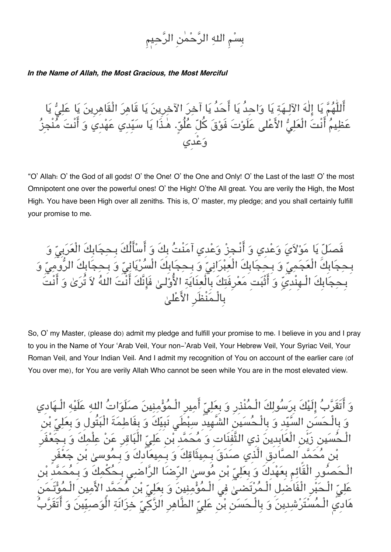## بِسْمِ اللهِ الرَّحْمٰنِ الرَّحِ

#### *In the Name of Allah, the Most Gracious, the Most Merciful*

ُللّٰهُمَّ يَا إِلٰهَ الآلـهَة يَا وَاحدُ يَا أَحَدُ يَا آخِرَ الآخِرِينَ يَا قَاهِرَ الْقَاهِرِينَ يَا عَلِيُّ يَا مْ أَنْتَ الْعَلِيُّ الأَعْلى عَلَوْتَ فَوْقَ كُلّ عُلُوِّ. هٰذَا يَا سَيِّدِي عَهْدِي وَ أَنْتَ مُنْ وعدِي

"O' Allah: O' the God of all gods! O' the One! O' the One and Only! O' the Last of the last! O' the most Omnipotent one over the powerful ones! O' the High! O'the All great. You are verily the High, the Most High. You have been High over all zeniths. This is, O' master, my pledge; and you shall certainly fulfill your promise to me.

فَصلّ يَا مَوْلاَيَ وَعْدى وَ أَنْـجِزْ وَعْدِي آمَنْتُ بِكَ وَ أَسْأَلُكَ بِـحجَابِكَ الْعَرَبِيِّ وَ بِـحِجَابِكَ الْعَجَمِىّ وَ بِـحِجَابِكَ الْعِبْرَانِيّ وَ بِـحِجَابِكَ الْسُرْيَانِيّ وَ بِـحِجَابِكَ الرُّومِيّ ابِكَ الْـهِنْدِيِّ وَ أَثْبَت مَعْرِفَتِكَ بِالْعِنَايَةِ الأُوْلِـيٰ فَإِنَّكَ أَنْتَ اللهُ لاَ تُرَىٰ وَ أَنْتَ بِالْـمنْظَرِ الاعل

So, O' my Master, (please do) admit my pledge and fulfill your promise to me. I believe in you and I pray to you in the Name of Your 'Arab Veil, Your non-'Arab Veil, Your Hebrew Veil, Your Syriac Veil, Your Roman Veil, and Your Indian Veil. And I admit my recognition of You on account of the earlier care (of You over me), for You are verily Allah Who cannot be seen while You are in the most elevated view.

تَقَرّبُ إِلَيْكَ بِرَسُولِكَ الْـمُنْذِرِ وَ بِعَلِيّ أَمِيرِ الْـمُؤْمِنِينَ صلَوَاتُ الله عَلَيْه الْ لْـحَسَن السَّيِّد وَ بِالْـحُسَين الشَّهِيدِ سِبْطَى نَبِيِّكَ وَ بِفَاطِمَةَ الْبَتُولِ وَ بِعَلِيِّ بْن بن زَيْن الْعَابِدِينَ ذِي التَّفِّنَاتِ وَ مُحَمَّد بْن عَلِيِّ الْبَاقِرِ عَنْ عِلْمِكَ مُحَمَّد الصَّادقِ الَّذِي صَدَقَ بِـمِيثَاقِكَ وَ بِـمِيعَادِكَ وَ بِـمُوسىٰ بْر الْـحَصـُورِ الْقَائِمِ بِعَهْدِكَ وَ بِعَلِيّ بْنِ مُوسىٰ الرِّضَا الرَّاضي بِـحُكْمكَ وَ بِـَـم عَلمِ" الْـحَبْرِ الْفَاضلِ الْـمُرْتَضىٰ فِي الْـمُؤْمِنِينَ وَ بِعَلِيّ بْنِ مُحَمَّدِ الأَمِينِ هَاديِ الْـمُسْتَرْشِدِينَ وَ بِالْـحَسَنِ بْنِ عَلِيِّ الطَّاهِرِ الزَّكِيِّ خِزَانَةِ الْوَصبِيِّينَ وَ أَتَقَ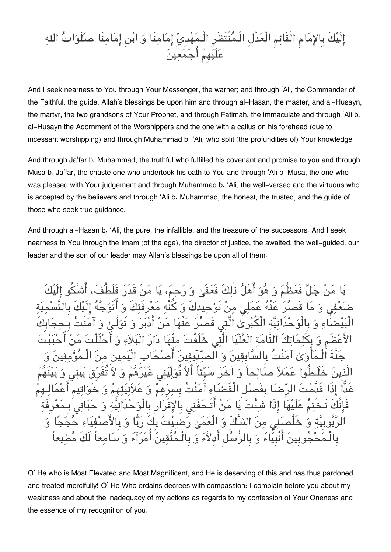### إِلَيْكَ بِالإِمَامِ الْقَائِمِ الْعَدْلِ الْـمُنْتَظَرِ الْـمَهْدِيِّ إِمَامِنَا وَ ابْنِ إِمَامِنَا صلَوَاتُ اللهِ علَيهِم اجمعين

And I seek nearness to You through Your Messenger, the warner; and through 'Ali, the Commander of the Faithful, the guide, Allah's blessings be upon him and through al-Hasan, the master, and al-Husayn, the martyr, the two grandsons of Your Prophet, and through Fatimah, the immaculate and through 'Ali b. al-Husayn the Adornment of the Worshippers and the one with a callus on his forehead (due to incessant worshipping) and through Muhammad b. 'Ali, who split (the profundities of) Your knowledge.

And through Ja'far b. Muhammad, the truthful who fulfilled his covenant and promise to you and through Musa b. Ja'far, the chaste one who undertook his oath to You and through 'Ali b. Musa, the one who was pleased with Your judgement and through Muhammad b. 'Ali, the well-versed and the virtuous who is accepted by the believers and through 'Ali b. Muhammad, the honest, the trusted, and the guide of those who seek true guidance.

And through al-Hasan b. 'Ali, the pure, the infallible, and the treasure of the successors. And I seek nearness to You through the Imam (of the age), the director of justice, the awaited, the well-guided, our leader and the son of our leader may Allah's blessings be upon all of them.

يَا مَنْ جَلّ فَعَظُمَ وَ هُوَ أَهْلُ ذٰلِكَ فَعَفَىٰ وَ رَحِمَ، يَا مَنْ قَدَرَ فَلَم ضَعْفِي وَ مَا قَصَرَ عَنْهُ عَمَلِي منْ تَوْحيدِكَ وَ كَنْه مَعْرِفَتِكَ ضَاءِ وَ بِالْوَحْدَانيَّة الْكُبْرِيْ الَّتِي قَصْرُ عَنْهَا مَنْ أَدْبَرَ وَ تَوَلَّـىٰ وَ آمَنْ وَ بِكَلْمَاتِكَ التَّامَة الْعُلْيَا الَّتِي خَلَقْتَ مِنْهَا دَا تَ بِالسَّابِقِينَ وَ الصيَّدِيقِينَ أَصِيْ دَّ صَالحاً وَ آخَرَ سَيِّئَاً آلاً تُوَلِّيَنِي غَيْرَهَ الرَّضَا بِفَصلْ الْقَضَاءِ آمَنْتُ بِسرِّهمْ وَ عَلاَنيَتهِمْ وَ ، عَلَيْهَا إذَا شئَّتَ يَا مَنْ أَتْـحَفَنِى بِالإِقْرَارِ بِالْوَحْدَانِيَّةِ وَ حَبَانِي الرَّبُوبِيَّة وَ خَلَّصَنِي مِنَ الشَّكِّ وَ الْعَمَىٰ رَضِيْتُ بِكَ رَبَّا وَ بِالأَصْفِيَاءِ حُجَجًا جُوبِينَ أَنْبِيَاءَ وَ بِالرَّسُلِ أَدِلاَّءَ وَ بِالْـمُتَّقِينَ أَمَرَآءَ وَ سَامِعاً لَكَ

O' He who is Most Elevated and Most Magnificent, and He is deserving of this and has thus pardoned and treated mercifully! O' He Who ordains decrees with compassion: I complain before you about my weakness and about the inadequacy of my actions as regards to my confession of Your Oneness and the essence of my recognition of you.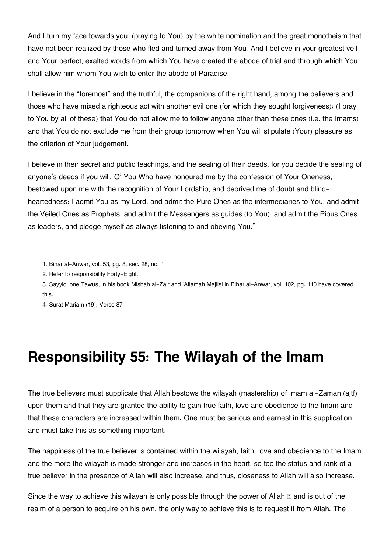And I turn my face towards you, (praying to You) by the white nomination and the great monotheism that have not been realized by those who fled and turned away from You. And I believe in your greatest veil and Your perfect, exalted words from which You have created the abode of trial and through which You shall allow him whom You wish to enter the abode of Paradise.

I believe in the "foremost" and the truthful, the companions of the right hand, among the believers and those who have mixed a righteous act with another evil one (for which they sought forgiveness): (I pray to You by all of these) that You do not allow me to follow anyone other than these ones (i.e. the Imams) and that You do not exclude me from their group tomorrow when You will stipulate (Your) pleasure as the criterion of Your judgement.

I believe in their secret and public teachings, and the sealing of their deeds, for you decide the sealing of anyone's deeds if you will. O' You Who have honoured me by the confession of Your Oneness, bestowed upon me with the recognition of Your Lordship, and deprived me of doubt and blindheartedness: I admit You as my Lord, and admit the Pure Ones as the intermediaries to You, and admit the Veiled Ones as Prophets, and admit the Messengers as guides (to You), and admit the Pious Ones as leaders, and pledge myself as always listening to and obeying You."

[3.](#page--1-0) Sayyid ibne Tawus, in his book Misbah al-Zair and 'Allamah Majlisi in Bihar al-Anwar, vol. 102, pg. 110 have covered this.

[4.](#page--1-0) Surat Mariam (19), Verse 87

### **Responsibility 55: The Wilayah of the Imam**

The true believers must supplicate that Allah bestows the wilayah (mastership) of Imam al-Zaman (ajtf) upon them and that they are granted the ability to gain true faith, love and obedience to the Imam and that these characters are increased within them. One must be serious and earnest in this supplication and must take this as something important.

The happiness of the true believer is contained within the wilayah, faith, love and obedience to the Imam and the more the wilayah is made stronger and increases in the heart, so too the status and rank of a true believer in the presence of Allah will also increase, and thus, closeness to Allah will also increase.

Since the way to achieve this wilayah is only possible through the power of Allah  $\mathbb E$  and is out of the realm of a person to acquire on his own, the only way to achieve this is to request it from Allah. The

[<sup>1.</sup>](#page--1-0) Bihar al-Anwar, vol. 53, pg. 8, sec. 28, no. 1

[<sup>2.</sup>](#page--1-0) Refer to responsibility Forty-Eight.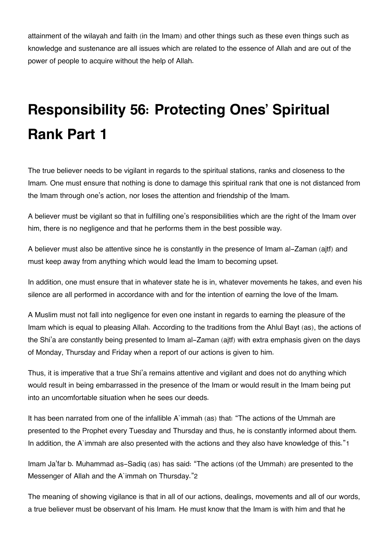attainment of the wilayah and faith (in the Imam) and other things such as these even things such as knowledge and sustenance are all issues which are related to the essence of Allah and are out of the power of people to acquire without the help of Allah.

# **Responsibility 56: Protecting Ones' Spiritual Rank Part 1**

The true believer needs to be vigilant in regards to the spiritual stations, ranks and closeness to the Imam. One must ensure that nothing is done to damage this spiritual rank that one is not distanced from the Imam through one's action, nor loses the attention and friendship of the Imam.

A believer must be vigilant so that in fulfilling one's responsibilities which are the right of the Imam over him, there is no negligence and that he performs them in the best possible way.

A believer must also be attentive since he is constantly in the presence of Imam al-Zaman (ajtf) and must keep away from anything which would lead the Imam to becoming upset.

In addition, one must ensure that in whatever state he is in, whatever movements he takes, and even his silence are all performed in accordance with and for the intention of earning the love of the Imam.

A Muslim must not fall into negligence for even one instant in regards to earning the pleasure of the Imam which is equal to pleasing Allah. According to the traditions from the Ahlul Bayt (as), the actions of the Shi'a are constantly being presented to Imam al-Zaman (ajtf) with extra emphasis given on the days of Monday, Thursday and Friday when a report of our actions is given to him.

Thus, it is imperative that a true Shi'a remains attentive and vigilant and does not do anything which would result in being embarrassed in the presence of the Imam or would result in the Imam being put into an uncomfortable situation when he sees our deeds.

It has been narrated from one of the infallible A`immah (as) that: "The actions of the Ummah are presented to the Prophet every Tuesday and Thursday and thus, he is constantly informed about them. In addition, the A`immah are also presented with the actions and they also have knowledge of this."[1](#page--1-0)

Imam Ja'far b. Muhammad as-Sadiq (as) has said: "The actions (of the Ummah) are presented to the Messenger of Allah and the A`immah on Thursday."[2](#page--1-0)

The meaning of showing vigilance is that in all of our actions, dealings, movements and all of our words, a true believer must be observant of his Imam. He must know that the Imam is with him and that he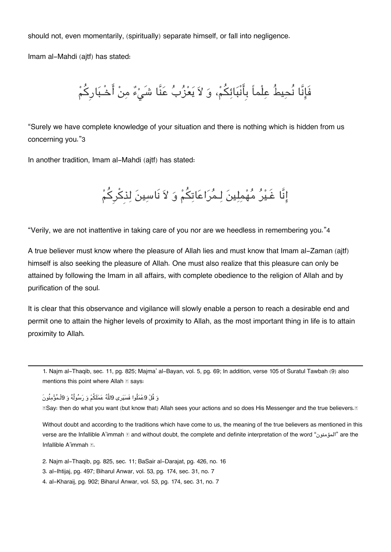should not, even momentarily, (spiritually) separate himself, or fall into negligence.

Imam al-Mahdi (ajtf) has stated:

فَإِنَّا نُحِيطُ عِلْماً بِأَنْبَائِكُمْ، وَ لاَ يَعْزُبُ عَنَّا شَىْءٌ مِنْ أَخْـبَارِكُمْ

"Surely we have complete knowledge of your situation and there is nothing which is hidden from us concerning you."[3](#page--1-0)

In another tradition, Imam al-Mahdi (ajtf) has stated:

إِنَّا غَـيْرُ مُهْمِلِينَ لِـمُرَاعَاتِكُمْ وَ لاَ نَاسِينَ لِذكْرِكُمْ

"Verily, we are not inattentive in taking care of you nor are we heedless in remembering you."[4](#page--1-0)

A true believer must know where the pleasure of Allah lies and must know that Imam al-Zaman (ajtf) himself is also seeking the pleasure of Allah. One must also realize that this pleasure can only be attained by following the Imam in all affairs, with complete obedience to the religion of Allah and by purification of the soul.

It is clear that this observance and vigilance will slowly enable a person to reach a desirable end and permit one to attain the higher levels of proximity to Allah, as the most important thing in life is to attain proximity to Allah.

[1.](#page--1-0) Najm al-Thaqib, sec. 11, pg. 825; Majma' al-Bayan, vol. 5, pg. 69; In addition, verse 105 of Suratul Tawbah (9) also mentions this point where Allah **s** says:

وَ قُلْ 9عْمَلُوا فَسَيَرِي 9للَّهُ عَمَلَكُمْ وَ رَسُولُهُ وَ 9لْـمُؤْمِنُونَ

ESay: then do what you want (but know that) Allah sees your actions and so does His Messenger and the true believers. If

Without doubt and according to the traditions which have come to us, the meaning of the true believers as mentioned in this verse are the Infallible A'immah [2] and without doubt, the complete and definite interpretation of the word "المؤمنون" are the Infallible A'immah **1**.

[2.](#page--1-0) Najm al-Thaqib, pg. 825, sec. 11; BaSair al-Darajat, pg. 426, no. 16

[3.](#page--1-0) al-Ihtijaj, pg. 497; Biharul Anwar, vol. 53, pg. 174, sec. 31, no. 7

[4.](#page--1-0) al-Kharaij, pg. 902; Biharul Anwar, vol. 53, pg. 174, sec. 31, no. 7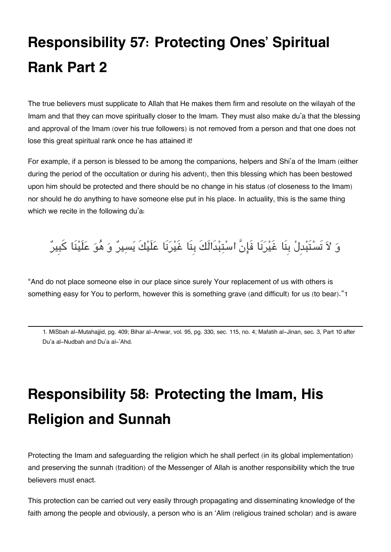# **Responsibility 57: Protecting Ones' Spiritual Rank Part 2**

The true believers must supplicate to Allah that He makes them firm and resolute on the wilayah of the Imam and that they can move spiritually closer to the Imam. They must also make du'a that the blessing and approval of the Imam (over his true followers) is not removed from a person and that one does not lose this great spiritual rank once he has attained it!

For example, if a person is blessed to be among the companions, helpers and Shi'a of the Imam (either during the period of the occultation or during his advent), then this blessing which has been bestowed upon him should be protected and there should be no change in his status (of closeness to the Imam) nor should he do anything to have someone else put in his place. In actuality, this is the same thing which we recite in the following du'a:

### وَ لاَ تَسْتَبْدِلْ بِنَا غَيْرَنَا فَإِنَّ اسْتِبْدَالَكَ بِنَا غَيْرَنَا عَلَيْكَ يَسِيرٌ وَ هُوَ عَلَيْنَا كَبِيرٌ

"And do not place someone else in our place since surely Your replacement of us with others is something easy for You to perform, however this is something grave (and difficult) for us (to bear)."[1](#page--1-0)

[1.](#page--1-0) MiSbah al-Mutahajjid, pg. 409; Bihar al-Anwar, vol. 95, pg. 330, sec. 115, no. 4; Mafatih al-Jinan, sec. 3, Part 10 after Du'a al-Nudbah and Du'a al-'Ahd.

# **Responsibility 58: Protecting the Imam, His Religion and Sunnah**

Protecting the Imam and safeguarding the religion which he shall perfect (in its global implementation) and preserving the sunnah (tradition) of the Messenger of Allah is another responsibility which the true believers must enact.

This protection can be carried out very easily through propagating and disseminating knowledge of the faith among the people and obviously, a person who is an 'Alim (religious trained scholar) and is aware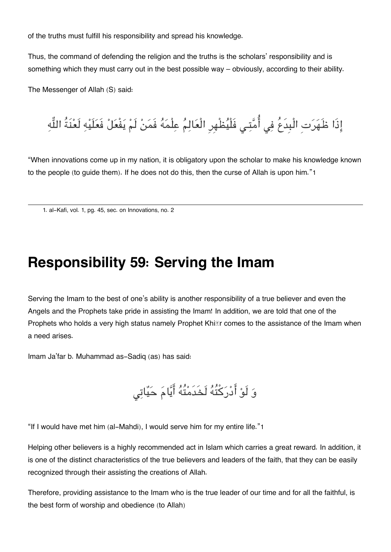of the truths must fulfill his responsibility and spread his knowledge.

Thus, the command of defending the religion and the truths is the scholars' responsibility and is something which they must carry out in the best possible way – obviously, according to their ability.

The Messenger of Allah (S) said:

إِذَا ظَهَرَتِ الْبِدَعُ فِي أُمَّتِي فَلْيُظْهِرِ الْعَالِمُ عِلْمَهُ فَمَنْ لَمْ يَفْعَلْ فَعَلَيْهِ لَعْنَةُ اللَّهِ

"When innovations come up in my nation, it is obligatory upon the scholar to make his knowledge known to the people (to guide them). If he does not do this, then the curse of Allah is upon him."[1](#page--1-0)

[1.](#page--1-0) al-Kafi, vol. 1, pg. 45, sec. on Innovations, no. 2

#### **Responsibility 59: Serving the Imam**

Serving the Imam to the best of one's ability is another responsibility of a true believer and even the Angels and the Prophets take pride in assisting the Imam! In addition, we are told that one of the Prophets who holds a very high status namely Prophet Khing comes to the assistance of the Imam when a need arises.

Imam Ja'far b. Muhammad as-Sadiq (as) has said:

و لَو ادركتُه لَخَدَمتُه ايام حيات

"If I would have met him (al-Mahdi), I would serve him for my entire life."[1](#page--1-0)

Helping other believers is a highly recommended act in Islam which carries a great reward. In addition, it is one of the distinct characteristics of the true believers and leaders of the faith, that they can be easily recognized through their assisting the creations of Allah.

Therefore, providing assistance to the Imam who is the true leader of our time and for all the faithful, is the best form of worship and obedience (to Allah)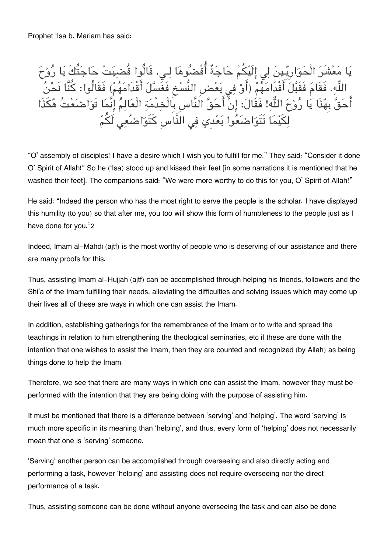يَا مَعْشَرَ الْحَوَارِيَـينَ لِي إِلَيْكُمْ حَاجَة اقْضُنُوهَا لِـي. قَالُوا قَضْبِيَتْ حَاجَتَكَ يَا رَوْحَ اللَّهِ. فَقَامَ فَقَبَلَ اقْدَامَهُمْ (أَوْ فِي بَعْضِ النَّسْخِ فَغَسَلَ اقْدَامَهُمْ) فَقَالُوا: كَنَّا نَحْنَ اَحَقَّ بِهَٰذَا يَا رَوْحَ اللَّهِ! فَقَالَ: إِنْ احَقَّ النَّاسِ بِالْخِدْمَةِ الْعَالِمَ إِنْمَا تَوَاضَعْتَ هَكَذَا لِكَيْمَا تَتَوَاضَعُوا بَعْدِي فِي النَّاسِ كَتَوَاضَعِي لَكَمْ

"O' assembly of disciples! I have a desire which I wish you to fulfill for me." They said: "Consider it done O' Spirit of Allah!" So he ('Isa) stood up and kissed their feet [in some narrations it is mentioned that he washed their feet]. The companions said: "We were more worthy to do this for you, O' Spirit of Allah!"

He said: "Indeed the person who has the most right to serve the people is the scholar. I have displayed this humility (to you) so that after me, you too will show this form of humbleness to the people just as I have done for you."[2](#page--1-0)

Indeed, Imam al-Mahdi (ajtf) is the most worthy of people who is deserving of our assistance and there are many proofs for this.

Thus, assisting Imam al-Hujjah (ajtf) can be accomplished through helping his friends, followers and the Shi'a of the Imam fulfilling their needs, alleviating the difficulties and solving issues which may come up their lives all of these are ways in which one can assist the Imam.

In addition, establishing gatherings for the remembrance of the Imam or to write and spread the teachings in relation to him strengthening the theological seminaries, etc if these are done with the intention that one wishes to assist the Imam, then they are counted and recognized (by Allah) as being things done to help the Imam.

Therefore, we see that there are many ways in which one can assist the Imam, however they must be performed with the intention that they are being doing with the purpose of assisting him.

It must be mentioned that there is a difference between 'serving' and 'helping'. The word 'serving' is much more specific in its meaning than 'helping', and thus, every form of 'helping' does not necessarily mean that one is 'serving' someone.

'Serving' another person can be accomplished through overseeing and also directly acting and performing a task, however 'helping' and assisting does not require overseeing nor the direct performance of a task.

Thus, assisting someone can be done without anyone overseeing the task and can also be done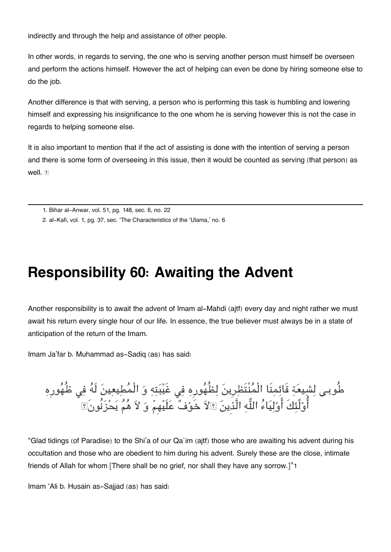indirectly and through the help and assistance of other people.

In other words, in regards to serving, the one who is serving another person must himself be overseen and perform the actions himself. However the act of helping can even be done by hiring someone else to do the job.

Another difference is that with serving, a person who is performing this task is humbling and lowering himself and expressing his insignificance to the one whom he is serving however this is not the case in regards to helping someone else.

It is also important to mention that if the act of assisting is done with the intention of serving a person and there is some form of overseeing in this issue, then it would be counted as serving (that person) as well. F

[2.](#page--1-0) al-Kafi, vol. 1, pg. 37, sec. 'The Characteristics of the 'Ulama,' no. 6

### **Responsibility 60: Awaiting the Advent**

Another responsibility is to await the advent of Imam al-Mahdi (ajtf) every day and night rather we must await his return every single hour of our life. In essence, the true believer must always be in a state of anticipation of the return of the Imam.

Imam Ja'far b. Muhammad as-Sadiq (as) has said:

طُوبـي لِشِيعَةِ قَائِمِنا الْمَنتظِرِينَ لِظُهُورِهِ فِي غَيْبَتِهِ وَ الْمَطِيعِينَ لَهَ فِي ظُهُورِهِ اوْلَئِكَ اوْلِيَاءَ اللَّهِ الَّذِينَ ۩لاَ خَوْفٌ عَلَيْهِمْ وَ لاَ هَمَ يَحْزَنُونَ۩

"Glad tidings (of Paradise) to the Shi'a of our Qa`im (ajtf) those who are awaiting his advent during his occultation and those who are obedient to him during his advent. Surely these are the close, intimate friends of Allah for whom [There shall be no grief, nor shall they have any sorrow.]"[1](#page--1-0)

Imam 'Ali b. Husain as-Sajjad (as) has said:

[<sup>1.</sup>](#page--1-0) Bihar al-Anwar, vol. 51, pg. 148, sec. 6, no. 22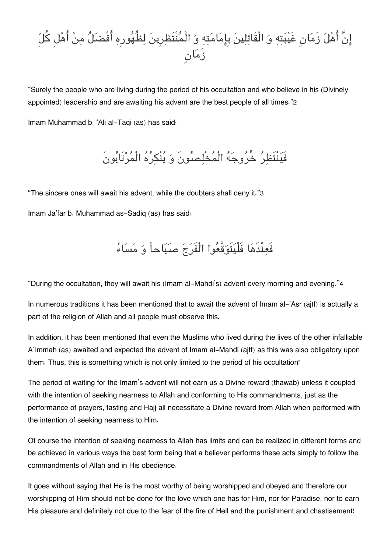### انَّ اهل زَمانِ غَيبته و الْقَائلين بِامامته و الْمنْتَظرِين لظُهورِه افْضل من اهل كل زَمانٍ

"Surely the people who are living during the period of his occultation and who believe in his (Divinely appointed) leadership and are awaiting his advent are the best people of all times."[2](#page--1-0)

Imam Muhammad b. 'Ali al-Taqi (as) has said:

فَينْتَظر خُروجه الْمخْلصونَ و ينْره الْمرتَابونَ

"The sincere ones will await his advent, while the doubters shall deny it."[3](#page--1-0)

Imam Ja'far b. Muhammad as-Sadiq (as) has said:

فَعنْدَها فَلْيتَوقَّعوا الْفَرج صباحاً و مساء

"During the occultation, they will await his (Imam al-Mahdi's) advent every morning and evening."[4](#page--1-0)

In numerous traditions it has been mentioned that to await the advent of Imam al-'Asr (ajtf) is actually a part of the religion of Allah and all people must observe this.

In addition, it has been mentioned that even the Muslims who lived during the lives of the other infalliable A`immah (as) awaited and expected the advent of Imam al-Mahdi (ajtf) as this was also obligatory upon them. Thus, this is something which is not only limited to the period of his occultation!

The period of waiting for the Imam's advent will not earn us a Divine reward (thawab) unless it coupled with the intention of seeking nearness to Allah and conforming to His commandments, just as the performance of prayers, fasting and Hajj all necessitate a Divine reward from Allah when performed with the intention of seeking nearness to Him.

Of course the intention of seeking nearness to Allah has limits and can be realized in different forms and be achieved in various ways the best form being that a believer performs these acts simply to follow the commandments of Allah and in His obedience.

It goes without saying that He is the most worthy of being worshipped and obeyed and therefore our worshipping of Him should not be done for the love which one has for Him, nor for Paradise, nor to earn His pleasure and definitely not due to the fear of the fire of Hell and the punishment and chastisement!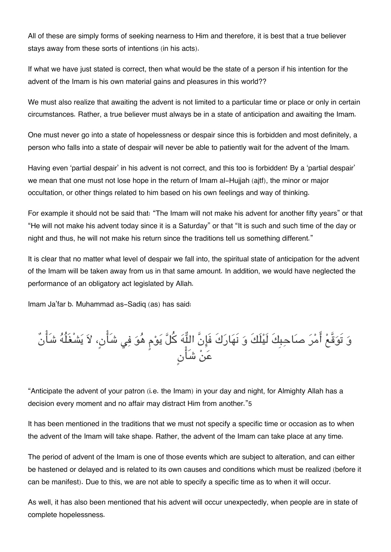All of these are simply forms of seeking nearness to Him and therefore, it is best that a true believer stays away from these sorts of intentions (in his acts).

If what we have just stated is correct, then what would be the state of a person if his intention for the advent of the Imam is his own material gains and pleasures in this world??

We must also realize that awaiting the advent is not limited to a particular time or place or only in certain circumstances. Rather, a true believer must always be in a state of anticipation and awaiting the Imam.

One must never go into a state of hopelessness or despair since this is forbidden and most definitely, a person who falls into a state of despair will never be able to patiently wait for the advent of the Imam.

Having even 'partial despair' in his advent is not correct, and this too is forbidden! By a 'partial despair' we mean that one must not lose hope in the return of Imam al-Hujjah (ajtf), the minor or major occultation, or other things related to him based on his own feelings and way of thinking.

For example it should not be said that: "The Imam will not make his advent for another fifty years" or that "He will not make his advent today since it is a Saturday" or that "It is such and such time of the day or night and thus, he will not make his return since the traditions tell us something different."

It is clear that no matter what level of despair we fall into, the spiritual state of anticipation for the advent of the Imam will be taken away from us in that same amount. In addition, we would have neglected the performance of an obligatory act legislated by Allah.

Imam Ja'far b. Muhammad as-Sadiq (as) has said:

و تَوقَّع امر صاحبِكَ لَيلَكَ و نَهاركَ فَانَّ اله كل يوم هو ف شَان،ٍ لا يشْغَلُه شَانٌ عن شَانٍ

"Anticipate the advent of your patron (i.e. the Imam) in your day and night, for Almighty Allah has a decision every moment and no affair may distract Him from another."[5](#page--1-0)

It has been mentioned in the traditions that we must not specify a specific time or occasion as to when the advent of the Imam will take shape. Rather, the advent of the Imam can take place at any time.

The period of advent of the Imam is one of those events which are subject to alteration, and can either be hastened or delayed and is related to its own causes and conditions which must be realized (before it can be manifest). Due to this, we are not able to specify a specific time as to when it will occur.

As well, it has also been mentioned that his advent will occur unexpectedly, when people are in state of complete hopelessness.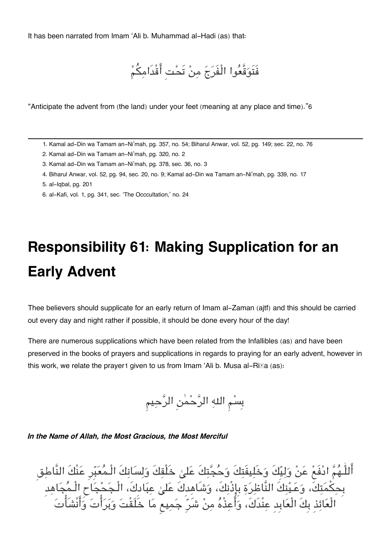It has been narrated from Imam 'Ali b. Muhammad al-Hadi (as) that:

فَتَوقَّعوا الْفَرج من تَحتِ اقْدَامم

"Anticipate the advent from (the land) under your feet (meaning at any place and time)."[6](#page--1-0)

[1.](#page--1-0) Kamal ad-Din wa Tamam an-Ni'mah, pg. 357, no. 54; Biharul Anwar, vol. 52, pg. 149; sec. 22, no. 76

- [2.](#page--1-0) Kamal ad-Din wa Tamam an-Ni'mah, pg. 320, no. 2
- [3.](#page--1-0) Kamal ad-Din wa Tamam an-Ni'mah, pg. 378, sec. 36, no. 3
- [4.](#page--1-0) Biharul Anwar, vol. 52, pg. 94, sec. 20, no. 9; Kamal ad-Din wa Tamam an-Ni'mah, pg. 339, no. 17
- [5.](#page--1-0) al-Iqbal, pg. 201
- [6.](#page--1-0) al-Kafi, vol. 1, pg. 341, sec. 'The Occcultation,' no. 24

## **Responsibility 61: Making Supplication for an Early Advent**

Thee believers should supplicate for an early return of Imam al-Zaman (ajtf) and this should be carried out every day and night rather if possible, it should be done every hour of the day!

There are numerous supplications which have been related from the Infallibles (as) and have been preserved in the books of prayers and supplications in regards to praying for an early advent, however in this work, we relate the prayer[1](#page--1-0) given to us from Imam 'Ali b. Musa al-Ri $\mathbb{E}$ a (as):

بِسم اله الرحمن الرحيم

*In the Name of Allah, the Most Gracious, the Most Merciful*

اللَّـهُمَّ ادْفَعْ عَنْ وَلِيَكَ وَخَلِيفَتِكَ وَحَجِّتِكَ عَلَىٰ خَلْقِكَ وَلِسَانِكَ الْـمَعَبِّرِ عَنْكَ النَّاطق بِحِكمَتِكَ، وَعَـيْنِكَ النَّاظِرَةِ بِإِذْنِكَ، وَشَاهِدِكَ عَلَىٰ عِبَادِكَ، الْـجَحْجَاحِ الْـمَجَاهِدِ الْعائذِ بِكَ الْعابِدِ عنْدَك،َ واعذْه من شَرِ جميع ما خَلَقْت وبرات وانْشَات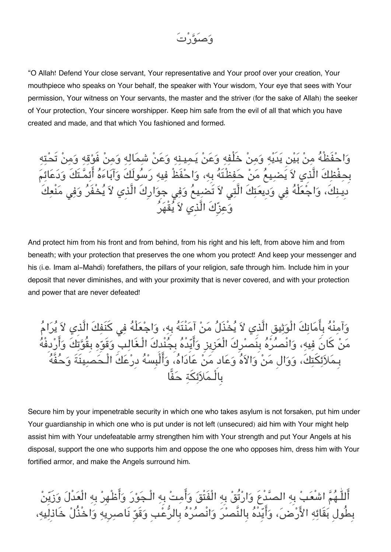

"O Allah! Defend Your close servant, Your representative and Your proof over your creation, Your mouthpiece who speaks on Your behalf, the speaker with Your wisdom, Your eye that sees with Your permission, Your witness on Your servants, the master and the striver (for the sake of Allah) the seeker of Your protection, Your sincere worshipper. Keep him safe from the evil of all that which you have created and made, and that which You fashioned and formed.

وَاحْفَظْهُ مِنْ بَيْنِ يَدَيْهِ وَمِنْ خَلْفِهِ وَعَنْ يَمِينِهِ وَعَنْ شِمَالِهِ وَمِنْ فَوْقِهِ وَمِنْ تَحْتِهِ بِحفْظِكَ الَّذِي لاَ يَضيهمُ مَنْ حَفِظْتَهُ بِهِ، وَاحْفَظْ فِيهِ رَسُولَكَ وَآبَاءَهُ أَئِمَّتَكَ وَدَعَائِمَ َدِينِكَ، وَاجْعَلْهُ فِي وَدِيعَتِكَ الَّتِي لاَ تَضيععُ وَفِي جِوَارِكَ الَّذِي لاَ يُخْفَنُ وَفِي مَنْعِكَ وعزِكَ الَّذِي لا يقْهر

And protect him from his front and from behind, from his right and his left, from above him and from beneath; with your protection that preserves the one whom you protect! And keep your messenger and his (i.e. Imam al-Mahdi) forefathers, the pillars of your religion, safe through him. Include him in your deposit that never diminishes, and with your proximity that is never covered, and with your protection and power that are never defeated!

وَآمنْهُ بِأَمَانكَ الْوَثِيقِ الَّذِي لاَ يُخْذَلُ مَنْ آمَنْتَهُ بِهِ، وَاجْعَلْهُ فِي كَنَفِكَ الَّذِي لاَ يُرَامُ مَنْ كَانَ فِيهِ، وَانْصِرُهُ بِنَصرِكَ الْعَزِيزِ وَأَيِّدْهُ بِجُنْدِكَ الْـغَالِبِ وَقَوِّهِ بِقُوَّتِكَ وَأَرْدِفْهُ بِـملائتك،َ ووالِ من والاه وعادِ من عاداه، والْبِسه دِرعكَ الْـحصينَةَ وحفَّه بِالْـمَلاَئكَة حَفًّا

Secure him by your impenetrable security in which one who takes asylum is not forsaken, put him under Your guardianship in which one who is put under is not left (unsecured) aid him with Your might help assist him with Your undefeatable army strengthen him with Your strength and put Your Angels at his disposal, support the one who supports him and oppose the one who opposes him, dress him with Your fortified armor, and make the Angels surround him.

اللّٰـهُمّ اشْعَبْ بِهِ الصّدْعِ وَارْتُقْ بِهِ الْفَتْقَ وَأَمِتْ بِهِ الْـجَوْرَ وَأَطْهِرْ بِهِ الْعَدْلَ وَزَيِّنْ بِطُولِ بقَائه الارض، وايِدْه بِالنَّصر وانْصره بِالرعبِ وقَوِ نَاصرِيه واخْذُل خَاذِليه،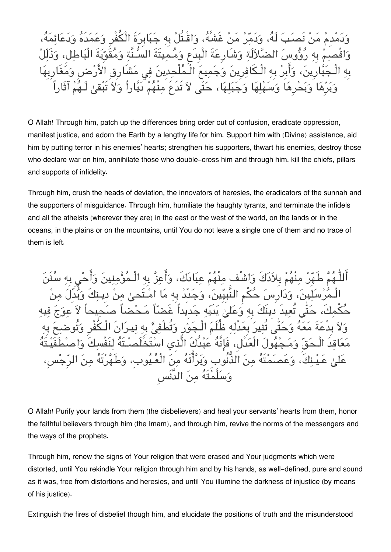مدَبَ لَهُ، وَدَمَّرْ مَنْ غَشَّهُ، وَاقْـتُلْ بِه جَبَابِرَةَ الْكُفْرِ وَعَمَدَهُ صبِمْ بِهِ رُؤُوسَ الضَّلاَلَةِ وَشَارِعَةَ الْبِدَعِ وَمُـمِيتَةَ السُّنَّة وَمُقَوِّيَةَ الْبَاطل، وَذَ ِينَ، وَأَبِرْ بِهِ الْـكَافرِينَ وَجَميعَ الْـمُلْحدِينَ فِي مَشَارِقِ الْأَرْضِ نُرِهَا وَسَهْلِهَا وَجَبَلِهَا، حَتَّى لاَ تَدَعَ مِنْهُمْ دَيَّاراً وَلاَ تَبْقىٰ

O Allah! Through him, patch up the differences bring order out of confusion, eradicate oppression, manifest justice, and adorn the Earth by a lengthy life for him. Support him with (Divine) assistance, aid him by putting terror in his enemies' hearts; strengthen his supporters, thwart his enemies, destroy those who declare war on him, annihilate those who double-cross him and through him, kill the chiefs, pillars and supports of infidelity.

Through him, crush the heads of deviation, the innovators of heresies, the eradicators of the sunnah and the supporters of misguidance. Through him, humiliate the haughty tyrants, and terminate the infidels and all the atheists (wherever they are) in the east or the west of the world, on the lands or in the oceans, in the plains or on the mountains, until You do not leave a single one of them and no trace of them is left.

ب مِنْهُمْ عِبَادَكَ، وَا سَلِينَ، وَدَارِ سَ حُكْمِ النَّبِيِّينَ، وَجَدِّدْ بِهِ مَا امْـتَحِـرْ مِنْ دِيـنكَ وَبُدِّ تعيد دِينكَ بِه وَعَلَىٰ بَدَيْه جَدِيداً غَ وَلاً بِدِعَةَ مَعَهُ وَحَتّٰى تُنِيرَ بِعَدلِهِ ظُلَّمَ الْـجَوْرِ وَتُطْفِئُ بِهِ نِيـرَانِ الْـكْفْرِ وَتُوضحَ بِهِ معاقدَ الْـحق ومـجهول الْعدْل،ِ فَانَّه عبدُكَ الَّذِي استَخْلَصـتَه لنَفْسكَ واصطَفَيـتَه علّه من الذُّنوبِ وَيَرَاتَهُ من الْعَـيَوبِ، وَط وسلَّمتَه من الدَّنَسِ

O Allah! Purify your lands from them (the disbelievers) and heal your servants' hearts from them, honor the faithful believers through him (the Imam), and through him, revive the norms of the messengers and the ways of the prophets.

Through him, renew the signs of Your religion that were erased and Your judgments which were distorted, until You rekindle Your religion through him and by his hands, as well-defined, pure and sound as it was, free from distortions and heresies, and until You illumine the darkness of injustice (by means of his justice).

Extinguish the fires of disbelief though him, and elucidate the positions of truth and the misunderstood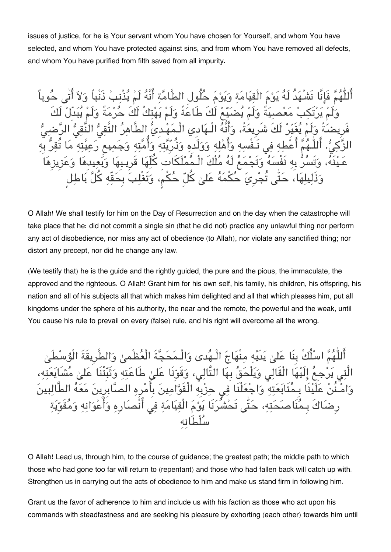issues of justice, for he is Your servant whom You have chosen for Yourself, and whom You have selected, and whom You have protected against sins, and from whom You have removed all defects, and whom You have purified from filth saved from all impurity.

ُهَدُ لَهُ يَوْمَ الْقيَامَة وَيَوْمَ حُلُولِ الطَّامَّة أَنَّهُ لَمْ يُذْنبُ ذَنْباً وَلاَ أَتٰى حُوباً نْ مَعْصيَةً وَلَمْ يُضيّمْ لَكَ طَاعَةً وَلَمْ يَهْتكُ لَكَ حُرْمَةً وَلَمْ يُبَدِّلْ و يُغَيِّر لَكَ شَرِيعَةً، وَأَنَّهُ الْـهَادِي الْـمَهْـدِيُّ الطَّاهرُ التَّقيُّ النَّقيُّ الرَّح أَعْطِهِ فِي نَـفْسهِ وَأَهْله وَوَلَده وَذُرِيَّته وَأُمَّته وَجَميع رَع لّه، وَتَسُرُّ بِه نَفْسَهُ وَتَجْمَعُ لَهُ مُلْكَ الْـمُمْلَكَاتِ كُلّهَا قَرِيـبِهَا وَبَعِيدِهَا وَعَزِ لِهَا، حَتّٰى تُجْرِيَ حُكْمَهُ عَلىٰ كُلّ حُكْم، وَتَغْلِبَ بِحَقّهِ كُلَّ بَاطِل

O Allah! We shall testify for him on the Day of Resurrection and on the day when the catastrophe will take place that he: did not commit a single sin (that he did not) practice any unlawful thing nor perform any act of disobedience, nor miss any act of obedience (to Allah), nor violate any sanctified thing; nor distort any precept, nor did he change any law.

(We testify that) he is the guide and the rightly guided, the pure and the pious, the immaculate, the approved and the righteous. O Allah! Grant him for his own self, his family, his children, his offspring, his nation and all of his subjects all that which makes him delighted and all that which pleases him, put all kingdoms under the sphere of his authority, the near and the remote, the powerful and the weak, until You cause his rule to prevail on every (false) rule, and his right will overcome all the wrong.

اللّهُمِّ اسْلُكْ بِنَا عَلىٰ يَدَيْهِ مِنْهَاجَ الْـهُدى وَالْـمَحَجَّةَ الْعُظْمىٰ وَالطَّرِيقَةَ ا الِّيْهَا الْقَالِي وَيَلْحَقُ بِهَا التَّالِي، وَقَوِّنَا عَلىٰ طَاعَتِهِ وَثَبِّتْنَا عَلَىٰ مُّتْ نَنْ عَلَيْنَا بِـمُتَابَعَتِهِ وَاجْعَلْنَا فِي حِزْبِهِ الْقَوَّامِينَ بِأَمْرِهِ الصَّابِرِينَ مَعَهُ الطَّالبِينَ رِضَاكَ بِـمُنَاصَحَتِهِ، حَتّٰى تَحْشُرَنَا يَوْمَ الْقِيَامَةِ فِي أَنْصَارِهِ وَأَعْوَانِهِ وَمُقَوِّيَةٍ سلْطَانه

O Allah! Lead us, through him, to the course of guidance; the greatest path; the middle path to which those who had gone too far will return to (repentant) and those who had fallen back will catch up with. Strengthen us in carrying out the acts of obedience to him and make us stand firm in following him.

Grant us the favor of adherence to him and include us with his faction as those who act upon his commands with steadfastness and are seeking his pleasure by exhorting (each other) towards him until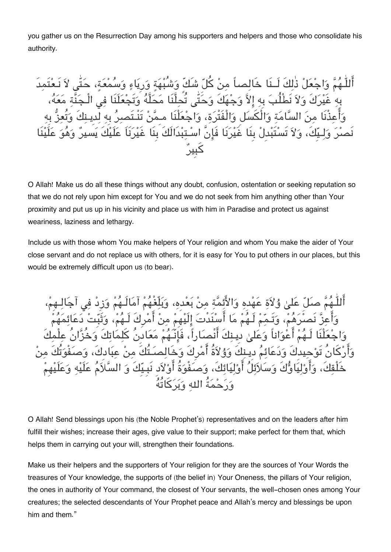you gather us on the Resurrection Day among his supporters and helpers and those who consolidate his authority.

أَللّٰـٰهُمَّ وَاجْعَلْ ذٰلكَ لَــنَا خَالصـاً منْ كُلِّ شَكٍّ وَشُبْهَةٍ وَر بِهِ غَيْرَكَ وَلاَ نَطْلُبَ بِهِ الاَّ وَجْهَكَ وَحَتَّى تُحلَّنَا مَحَلَّهُ وَتَجْعَلَنَا في الْـ وَأَعِذْنَا مِنَ السَّامَةِ وَالْكَسَلِ وَالْفَتْرَة، وَاجْعَلْنَا مـمَّنْ تَنْـتَصرُ بِه لَّدِينِكَ وَّتُـ يِّكَ، وَلاَ تَسْتَبْدِلْ بِنَا غَيْرَنَا فَإِنَّ اسْـتبْدَالَكَ بِنَا غَيْرَنَاَ عَلَيْ كبِير

O Allah! Make us do all these things without any doubt, confusion, ostentation or seeking reputation so that we do not rely upon him except for You and we do not seek from him anything other than Your proximity and put us up in his vicinity and place us with him in Paradise and protect us against weariness, laziness and lethargy.

Include us with those whom You make helpers of Your religion and whom You make the aider of Your close servant and do not replace us with others, for it is easy for You to put others in our places, but this would be extremely difficult upon us (to bear).

وْلاَة عَهْدِه وَالأَئمّة منْ بَعْدِه، وَبَلْغَهُمْ آمَالَـ عَهُمْ مَا أَسْنَدْتَ الَيْهِمْ منْ أَمْرِكَ لَـهُمْ، وَ أَعْوَاناً وَعَلَىٰ دِينكَ أَنْصاراً، فَانّـَهُمْ مَعَادِنُ كَا يدكَ وَدَعَائمُ دِيـنكَ وَوُلاَةُ أَمْرِكَ وَخَالصَـتُكَ منْ عبَ أَوْلِيَائِكَ، وَصَفْوَةُ أَوْلاَدِ نَبِـيِّكَ وَ السَّ ورحمةُ اله وبركاتُه

O Allah! Send blessings upon his (the Noble Prophet's) representatives and on the leaders after him fulfill their wishes; increase their ages, give value to their support; make perfect for them that, which helps them in carrying out your will, strengthen their foundations.

Make us their helpers and the supporters of Your religion for they are the sources of Your Words the treasures of Your knowledge, the supports of (the belief in) Your Oneness, the pillars of Your religion, the ones in authority of Your command, the closest of Your servants, the well-chosen ones among Your creatures; the selected descendants of Your Prophet peace and Allah's mercy and blessings be upon him and them."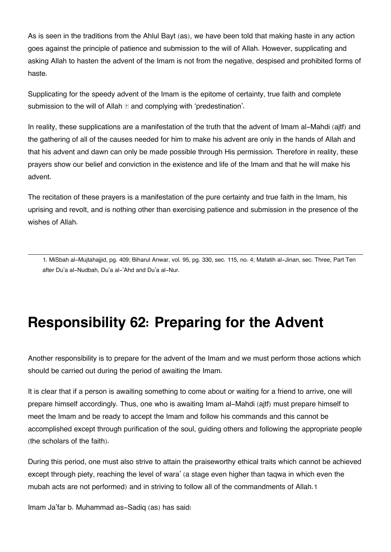As is seen in the traditions from the Ahlul Bayt (as), we have been told that making haste in any action goes against the principle of patience and submission to the will of Allah. However, supplicating and asking Allah to hasten the advent of the Imam is not from the negative, despised and prohibited forms of haste.

Supplicating for the speedy advent of the Imam is the epitome of certainty, true faith and complete submission to the will of Allah **and complying with 'predestination'**.

In reality, these supplications are a manifestation of the truth that the advent of Imam al-Mahdi (aitf) and the gathering of all of the causes needed for him to make his advent are only in the hands of Allah and that his advent and dawn can only be made possible through His permission. Therefore in reality, these prayers show our belief and conviction in the existence and life of the Imam and that he will make his advent.

The recitation of these prayers is a manifestation of the pure certainty and true faith in the Imam, his uprising and revolt, and is nothing other than exercising patience and submission in the presence of the wishes of Allah.

[1.](#page--1-0) MiSbah al-Mujtahajjid, pg. 409; Biharul Anwar, vol. 95, pg. 330, sec. 115, no. 4; Mafatih al-Jinan, sec. Three, Part Ten after Du'a al-Nudbah, Du'a al-'Ahd and Du'a al-Nur.

### **Responsibility 62: Preparing for the Advent**

Another responsibility is to prepare for the advent of the Imam and we must perform those actions which should be carried out during the period of awaiting the Imam.

It is clear that if a person is awaiting something to come about or waiting for a friend to arrive, one will prepare himself accordingly. Thus, one who is awaiting Imam al-Mahdi (ajtf) must prepare himself to meet the Imam and be ready to accept the Imam and follow his commands and this cannot be accomplished except through purification of the soul, guiding others and following the appropriate people (the scholars of the faith).

During this period, one must also strive to attain the praiseworthy ethical traits which cannot be achieved except through piety, reaching the level of wara' (a stage even higher than taqwa in which even the mubah acts are not performed) and in striving to follow all of the commandments of Allah.[1](#page--1-0)

Imam Ja'far b. Muhammad as-Sadiq (as) has said: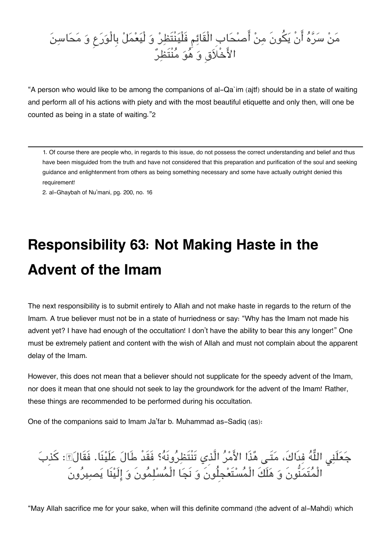### مَنْ سَرَّهُ انْ يَكُون مِنْ اصْحَابِ الْقَائِمِ فْلْيَنْتَظِرْ وَ لْيَعْمَلْ بِالْوَرَعِ وَ مَحَاسِنَ الأَخْلاَقِ وَ هُوَ مَنْتَظِرَ

"A person who would like to be among the companions of al-Qa`im (ajtf) should be in a state of waiting and perform all of his actions with piety and with the most beautiful etiquette and only then, will one be counted as being in a state of waiting."[2](#page--1-0)

[1.](#page--1-0) Of course there are people who, in regards to this issue, do not possess the correct understanding and belief and thus have been misguided from the truth and have not considered that this preparation and purification of the soul and seeking guidance and enlightenment from others as being something necessary and some have actually outright denied this requirement!

[2.](#page--1-0) al-Ghaybah of Nu'mani, pg. 200, no. 16

# **Responsibility 63: Not Making Haste in the Advent of the Imam**

The next responsibility is to submit entirely to Allah and not make haste in regards to the return of the Imam. A true believer must not be in a state of hurriedness or say: "Why has the Imam not made his advent yet? I have had enough of the occultation! I don't have the ability to bear this any longer!" One must be extremely patient and content with the wish of Allah and must not complain about the apparent delay of the Imam.

However, this does not mean that a believer should not supplicate for the speedy advent of the Imam, nor does it mean that one should not seek to lay the groundwork for the advent of the Imam! Rather, these things are recommended to be performed during his occultation.

One of the companions said to Imam Ja'far b. Muhammad as-Sadiq (as):

جَعَلَنِي اللَّهُ فِدَاكَ، مَتَـى هُذَا الأَمْرُ الَّذِي تَنْتَظِرُونَهُ؟ فَقَدْ طَالَ عَلَيْنَا. فَقَالَ؟: كَذِبَ الْمتَمنُّونَ و هلَكَ الْمستَعجِلُونَ و نَجا الْمسلمونَ و الَينَا يصيرونَ

"May Allah sacrifice me for your sake, when will this definite command (the advent of al-Mahdi) which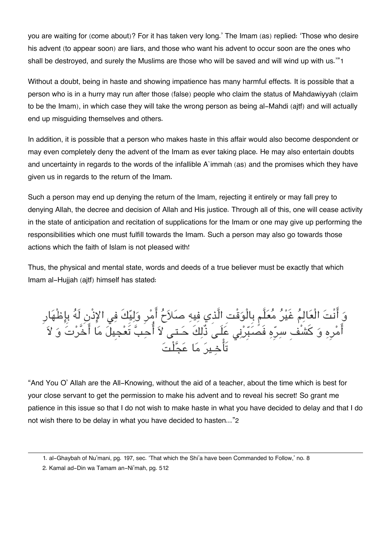you are waiting for (come about)? For it has taken very long.' The Imam (as) replied: 'Those who desire his advent (to appear soon) are liars, and those who want his advent to occur soon are the ones who shall be destroyed, and surely the Muslims are those who will be saved and will wind up with us.'"[1](#page--1-0)

Without a doubt, being in haste and showing impatience has many harmful effects. It is possible that a person who is in a hurry may run after those (false) people who claim the status of Mahdawiyyah (claim to be the Imam), in which case they will take the wrong person as being al-Mahdi (ajtf) and will actually end up misguiding themselves and others.

In addition, it is possible that a person who makes haste in this affair would also become despondent or may even completely deny the advent of the Imam as ever taking place. He may also entertain doubts and uncertainty in regards to the words of the infallible A`immah (as) and the promises which they have given us in regards to the return of the Imam.

Such a person may end up denying the return of the Imam, rejecting it entirely or may fall prey to denying Allah, the decree and decision of Allah and His justice. Through all of this, one will cease activity in the state of anticipation and recitation of supplications for the Imam or one may give up performing the responsibilities which one must fulfill towards the Imam. Such a person may also go towards those actions which the faith of Islam is not pleased with!

Thus, the physical and mental state, words and deeds of a true believer must be exactly that which Imam al-Hujjah (ajtf) himself has stated:

وَ انْتَ الْعَالِمَ غَيْرَ مَعَلَّم بِالْوَقْتِ الَّذِي فِيهِ صَلاَحَ أَمِّرٍ وَلِيِّكَ فِي الإِذْنِ لَهَ بِإِظْهَار امَّرِهِ وَ كَشْفِ سِرَّهِ فَصُبِّرْنِي عَلَـى ذَلِكَ حَـتـى لاَ احبِّ تَعجِيلَ مَا اخْرَتَ وَ لاَ تَاخـير ما عجلْت

"And You O' Allah are the All-Knowing, without the aid of a teacher, about the time which is best for your close servant to get the permission to make his advent and to reveal his secret! So grant me patience in this issue so that I do not wish to make haste in what you have decided to delay and that I do not wish there to be delay in what you have decided to hasten..."[2](#page--1-0)

[2.](#page--1-0) Kamal ad-Din wa Tamam an-Ni'mah, pg. 512

[<sup>1.</sup>](#page--1-0) al-Ghaybah of Nu'mani, pg. 197, sec. 'That which the Shi'a have been Commanded to Follow,' no. 8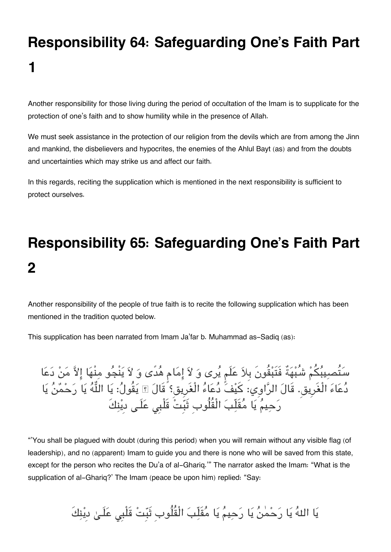# **Responsibility 64: Safeguarding One's Faith Part 1**

Another responsibility for those living during the period of occultation of the Imam is to supplicate for the protection of one's faith and to show humility while in the presence of Allah.

We must seek assistance in the protection of our religion from the devils which are from among the Jinn and mankind, the disbelievers and hypocrites, the enemies of the Ahlul Bayt (as) and from the doubts and uncertainties which may strike us and affect our faith.

In this regards, reciting the supplication which is mentioned in the next responsibility is sufficient to protect ourselves.

# **Responsibility 65: Safeguarding One's Faith Part 2**

Another responsibility of the people of true faith is to recite the following supplication which has been mentioned in the tradition quoted below.

This supplication has been narrated from Imam Ja'far b. Muhammad as-Sadiq (as):

سَتَصبِيبَكُمْ شَبْهَةٌ فَتَبْقُونَ بِلاَ عَلَمٍ يَرِى وَ لاَ إِمَامٍ هَدى وَ لاَ يَنجُو مِنْهَا إِلاَّ مَنْ دَعَا دعاء الْغَرِيق. قَال الراوِي: كيف دعاء الْغَرِيق؟ قَال يقُول: يا اله يا رحمن يا رَحِيمٌ يَا مُقَلِّبَ الْقُلُوبِ ثَبَّتْ قَلْبِي عَلَـى ديْنِكَ

"'You shall be plagued with doubt (during this period) when you will remain without any visible flag (of leadership), and no (apparent) Imam to guide you and there is none who will be saved from this state, except for the person who recites the Du'a of al-Ghariq.'" The narrator asked the Imam: "What is the supplication of al-Ghariq?' The Imam (peace be upon him) replied: "Say:

يَا اللهُ يَا رَحْمٰنُ يَا رَحِيمُ يَا مُقَلِّبَ الْقُلُوبِ ثَبِّتْ قَلْبِي عَلَـىٰ دِيْنِكَ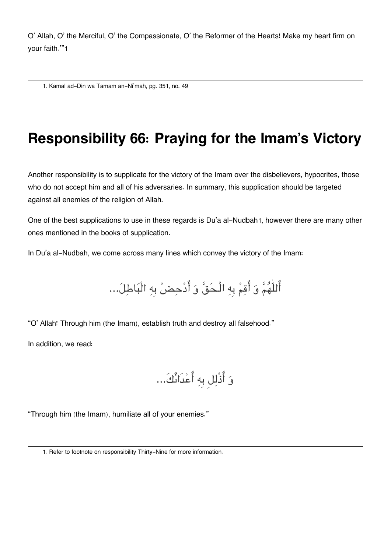O' Allah, O' the Merciful, O' the Compassionate, O' the Reformer of the Hearts! Make my heart firm on your faith.'"[1](#page--1-0)

[1.](#page--1-0) Kamal ad-Din wa Tamam an-Ni'mah, pg. 351, no. 49

### **Responsibility 66: Praying for the Imam's Victory**

Another responsibility is to supplicate for the victory of the Imam over the disbelievers, hypocrites, those who do not accept him and all of his adversaries. In summary, this supplication should be targeted against all enemies of the religion of Allah.

One of the best supplications to use in these regards is Du'a al-Nudbah[1](#page--1-0), however there are many other ones mentioned in the books of supplication.

In Du'a al-Nudbah, we come across many lines which convey the victory of the Imam:

أَللّٰهُمَّ وَ أَقِمْ بِهِ الْـحَقَّ وَ أَدْحِضْ بِهِ الْبَاطِلَ...

"O' Allah! Through him (the Imam), establish truth and destroy all falsehood."

In addition, we read:

و اذْلل بِه اعدَاىك...َ

"Through him (the Imam), humiliate all of your enemies."

[<sup>1.</sup>](#page--1-0) Refer to footnote on responsibility Thirty-Nine for more information.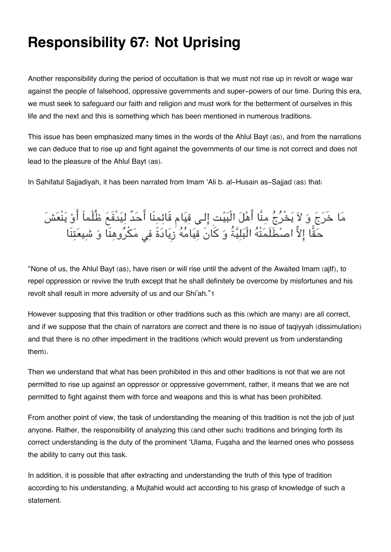### **Responsibility 67: Not Uprising**

Another responsibility during the period of occultation is that we must not rise up in revolt or wage war against the people of falsehood, oppressive governments and super-powers of our time. During this era, we must seek to safeguard our faith and religion and must work for the betterment of ourselves in this life and the next and this is something which has been mentioned in numerous traditions.

This issue has been emphasized many times in the words of the Ahlul Bayt (as), and from the narrations we can deduce that to rise up and fight against the governments of our time is not correct and does not lead to the pleasure of the Ahlul Bayt (as).

In Sahifatul Sajjadiyah, it has been narrated from Imam 'Ali b. al-Husain as-Sajjad (as) that:

مَا خَرَجَ وَ لاَ يَخْرَجَ مِنَا اهْلَ الْبَيْتِ إِلَى قِيَامِ قَائِمِنَا احَدٌ لِيَدْفَعَ ظُلْماً اوْ يَنْعَش حَقَا إِلاَّ اصطَلَمَتَهُ الْبَلِيَّةُ وَ كَانَ قِيَامَهُ زِيَادَةً فِي مَكْرُوهِنَا وَ شِيعَتِنَا

"None of us, the Ahlul Bayt (as), have risen or will rise until the advent of the Awaited Imam (ajtf), to repel oppression or revive the truth except that he shall definitely be overcome by misfortunes and his revolt shall result in more adversity of us and our Shi'ah."[1](#page--1-0)

However supposing that this tradition or other traditions such as this (which are many) are all correct, and if we suppose that the chain of narrators are correct and there is no issue of taqiyyah (dissimulation) and that there is no other impediment in the traditions (which would prevent us from understanding them).

Then we understand that what has been prohibited in this and other traditions is not that we are not permitted to rise up against an oppressor or oppressive government, rather, it means that we are not permitted to fight against them with force and weapons and this is what has been prohibited.

From another point of view, the task of understanding the meaning of this tradition is not the job of just anyone. Rather, the responsibility of analyzing this (and other such) traditions and bringing forth its correct understanding is the duty of the prominent 'Ulama, Fuqaha and the learned ones who possess the ability to carry out this task.

In addition, it is possible that after extracting and understanding the truth of this type of tradition according to his understanding, a Mujtahid would act according to his grasp of knowledge of such a statement.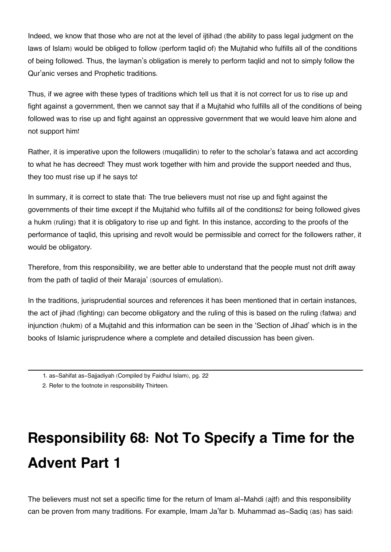Indeed, we know that those who are not at the level of ijtihad (the ability to pass legal judgment on the laws of Islam) would be obliged to follow (perform taqlid of) the Mujtahid who fulfills all of the conditions of being followed. Thus, the layman's obligation is merely to perform taqlid and not to simply follow the Qur'anic verses and Prophetic traditions.

Thus, if we agree with these types of traditions which tell us that it is not correct for us to rise up and fight against a government, then we cannot say that if a Mujtahid who fulfills all of the conditions of being followed was to rise up and fight against an oppressive government that we would leave him alone and not support him!

Rather, it is imperative upon the followers (muqallidin) to refer to the scholar's fatawa and act according to what he has decreed! They must work together with him and provide the support needed and thus, they too must rise up if he says to!

In summary, it is correct to state that: The true believers must not rise up and fight against the governments of their time except if the Mujtahid who fulfills all of the conditions[2](#page--1-0) for being followed gives a hukm (ruling) that it is obligatory to rise up and fight. In this instance, according to the proofs of the performance of taqlid, this uprising and revolt would be permissible and correct for the followers rather, it would be obligatory.

Therefore, from this responsibility, we are better able to understand that the people must not drift away from the path of taqlid of their Maraja' (sources of emulation).

In the traditions, jurisprudential sources and references it has been mentioned that in certain instances, the act of jihad (fighting) can become obligatory and the ruling of this is based on the ruling (fatwa) and injunction (hukm) of a Mujtahid and this information can be seen in the 'Section of Jihad' which is in the books of Islamic jurisprudence where a complete and detailed discussion has been given.

[2.](#page--1-0) Refer to the footnote in responsibility Thirteen.

# **Responsibility 68: Not To Specify a Time for the Advent Part 1**

The believers must not set a specific time for the return of Imam al-Mahdi (ajtf) and this responsibility can be proven from many traditions. For example, Imam Ja'far b. Muhammad as-Sadiq (as) has said:

[<sup>1.</sup>](#page--1-0) as-Sahifat as-Sajjadiyah (Compiled by Faidhul Islam), pg. 22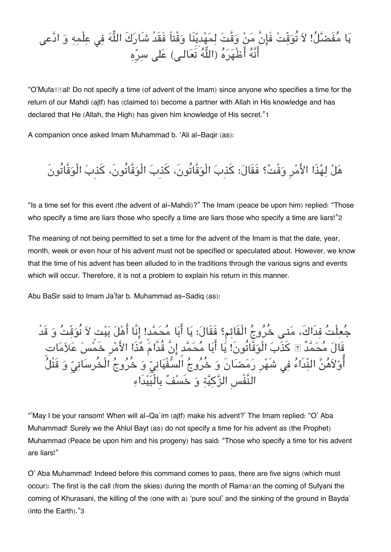### يَا مُفَضَّلُ! لاَ تُوَقِّتْ فَإِنَّ مَنْ وَقَّتَ لِمَهْدِيِّنَا وَقْتاً فَقَدْ شَارَكَ اللُّهَ فِي عِلْمِهِ وَ ادَّعى أَنَّهُ أَظْهَرَهُ (اللَّهُ تَعَالـى) عَلى سرِّه

"O'Mufa*II***a!!** Do not specify a time (of advent of the Imam) since anyone who specifies a time for the return of our Mahdi (ajtf) has (claimed to) become a partner with Allah in His knowledge and has declared that He (Allah, the High) has given him knowledge of His secret."[1](#page--1-0)

A companion once asked Imam Muhammad b. 'Ali al-Baqir (as):

## هل لهذَا الامرِ وقْت؟ فَقَال: كذِب الْوقَّاتُون،َ كذِب الْوقَّاتُون،َ كذِب الْوقَّاتُونَ

"Is a time set for this event (the advent of al-Mahdi)?" The Imam (peace be upon him) replied: "Those who specify a time are liars those who specify a time are liars those who specify a time are liars!"[2](#page--1-0)

The meaning of not being permitted to set a time for the advent of the Imam is that the date, year, month, week or even hour of his advent must not be specified or speculated about. However, we know that the time of his advent has been alluded to in the traditions through the various signs and events which will occur. Therefore, it is not a problem to explain his return in this manner.

Abu BaSir said to Imam Ja'far b. Muhammad as-Sadiq (as):

جَعِلْتَ فِدَاكَ، مَتـى خُرُوجُ الْقَائِمِ؟ فَقَالَ: يَا أَبَا مَحَمّدٍ! إِنَّا أَهْلَ بَيْتٍ لاَ نُوَقّتَ وَ قَد قَال محمدٌ كذَب الْوقَّاتُونَ! يا ابا محمدٍ انَّ قُدَّام هذَا الامرِ خَمس علاماتٍ أَوْلاَهُنَّ النِّدَاءُ فِى شَهْرِ رَمَضَانَ وَ خُرُوجُ الْسُّفْيَانِيِّ وَ خُرُوجُ الْخُرسَانِيِّ وَ قَتْلُ النَّفْسِ الزكية و خَسف بِالْبيدَاء

"'May I be your ransom! When will al-Qa`im (ajtf) make his advent?' The Imam replied: "O' Aba Muhammad! Surely we the Ahlul Bayt (as) do not specify a time for his advent as (the Prophet) Muhammad (Peace be upon him and his progeny) has said: "Those who specify a time for his advent are liars!"

O' Aba Muhammad! Indeed before this command comes to pass, there are five signs (which must occur): The first is the call (from the skies) during the month of Ramaďan the coming of Sufyani the coming of Khurasani, the killing of the (one with a) 'pure soul' and the sinking of the ground in Bayda` (into the Earth)."[3](#page--1-0)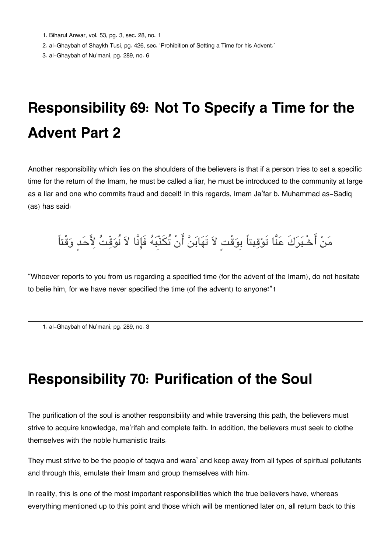[1.](#page--1-0) Biharul Anwar, vol. 53, pg. 3, sec. 28, no. 1

[2.](#page--1-0) al-Ghaybah of Shaykh Tusi, pg. 426, sec. 'Prohibition of Setting a Time for his Advent.'

[3.](#page--1-0) al-Ghaybah of Nu'mani, pg. 289, no. 6

## **Responsibility 69: Not To Specify a Time for the Advent Part 2**

Another responsibility which lies on the shoulders of the believers is that if a person tries to set a specific time for the return of the Imam, he must be called a liar, he must be introduced to the community at large as a liar and one who commits fraud and deceit! In this regards, Imam Ja'far b. Muhammad as-Sadiq (as) has said:

### مَنْ أَحْـبَرَكَ عَنَّا تَوْقِيتاً بِوَقْتٍ لاَ تَهَابَنَّ أَنْ تُكَذِّبَهُ فَإِنَّا لاَ نُوَقِّتُ لِأَحَدٍ وَقْتاً

"Whoever reports to you from us regarding a specified time (for the advent of the Imam), do not hesitate to belie him, for we have never specified the time (of the advent) to anyone!"[1](#page--1-0)

[1.](#page--1-0) al-Ghaybah of Nu'mani, pg. 289, no. 3

### **Responsibility 70: Purification of the Soul**

The purification of the soul is another responsibility and while traversing this path, the believers must strive to acquire knowledge, ma'rifah and complete faith. In addition, the believers must seek to clothe themselves with the noble humanistic traits.

They must strive to be the people of taqwa and wara' and keep away from all types of spiritual pollutants and through this, emulate their Imam and group themselves with him.

In reality, this is one of the most important responsibilities which the true believers have, whereas everything mentioned up to this point and those which will be mentioned later on, all return back to this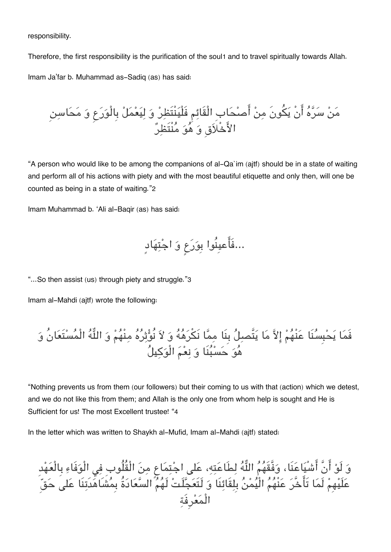responsibility.

Therefore, the first responsibility is the purification of the soul[1](#page--1-0) and to travel spiritually towards Allah. Imam Ja'far b. Muhammad as-Sadiq (as) has said:

من سره انْ يونَ من اصحابِ الْقَائم فَلْينْتَظر و ليعمل بِالْورع و محاسن الاخْلاقِ و هو منْتَظر

"A person who would like to be among the companions of al-Qa`im (ajtf) should be in a state of waiting and perform all of his actions with piety and with the most beautiful etiquette and only then, will one be counted as being in a state of waiting."[2](#page--1-0)

Imam Muhammad b. 'Ali al-Baqir (as) has said:

...فَاعيِنُوا بِورع و اجتهادٍ

"...So then assist (us) through piety and struggle."[3](#page--1-0)

Imam al-Mahdi (ajtf) wrote the following:

فَما يحبِسنَا عنْهم الا ما يتَّصل بِنَا مما نَرهه و لا نُوثره منْهم و اله الْمستَعانُ و هو حسبنَا و نعم الْوكيل

"Nothing prevents us from them (our followers) but their coming to us with that (action) which we detest, and we do not like this from them; and Allah is the only one from whom help is sought and He is Sufficient for us! The most Excellent trustee! "[4](#page--1-0)

In the letter which was written to Shaykh al-Mufid, Imam al-Mahdi (ajtf) stated:

وَ لَوْ انْ اشْيَاعَنَا، وَفَّقَهُمُ اللَّهَ لِطَاعَتِهِ، عَلَى اجْتِمَاعِ مِنَ الْقُلُوبِ فِي الْوَفَاءِ بِالْعَهْد عَلَيْهِمْ لَمَا تَأْخَرَ عَنْهُمُ الْيَمْنُ بِلِقَائِنَا وَ لَتَعَجَلَتَ لَهُمُ السَّعَادَةُ بِمَشَاهَدَتِنَا عَلَى حَقّ الْمعرِفَة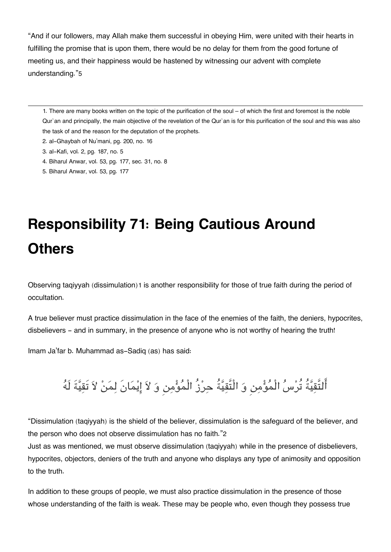"And if our followers, may Allah make them successful in obeying Him, were united with their hearts in fulfilling the promise that is upon them, there would be no delay for them from the good fortune of meeting us, and their happiness would be hastened by witnessing our advent with complete understanding."[5](#page--1-0)

[1.](#page--1-0) There are many books written on the topic of the purification of the soul – of which the first and foremost is the noble Qur`an and principally, the main objective of the revelation of the Qur`an is for this purification of the soul and this was also the task of and the reason for the deputation of the prophets.

- [2.](#page--1-0) al-Ghaybah of Nu'mani, pg. 200, no. 16
- [3.](#page--1-0) al-Kafi, vol. 2, pg. 187, no. 5
- [4.](#page--1-0) Biharul Anwar, vol. 53, pg. 177, sec. 31, no. 8
- [5.](#page--1-0) Biharul Anwar, vol. 53, pg. 177

# **Responsibility 71: Being Cautious Around Others**

Observing taqiyyah (dissimulation)[1](#page--1-0) is another responsibility for those of true faith during the period of occultation.

A true believer must practice dissimulation in the face of the enemies of the faith, the deniers, hypocrites, disbelievers - and in summary, in the presence of anyone who is not worthy of hearing the truth!

Imam Ja'far b. Muhammad as-Sadiq (as) has said:

التَّقيةُ تُرس الْمومن و الْتَّقيةُ حرزُ الْمومن و لا ايمانَ لمن لا تَقيةَ لَه

"Dissimulation (taqiyyah) is the shield of the believer, dissimulation is the safeguard of the believer, and the person who does not observe dissimulation has no faith."[2](#page--1-0)

Just as was mentioned, we must observe dissimulation (taqiyyah) while in the presence of disbelievers, hypocrites, objectors, deniers of the truth and anyone who displays any type of animosity and opposition to the truth.

In addition to these groups of people, we must also practice dissimulation in the presence of those whose understanding of the faith is weak. These may be people who, even though they possess true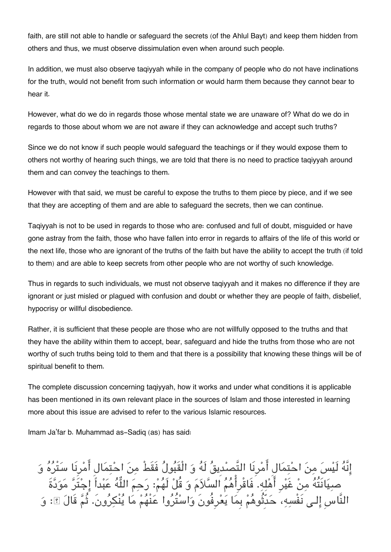faith, are still not able to handle or safeguard the secrets (of the Ahlul Bayt) and keep them hidden from others and thus, we must observe dissimulation even when around such people.

In addition, we must also observe taqiyyah while in the company of people who do not have inclinations for the truth, would not benefit from such information or would harm them because they cannot bear to hear it.

However, what do we do in regards those whose mental state we are unaware of? What do we do in regards to those about whom we are not aware if they can acknowledge and accept such truths?

Since we do not know if such people would safeguard the teachings or if they would expose them to others not worthy of hearing such things, we are told that there is no need to practice taqiyyah around them and can convey the teachings to them.

However with that said, we must be careful to expose the truths to them piece by piece, and if we see that they are accepting of them and are able to safeguard the secrets, then we can continue.

Taqiyyah is not to be used in regards to those who are: confused and full of doubt, misguided or have gone astray from the faith, those who have fallen into error in regards to affairs of the life of this world or the next life, those who are ignorant of the truths of the faith but have the ability to accept the truth (if told to them) and are able to keep secrets from other people who are not worthy of such knowledge.

Thus in regards to such individuals, we must not observe taqiyyah and it makes no difference if they are ignorant or just misled or plagued with confusion and doubt or whether they are people of faith, disbelief, hypocrisy or willful disobedience.

Rather, it is sufficient that these people are those who are not willfully opposed to the truths and that they have the ability within them to accept, bear, safeguard and hide the truths from those who are not worthy of such truths being told to them and that there is a possibility that knowing these things will be of spiritual benefit to them.

The complete discussion concerning taqiyyah, how it works and under what conditions it is applicable has been mentioned in its own relevant place in the sources of Islam and those interested in learning more about this issue are advised to refer to the various Islamic resources.

Imam Ja'far b. Muhammad as-Sadiq (as) has said:

إِنَّهُ لَيْسَ مِنَ احْتِمَالِ أَمْرِنَا التَّصِدِيقُ لَهُ وَ الْقَبُولُ فَقَطْ مِنَ احْتِمَالِ أَمْرِنَا سَتْرُهُ وَ صيانَتُه من غَيرِ اهله. فَاقْرِاهم السلام و قُل لَهم: رحم اله عبداً اجتَر مودةَ النَّاسِ إِلَـى نَفْسِهِ، حَدَّثُوهُمْ بِمَا يَعْرِفُونَ وَاسْتَرُوا عَنْهُمْ مَا يَنْكِرُون. ثُمَّ قَالَ ؟ِ: وَ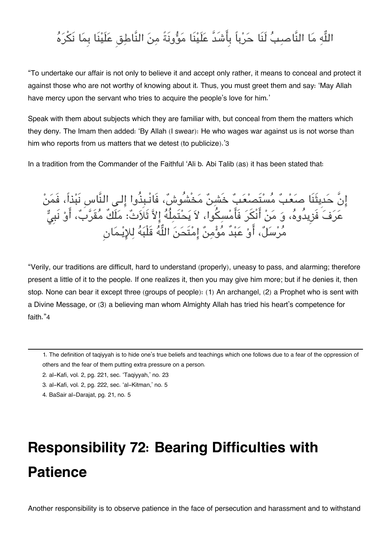### اللَّهِ مَا النَّاصبِ؟ لَنَا حَرْباً بِأَشَدَّ عَلَيْنَا مَؤُونَةً مِنَ النَّاطِقِ عَلَيْنَا بِمَا نَكْرَهُ

"To undertake our affair is not only to believe it and accept only rather, it means to conceal and protect it against those who are not worthy of knowing about it. Thus, you must greet them and say: 'May Allah have mercy upon the servant who tries to acquire the people's love for him.'

Speak with them about subjects which they are familiar with, but conceal from them the matters which they deny. The Imam then added: 'By Allah (I swear): He who wages war against us is not worse than him who reports from us matters that we detest (to publicize).'[3](#page--1-0)

In a tradition from the Commander of the Faithful 'Ali b. Abi Talib (as) it has been stated that:

إِنَّ حَدِيثَنَا صَعْبٌ مُسْتَصنْعَبٌ خَشِنٌ مَخْشُوشٌ، فَانْـبِذُوا إِلـى النَّاسِ نَبْذاً، فَمَنْ عَرَفَ فَزِيدُوهُ، وَ مَنْ أَنكَرَ فَأَمْسِكُوا، لاَ يَحْتَمِلُهُ إِلاَّ ثَلَاثٌ: مَلَكُ مَقَرَّبٌ، أَوْ نَبِيّ مَرْسَلٌ، اوْ عَبْد مَوْمِنَ إِمْتحَنَ اللّهَ قَلْبَهَ لِلإِيْـمَانِ

"Verily, our traditions are difficult, hard to understand (properly), uneasy to pass, and alarming; therefore present a little of it to the people. If one realizes it, then you may give him more; but if he denies it, then stop. None can bear it except three (groups of people): (1) An archangel, (2) a Prophet who is sent with a Divine Message, or (3) a believing man whom Almighty Allah has tried his heart's competence for faith."[4](#page--1-0)

[1.](#page--1-0) The definition of taqiyyah is to hide one's true beliefs and teachings which one follows due to a fear of the oppression of others and the fear of them putting extra pressure on a person.

- [2.](#page--1-0) al-Kafi, vol. 2, pg. 221, sec. 'Taqiyyah,' no. 23
- [3.](#page--1-0) al-Kafi, vol. 2, pg. 222, sec. 'al-Kitman,' no. 5
- [4.](#page--1-0) BaSair al-Darajat, pg. 21, no. 5

# **Responsibility 72: Bearing Difficulties with Patience**

Another responsibility is to observe patience in the face of persecution and harassment and to withstand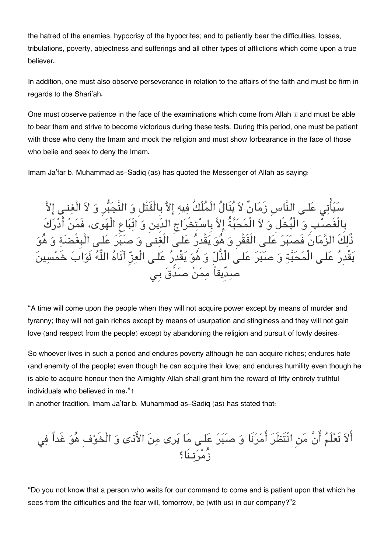the hatred of the enemies, hypocrisy of the hypocrites; and to patiently bear the difficulties, losses, tribulations, poverty, abjectness and sufferings and all other types of afflictions which come upon a true believer.

In addition, one must also observe perseverance in relation to the affairs of the faith and must be firm in regards to the Shari'ah.

One must observe patience in the face of the examinations which come from Allah  $\mathbb E$  and must be able to bear them and strive to become victorious during these tests. During this period, one must be patient with those who deny the Imam and mock the religion and must show forbearance in the face of those who belie and seek to deny the Imam.

Imam Ja'far b. Muhammad as-Sadiq (as) has quoted the Messenger of Allah as saying:

سَيَاتِي عَلَى النَّاسِ زَمَانٌ لاَ يَنَالُ الْمَلْكُ فِيهِ إِلاَّ بِالْقَتْلِ وَ التَّجَبَّرِ وَ لاَ الْغِنـى إِلاَ بِالْغَصبِ و الْبخْل و لا الْمحبةُ الا بِاستخْراج الدِّين و اتّباع الْهوى، فَمن ادركَ ذلِكَ الزَّمَانِ فَصبَبَرَ عَلَـى الْفَقْرِ وَ هُوَ يَقْدِرَ عَلَـى الْغِنـى وَ صبَبَرَ عَلـى الْبِغْضبَةِ وَ هُوَ يَقْدِرُ عَلـى الْمَحَبَّةِ وَ صَبَرَ عَلـىَ الْذُّلِّ وَ هُوَ يَقْدِرُ عَلَـى الْعِزِّ آتَاهُ اللَّهُ ثَوَابَ خَمْس صدِّيقاً ممن صدَّق بِـ

"A time will come upon the people when they will not acquire power except by means of murder and tyranny; they will not gain riches except by means of usurpation and stinginess and they will not gain love (and respect from the people) except by abandoning the religion and pursuit of lowly desires.

So whoever lives in such a period and endures poverty although he can acquire riches; endures hate (and enemity of the people) even though he can acquire their love; and endures humility even though he is able to acquire honour then the Almighty Allah shall grant him the reward of fifty entirely truthful individuals who believed in me."[1](#page--1-0)

In another tradition, Imam Ja'far b. Muhammad as-Sadiq (as) has stated that:

الا تَعلَم انَّ من انْتَظَر امرنَا و صبر علـ ما يرى من الاذى و الْخَوفِ هو غَداً ف زُمرتـنَا؟

"Do you not know that a person who waits for our command to come and is patient upon that which he sees from the difficulties and the fear will, tomorrow, be (with us) in our company?"[2](#page--1-0)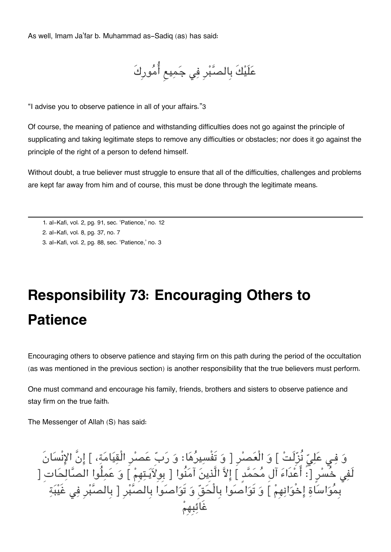As well, Imam Ja'far b. Muhammad as-Sadiq (as) has said:

عَلَيْكَ بِالصَّبْرِ فِي جَمِيعِ أُمُورِكَ

"I advise you to observe patience in all of your affairs."[3](#page--1-0)

Of course, the meaning of patience and withstanding difficulties does not go against the principle of supplicating and taking legitimate steps to remove any difficulties or obstacles; nor does it go against the principle of the right of a person to defend himself.

Without doubt, a true believer must struggle to ensure that all of the difficulties, challenges and problems are kept far away from him and of course, this must be done through the legitimate means.

[1.](#page--1-0) al-Kafi, vol. 2, pg. 91, sec. 'Patience,' no. 12

[2.](#page--1-0) al-Kafi, vol. 8, pg. 37, no. 7

[3.](#page--1-0) al-Kafi, vol. 2, pg. 88, sec. 'Patience,' no. 3

# **Responsibility 73: Encouraging Others to Patience**

Encouraging others to observe patience and staying firm on this path during the period of the occultation (as was mentioned in the previous section) is another responsibility that the true believers must perform.

One must command and encourage his family, friends, brothers and sisters to observe patience and stay firm on the true faith.

The Messenger of Allah (S) has said:

وَ فِي عَلِيّ نَزَلَتْ ] وَ الْعَصْرِ [ وَ تَفْسِيرُهَا: وَ رَبّ عَصْرِ الْقِيَامَةِ، ] إِنْ الإِنْسَانَ لَفِي خُسْرٍ [: اعْدَاءَ ال مَحَمَّدِ ] إِلاَّ الَّذِينَ آمَنُوا [ بِوِلاَيَـتِهِمْ ] وَ عَمِلُوا الصَّالِحَاتِ [ بِمَوَاسَاةِ إِخْوَانِهِمْ ] وَ تَوَاصَوا بِالْحَقِّ وَ تَوَاصَوا بِالصَّبْرِ [ بِالصَّبْرِ فِي غَيْبَةِ غَائبِهِم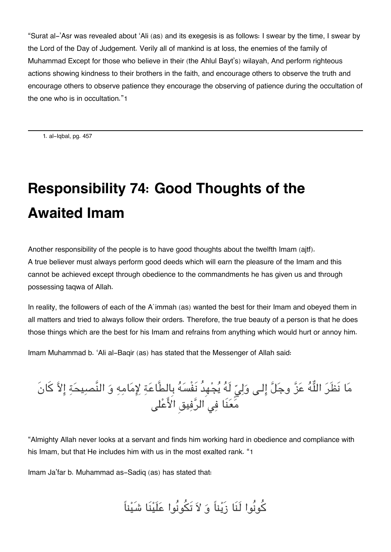"Surat al-'Asr was revealed about 'Ali (as) and its exegesis is as follows: I swear by the time, I swear by the Lord of the Day of Judgement. Verily all of mankind is at loss, the enemies of the family of Muhammad Except for those who believe in their (the Ahlul Bayt's) wilayah, And perform righteous actions showing kindness to their brothers in the faith, and encourage others to observe the truth and encourage others to observe patience they encourage the observing of patience during the occultation of the one who is in occultation."[1](#page--1-0)

[1.](#page--1-0) al-Iqbal, pg. 457

# **Responsibility 74: Good Thoughts of the Awaited Imam**

Another responsibility of the people is to have good thoughts about the twelfth Imam (ajtf). A true believer must always perform good deeds which will earn the pleasure of the Imam and this cannot be achieved except through obedience to the commandments he has given us and through possessing taqwa of Allah.

In reality, the followers of each of the A`immah (as) wanted the best for their Imam and obeyed them in all matters and tried to always follow their orders. Therefore, the true beauty of a person is that he does those things which are the best for his Imam and refrains from anything which would hurt or annoy him.

Imam Muhammad b. 'Ali al-Baqir (as) has stated that the Messenger of Allah said:

مَا نَظْرَ اللَّهَ عَنَّ وجَلَّ إِلَى وَلِيِّ لَهُ يَجْهِدُ نَفْسَهُ بِالطَّاعَةِ لِإِمَامِهِ وَ النَّصِيحَةِ إِلاَّ كانَ مَعَنَا فِي الرَّفِيقِ الأَعْلَى

"Almighty Allah never looks at a servant and finds him working hard in obedience and compliance with his Imam, but that He includes him with us in the most exalted rank. "[1](#page--1-0)

Imam Ja'far b. Muhammad as-Sadiq (as) has stated that:

كونُوا لَنَا زَيناً و لا تَونُوا علَينَا شَيناً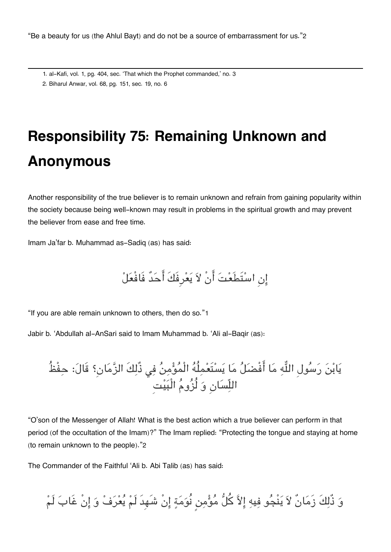"Be a beauty for us (the Ahlul Bayt) and do not be a source of embarrassment for us."[2](#page--1-0)

- [1.](#page--1-0) al-Kafi, vol. 1, pg. 404, sec. 'That which the Prophet commanded,' no. 3
- [2.](#page--1-0) Biharul Anwar, vol. 68, pg. 151, sec. 19, no. 6

# **Responsibility 75: Remaining Unknown and Anonymous**

Another responsibility of the true believer is to remain unknown and refrain from gaining popularity within the society because being well-known may result in problems in the spiritual growth and may prevent the believer from ease and free time.

Imam Ja'far b. Muhammad as-Sadiq (as) has said:

انِ استَطَعت انْ لا يعرِفَكَ احدٌ فَافْعل

"If you are able remain unknown to others, then do so."[1](#page--1-0)

Jabir b. 'Abdullah al-AnSari said to Imam Muhammad b. 'Ali al-Baqir (as):

يَابْنَ رَسُولِ اللَّهِ مَا أَفْضَلُ مَا يَسْتَعْمِلُهُ الْمُؤْمِنُ فِي ذُلِكَ الزَّمَانِ؟ قَالَ: حِفْظُ اللّسانِ و لُزوم الْبيتِ

"O'son of the Messenger of Allah! What is the best action which a true believer can perform in that period (of the occultation of the Imam)?" The Imam replied: "Protecting the tongue and staying at home (to remain unknown to the people)."[2](#page--1-0)

The Commander of the Faithful 'Ali b. Abi Talib (as) has said:

وَ ذُّلِكَ زَمَانٌ لاَ يَنْجُو فِيهِ إِلاَّ كُلُّ مُؤْمِنٍ نُوَمَةٍ إِنْ شَهِدَ لَمْ يُعْرَفْ وَ إِنْ غَابَ لَمْ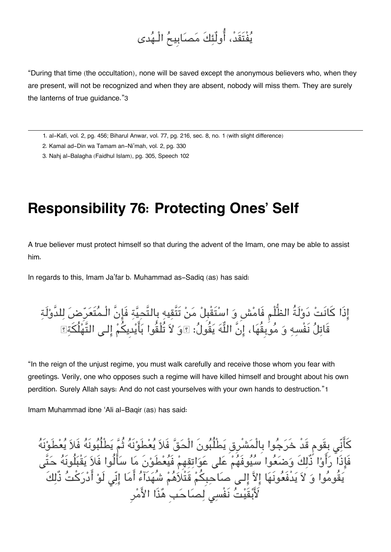### يفْتَقَد،ْ اولٌئكَ مصابِيح الْـهدى

"During that time (the occultation), none will be saved except the anonymous believers who, when they are present, will not be recognized and when they are absent, nobody will miss them. They are surely the lanterns of true guidance."[3](#page--1-0)

[1.](#page--1-0) al-Kafi, vol. 2, pg. 456; Biharul Anwar, vol. 77, pg. 216, sec. 8, no. 1 (with slight difference)

[2.](#page--1-0) Kamal ad-Din wa Tamam an-Ni'mah, vol. 2, pg. 330

[3.](#page--1-0) Nahj al-Balagha (Faidhul Islam), pg. 305, Speech 102

#### **Responsibility 76: Protecting Ones' Self**

A true believer must protect himself so that during the advent of the Imam, one may be able to assist him.

In regards to this, Imam Ja'far b. Muhammad as-Sadiq (as) has said:

اذَا كانَت دولَةُ الظُّلْم فَامشِ و استَقْبِل من تَتَّقيه بِالتَّحية فَانَّ الْـمتَعرِض للدَّولَة قَاتِلَ نَفْسِهِ وَ مُوبِقَهَا، إِنَّ اللَّهَ يَقُولُ: وَوَ لاَ تُلْقُوا بَايْدِيكُمْ إِلَـى التَّهْلُكَةِ؟

"In the reign of the unjust regime, you must walk carefully and receive those whom you fear with greetings. Verily, one who opposes such a regime will have killed himself and brought about his own perdition. Surely Allah says: And do not cast yourselves with your own hands to destruction."[1](#page--1-0)

Imam Muhammad ibne 'Ali al-Baqir (as) has said:

كَانِي بِقَوم قَدْ خَرَجُوا بِالْمَشْرِقِ يَطْلُبُونَ الْحَقّ فَلاَ يَعْطَوْنَهُ ثُمَّ يَطْلُبُونَهُ فَلاَ يَعْطَوْنَهُ فَإِذَا رَأَوْا ذَلِكَ وَضَعَوا سَيَوفَهُمْ عَلَى عَوَاتِقِهِمْ فَيَعْطَوْنَ مَا سَأَلُوا فَلاَ يَقْبَلُونَهُ حَتَّى يَقُومُوا وَ لاَ يَدْفَعُونَهَا إِلاَّ إِلـى صَاحِبِكُمْ قَتْلَاهُمْ شُهَدَآءُ أَمَا إِنِّى لَوْ أَدْرَكْتُ ذُّلِكَ لَّأَبْقَيْتُ نَفْسِىَ لِصَاحَبِ ٰهُٰذَا الأَمْرِ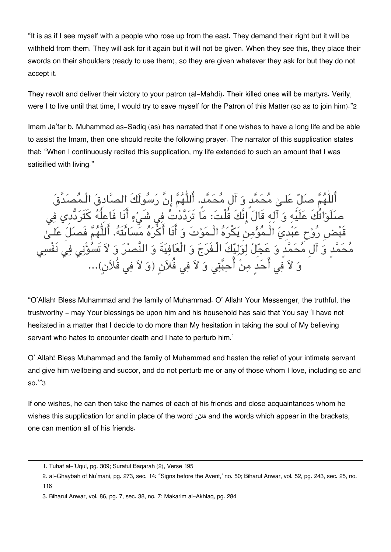"It is as if I see myself with a people who rose up from the east. They demand their right but it will be withheld from them. They will ask for it again but it will not be given. When they see this, they place their swords on their shoulders (ready to use them), so they are given whatever they ask for but they do not accept it.

They revolt and deliver their victory to your patron (al-Mahdi). Their killed ones will be martyrs. Verily, were I to live until that time, I would try to save myself for the Patron of this Matter (so as to join him)."[2](#page--1-0)

Imam Ja'far b. Muhammad as-Sadiq (as) has narrated that if one wishes to have a long life and be able to assist the Imam, then one should recite the following prayer. The narrator of this supplication states that: "When I continuously recited this supplication, my life extended to such an amount that I was satisified with living."

اللّٰهُمَّ صَلِّ عَلَـىٰ مَحَمَّدٍ وَ آلِ مَحَمَّدٍ. اللّٰهُمَّ إِنْ رَسُولَكَ الصَّادِقَ الْـمَصَدَّقَ صَلَوَاتُكَ عَلَيْهِ وَ اللهِ قَالَ إِنَّكَ قُلْتَ: مَا تَرَدَّدْتَ فِي شَيْءٍ أَنَا فَاعِلُهُ كَتَرَدَّدي فِي قَبْضِ رُوْحٍ عَبْدِيَ الْـمَوْمِنِ يَكْرُهُ الْـمَوْتُ وَ انَا اكْرُهُ مَسَائَتَهُ. اللّٰهُمّ فَصَلَّ عَلَـىٰ مُحَمَّدٍ وَ آلِ مُحَمَّدٍ وَ عَجِّلْ لِوَلِيِّكَ الْـفَرَجَ وَ الْعَافِيَةَ وَ النَّصِدُ وَ لاَ تَسُوُّنِي فِي نَفْ وَ لاَ فَى أَحَدَ مِنْ أَحِبَّتِى وَ لاَ فِى فُلاَنِ (وَ لاَ فِي فُلاَنٍ)...

"O'Allah! Bless Muhammad and the family of Muhammad. O' Allah! Your Messenger, the truthful, the trustworthy - may Your blessings be upon him and his household has said that You say 'I have not hesitated in a matter that I decide to do more than My hesitation in taking the soul of My believing servant who hates to encounter death and I hate to perturb him.'

O' Allah! Bless Muhammad and the family of Muhammad and hasten the relief of your intimate servant and give him wellbeing and succor, and do not perturb me or any of those whom I love, including so and so.'"[3](#page--1-0)

If one wishes, he can then take the names of each of his friends and close acquaintances whom he wishes this supplication for and in place of the word فلان and the words which appear in the brackets, one can mention all of his friends.

[<sup>1.</sup>](#page--1-0) Tuhaf al-'Uqul, pg. 309; Suratul Baqarah (2), Verse 195

[<sup>2.</sup>](#page--1-0) al-Ghaybah of Nu'mani, pg. 273, sec. 14: "Signs before the Avent,' no. 50; Biharul Anwar, vol. 52, pg. 243, sec. 25, no. 116

[<sup>3.</sup>](#page--1-0) Biharul Anwar, vol. 86, pg. 7, sec. 38, no. 7; Makarim al-Akhlaq, pg. 284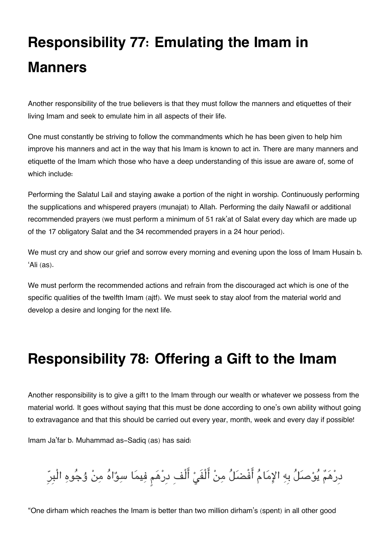# **Responsibility 77: Emulating the Imam in Manners**

Another responsibility of the true believers is that they must follow the manners and etiquettes of their living Imam and seek to emulate him in all aspects of their life.

One must constantly be striving to follow the commandments which he has been given to help him improve his manners and act in the way that his Imam is known to act in. There are many manners and etiquette of the Imam which those who have a deep understanding of this issue are aware of, some of which include:

Performing the Salatul Lail and staying awake a portion of the night in worship. Continuously performing the supplications and whispered prayers (munajat) to Allah. Performing the daily Nawafil or additional recommended prayers (we must perform a minimum of 51 rak'at of Salat every day which are made up of the 17 obligatory Salat and the 34 recommended prayers in a 24 hour period).

We must cry and show our grief and sorrow every morning and evening upon the loss of Imam Husain b. 'Ali (as).

We must perform the recommended actions and refrain from the discouraged act which is one of the specific qualities of the twelfth Imam (ajtf). We must seek to stay aloof from the material world and develop a desire and longing for the next life.

### **Responsibility 78: Offering a Gift to the Imam**

Another responsibility is to give a gift[1](#page--1-0) to the Imam through our wealth or whatever we possess from the material world. It goes without saying that this must be done according to one's own ability without going to extravagance and that this should be carried out every year, month, week and every day if possible!

Imam Ja'far b. Muhammad as-Sadiq (as) has said:

دِرْهَمٌ يُوْصَلُ بِهِ الإِمَامُ أَفْضَلُ مِنْ أَلْفَيْ أَلْفِ دِرْهَم فِيمَا سِوٌاهُ مِنْ وُجُوهِ الْبِرِّ

"One dirham which reaches the Imam is better than two million dirham's (spent) in all other good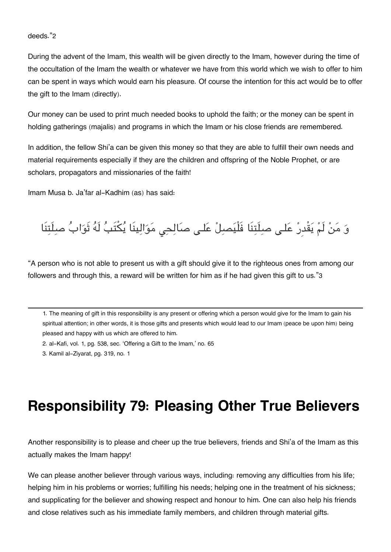#### deeds."[2](#page--1-0)

During the advent of the Imam, this wealth will be given directly to the Imam, however during the time of the occultation of the Imam the wealth or whatever we have from this world which we wish to offer to him can be spent in ways which would earn his pleasure. Of course the intention for this act would be to offer the gift to the Imam (directly).

Our money can be used to print much needed books to uphold the faith; or the money can be spent in holding gatherings (majalis) and programs in which the Imam or his close friends are remembered.

In addition, the fellow Shi'a can be given this money so that they are able to fulfill their own needs and material requirements especially if they are the children and offspring of the Noble Prophet, or are scholars, propagators and missionaries of the faith!

Imam Musa b. Ja'far al-Kadhim (as) has said:

وَ مَنْ لَمْ يَقْدِرْ عَلـى صلِلَتِنَا فَلْيَصبِلْ عَلـى صَالِحِي مَوَالِينَا يُكْتَبُ لَهُ ثَوَابُ صلِلَتِنَا

"A person who is not able to present us with a gift should give it to the righteous ones from among our followers and through this, a reward will be written for him as if he had given this gift to us."[3](#page--1-0)

[1.](#page--1-0) The meaning of gift in this responsibility is any present or offering which a person would give for the Imam to gain his spiritual attention; in other words, it is those gifts and presents which would lead to our Imam (peace be upon him) being pleased and happy with us which are offered to him.

[2.](#page--1-0) al-Kafi, vol. 1, pg. 538, sec. 'Offering a Gift to the Imam,' no. 65

[3.](#page--1-0) Kamil al-Ziyarat, pg. 319, no. 1

### **Responsibility 79: Pleasing Other True Believers**

Another responsibility is to please and cheer up the true believers, friends and Shi'a of the Imam as this actually makes the Imam happy!

We can please another believer through various ways, including: removing any difficulties from his life; helping him in his problems or worries; fulfilling his needs; helping one in the treatment of his sickness; and supplicating for the believer and showing respect and honour to him. One can also help his friends and close relatives such as his immediate family members, and children through material gifts.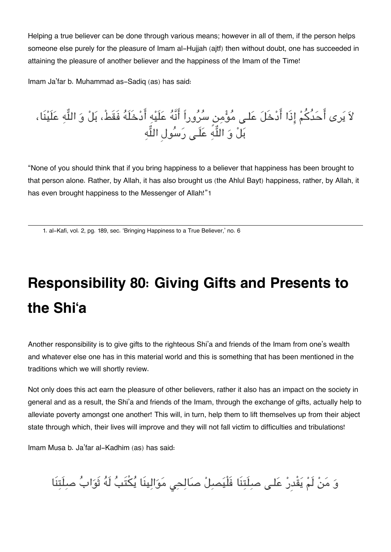Helping a true believer can be done through various means; however in all of them, if the person helps someone else purely for the pleasure of Imam al-Hujjah (ajtf) then without doubt, one has succeeded in attaining the pleasure of another believer and the happiness of the Imam of the Time!

Imam Ja'far b. Muhammad as-Sadiq (as) has said:

لاً يَرى احَدَكُمْ إِذَا ادْخَلَ عَلَى مَؤْمِن سَرُوراً انَّهَ عَلَيْهِ ادْخَلَهَ فَقَط، بَلْ وَ اللَّهِ عَلَيْنَا، بَلْ وَ اللَّهِ عَلَى رَسُولِ اللَّهِ

"None of you should think that if you bring happiness to a believer that happiness has been brought to that person alone. Rather, by Allah, it has also brought us (the Ahlul Bayt) happiness, rather, by Allah, it has even brought happiness to the Messenger of Allah!"[1](#page--1-0)

[1.](#page--1-0) al-Kafi, vol. 2, pg. 189, sec. 'Bringing Happiness to a True Believer,' no. 6

# **Responsibility 80: Giving Gifts and Presents to the Shi'a**

Another responsibility is to give gifts to the righteous Shi'a and friends of the Imam from one's wealth and whatever else one has in this material world and this is something that has been mentioned in the traditions which we will shortly review.

Not only does this act earn the pleasure of other believers, rather it also has an impact on the society in general and as a result, the Shi'a and friends of the Imam, through the exchange of gifts, actually help to alleviate poverty amongst one another! This will, in turn, help them to lift themselves up from their abject state through which, their lives will improve and they will not fall victim to difficulties and tribulations!

Imam Musa b. Ja'far al-Kadhim (as) has said:

وَ مَنْ لَمْ يَقْدِرْ عَلَى صِلَتِنَا فَلْيَصِلْ صَالِحِي مَوَالِينَا يُكْتَبُ لَهُ ثَوَابُ صِلَتِنَا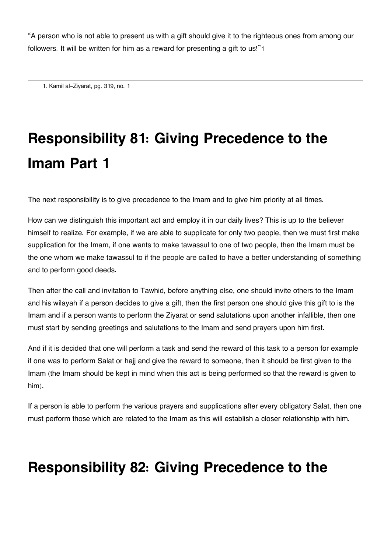"A person who is not able to present us with a gift should give it to the righteous ones from among our followers. It will be written for him as a reward for presenting a gift to us!"[1](#page--1-0)

[1.](#page--1-0) Kamil al-Ziyarat, pg. 319, no. 1

# **Responsibility 81: Giving Precedence to the Imam Part 1**

The next responsibility is to give precedence to the Imam and to give him priority at all times.

How can we distinguish this important act and employ it in our daily lives? This is up to the believer himself to realize. For example, if we are able to supplicate for only two people, then we must first make supplication for the Imam, if one wants to make tawassul to one of two people, then the Imam must be the one whom we make tawassul to if the people are called to have a better understanding of something and to perform good deeds.

Then after the call and invitation to Tawhid, before anything else, one should invite others to the Imam and his wilayah if a person decides to give a gift, then the first person one should give this gift to is the Imam and if a person wants to perform the Ziyarat or send salutations upon another infallible, then one must start by sending greetings and salutations to the Imam and send prayers upon him first.

And if it is decided that one will perform a task and send the reward of this task to a person for example if one was to perform Salat or hajj and give the reward to someone, then it should be first given to the Imam (the Imam should be kept in mind when this act is being performed so that the reward is given to him).

If a person is able to perform the various prayers and supplications after every obligatory Salat, then one must perform those which are related to the Imam as this will establish a closer relationship with him.

#### **Responsibility 82: Giving Precedence to the**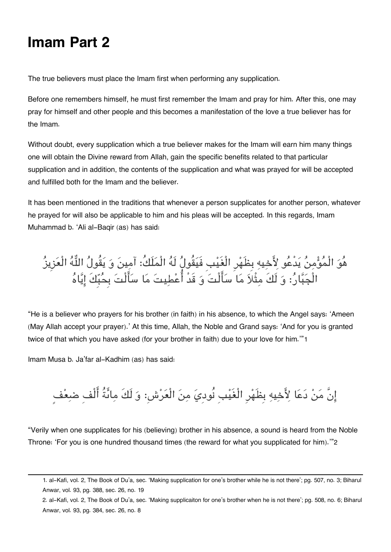#### **Imam Part 2**

The true believers must place the Imam first when performing any supplication.

Before one remembers himself, he must first remember the Imam and pray for him. After this, one may pray for himself and other people and this becomes a manifestation of the love a true believer has for the Imam.

Without doubt, every supplication which a true believer makes for the Imam will earn him many things one will obtain the Divine reward from Allah, gain the specific benefits related to that particular supplication and in addition, the contents of the supplication and what was prayed for will be accepted and fulfilled both for the Imam and the believer.

It has been mentioned in the traditions that whenever a person supplicates for another person, whatever he prayed for will also be applicable to him and his pleas will be accepted. In this regards, Imam Muhammad b. 'Ali al-Baqir (as) has said:

هُوَ الْمُؤْمِنُ يَدْعُو لِأَخِيهِ بِظَهْرِ الْغَيْبِ فَيَقُولُ لَهُ الْمَلَكُ: آمِينَ وَ يَقُولُ اللَّهُ الْعَزِيزُ الْجَبَّارُ: وَ لَكَ مِقْلَا مَا سَأَلْتَ وَ قَدْ أُعْطِيتَ مَا سَأَلْتَ بِحُبِّكَ إِيَّاهُ

"He is a believer who prayers for his brother (in faith) in his absence, to which the Angel says: 'Ameen (May Allah accept your prayer).' At this time, Allah, the Noble and Grand says: 'And for you is granted twice of that which you have asked (for your brother in faith) due to your love for him.'"[1](#page--1-0)

Imam Musa b. Ja'far al-Kadhim (as) has said:

إِنَّ مَنْ دَعَا لِأَخِيهِ بِظَهْرِ الْغَيْبِ نُودِيَ مِنَ الْعَرْشِ: وَ لَكَ مِائَةُ أَلْفِ ضعِفْ

"Verily when one supplicates for his (believing) brother in his absence, a sound is heard from the Noble Throne: 'For you is one hundred thousand times (the reward for what you supplicated for him).'"[2](#page--1-0)

[2.](#page--1-0) al-Kafi, vol. 2, The Book of Du'a, sec. 'Making supplicaiton for one's brother when he is not there'; pg. 508, no. 6; Biharul Anwar, vol. 93, pg. 384, sec. 26, no. 8

[<sup>1.</sup>](#page--1-0) al-Kafi, vol. 2, The Book of Du'a, sec. 'Making supplication for one's brother while he is not there'; pg. 507, no. 3; Biharul Anwar, vol. 93, pg. 388, sec. 26, no. 19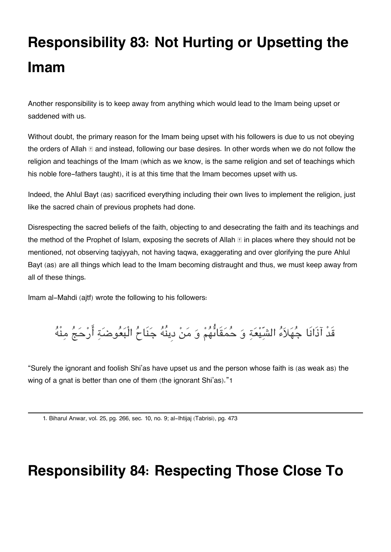# **Responsibility 83: Not Hurting or Upsetting the Imam**

Another responsibility is to keep away from anything which would lead to the Imam being upset or saddened with us.

Without doubt, the primary reason for the Imam being upset with his followers is due to us not obeying the orders of Allah  $\mathbb E$  and instead, following our base desires. In other words when we do not follow the religion and teachings of the Imam (which as we know, is the same religion and set of teachings which his noble fore-fathers taught), it is at this time that the Imam becomes upset with us.

Indeed, the Ahlul Bayt (as) sacrificed everything including their own lives to implement the religion, just like the sacred chain of previous prophets had done.

Disrespecting the sacred beliefs of the faith, objecting to and desecrating the faith and its teachings and the method of the Prophet of Islam, exposing the secrets of Allah  $\mathbb E$  in places where they should not be mentioned, not observing taqiyyah, not having taqwa, exaggerating and over glorifying the pure Ahlul Bayt (as) are all things which lead to the Imam becoming distraught and thus, we must keep away from all of these things.

Imam al-Mahdi (ajtf) wrote the following to his followers:

قَدْ آذَانَا جُهَلاَءُ الشّيّعَةِ وَ حُمَقَائُهُمْ وَ مَنْ دِينُهُ جَنَاحُ الْبَعُوضَةِ أَرْحَجُ مِنْهُ

"Surely the ignorant and foolish Shi'as have upset us and the person whose faith is (as weak as) the wing of a gnat is better than one of them (the ignorant Shi'as)."[1](#page--1-0)

[1.](#page--1-0) Biharul Anwar, vol. 25, pg. 266, sec. 10, no. 9; al-Ihtijaj (Tabrisi), pg. 473

#### **Responsibility 84: Respecting Those Close To**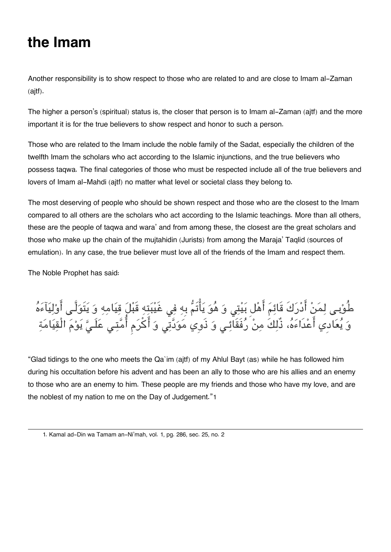#### **the Imam**

Another responsibility is to show respect to those who are related to and are close to Imam al-Zaman (ajtf).

The higher a person's (spiritual) status is, the closer that person is to Imam al-Zaman (ajtf) and the more important it is for the true believers to show respect and honor to such a person.

Those who are related to the Imam include the noble family of the Sadat, especially the children of the twelfth Imam the scholars who act according to the Islamic injunctions, and the true believers who possess taqwa. The final categories of those who must be respected include all of the true believers and lovers of Imam al-Mahdi (ajtf) no matter what level or societal class they belong to.

The most deserving of people who should be shown respect and those who are the closest to the Imam compared to all others are the scholars who act according to the Islamic teachings. More than all others, these are the people of taqwa and wara' and from among these, the closest are the great scholars and those who make up the chain of the mujtahidin (Jurists) from among the Maraja' Taqlid (sources of emulation). In any case, the true believer must love all of the friends of the Imam and respect them.

The Noble Prophet has said:

طُوْبِـي لِمَنْ أَدْرَكَ قَائِمَ أَهْلَ بَيْتِي وَ هُوَ يَأْتُمْ بِهِ فِي غَيْبَتِهِ قَبْلَ قِيَامِهِ وَ يَتَوَلَّـي أَوْلِيَاءَهُ وَ يَعَادِي أَعْدَاءَهُ، ذَلِكَ مِنْ رَفَقَائِـي وَ ذَوِي مَوَدَّتِي وَ اكرَم أُمَّتِي عَلَـيَّ يَوْمَ الْقِيَامَةِ

"Glad tidings to the one who meets the Qa`im (ajtf) of my Ahlul Bayt (as) while he has followed him during his occultation before his advent and has been an ally to those who are his allies and an enemy to those who are an enemy to him. These people are my friends and those who have my love, and are the noblest of my nation to me on the Day of Judgement."[1](#page--1-0)

[<sup>1.</sup>](#page--1-0) Kamal ad-Din wa Tamam an-Ni'mah, vol. 1, pg. 286, sec. 25, no. 2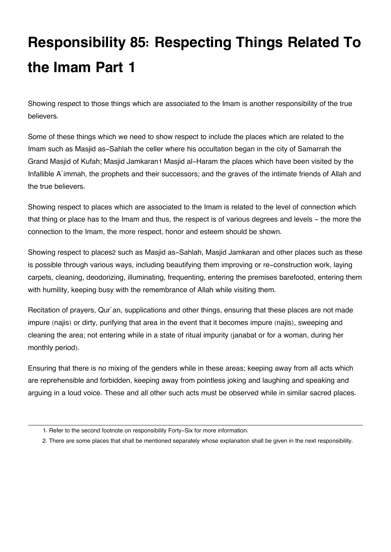# **Responsibility 85: Respecting Things Related To the Imam Part 1**

Showing respect to those things which are associated to the Imam is another responsibility of the true believers.

Some of these things which we need to show respect to include the places which are related to the Imam such as Masjid as-Sahlah the celler where his occultation began in the city of Samarrah the Grand Masjid of Kufah; Masjid Jamkaran[1](#page--1-0) Masjid al-Haram the places which have been visited by the Infallible A`immah, the prophets and their successors; and the graves of the intimate friends of Allah and the true believers.

Showing respect to places which are associated to the Imam is related to the level of connection which that thing or place has to the Imam and thus, the respect is of various degrees and levels - the more the connection to the Imam, the more respect, honor and esteem should be shown.

Showing respect to places[2](#page--1-0) such as Masjid as-Sahlah, Masjid Jamkaran and other places such as these is possible through various ways, including beautifying them improving or re-construction work, laying carpets, cleaning, deodorizing, illuminating, frequenting, entering the premises barefooted, entering them with humility, keeping busy with the remembrance of Allah while visiting them.

Recitation of prayers, Qur'an, supplications and other things, ensuring that these places are not made impure (najis) or dirty, purifying that area in the event that it becomes impure (najis), sweeping and cleaning the area; not entering while in a state of ritual impurity (janabat or for a woman, during her monthly period).

Ensuring that there is no mixing of the genders while in these areas; keeping away from all acts which are reprehensible and forbidden, keeping away from pointless joking and laughing and speaking and arguing in a loud voice. These and all other such acts must be observed while in similar sacred places.

[<sup>1.</sup>](#page--1-0) Refer to the second footnote on responsibility Forty-Six for more information.

[<sup>2.</sup>](#page--1-0) There are some places that shall be mentioned separately whose explanation shall be given in the next responsibility.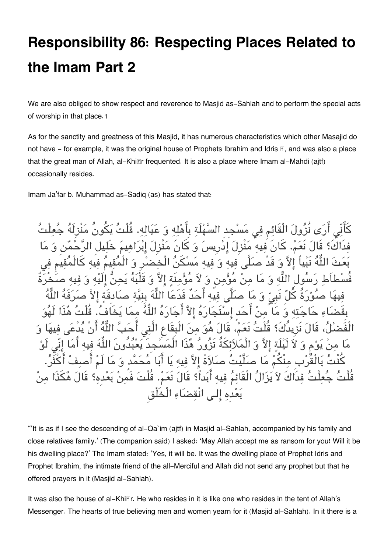### **Responsibility 86: Respecting Places Related to the Imam Part 2**

We are also obliged to show respect and reverence to Masjid as-Sahlah and to perform the special acts of worship in that place.[1](#page--1-0)

As for the sanctity and greatness of this Masjid, it has numerous characteristics which other Masajid do not have  $-$  for example, it was the original house of Prophets Ibrahim and Idris  $\mathbb{E}$ , and was also a place that the great man of Allah, al-Khi*I***r** frequented. It is also a place where Imam al-Mahdi (ajtf) occasionally resides.

Imam Ja'far b. Muhammad as-Sadiq (as) has stated that:

كَأَنّي أَرَى نُزُولَ الْقَائم في مَسْجِدِ السَّهْلَة بِأَهْلِه وَ عَيَاله. قُلْتُ يَكُونُ مَنْزِلَهُ فدَاكَ؟ قَالَ نَعَمْ. كَانَ فيه مَنْزِلَ إِدْرِيسَ وَ كَانَ مَنْزِلَ إِبْرَاهِي إلاَّ وَ قَدْ صلَّى فيه وَ فيه مَسْكَنُ الْخضْرِ وَ اللَّه وَ مَا منْ مُؤْمن وَ لاَ مُؤْمنَة الاَّ وَ قَلْبَهُ فيه أَحَدٌ فَدَعَا اللَّهَ بِنيَّة ص بِقَضاء حاجته و ما من احدٍ استَجاره الا اجاره اله مما يخَاف. قُلْت هذَا لَهو قُلْتُ نَعَمْ، قَالَ هُوَ مِنَ الْبِقَاعِ الَّتِي لاَ لَيْلَةٍ إِلاَّ وَ الْمَلاَئِكَةُ تَزُورُ هُذَا الْمَسَّجِدَ يَعْبُدُونَ ثَ بَالْقَرْبِ مِنْكُمْ مَا صَلَّيْتُ صَلاَةً إلاَّ فيه يَا أَبَا مُحَمَّدٍ وَ مَا تْ فدَاكَ لاَ يَزَالُ الْقَائمُ فيه أَبَداً؟ قَالَ نَعَمْ. قُلْتَ فَمنْ بَعْدِه؟ قَالَ هُكَذَا منْ بعدِه الـ انْقضاء الْخَلْق

"'It is as if I see the descending of al-Qa`im (ajtf) in Masjid al-Sahlah, accompanied by his family and close relatives family.' (The companion said) I asked: 'May Allah accept me as ransom for you! Will it be his dwelling place?' The Imam stated: 'Yes, it will be. It was the dwelling place of Prophet Idris and Prophet Ibrahim, the intimate friend of the all-Merciful and Allah did not send any prophet but that he offered prayers in it (Masjid al-Sahlah).

It was also the house of al-Khiďr. He who resides in it is like one who resides in the tent of Allah's Messenger. The hearts of true believing men and women yearn for it (Masjid al-Sahlah). In it there is a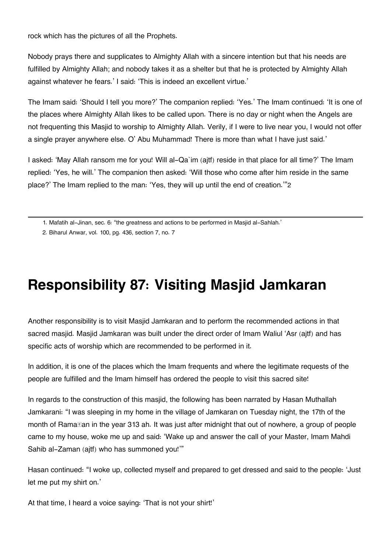rock which has the pictures of all the Prophets.

Nobody prays there and supplicates to Almighty Allah with a sincere intention but that his needs are fulfilled by Almighty Allah; and nobody takes it as a shelter but that he is protected by Almighty Allah against whatever he fears.' I said: 'This is indeed an excellent virtue.'

The Imam said: 'Should I tell you more?' The companion replied: 'Yes.' The Imam continued: 'It is one of the places where Almighty Allah likes to be called upon. There is no day or night when the Angels are not frequenting this Masjid to worship to Almighty Allah. Verily, if I were to live near you, I would not offer a single prayer anywhere else. O' Abu Muhammad! There is more than what I have just said.'

I asked: 'May Allah ransom me for you! Will al-Qa`im (ajtf) reside in that place for all time?' The Imam replied: 'Yes, he will.' The companion then asked: 'Will those who come after him reside in the same place?' The Imam replied to the man: 'Yes, they will up until the end of creation.'"[2](#page--1-0)

[1.](#page--1-0) Mafatih al-Jinan, sec. 6: "the greatness and actions to be performed in Masjid al-Sahlah.'

[2.](#page--1-0) Biharul Anwar, vol. 100, pg. 436, section 7, no. 7

#### **Responsibility 87: Visiting Masjid Jamkaran**

Another responsibility is to visit Masjid Jamkaran and to perform the recommended actions in that sacred masjid. Masjid Jamkaran was built under the direct order of Imam Waliul 'Asr (ajtf) and has specific acts of worship which are recommended to be performed in it.

In addition, it is one of the places which the Imam frequents and where the legitimate requests of the people are fulfilled and the Imam himself has ordered the people to visit this sacred site!

In regards to the construction of this masjid, the following has been narrated by Hasan Muthallah Jamkarani: "I was sleeping in my home in the village of Jamkaran on Tuesday night, the 17th of the month of Ramaďan in the year 313 ah. It was just after midnight that out of nowhere, a group of people came to my house, woke me up and said: 'Wake up and answer the call of your Master, Imam Mahdi Sahib al-Zaman (ajtf) who has summoned you!'"

Hasan continued: "I woke up, collected myself and prepared to get dressed and said to the people: 'Just let me put my shirt on.'

At that time, I heard a voice saying: 'That is not your shirt!'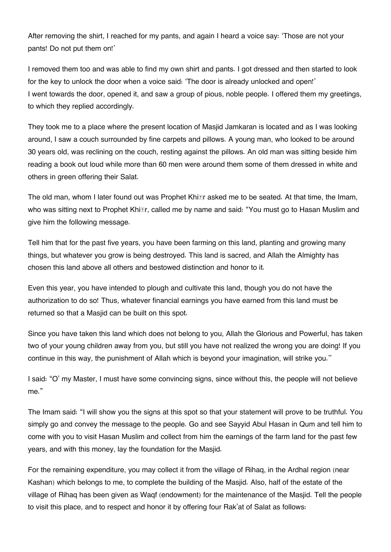After removing the shirt, I reached for my pants, and again I heard a voice say: 'Those are not your pants! Do not put them on!'

I removed them too and was able to find my own shirt and pants. I got dressed and then started to look for the key to unlock the door when a voice said: 'The door is already unlocked and open!' I went towards the door, opened it, and saw a group of pious, noble people. I offered them my greetings, to which they replied accordingly.

They took me to a place where the present location of Masjid Jamkaran is located and as I was looking around, I saw a couch surrounded by fine carpets and pillows. A young man, who looked to be around 30 years old, was reclining on the couch, resting against the pillows. An old man was sitting beside him reading a book out loud while more than 60 men were around them some of them dressed in white and others in green offering their Salat.

The old man, whom I later found out was Prophet Khi*r* asked me to be seated. At that time, the Imam, who was sitting next to Prophet Khi*Er*, called me by name and said: "You must go to Hasan Muslim and give him the following message.

Tell him that for the past five years, you have been farming on this land, planting and growing many things, but whatever you grow is being destroyed. This land is sacred, and Allah the Almighty has chosen this land above all others and bestowed distinction and honor to it.

Even this year, you have intended to plough and cultivate this land, though you do not have the authorization to do so! Thus, whatever financial earnings you have earned from this land must be returned so that a Masjid can be built on this spot.

Since you have taken this land which does not belong to you, Allah the Glorious and Powerful, has taken two of your young children away from you, but still you have not realized the wrong you are doing! If you continue in this way, the punishment of Allah which is beyond your imagination, will strike you.''

I said: "O' my Master, I must have some convincing signs, since without this, the people will not believe me."

The Imam said: "I will show you the signs at this spot so that your statement will prove to be truthful. You simply go and convey the message to the people. Go and see Sayyid Abul Hasan in Qum and tell him to come with you to visit Hasan Muslim and collect from him the earnings of the farm land for the past few years, and with this money, lay the foundation for the Masjid.

For the remaining expenditure, you may collect it from the village of Rihaq, in the Ardhal region (near Kashan) which belongs to me, to complete the building of the Masjid. Also, half of the estate of the village of Rihaq has been given as Waqf (endowment) for the maintenance of the Masjid. Tell the people to visit this place, and to respect and honor it by offering four Rak'at of Salat as follows: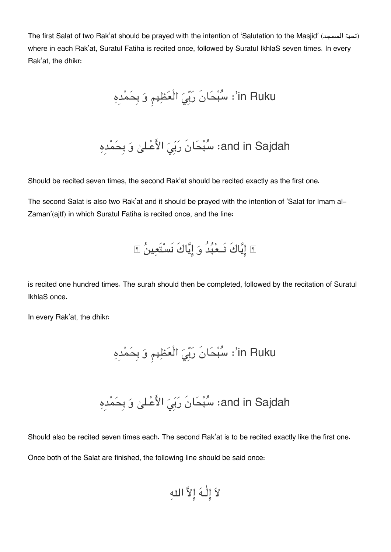The first Salat of two Rak'at should be prayed with the intention of 'Salutation to the Masjid' (تحية المسجد) where in each Rak'at, Suratul Fatiha is recited once, followed by Suratul IkhlaS seven times. In every Rak'at, the dhikr:

in Ruku': سُبْحَانَ رَبِّيَ الْعَظِيمِ وَ بِحَمْدِهِ

and in Sajdah: سُبْحَانَ رَبِّيَ الأَعْـليٰ وَ بِحَمْدِهِ

Should be recited seven times, the second Rak'at should be recited exactly as the first one.

The second Salat is also two Rak'at and it should be prayed with the intention of 'Salat for Imam al-Zaman'(ajtf) in which Suratul Fatiha is recited once, and the line:

اياكَ نَــعبدُ و اياكَ نَستَعين

is recited one hundred times. The surah should then be completed, followed by the recitation of Suratul IkhlaS once.

In every Rak'at, the dhikr:

Ruku in': سبحانَ ربِ الْعظيم و بِحمدِه

and in Sajdah: سُبْحَانَ رَبِّيَ الأَعْـليٰ وَ بِحَمْدِهِ

Should also be recited seven times each. The second Rak'at is to be recited exactly like the first one. Once both of the Salat are finished, the following line should be said once:

لا الٰـه الا اله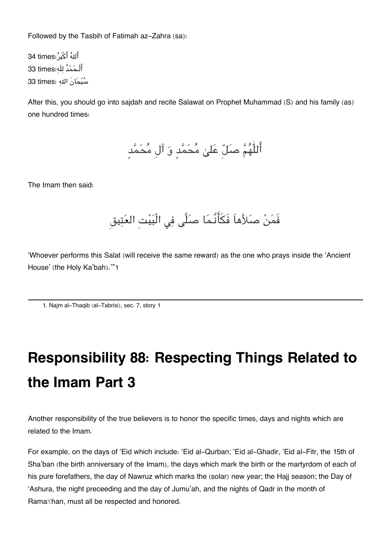Followed by the Tasbih of Fatimah az-Zahra (sa):

أَللهُ أَكْبُ ُ:34 times أَلْـحَمْدُ لله:33 times سُبْحَانَ الله :33 times

After this, you should go into sajdah and recite Salawat on Prophet Muhammad (S) and his family (as) one hundred times:

أَللّٰهُمَّ صَلّ عَلىٰ مُحَمَّدٍ وَ آلِ مُحَمَّدٍ

The Imam then said:

فَمَنْ صَلاَّهاَ فَكَأَنَّـمَا صَلَّى فِي الْبَيْتِ العَتِيق

'Whoever performs this Salat (will receive the same reward) as the one who prays inside the 'Ancient House' (the Holy Ka'bah).'"[1](#page--1-0)

[1.](#page--1-0) Najm al-Thaqib (al-Tabrisi), sec. 7, story 1

## **Responsibility 88: Respecting Things Related to the Imam Part 3**

Another responsibility of the true believers is to honor the specific times, days and nights which are related to the Imam.

For example, on the days of 'Eid which include: 'Eid al-Qurban; 'Eid al-Ghadir, 'Eid al-Fitr, the 15th of Sha'ban (the birth anniversary of the Imam), the days which mark the birth or the martyrdom of each of his pure forefathers, the day of Nawruz which marks the (solar) new year; the Hajj season; the Day of 'Ashura, the night preceeding and the day of Jumu'ah, and the nights of Qadr in the month of Rama*I***han, must all be respected and honored.**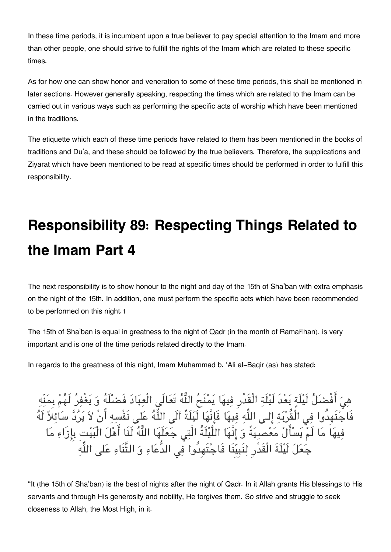In these time periods, it is incumbent upon a true believer to pay special attention to the Imam and more than other people, one should strive to fulfill the rights of the Imam which are related to these specific times.

As for how one can show honor and veneration to some of these time periods, this shall be mentioned in later sections. However generally speaking, respecting the times which are related to the Imam can be carried out in various ways such as performing the specific acts of worship which have been mentioned in the traditions.

The etiquette which each of these time periods have related to them has been mentioned in the books of traditions and Du'a, and these should be followed by the true believers. Therefore, the supplications and Ziyarat which have been mentioned to be read at specific times should be performed in order to fulfill this responsibility.

# **Responsibility 89: Respecting Things Related to the Imam Part 4**

The next responsibility is to show honour to the night and day of the 15th of Sha'ban with extra emphasis on the night of the 15th. In addition, one must perform the specific acts which have been recommended to be performed on this night.[1](#page--1-0)

The 15th of Sha'ban is equal in greatness to the night of Qadr (in the month of Rama**Than)**, is very important and is one of the time periods related directly to the Imam.

In regards to the greatness of this night, Imam Muhammad b. 'Ali al-Baqir (as) has stated:

هِيَ أَفْضَلَ لَيْلَةٍ بَعْدَ لَيْلَةِ الْقَدْرِ فِيهَا يَمْنَحُ اللّهَ تَعَالَى الْعِبَادَ فَضَلّهَ وَ يَغْفِرَ لَهُمْ بِمَنْهِ فَاجْتُهِدُوا فِي الْقُرْبَةِ إِلَى اللَّهِ فِيهَا فَإِنّهَا لَيْلَةٌ آلَى اللَّهُ عَلَى نَفْسِهِ أَنْ لاَ يَرَدّ سَائِلاً لَهُ فِيهَا مَا لَمْ يَسَالُ مَعْصِيَةً وَ إِنَّهَا اللَّيْلَةُ الَّتِي جَعَلَهَا اللَّهُ لَنَا اهْلَ الْبَيْتِ بِإِزَاءِ مَا جَعَلَ لَيْلَةَ الْقَدْرِ لِنَبِيِّنَا فَاجْتَهِدُوا فِي الدُّعَاءِ وَ الثَّنَاءِ عَلَى اللَّهِ

"It (the 15th of Sha'ban) is the best of nights after the night of Qadr. In it Allah grants His blessings to His servants and through His generosity and nobility, He forgives them. So strive and struggle to seek closeness to Allah, the Most High, in it.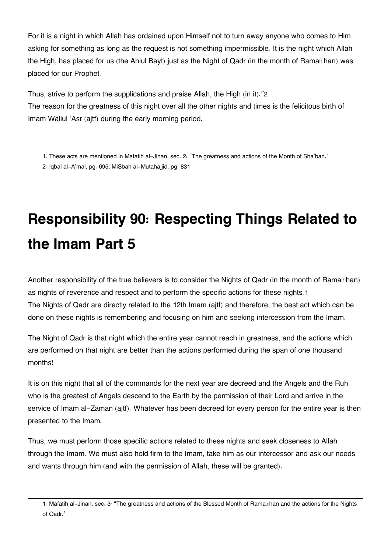For it is a night in which Allah has ordained upon Himself not to turn away anyone who comes to Him asking for something as long as the request is not something impermissible. It is the night which Allah the High, has placed for us (the Ahlul Bayt) just as the Night of Qadr (in the month of Rama**Than)** was placed for our Prophet.

Thus, strive to perform the supplications and praise Allah, the High (in it)."[2](#page--1-0) The reason for the greatness of this night over all the other nights and times is the felicitous birth of Imam Waliul 'Asr (ajtf) during the early morning period.

[2.](#page--1-0) Iqbal al-A'mal, pg. 695; MiSbah al-Mutahajjid, pg. 831

# **Responsibility 90: Respecting Things Related to the Imam Part 5**

Another responsibility of the true believers is to consider the Nights of Qadr (in the month of Rama $\mathbb E$ han) as nights of reverence and respect and to perform the specific actions for these nights.[1](#page--1-0) The Nights of Qadr are directly related to the 12th Imam (ajtf) and therefore, the best act which can be done on these nights is remembering and focusing on him and seeking intercession from the Imam.

The Night of Qadr is that night which the entire year cannot reach in greatness, and the actions which are performed on that night are better than the actions performed during the span of one thousand months!

It is on this night that all of the commands for the next year are decreed and the Angels and the Ruh who is the greatest of Angels descend to the Earth by the permission of their Lord and arrive in the service of Imam al-Zaman (ajtf). Whatever has been decreed for every person for the entire year is then presented to the Imam.

Thus, we must perform those specific actions related to these nights and seek closeness to Allah through the Imam. We must also hold firm to the Imam, take him as our intercessor and ask our needs and wants through him (and with the permission of Allah, these will be granted).

[<sup>1.</sup>](#page--1-0) These acts are mentioned in Mafatih al-Jinan, sec. 2: "The greatness and actions of the Month of Sha'ban.'

[<sup>1.</sup>](#page--1-0) Mafatih al-Jinan, sec. 3: "The greatness and actions of the Blessed Month of Rama**Than and the actions for the Nights** of Qadr.'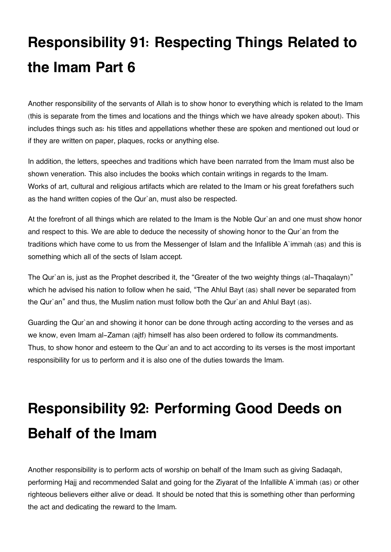# **Responsibility 91: Respecting Things Related to the Imam Part 6**

Another responsibility of the servants of Allah is to show honor to everything which is related to the Imam (this is separate from the times and locations and the things which we have already spoken about). This includes things such as: his titles and appellations whether these are spoken and mentioned out loud or if they are written on paper, plaques, rocks or anything else.

In addition, the letters, speeches and traditions which have been narrated from the Imam must also be shown veneration. This also includes the books which contain writings in regards to the Imam. Works of art, cultural and religious artifacts which are related to the Imam or his great forefathers such as the hand written copies of the Qur`an, must also be respected.

At the forefront of all things which are related to the Imam is the Noble Qur`an and one must show honor and respect to this. We are able to deduce the necessity of showing honor to the Qur`an from the traditions which have come to us from the Messenger of Islam and the Infallible A`immah (as) and this is something which all of the sects of Islam accept.

The Qur`an is, just as the Prophet described it, the "Greater of the two weighty things (al-Thaqalayn)" which he advised his nation to follow when he said, "The Ahlul Bayt (as) shall never be separated from the Qur`an" and thus, the Muslim nation must follow both the Qur`an and Ahlul Bayt (as).

Guarding the Qur`an and showing it honor can be done through acting according to the verses and as we know, even Imam al-Zaman (ajtf) himself has also been ordered to follow its commandments. Thus, to show honor and esteem to the Qur`an and to act according to its verses is the most important responsibility for us to perform and it is also one of the duties towards the Imam.

# **Responsibility 92: Performing Good Deeds on Behalf of the Imam**

Another responsibility is to perform acts of worship on behalf of the Imam such as giving Sadaqah, performing Hajj and recommended Salat and going for the Ziyarat of the Infallible A`immah (as) or other righteous believers either alive or dead. It should be noted that this is something other than performing the act and dedicating the reward to the Imam.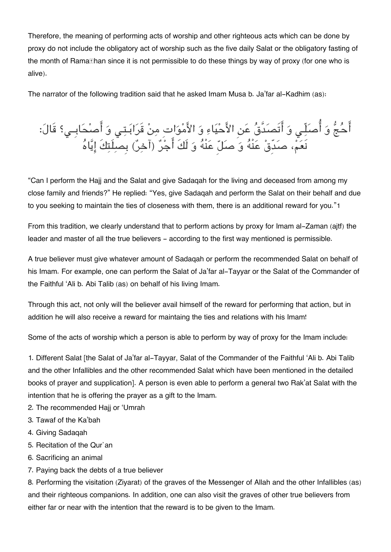Therefore, the meaning of performing acts of worship and other righteous acts which can be done by proxy do not include the obligatory act of worship such as the five daily Salat or the obligatory fasting of the month of Rama**Ihan since it is not permissible to do** these things by way of proxy (for one who is alive).

The narrator of the following tradition said that he asked Imam Musa b. Ja'far al-Kadhim (as):

احج و اصلّـ و اتَصدَّق عن الاحياء و الامواتِ من قَرابـتـ و اصحابِــ؟ قَال: نَعُمْ، صَدَّقْ عَنْهُ وَ صَلِّ عَنْهُ وَ لَكَ اجْرٌ (اخِرٌ) بِصلِتِكَ إِيَّاهُ

"Can I perform the Hajj and the Salat and give Sadaqah for the living and deceased from among my close family and friends?" He replied: "Yes, give Sadaqah and perform the Salat on their behalf and due to you seeking to maintain the ties of closeness with them, there is an additional reward for you."[1](#page--1-0)

From this tradition, we clearly understand that to perform actions by proxy for Imam al-Zaman (ajtf) the leader and master of all the true believers - according to the first way mentioned is permissible.

A true believer must give whatever amount of Sadaqah or perform the recommended Salat on behalf of his Imam. For example, one can perform the Salat of Ja'far al-Tayyar or the Salat of the Commander of the Faithful 'Ali b. Abi Talib (as) on behalf of his living Imam.

Through this act, not only will the believer avail himself of the reward for performing that action, but in addition he will also receive a reward for maintaing the ties and relations with his Imam!

Some of the acts of worship which a person is able to perform by way of proxy for the Imam include:

1. Different Salat [the Salat of Ja'far al-Tayyar, Salat of the Commander of the Faithful 'Ali b. Abi Talib and the other Infallibles and the other recommended Salat which have been mentioned in the detailed books of prayer and supplication]. A person is even able to perform a general two Rak'at Salat with the intention that he is offering the prayer as a gift to the Imam.

- 2. The recommended Hajj or 'Umrah
- 3. Tawaf of the Ka'bah
- 4. Giving Sadaqah
- 5. Recitation of the Qur`an
- 6. Sacrificing an animal
- 7. Paying back the debts of a true believer

8. Performing the visitation (Ziyarat) of the graves of the Messenger of Allah and the other Infallibles (as) and their righteous companions. In addition, one can also visit the graves of other true believers from either far or near with the intention that the reward is to be given to the Imam.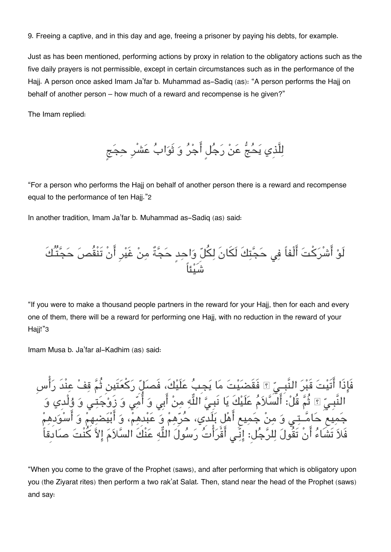9. Freeing a captive, and in this day and age, freeing a prisoner by paying his debts, for example.

Just as has been mentioned, performing actions by proxy in relation to the obligatory actions such as the five daily prayers is not permissible, except in certain circumstances such as in the performance of the Hajj. A person once asked Imam Ja'far b. Muhammad as-Sadiq (as): "A person performs the Hajj on behalf of another person – how much of a reward and recompense is he given?"

The Imam replied:

لِلَّذِي يَحُجُّ عَنْ رَجُلٍ أَجْرُ وَ ثَوَابُ عَشْرِ حِجَجِ

"For a person who performs the Hajj on behalf of another person there is a reward and recompense equal to the performance of ten Hajj."[2](#page--1-0)

In another tradition, Imam Ja'far b. Muhammad as-Sadiq (as) said:



"If you were to make a thousand people partners in the reward for your Hajj, then for each and every one of them, there will be a reward for performing one Hajj, with no reduction in the reward of your Haii!"[3](#page--1-0)

Imam Musa b. Ja'far al-Kadhim (as) said:

فَاذَا اتَيت قَبر النَّبِــ فَقَضيت ما يجِب علَيك،َ فَصل ركعتَين ثُم قف عنْدَ راسِ النَّبِـيِّ ۩ ثُمَّ قُلْ: السَّلاَمَ عَلَيْكَ يَا نَبِـيُّ اللَّهِ مِنْ أَبِي وَ أُمِّي وَ زَوْجَتِـي وَ وُلْدِي وَ جَمِيع حَامَــتِي وَ مِنْ جَمِيعِ أَهْلَ بَلَدِي، حَرَّهِمْ وَ عَبْدِهِمْ، وَ أَبْيَضْنِهِمْ وَ أَسْوَدِهِمْ فَلاً تَشَاءَ أَنْ تَقُولَ لِلرّجَلْ: إِنِّـى اقْرَاتُ رَسُولَ اللَّهِ عَنْكَ السّلاَمَ إِلاَّ كَنْتَ صَادِقاً

"When you come to the grave of the Prophet (saws), and after performing that which is obligatory upon you (the Ziyarat rites) then perform a two rak'at Salat. Then, stand near the head of the Prophet (saws) and say: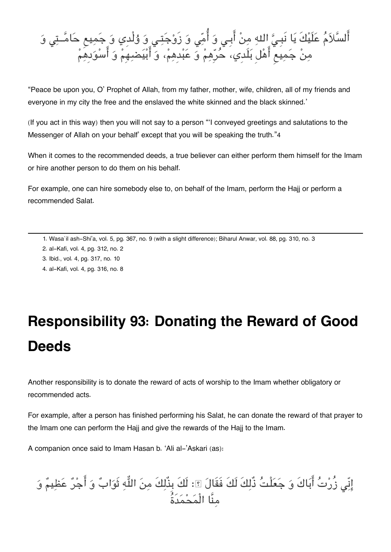

"Peace be upon you, O' Prophet of Allah, from my father, mother, wife, children, all of my friends and everyone in my city the free and the enslaved the white skinned and the black skinned.'

(If you act in this way) then you will not say to a person "'I conveyed greetings and salutations to the Messenger of Allah on your behalf' except that you will be speaking the truth."[4](#page--1-0)

When it comes to the recommended deeds, a true believer can either perform them himself for the Imam or hire another person to do them on his behalf.

For example, one can hire somebody else to, on behalf of the Imam, perform the Hajj or perform a recommended Salat.

- [2.](#page--1-0) al-Kafi, vol. 4, pg. 312, no. 2
- [3.](#page--1-0) Ibid., vol. 4, pg. 317, no. 10
- [4.](#page--1-0) al-Kafi, vol. 4, pg. 316, no. 8

## **Responsibility 93: Donating the Reward of Good Deeds**

Another responsibility is to donate the reward of acts of worship to the Imam whether obligatory or recommended acts.

For example, after a person has finished performing his Salat, he can donate the reward of that prayer to the Imam one can perform the Hajj and give the rewards of the Hajj to the Imam.

A companion once said to Imam Hasan b. 'Ali al-'Askari (as):

انّ زُرت اباكَ و جعلْت ذٌلكَ لَكَ فَقَال : لَكَ بِذٌلكَ من اله ثَواب و اجر عظيم و منَّا الْمحمدَةُ

[<sup>1.</sup>](#page--1-0) Wasa`il ash-Shi'a, vol. 5, pg. 367, no. 9 (with a slight difference); Biharul Anwar, vol. 88, pg. 310, no. 3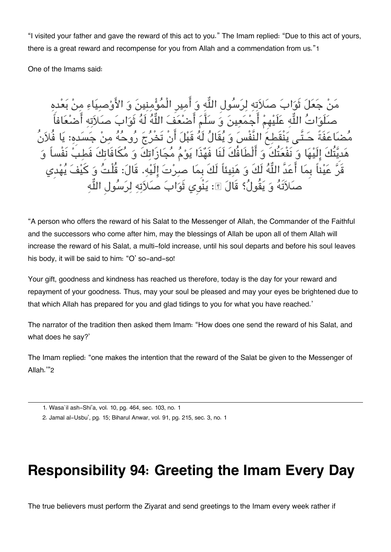"I visited your father and gave the reward of this act to you." The Imam replied: "Due to this act of yours, there is a great reward and recompense for you from Allah and a commendation from us."[1](#page--1-0)

One of the Imams said:

مَنْ جَعَلَ ثَوَابَ صَلاَتِهِ لِرَسُولِ اللَّهِ وَ أَمِيرِ الْمُؤْمِنِينَ وَ الأَوْصِيَاءِ مِنْ بَعْدِهِ صَلَوَاتُ اللَّهِ عَلَيْهِمْ أَجْمَعِينَ وَ سَلَّمَ أَصْنُعَفَ اللَّهُ لَهُ ثَوَابَ صَلاَتِهِ أَصْنُعَافاً مُّضَاعَفَةً حَـتَّـى يَنْقَطِعَ النَّفْسَ وَ يُقَالُ لَهُ قَبْلَ أَنْ تَخْرُجَ رُوحُهُ مِنْ جَسَدِهِ: يَا فُلاَنُ هَديَّتُكَ إِلَيْهَا وَ نَفْعَتُكَ وَ أَلْطَافُكَ لَنَا فَهُذَا يَوْمُ مُجَازَاتِكَ وَ مُكَافَاتِكَ فَطبَ نَفْس قَرَّ عَيْناً بِمَا أَعَدَّ اللَّهُ لَكَ وَ هَنِيئاً لَكَ بِمَا صِرِنتَ إِلَيْهِ. قَالَ: قُلْتُ وَ كَيْفَ يُهْدِي صَلاَتَهُ وَ يَقُولُ؟ قَالَ ۩: يَنْوِي ثَوَابَ صَلاَتِهِ لِرَسُولِ اللَّهِ

"A person who offers the reward of his Salat to the Messenger of Allah, the Commander of the Faithful and the successors who come after him, may the blessings of Allah be upon all of them Allah will increase the reward of his Salat, a multi-fold increase, until his soul departs and before his soul leaves his body, it will be said to him: "O' so-and-so!

Your gift, goodness and kindness has reached us therefore, today is the day for your reward and repayment of your goodness. Thus, may your soul be pleased and may your eyes be brightened due to that which Allah has prepared for you and glad tidings to you for what you have reached.'

The narrator of the tradition then asked them Imam: "How does one send the reward of his Salat, and what does he say?'

The Imam replied: "one makes the intention that the reward of the Salat be given to the Messenger of Allah.'"[2](#page--1-0)

#### **Responsibility 94: Greeting the Imam Every Day**

The true believers must perform the Ziyarat and send greetings to the Imam every week rather if

[<sup>1.</sup>](#page--1-0) Wasa`il ash-Shi'a, vol. 10, pg. 464, sec. 103, no. 1

[<sup>2.</sup>](#page--1-0) Jamal al-Usbu', pg. 15; Biharul Anwar, vol. 91, pg. 215, sec. 3, no. 1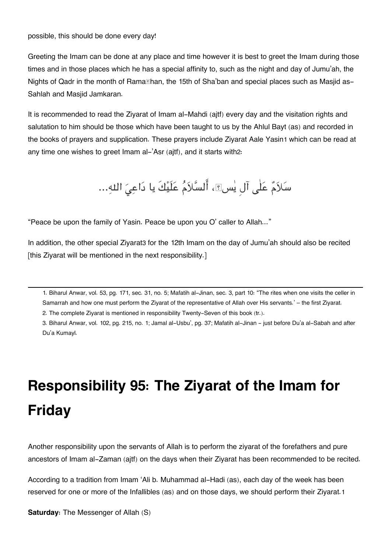#### possible, this should be done every day!

Greeting the Imam can be done at any place and time however it is best to greet the Imam during those times and in those places which he has a special affinity to, such as the night and day of Jumu'ah, the Nights of Qadr in the month of Rama han, the 15th of Sha'ban and special places such as Masjid as-Sahlah and Masjid Jamkaran.

It is recommended to read the Ziyarat of Imam al-Mahdi (ajtf) every day and the visitation rights and salutation to him should be those which have been taught to us by the Ahlul Bayt (as) and recorded in the books of prayers and supplication. These prayers include Ziyarat Aale Yasin[1](#page--1-0) which can be read at any time one wishes to greet Imam al-'Asr (ajtf), and it starts with[2](#page--1-0):

سَلاَمٌ عَلٰى آل يٰسِ؟، أَلسَّلاَمُ عَلَيْكَ يا دَاعِيَ اللهِ...

"Peace be upon the family of Yasin. Peace be upon you O' caller to Allah..."

In addition, the other special Ziyarat[3](#page--1-0) for the 12th Imam on the day of Jumu'ah should also be recited [this Ziyarat will be mentioned in the next responsibility.]

[1.](#page--1-0) Biharul Anwar, vol. 53, pg. 171, sec. 31, no. 5; Mafatih al-Jinan, sec. 3, part 10: "The rites when one visits the celler in Samarrah and how one must perform the Ziyarat of the representative of Allah over His servants.' – the first Ziyarat.

[2.](#page--1-0) The complete Ziyarat is mentioned in responsibility Twenty-Seven of this book (tr.).

[3.](#page--1-0) Biharul Anwar, vol. 102, pg. 215, no. 1; Jamal al-Usbu', pg. 37; Mafatih al-Jinan - just before Du'a al-Sabah and after Du'a Kumayl.

# **Responsibility 95: The Ziyarat of the Imam for Friday**

Another responsibility upon the servants of Allah is to perform the ziyarat of the forefathers and pure ancestors of Imam al-Zaman (ajtf) on the days when their Ziyarat has been recommended to be recited.

According to a tradition from Imam 'Ali b. Muhammad al-Hadi (as), each day of the week has been reserved for one or more of the Infallibles (as) and on those days, we should perform their Ziyarat.[1](#page--1-0)

**Saturday:** The Messenger of Allah (S)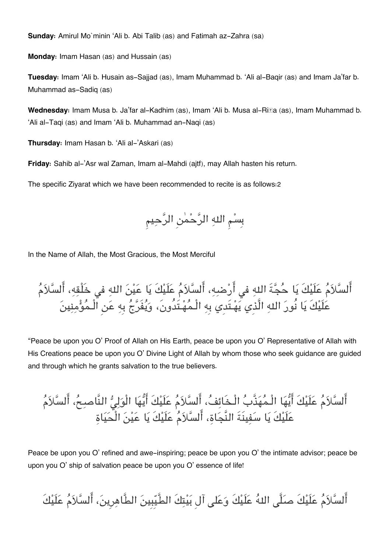**Sunday:** Amirul Mo`minin 'Ali b. Abi Talib (as) and Fatimah az-Zahra (sa)

**Monday:** Imam Hasan (as) and Hussain (as)

**Tuesday:** Imam 'Ali b. Husain as-Sajjad (as), Imam Muhammad b. 'Ali al-Baqir (as) and Imam Ja'far b. Muhammad as-Sadiq (as)

**Wednesday:** Imam Musa b. Ja'far al-Kadhim (as), Imam 'Ali b. Musa al-Riďa (as), Imam Muhammad b. 'Ali al-Taqi (as) and Imam 'Ali b. Muhammad an-Naqi (as)

**Thursday:** Imam Hasan b. 'Ali al-'Askari (as)

**Friday:** Sahib al-'Asr wal Zaman, Imam al-Mahdi (ajtf), may Allah hasten his return.

The specific Ziyarat which we have been recommended to recite is as follows:[2](#page--1-0)



In the Name of Allah, the Most Gracious, the Most Merciful

أَلسَّلاَمُ عَلَيْكَ يَا حُجَّةَ اللهِ في أَرْضِهِ، أَلسَّلاَمُ عَلَيْكَ يَا عَيْنَ اللهِ في خَلْقِهِ، أَلسَّلاَمُ عَلَيْكَ يَا نُورَ اللهِ الَّذِي يَهْـتَدي بِهِ الْـمُهْـتَدُونَ، وَيُفَرَّجُ بِهِ عَنِ الْـمُؤْمِنِينَ

"Peace be upon you O' Proof of Allah on His Earth, peace be upon you O' Representative of Allah with His Creations peace be upon you O' Divine Light of Allah by whom those who seek guidance are guided and through which he grants salvation to the true believers.

أَلسَّلاَمُ عَلَيْكَ أَيُّهَا الْـمُهَذَّبُ الْـخَائِفُ، أَلسَّلاَمُ عَلَيْكَ أَيُّهَا الْوَلِيُّ النَّاصِحُ، أَلسَّلاَمُ علَيكَ يا سفينَةَ النَّجاة، السلام علَيكَ يا عين الْحياة

Peace be upon you O' refined and awe-inspiring; peace be upon you O' the intimate advisor; peace be upon you O' ship of salvation peace be upon you O' essence of life!

أَلسَّلاَمُ عَلَيْكَ صلَّى اللهُ عَلَيْكَ وَعَلى آل بَيْتِكَ الطَّيِّبِينَ الطَّاهِرِينَ، أَلسَّلاَمُ عَلَيْكَ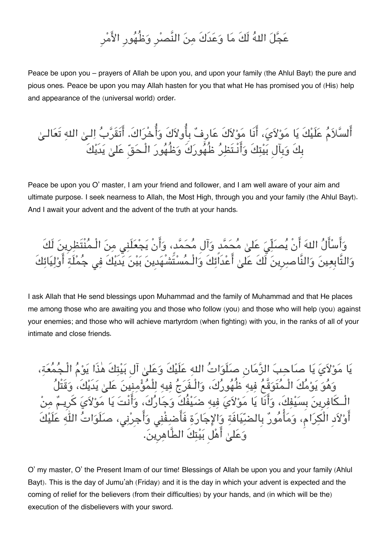### عَجَّلَ اللهُ لَكَ مَا وَعَدَكَ مِنَ النَّصِرِ وَظُهُورِ الأَمْرِ

Peace be upon you – prayers of Allah be upon you, and upon your family (the Ahlul Bayt) the pure and pious ones. Peace be upon you may Allah hasten for you that what He has promised you of (His) help and appearance of the (universal world) order.

اًلسَّلاَمُ عَلَيْكَ يَا مَوْلاَيَ، أَنَا مَوْلاَكَ عَارِفٌ بِأُولاَكَ وَأُخْرَاكَ. أَتَقَرَّبُ اِلـىٰ اللهِ تَعَالـىٰ بِكَ وبِآلِ بيتكَ وانْـتَظر ظُهوركَ وظُهور الْـحق عل يدَيكَ

Peace be upon you O' master, I am your friend and follower, and I am well aware of your aim and ultimate purpose. I seek nearness to Allah, the Most High, through you and your family (the Ahlul Bayt). And I await your advent and the advent of the truth at your hands.

وَأَسْأَلُ اللهَ أَنْ يُصَلِّيَ عَلىٰ مُحَمَّد وَآلِ مُحَمَّدٍ، وَأَنْ يَجْعَلَنِي مِنَ الْـمُنْتَظِرِينَ لَكَ وَالتَّابِعِينَ وَالنَّاصِرِينَ لَكَ عَلىٰ أَعْدَاًئِكَ وَالْـمُسْتَّشْهَدِينَ بَيْنَ يَدَيْكَ فِي جُمْلَةِ أَوْلِيَائِكَ

I ask Allah that He send blessings upon Muhammad and the family of Muhammad and that He places me among those who are awaiting you and those who follow (you) and those who will help (you) against your enemies; and those who will achieve martyrdom (when fighting) with you, in the ranks of all of your intimate and close friends.

يَا مَوْلاَيَ يَا صَاحِبَ الزَّمَانِ صلَوَاتُ اللهِ عَلَيْكَ وَعَلىٰ آلِ بَيْتِكَ هٰذَا يَوْمُ الْـجُمُعَةِ، وَهُوَ يَوْمُكَ الْـمُتَوَقَّعُ فِيهِ ظُهُورُكَ، وَالْـفَرَجُ فِيهِ لِلْمُؤْمِنِينَ عَلَىٰ يَدَيْكَ، وَقَتْلُ الْــكَافِرِينَ بِسَيْفِكَ، وَأَنَا يَا مَوْلاَيَ فِيهِ ضَيْفُكَ وَجَارُكَ، وَأَنْتَ يَا مَوْلاَيَ كَرِيـمٌ مِنْ أَوْلاَدِ الْكِرَامُ، وَمَأْمُورٌ بِالضّيّافَةِ وَالإِجَارَةِ فَأَضْغِفْنِي وَأَجِرْنِي، صلَوَاتُ اللّهِ عَلَيْكَ وَعَلَىٰ أَهْل بَيْتِكَ الطَّاهِرِينَ.

O' my master, O' the Present Imam of our time! Blessings of Allah be upon you and your family (Ahlul Bayt). This is the day of Jumu'ah (Friday) and it is the day in which your advent is expected and the coming of relief for the believers (from their difficulties) by your hands, and (in which will be the) execution of the disbelievers with your sword.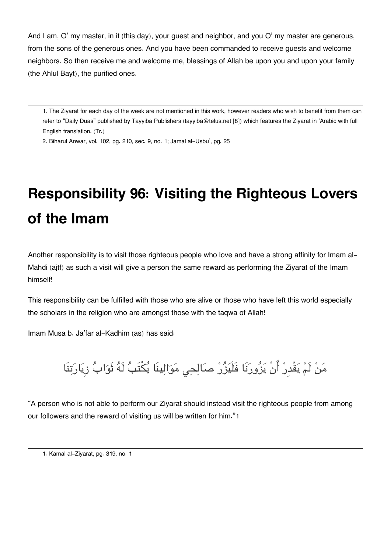And I am, O' my master, in it (this day), your guest and neighbor, and you O' my master are generous, from the sons of the generous ones. And you have been commanded to receive guests and welcome neighbors. So then receive me and welcome me, blessings of Allah be upon you and upon your family (the Ahlul Bayt), the purified ones.

[1.](#page--1-0) The Ziyarat for each day of the week are not mentioned in this work, however readers who wish to benefit from them can refer to "Daily Duas" published by Tayyiba Publishers [\(tayyiba@telus.net](mailto:tayyiba@telus.net) [8]) which features the Ziyarat in 'Arabic with full English translation. (Tr.)

[2.](#page--1-0) Biharul Anwar, vol. 102, pg. 210, sec. 9, no. 1; Jamal al-Usbu', pg. 25

# **Responsibility 96: Visiting the Righteous Lovers of the Imam**

Another responsibility is to visit those righteous people who love and have a strong affinity for Imam al-Mahdi (ajtf) as such a visit will give a person the same reward as performing the Ziyarat of the Imam himself!

This responsibility can be fulfilled with those who are alive or those who have left this world especially the scholars in the religion who are amongst those with the taqwa of Allah!

Imam Musa b. Ja'far al-Kadhim (as) has said:

مَنْ لَمْ يَقْدِرْ أَنْ يَزُورَنَا فَلْيَزُرْ صَالِحِى مَوَالِينَا يُكْتَبُ لَهُ ثَوَابُ زِيَارَتِنَا

"A person who is not able to perform our Ziyarat should instead visit the righteous people from among our followers and the reward of visiting us will be written for him."[1](#page--1-0)

[1.](#page--1-0) Kamal al-Ziyarat, pg. 319, no. 1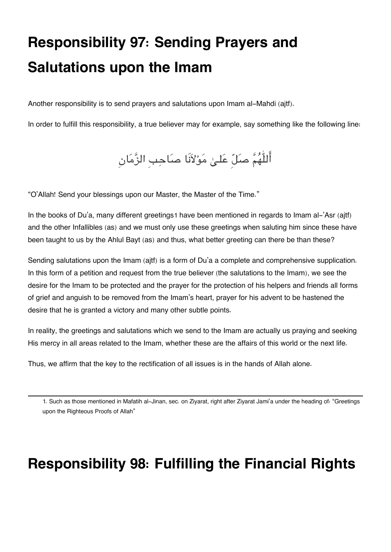# **Responsibility 97: Sending Prayers and Salutations upon the Imam**

Another responsibility is to send prayers and salutations upon Imam al-Mahdi (ajtf).

In order to fulfill this responsibility, a true believer may for example, say something like the following line:

أَللّٰهُمَّ صَلّ عَلـىٰ مَوْلاَنَا صَاحِبِ الزَّمَانِ

"O'Allah! Send your blessings upon our Master, the Master of the Time."

In the books of Du'a, many different greetings[1](#page--1-0) have been mentioned in regards to Imam al-'Asr (ajtf) and the other Infallibles (as) and we must only use these greetings when saluting him since these have been taught to us by the Ahlul Bayt (as) and thus, what better greeting can there be than these?

Sending salutations upon the Imam (ajtf) is a form of Du'a a complete and comprehensive supplication. In this form of a petition and request from the true believer (the salutations to the Imam), we see the desire for the Imam to be protected and the prayer for the protection of his helpers and friends all forms of grief and anguish to be removed from the Imam's heart, prayer for his advent to be hastened the desire that he is granted a victory and many other subtle points.

In reality, the greetings and salutations which we send to the Imam are actually us praying and seeking His mercy in all areas related to the Imam, whether these are the affairs of this world or the next life.

Thus, we affirm that the key to the rectification of all issues is in the hands of Allah alone.

[1.](#page--1-0) Such as those mentioned in Mafatih al-Jinan, sec. on Ziyarat, right after Ziyarat Jami'a under the heading of: "Greetings upon the Righteous Proofs of Allah"

#### **Responsibility 98: Fulfilling the Financial Rights**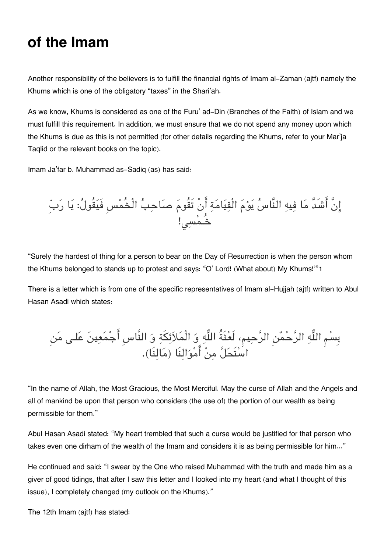#### **of the Imam**

Another responsibility of the believers is to fulfill the financial rights of Imam al-Zaman (ajtf) namely the Khums which is one of the obligatory "taxes" in the Shari'ah.

As we know, Khums is considered as one of the Furu' ad-Din (Branches of the Faith) of Islam and we must fulfill this requirement. In addition, we must ensure that we do not spend any money upon which the Khums is due as this is not permitted (for other details regarding the Khums, refer to your Mar'ja Taqlid or the relevant books on the topic).

Imam Ja'far b. Muhammad as-Sadiq (as) has said:

انَّ اشَدَّ ما فيه النَّاس يوم الْقيامة انْ تَقُوم صاحب الْخُمسِ فَيقُول: يا ربِ خُـمس!

"Surely the hardest of thing for a person to bear on the Day of Resurrection is when the person whom the Khums belonged to stands up to protest and says: "O' Lord! (What about) My Khums!'"[1](#page--1-0)

There is a letter which is from one of the specific representatives of Imam al-Hujjah (ajtf) written to Abul Hasan Asadi which states:

بِسم اله الرحمن الرحيم، لَعنَةُ اله و الْملائة و النَّاسِ اجمعين علـ من استَحل من اموالنَا (مالنَا).

"In the name of Allah, the Most Gracious, the Most Merciful. May the curse of Allah and the Angels and all of mankind be upon that person who considers (the use of) the portion of our wealth as being permissible for them."

Abul Hasan Asadi stated: "My heart trembled that such a curse would be justified for that person who takes even one dirham of the wealth of the Imam and considers it is as being permissible for him..."

He continued and said: "I swear by the One who raised Muhammad with the truth and made him as a giver of good tidings, that after I saw this letter and I looked into my heart (and what I thought of this issue), I completely changed (my outlook on the Khums)."

The 12th Imam (ajtf) has stated: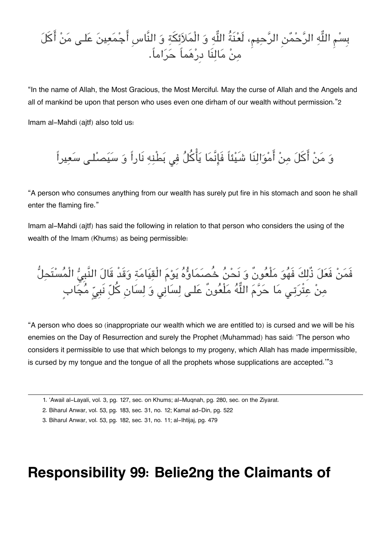بِسْمِ اللَّهِ الرَّحْمُنِ الرَّحِيمِ، لَعْنَةُ اللَّهِ وَ الْمَلاَئِكَةِ وَ النَّاسِ أَجْمَعِينَ عَلـى مَنْ أَكَلَ من مالنَا دِرهماً حراما.ً

"In the name of Allah, the Most Gracious, the Most Merciful. May the curse of Allah and the Angels and all of mankind be upon that person who uses even one dirham of our wealth without permission."[2](#page--1-0)

Imam al-Mahdi (ajtf) also told us:

وَ مَنْ أَكَلَ مِنْ أَمْوَالِنَا شَيْئاً فَإِنَّمَا يَأْكُلُ فِي بَطْنِهِ نَاراً وَ سَيَصْلـى سَعِيراً

"A person who consumes anything from our wealth has surely put fire in his stomach and soon he shall enter the flaming fire."

Imam al-Mahdi (ajtf) has said the following in relation to that person who considers the using of the wealth of the Imam (Khums) as being permissible:

فَمَنْ فَعَلَ ذُلِكَ فَهُوَ مَلْعُونٌ وَ نَحْنُ خُصَمَاؤُهُ يَوْمَ الْقِيَامَةِ وَقَدْ قَالَ النَّبِيُّ الْمُسْتَحِلُّ مِنْ عِتْرَتِى مَا حَرَّمَ اللَّهُ مَلْعُونٌ عَلـى لِسَانِي وَ لِسَانِ كُلّ نَبِيِّ مُجَابِ

"A person who does so (inappropriate our wealth which we are entitled to) is cursed and we will be his enemies on the Day of Resurrection and surely the Prophet (Muhammad) has said: 'The person who considers it permissible to use that which belongs to my progeny, which Allah has made impermissible, is cursed by my tongue and the tongue of all the prophets whose supplications are accepted.'"[3](#page--1-0)

#### **Responsibility 99: Belie2ng the Claimants of**

[<sup>1.</sup>](#page--1-0) 'Awail al-Layali, vol. 3, pg. 127, sec. on Khums; al-Muqnah, pg. 280, sec. on the Ziyarat.

[<sup>2.</sup>](#page--1-0) Biharul Anwar, vol. 53, pg. 183, sec. 31, no. 12; Kamal ad-Din, pg. 522

[<sup>3.</sup>](#page--1-0) Biharul Anwar, vol. 53, pg. 182, sec. 31, no. 11; al-Ihtijaj, pg. 479